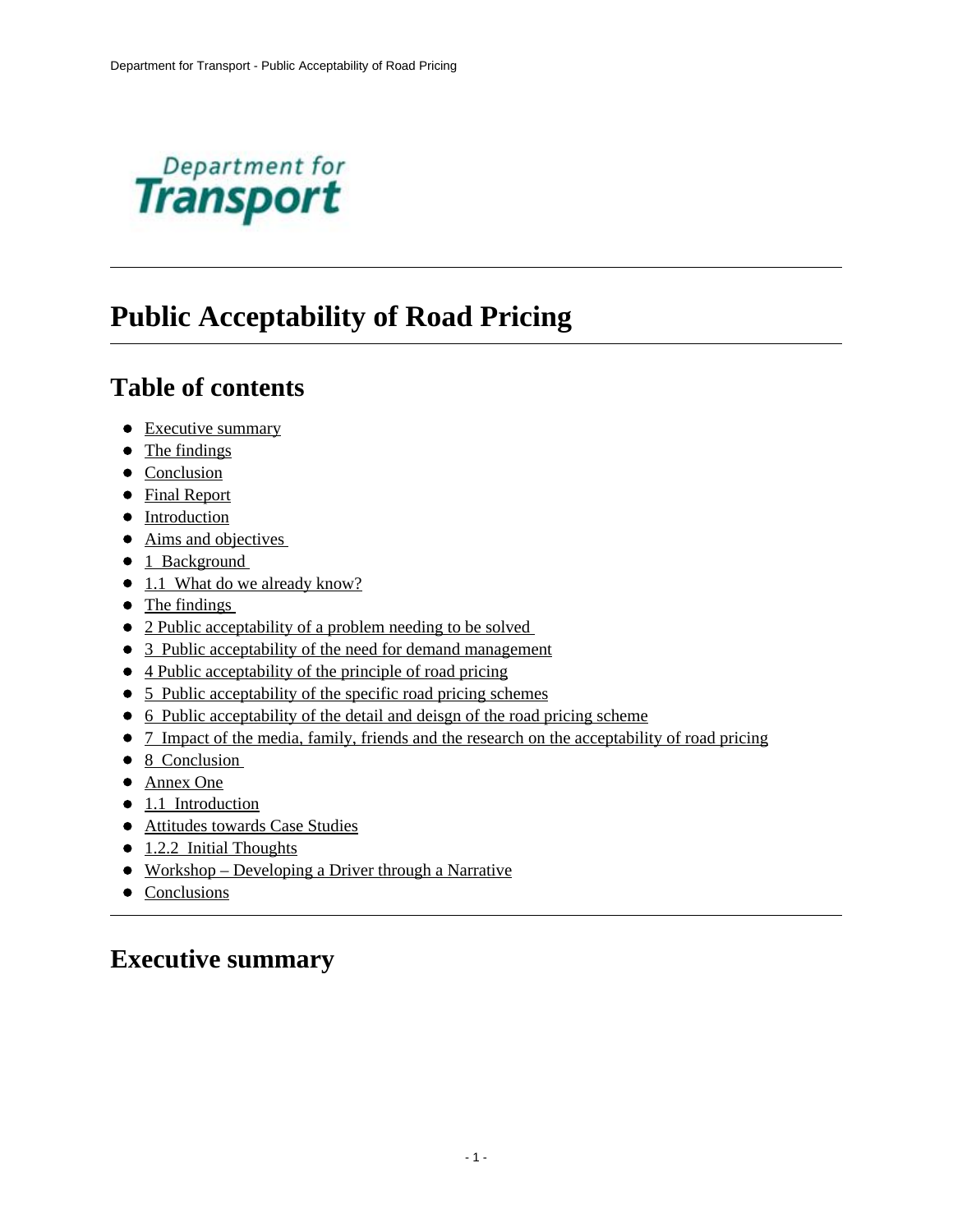

# **Public Acceptability of Road Pricing**

# **Table of contents**

- Executive summary
- The findings
- Conclusion
- Final Report
- Introduction
- Aims and objectives
- 1 Background
- 1.1 What do we already know?
- The findings
- 2 Public acceptability of a problem needing to be solved
- 3 Public acceptability of the need for demand management
- 4 Public acceptability of the principle of road pricing
- 5 Public acceptability of the specific road pricing schemes
- [6 Public acceptability of the detail and deisgn of the road pricing scheme](#page-44-0)
- [7 Impact of the media, family, friends and the research on the acceptability of road pricing](#page-55-0)
- 8 Conclusion
- [Annex One](#page-68-0)
- 1.1 Introduction
- [Attitudes towards Case Studies](#page-69-0)
- 1.2.2 Initial Thoughts
- Workshop Developing a Driver through a Narrative
- Conclusions

# <span id="page-0-0"></span>**Executive summary**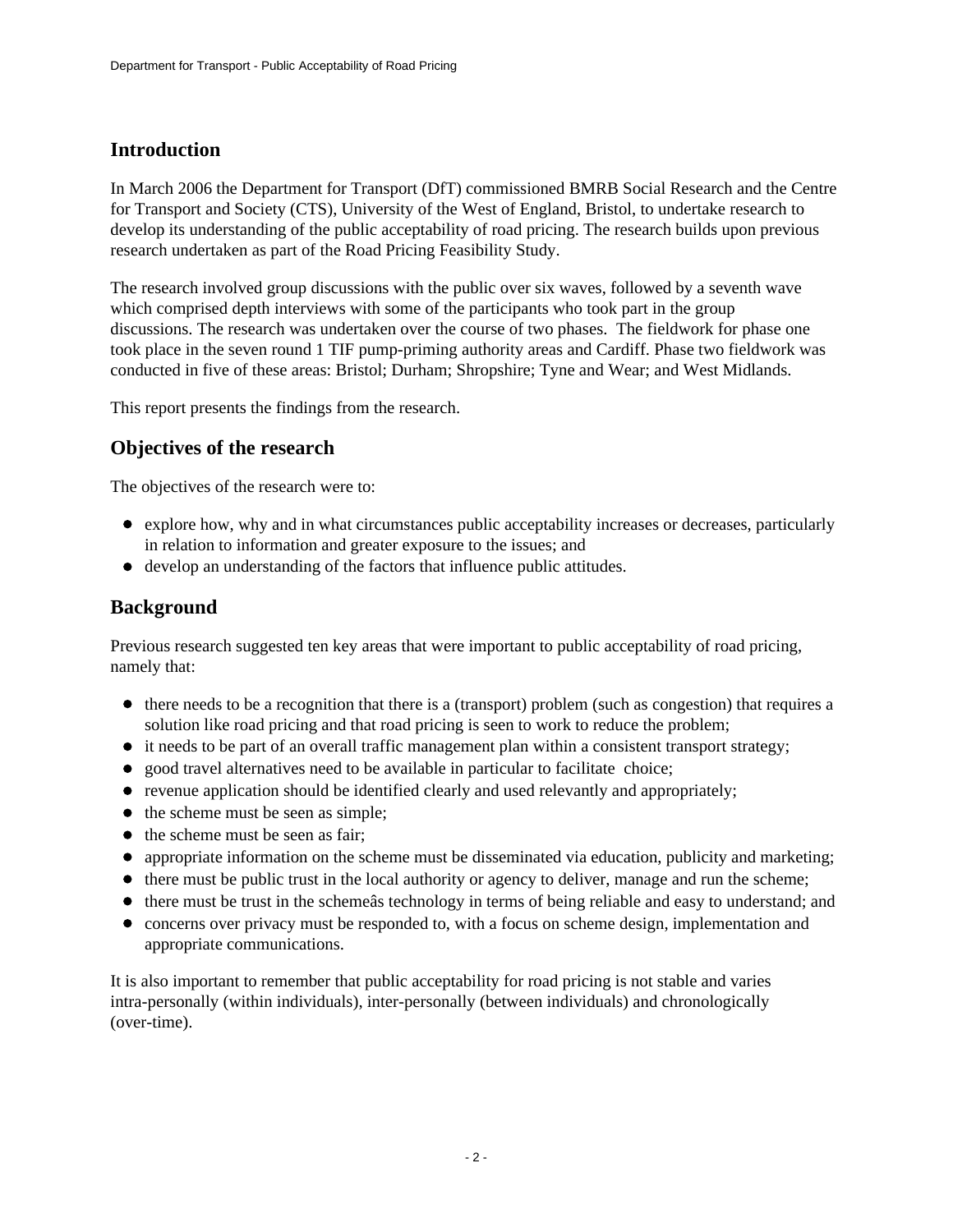## **Introduction**

In March 2006 the Department for Transport (DfT) commissioned BMRB Social Research and the Centre for Transport and Society (CTS), University of the West of England, Bristol, to undertake research to develop its understanding of the public acceptability of road pricing. The research builds upon previous research undertaken as part of the Road Pricing Feasibility Study.

The research involved group discussions with the public over six waves, followed by a seventh wave which comprised depth interviews with some of the participants who took part in the group discussions. The research was undertaken over the course of two phases. The fieldwork for phase one took place in the seven round 1 TIF pump-priming authority areas and Cardiff. Phase two fieldwork was conducted in five of these areas: Bristol; Durham; Shropshire; Tyne and Wear; and West Midlands.

This report presents the findings from the research.

### **Objectives of the research**

The objectives of the research were to:

- explore how, why and in what circumstances public acceptability increases or decreases, particularly in relation to information and greater exposure to the issues; and
- develop an understanding of the factors that influence public attitudes.

### **Background**

Previous research suggested ten key areas that were important to public acceptability of road pricing, namely that:

- $\bullet$  there needs to be a recognition that there is a (transport) problem (such as congestion) that requires a solution like road pricing and that road pricing is seen to work to reduce the problem;
- $\bullet$  it needs to be part of an overall traffic management plan within a consistent transport strategy;
- good travel alternatives need to be available in particular to facilitate choice;
- revenue application should be identified clearly and used relevantly and appropriately;
- $\bullet$  the scheme must be seen as simple;
- the scheme must be seen as fair;
- appropriate information on the scheme must be disseminated via education, publicity and marketing;
- $\bullet$  there must be public trust in the local authority or agency to deliver, manage and run the scheme;
- there must be trust in the scheme as technology in terms of being reliable and easy to understand; and
- concerns over privacy must be responded to, with a focus on scheme design, implementation and appropriate communications.

It is also important to remember that public acceptability for road pricing is not stable and varies intra-personally (within individuals), inter-personally (between individuals) and chronologically (over-time).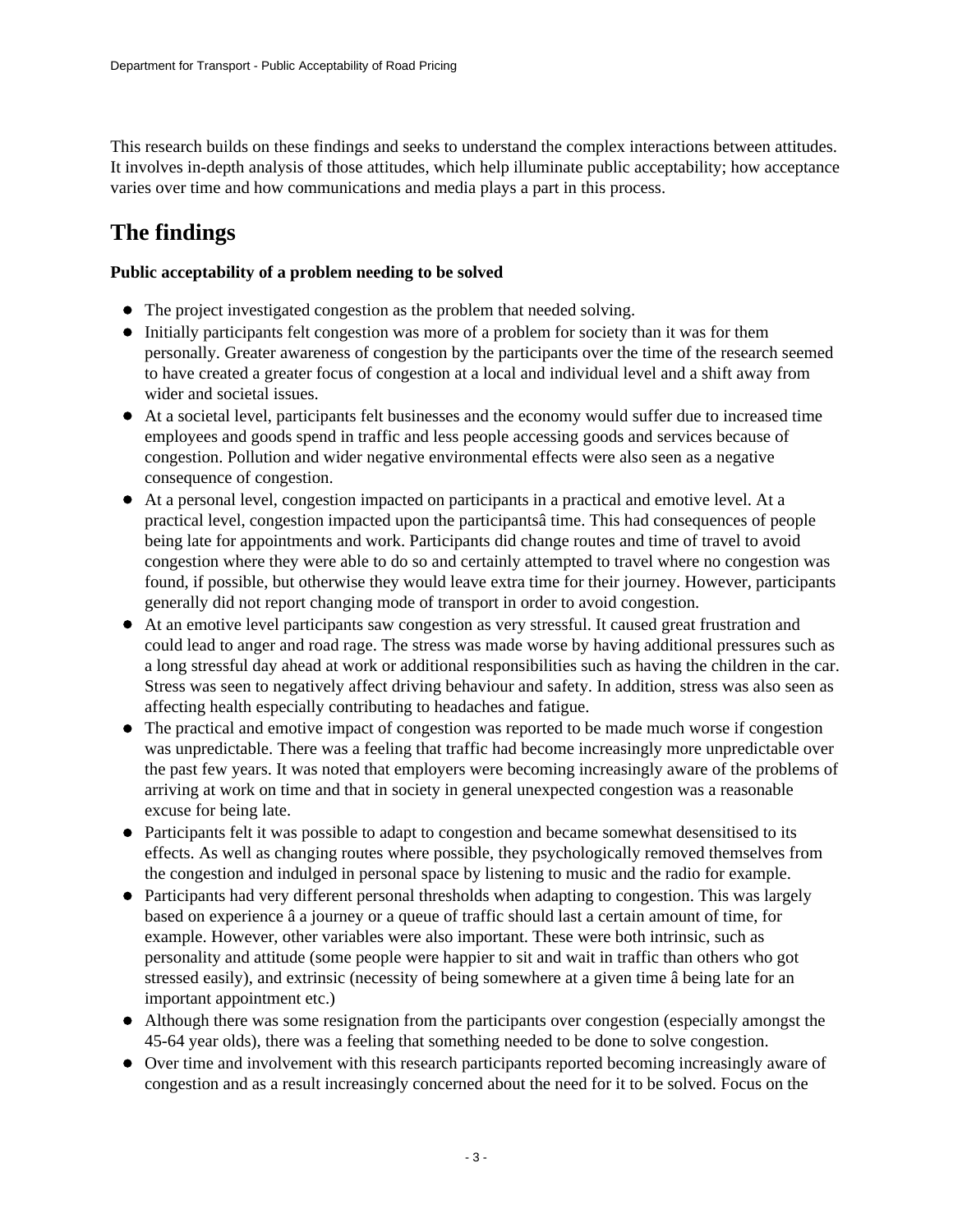This research builds on these findings and seeks to understand the complex interactions between attitudes. It involves in-depth analysis of those attitudes, which help illuminate public acceptability; how acceptance varies over time and how communications and media plays a part in this process.

# <span id="page-2-0"></span>**The findings**

#### **Public acceptability of a problem needing to be solved**

- The project investigated congestion as the problem that needed solving.
- Initially participants felt congestion was more of a problem for society than it was for them personally. Greater awareness of congestion by the participants over the time of the research seemed to have created a greater focus of congestion at a local and individual level and a shift away from wider and societal issues.
- At a societal level, participants felt businesses and the economy would suffer due to increased time employees and goods spend in traffic and less people accessing goods and services because of congestion. Pollution and wider negative environmental effects were also seen as a negative consequence of congestion.
- At a personal level, congestion impacted on participants in a practical and emotive level. At a practical level, congestion impacted upon the participantsâ time. This had consequences of people being late for appointments and work. Participants did change routes and time of travel to avoid congestion where they were able to do so and certainly attempted to travel where no congestion was found, if possible, but otherwise they would leave extra time for their journey. However, participants generally did not report changing mode of transport in order to avoid congestion.
- At an emotive level participants saw congestion as very stressful. It caused great frustration and could lead to anger and road rage. The stress was made worse by having additional pressures such as a long stressful day ahead at work or additional responsibilities such as having the children in the car. Stress was seen to negatively affect driving behaviour and safety. In addition, stress was also seen as affecting health especially contributing to headaches and fatigue.
- The practical and emotive impact of congestion was reported to be made much worse if congestion was unpredictable. There was a feeling that traffic had become increasingly more unpredictable over the past few years. It was noted that employers were becoming increasingly aware of the problems of arriving at work on time and that in society in general unexpected congestion was a reasonable excuse for being late.
- Participants felt it was possible to adapt to congestion and became somewhat desensitised to its effects. As well as changing routes where possible, they psychologically removed themselves from the congestion and indulged in personal space by listening to music and the radio for example.
- Participants had very different personal thresholds when adapting to congestion. This was largely based on experience â a journey or a queue of traffic should last a certain amount of time, for example. However, other variables were also important. These were both intrinsic, such as personality and attitude (some people were happier to sit and wait in traffic than others who got stressed easily), and extrinsic (necessity of being somewhere at a given time â being late for an important appointment etc.)
- Although there was some resignation from the participants over congestion (especially amongst the 45-64 year olds), there was a feeling that something needed to be done to solve congestion.
- Over time and involvement with this research participants reported becoming increasingly aware of congestion and as a result increasingly concerned about the need for it to be solved. Focus on the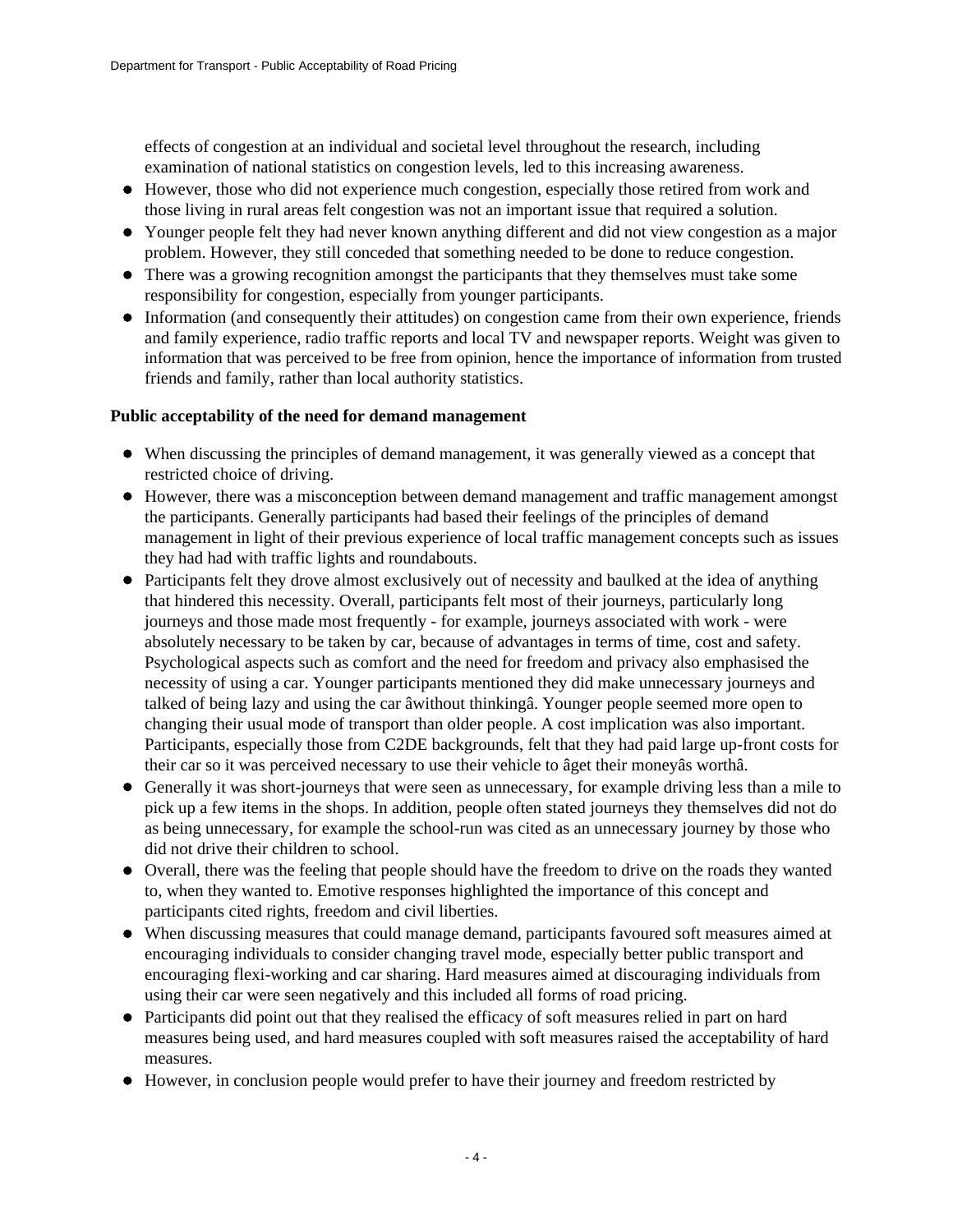effects of congestion at an individual and societal level throughout the research, including examination of national statistics on congestion levels, led to this increasing awareness.

- However, those who did not experience much congestion, especially those retired from work and those living in rural areas felt congestion was not an important issue that required a solution.
- Younger people felt they had never known anything different and did not view congestion as a major problem. However, they still conceded that something needed to be done to reduce congestion.
- There was a growing recognition amongst the participants that they themselves must take some responsibility for congestion, especially from younger participants.
- Information (and consequently their attitudes) on congestion came from their own experience, friends and family experience, radio traffic reports and local TV and newspaper reports. Weight was given to information that was perceived to be free from opinion, hence the importance of information from trusted friends and family, rather than local authority statistics.

#### **Public acceptability of the need for demand management**

- When discussing the principles of demand management, it was generally viewed as a concept that restricted choice of driving.
- However, there was a misconception between demand management and traffic management amongst the participants. Generally participants had based their feelings of the principles of demand management in light of their previous experience of local traffic management concepts such as issues they had had with traffic lights and roundabouts.
- Participants felt they drove almost exclusively out of necessity and baulked at the idea of anything that hindered this necessity. Overall, participants felt most of their journeys, particularly long journeys and those made most frequently - for example, journeys associated with work - were absolutely necessary to be taken by car, because of advantages in terms of time, cost and safety. Psychological aspects such as comfort and the need for freedom and privacy also emphasised the necessity of using a car. Younger participants mentioned they did make unnecessary journeys and talked of being lazy and using the car âwithout thinkingâ. Younger people seemed more open to changing their usual mode of transport than older people. A cost implication was also important. Participants, especially those from C2DE backgrounds, felt that they had paid large up-front costs for their car so it was perceived necessary to use their vehicle to âget their moneyâs worthâ.
- Generally it was short-journeys that were seen as unnecessary, for example driving less than a mile to pick up a few items in the shops. In addition, people often stated journeys they themselves did not do as being unnecessary, for example the school-run was cited as an unnecessary journey by those who did not drive their children to school.
- Overall, there was the feeling that people should have the freedom to drive on the roads they wanted to, when they wanted to. Emotive responses highlighted the importance of this concept and participants cited rights, freedom and civil liberties.
- When discussing measures that could manage demand, participants favoured soft measures aimed at encouraging individuals to consider changing travel mode, especially better public transport and encouraging flexi-working and car sharing. Hard measures aimed at discouraging individuals from using their car were seen negatively and this included all forms of road pricing.
- Participants did point out that they realised the efficacy of soft measures relied in part on hard measures being used, and hard measures coupled with soft measures raised the acceptability of hard measures.
- However, in conclusion people would prefer to have their journey and freedom restricted by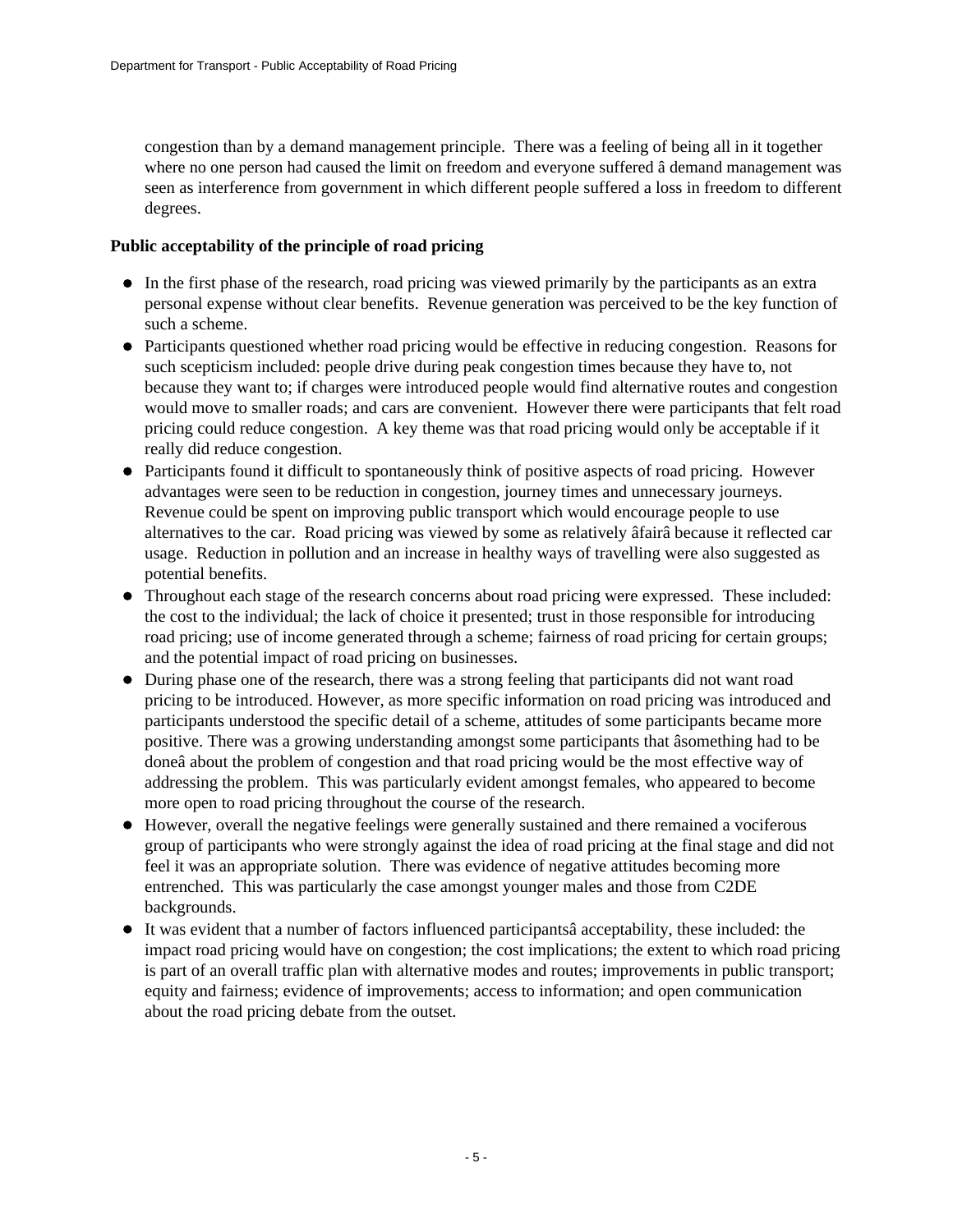congestion than by a demand management principle. There was a feeling of being all in it together where no one person had caused the limit on freedom and everyone suffered â demand management was seen as interference from government in which different people suffered a loss in freedom to different degrees.

#### **Public acceptability of the principle of road pricing**

- In the first phase of the research, road pricing was viewed primarily by the participants as an extra personal expense without clear benefits. Revenue generation was perceived to be the key function of such a scheme.
- Participants questioned whether road pricing would be effective in reducing congestion. Reasons for such scepticism included: people drive during peak congestion times because they have to, not because they want to; if charges were introduced people would find alternative routes and congestion would move to smaller roads; and cars are convenient. However there were participants that felt road pricing could reduce congestion. A key theme was that road pricing would only be acceptable if it really did reduce congestion.
- Participants found it difficult to spontaneously think of positive aspects of road pricing. However advantages were seen to be reduction in congestion, journey times and unnecessary journeys. Revenue could be spent on improving public transport which would encourage people to use alternatives to the car. Road pricing was viewed by some as relatively âfairâ because it reflected car usage. Reduction in pollution and an increase in healthy ways of travelling were also suggested as potential benefits.
- Throughout each stage of the research concerns about road pricing were expressed. These included: the cost to the individual; the lack of choice it presented; trust in those responsible for introducing road pricing; use of income generated through a scheme; fairness of road pricing for certain groups; and the potential impact of road pricing on businesses.
- During phase one of the research, there was a strong feeling that participants did not want road pricing to be introduced. However, as more specific information on road pricing was introduced and participants understood the specific detail of a scheme, attitudes of some participants became more positive. There was a growing understanding amongst some participants that âsomething had to be doneâ about the problem of congestion and that road pricing would be the most effective way of addressing the problem. This was particularly evident amongst females, who appeared to become more open to road pricing throughout the course of the research.
- However, overall the negative feelings were generally sustained and there remained a vociferous group of participants who were strongly against the idea of road pricing at the final stage and did not feel it was an appropriate solution. There was evidence of negative attitudes becoming more entrenched. This was particularly the case amongst younger males and those from C2DE backgrounds.
- It was evident that a number of factors influenced participantsâ acceptability, these included: the impact road pricing would have on congestion; the cost implications; the extent to which road pricing is part of an overall traffic plan with alternative modes and routes; improvements in public transport; equity and fairness; evidence of improvements; access to information; and open communication about the road pricing debate from the outset.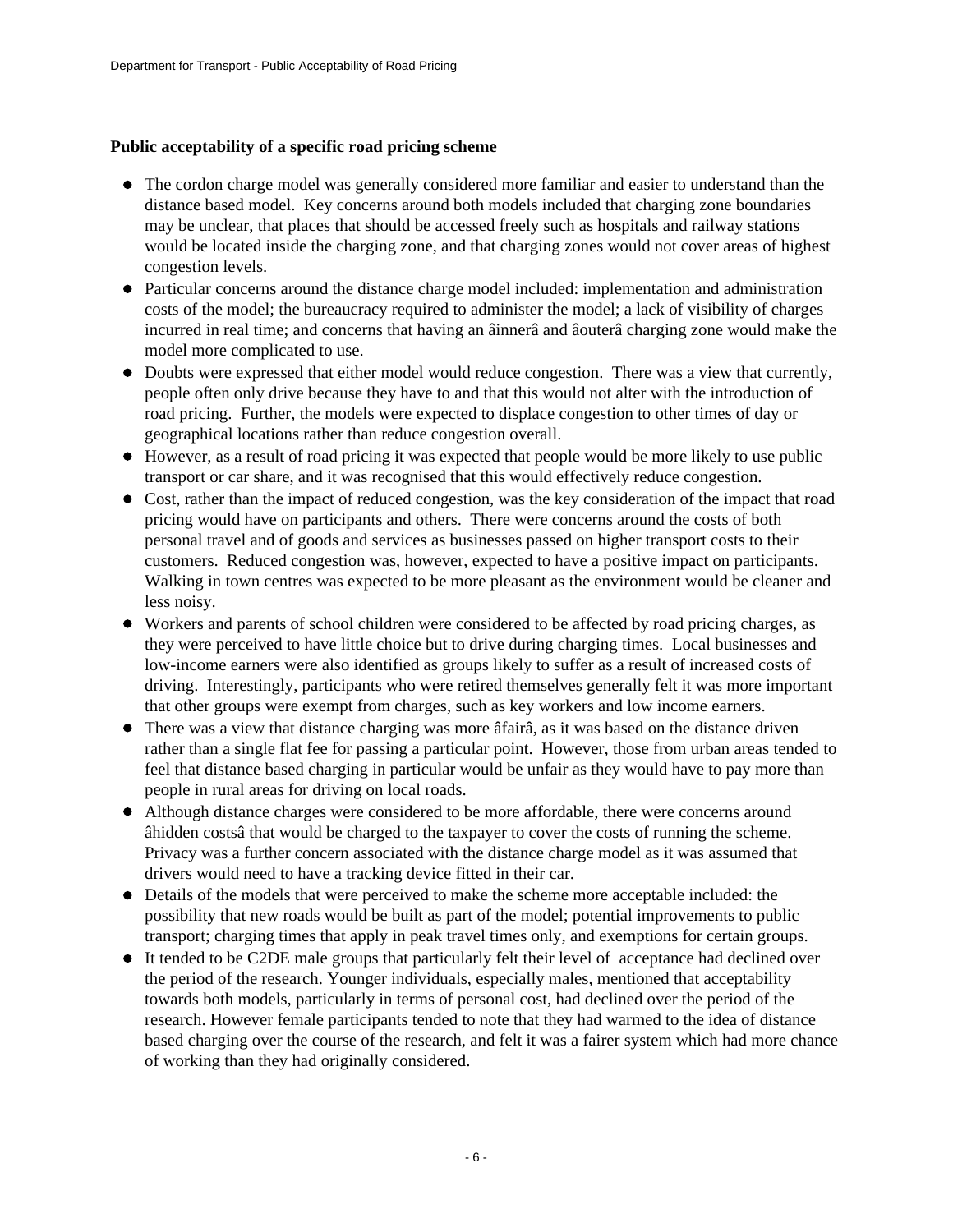#### **Public acceptability of a specific road pricing scheme**

- The cordon charge model was generally considered more familiar and easier to understand than the distance based model. Key concerns around both models included that charging zone boundaries may be unclear, that places that should be accessed freely such as hospitals and railway stations would be located inside the charging zone, and that charging zones would not cover areas of highest congestion levels.
- Particular concerns around the distance charge model included: implementation and administration costs of the model; the bureaucracy required to administer the model; a lack of visibility of charges incurred in real time; and concerns that having an âinnerâ and âouterâ charging zone would make the model more complicated to use.
- Doubts were expressed that either model would reduce congestion. There was a view that currently, people often only drive because they have to and that this would not alter with the introduction of road pricing. Further, the models were expected to displace congestion to other times of day or geographical locations rather than reduce congestion overall.
- However, as a result of road pricing it was expected that people would be more likely to use public transport or car share, and it was recognised that this would effectively reduce congestion.
- Cost, rather than the impact of reduced congestion, was the key consideration of the impact that road pricing would have on participants and others. There were concerns around the costs of both personal travel and of goods and services as businesses passed on higher transport costs to their customers. Reduced congestion was, however, expected to have a positive impact on participants. Walking in town centres was expected to be more pleasant as the environment would be cleaner and less noisy.
- Workers and parents of school children were considered to be affected by road pricing charges, as they were perceived to have little choice but to drive during charging times. Local businesses and low-income earners were also identified as groups likely to suffer as a result of increased costs of driving. Interestingly, participants who were retired themselves generally felt it was more important that other groups were exempt from charges, such as key workers and low income earners.
- There was a view that distance charging was more âfairâ, as it was based on the distance driven rather than a single flat fee for passing a particular point. However, those from urban areas tended to feel that distance based charging in particular would be unfair as they would have to pay more than people in rural areas for driving on local roads.
- Although distance charges were considered to be more affordable, there were concerns around âhidden costsâ that would be charged to the taxpayer to cover the costs of running the scheme. Privacy was a further concern associated with the distance charge model as it was assumed that drivers would need to have a tracking device fitted in their car.
- Details of the models that were perceived to make the scheme more acceptable included: the possibility that new roads would be built as part of the model; potential improvements to public transport; charging times that apply in peak travel times only, and exemptions for certain groups.
- It tended to be C2DE male groups that particularly felt their level of acceptance had declined over the period of the research. Younger individuals, especially males, mentioned that acceptability towards both models, particularly in terms of personal cost, had declined over the period of the research. However female participants tended to note that they had warmed to the idea of distance based charging over the course of the research, and felt it was a fairer system which had more chance of working than they had originally considered.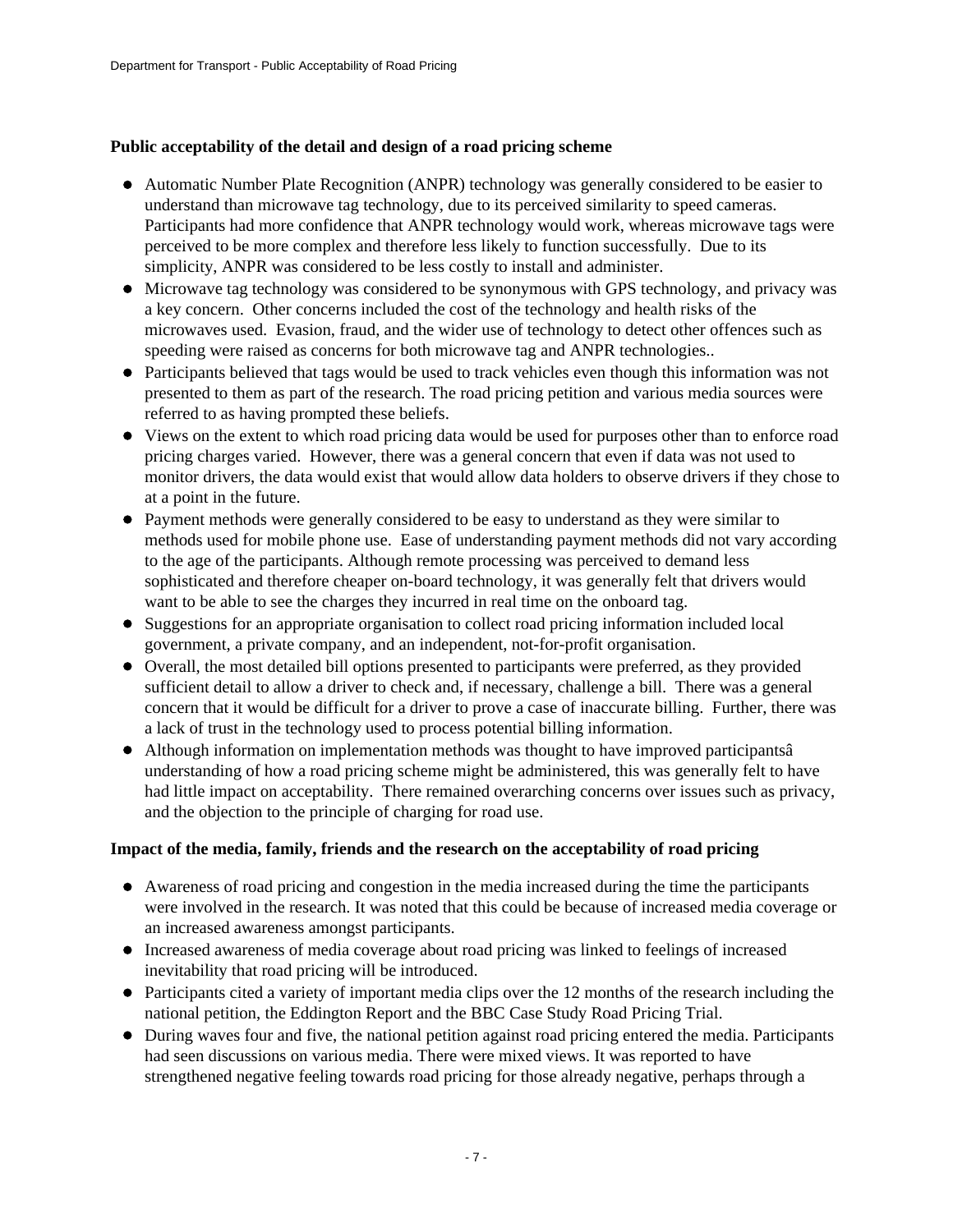#### **Public acceptability of the detail and design of a road pricing scheme**

- Automatic Number Plate Recognition (ANPR) technology was generally considered to be easier to understand than microwave tag technology, due to its perceived similarity to speed cameras. Participants had more confidence that ANPR technology would work, whereas microwave tags were perceived to be more complex and therefore less likely to function successfully. Due to its simplicity, ANPR was considered to be less costly to install and administer.
- $\bullet$  Microwave tag technology was considered to be synonymous with GPS technology, and privacy was a key concern. Other concerns included the cost of the technology and health risks of the microwaves used. Evasion, fraud, and the wider use of technology to detect other offences such as speeding were raised as concerns for both microwave tag and ANPR technologies..
- Participants believed that tags would be used to track vehicles even though this information was not presented to them as part of the research. The road pricing petition and various media sources were referred to as having prompted these beliefs.
- Views on the extent to which road pricing data would be used for purposes other than to enforce road pricing charges varied. However, there was a general concern that even if data was not used to monitor drivers, the data would exist that would allow data holders to observe drivers if they chose to at a point in the future.
- Payment methods were generally considered to be easy to understand as they were similar to methods used for mobile phone use. Ease of understanding payment methods did not vary according to the age of the participants. Although remote processing was perceived to demand less sophisticated and therefore cheaper on-board technology, it was generally felt that drivers would want to be able to see the charges they incurred in real time on the onboard tag.
- Suggestions for an appropriate organisation to collect road pricing information included local government, a private company, and an independent, not-for-profit organisation.
- Overall, the most detailed bill options presented to participants were preferred, as they provided sufficient detail to allow a driver to check and, if necessary, challenge a bill. There was a general concern that it would be difficult for a driver to prove a case of inaccurate billing. Further, there was a lack of trust in the technology used to process potential billing information.
- Although information on implementation methods was thought to have improved participantsâ understanding of how a road pricing scheme might be administered, this was generally felt to have had little impact on acceptability. There remained overarching concerns over issues such as privacy, and the objection to the principle of charging for road use.

#### **Impact of the media, family, friends and the research on the acceptability of road pricing**

- Awareness of road pricing and congestion in the media increased during the time the participants were involved in the research. It was noted that this could be because of increased media coverage or an increased awareness amongst participants.
- Increased awareness of media coverage about road pricing was linked to feelings of increased inevitability that road pricing will be introduced.
- Participants cited a variety of important media clips over the 12 months of the research including the national petition, the Eddington Report and the BBC Case Study Road Pricing Trial.
- During waves four and five, the national petition against road pricing entered the media. Participants had seen discussions on various media. There were mixed views. It was reported to have strengthened negative feeling towards road pricing for those already negative, perhaps through a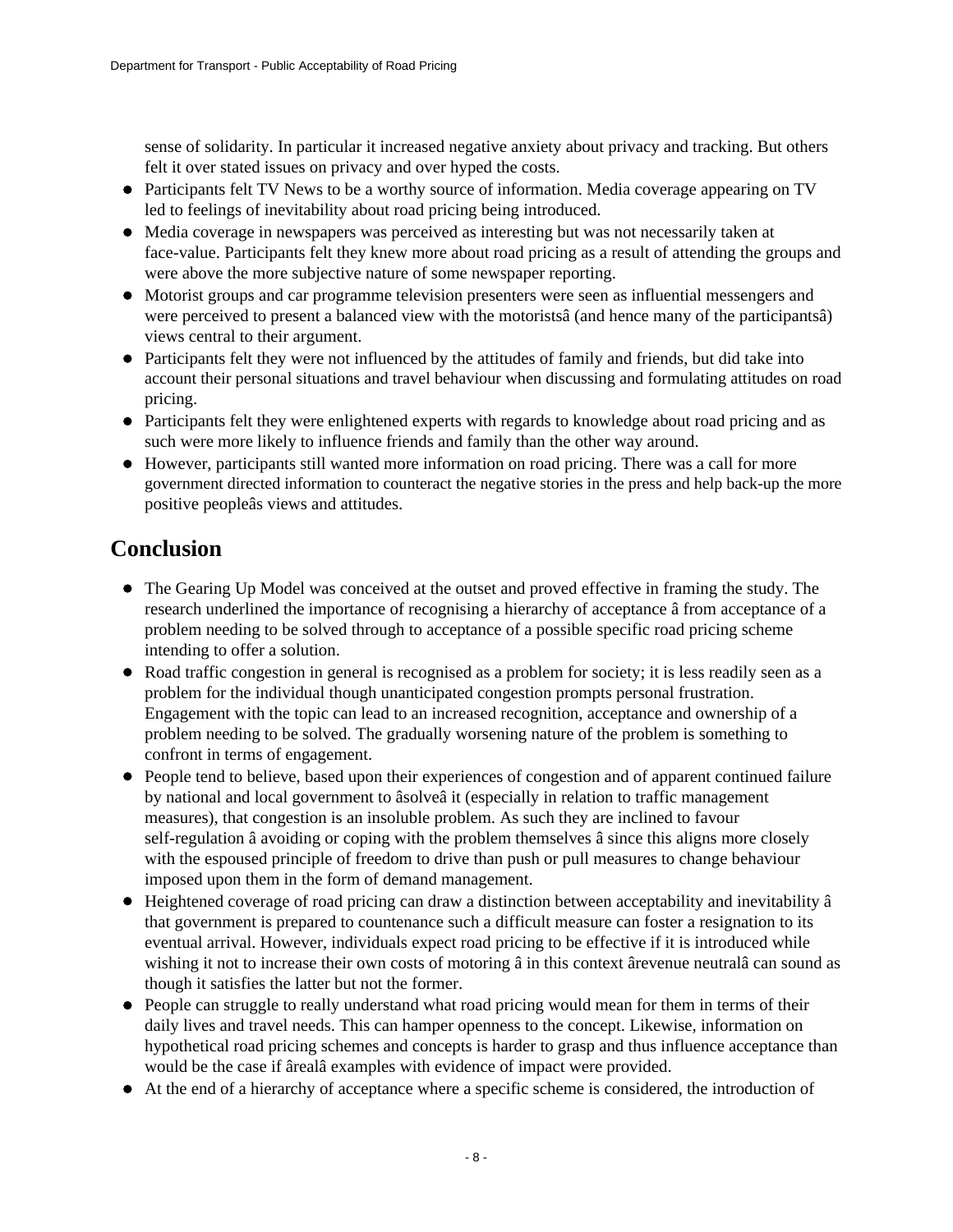sense of solidarity. In particular it increased negative anxiety about privacy and tracking. But others felt it over stated issues on privacy and over hyped the costs.

- Participants felt TV News to be a worthy source of information. Media coverage appearing on TV led to feelings of inevitability about road pricing being introduced.
- Media coverage in newspapers was perceived as interesting but was not necessarily taken at face-value. Participants felt they knew more about road pricing as a result of attending the groups and were above the more subjective nature of some newspaper reporting.
- Motorist groups and car programme television presenters were seen as influential messengers and were perceived to present a balanced view with the motoristsâ (and hence many of the participantsâ) views central to their argument.
- Participants felt they were not influenced by the attitudes of family and friends, but did take into account their personal situations and travel behaviour when discussing and formulating attitudes on road pricing.
- Participants felt they were enlightened experts with regards to knowledge about road pricing and as such were more likely to influence friends and family than the other way around.
- However, participants still wanted more information on road pricing. There was a call for more government directed information to counteract the negative stories in the press and help back-up the more positive peopleâs views and attitudes.

# <span id="page-7-0"></span>**Conclusion**

- The Gearing Up Model was conceived at the outset and proved effective in framing the study. The research underlined the importance of recognising a hierarchy of acceptance â from acceptance of a problem needing to be solved through to acceptance of a possible specific road pricing scheme intending to offer a solution.
- Road traffic congestion in general is recognised as a problem for society; it is less readily seen as a problem for the individual though unanticipated congestion prompts personal frustration. Engagement with the topic can lead to an increased recognition, acceptance and ownership of a problem needing to be solved. The gradually worsening nature of the problem is something to confront in terms of engagement.
- People tend to believe, based upon their experiences of congestion and of apparent continued failure by national and local government to âsolveâ it (especially in relation to traffic management measures), that congestion is an insoluble problem. As such they are inclined to favour self-regulation â avoiding or coping with the problem themselves â since this aligns more closely with the espoused principle of freedom to drive than push or pull measures to change behaviour imposed upon them in the form of demand management.
- Heightened coverage of road pricing can draw a distinction between acceptability and inevitability â that government is prepared to countenance such a difficult measure can foster a resignation to its eventual arrival. However, individuals expect road pricing to be effective if it is introduced while wishing it not to increase their own costs of motoring â in this context ârevenue neutralâ can sound as though it satisfies the latter but not the former.
- People can struggle to really understand what road pricing would mean for them in terms of their daily lives and travel needs. This can hamper openness to the concept. Likewise, information on hypothetical road pricing schemes and concepts is harder to grasp and thus influence acceptance than would be the case if ârealâ examples with evidence of impact were provided.
- At the end of a hierarchy of acceptance where a specific scheme is considered, the introduction of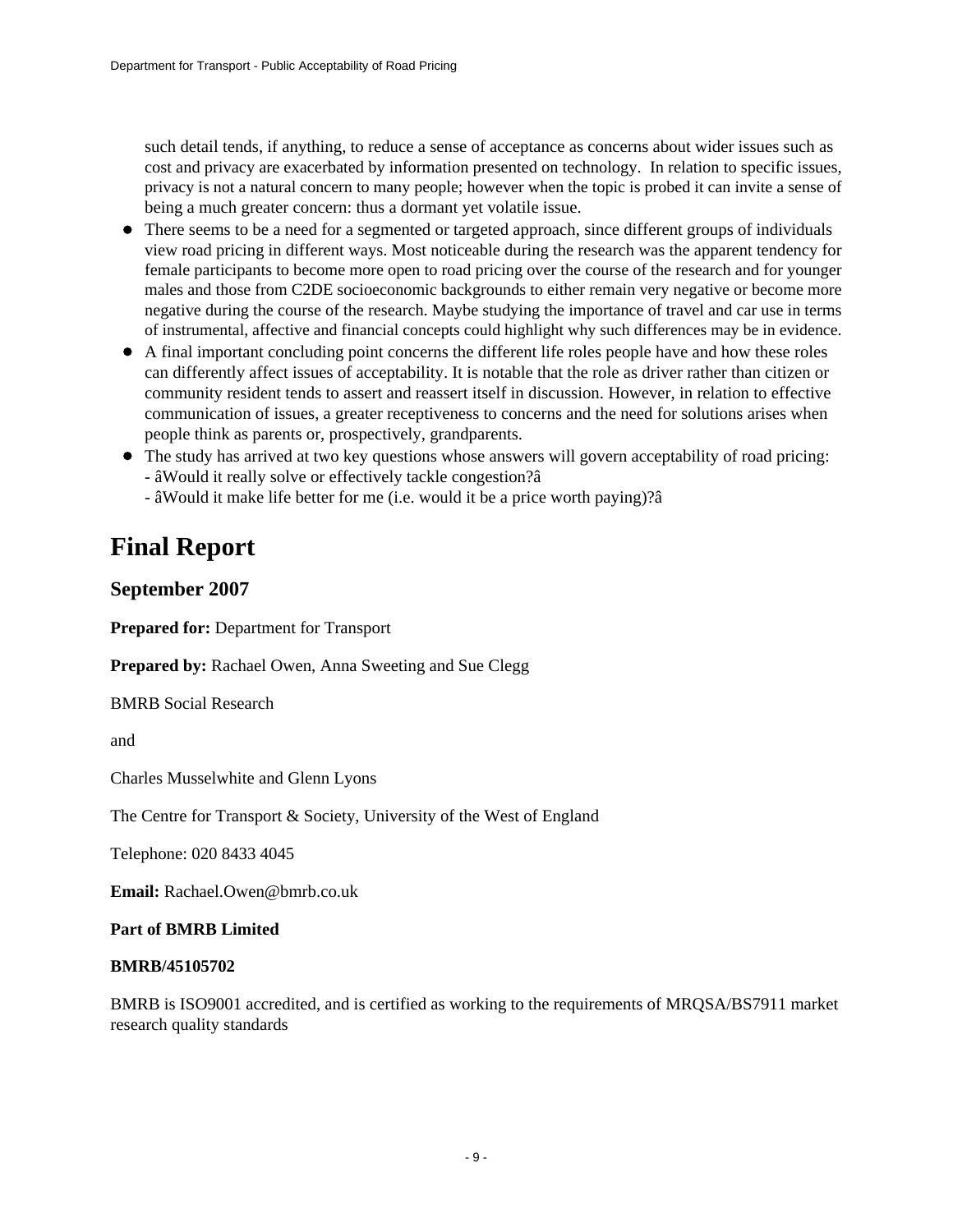such detail tends, if anything, to reduce a sense of acceptance as concerns about wider issues such as cost and privacy are exacerbated by information presented on technology. In relation to specific issues, privacy is not a natural concern to many people; however when the topic is probed it can invite a sense of being a much greater concern: thus a dormant yet volatile issue.

- There seems to be a need for a segmented or targeted approach, since different groups of individuals view road pricing in different ways. Most noticeable during the research was the apparent tendency for female participants to become more open to road pricing over the course of the research and for younger males and those from C2DE socioeconomic backgrounds to either remain very negative or become more negative during the course of the research. Maybe studying the importance of travel and car use in terms of instrumental, affective and financial concepts could highlight why such differences may be in evidence.
- A final important concluding point concerns the different life roles people have and how these roles can differently affect issues of acceptability. It is notable that the role as driver rather than citizen or community resident tends to assert and reassert itself in discussion. However, in relation to effective communication of issues, a greater receptiveness to concerns and the need for solutions arises when people think as parents or, prospectively, grandparents.
- The study has arrived at two key questions whose answers will govern acceptability of road pricing: - âWould it really solve or effectively tackle congestion?â
	- âWould it make life better for me (i.e. would it be a price worth paying)?â

# <span id="page-8-0"></span>**Final Report**

### **September 2007**

**Prepared for:** Department for Transport

**Prepared by:** Rachael Owen, Anna Sweeting and Sue Clegg

BMRB Social Research

and

Charles Musselwhite and Glenn Lyons

The Centre for Transport & Society, University of the West of England

Telephone: 020 8433 4045

**Email:** Rachael.Owen@bmrb.co.uk

#### **Part of BMRB Limited**

#### **BMRB/45105702**

BMRB is ISO9001 accredited, and is certified as working to the requirements of MRQSA/BS7911 market research quality standards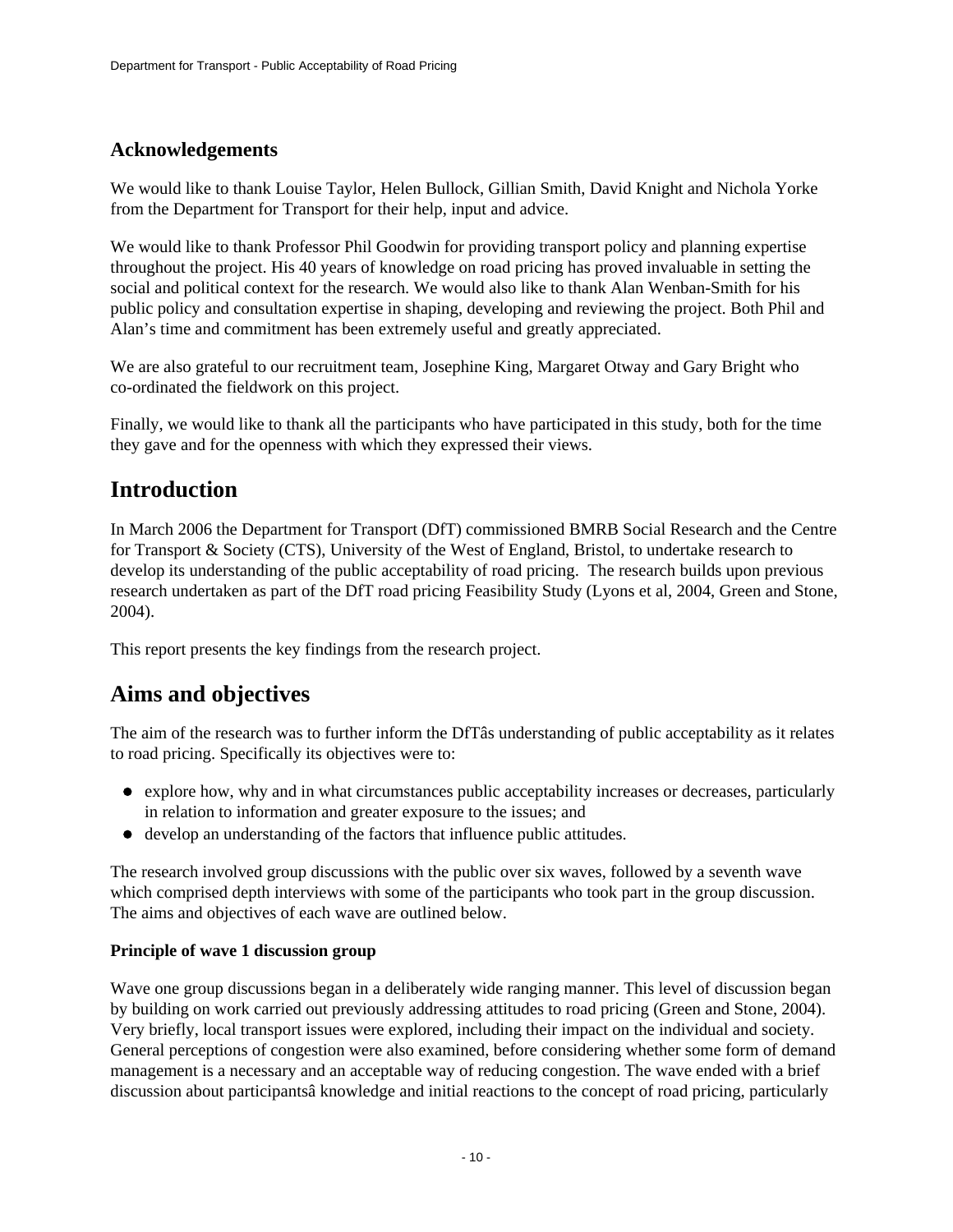## **Acknowledgements**

We would like to thank Louise Taylor, Helen Bullock, Gillian Smith, David Knight and Nichola Yorke from the Department for Transport for their help, input and advice.

We would like to thank Professor Phil Goodwin for providing transport policy and planning expertise throughout the project. His 40 years of knowledge on road pricing has proved invaluable in setting the social and political context for the research. We would also like to thank Alan Wenban-Smith for his public policy and consultation expertise in shaping, developing and reviewing the project. Both Phil and Alan's time and commitment has been extremely useful and greatly appreciated.

We are also grateful to our recruitment team, Josephine King, Margaret Otway and Gary Bright who co-ordinated the fieldwork on this project.

Finally, we would like to thank all the participants who have participated in this study, both for the time they gave and for the openness with which they expressed their views.

# <span id="page-9-0"></span>**Introduction**

In March 2006 the Department for Transport (DfT) commissioned BMRB Social Research and the Centre for Transport & Society (CTS), University of the West of England, Bristol, to undertake research to develop its understanding of the public acceptability of road pricing. The research builds upon previous research undertaken as part of the DfT road pricing Feasibility Study (Lyons et al, 2004, Green and Stone, 2004).

This report presents the key findings from the research project.

# <span id="page-9-1"></span>**Aims and objectives**

The aim of the research was to further inform the DfTâs understanding of public acceptability as it relates to road pricing. Specifically its objectives were to:

- explore how, why and in what circumstances public acceptability increases or decreases, particularly in relation to information and greater exposure to the issues; and
- develop an understanding of the factors that influence public attitudes.

The research involved group discussions with the public over six waves, followed by a seventh wave which comprised depth interviews with some of the participants who took part in the group discussion. The aims and objectives of each wave are outlined below.

### **Principle of wave 1 discussion group**

Wave one group discussions began in a deliberately wide ranging manner. This level of discussion began by building on work carried out previously addressing attitudes to road pricing (Green and Stone, 2004). Very briefly, local transport issues were explored, including their impact on the individual and society. General perceptions of congestion were also examined, before considering whether some form of demand management is a necessary and an acceptable way of reducing congestion. The wave ended with a brief discussion about participantsâ knowledge and initial reactions to the concept of road pricing, particularly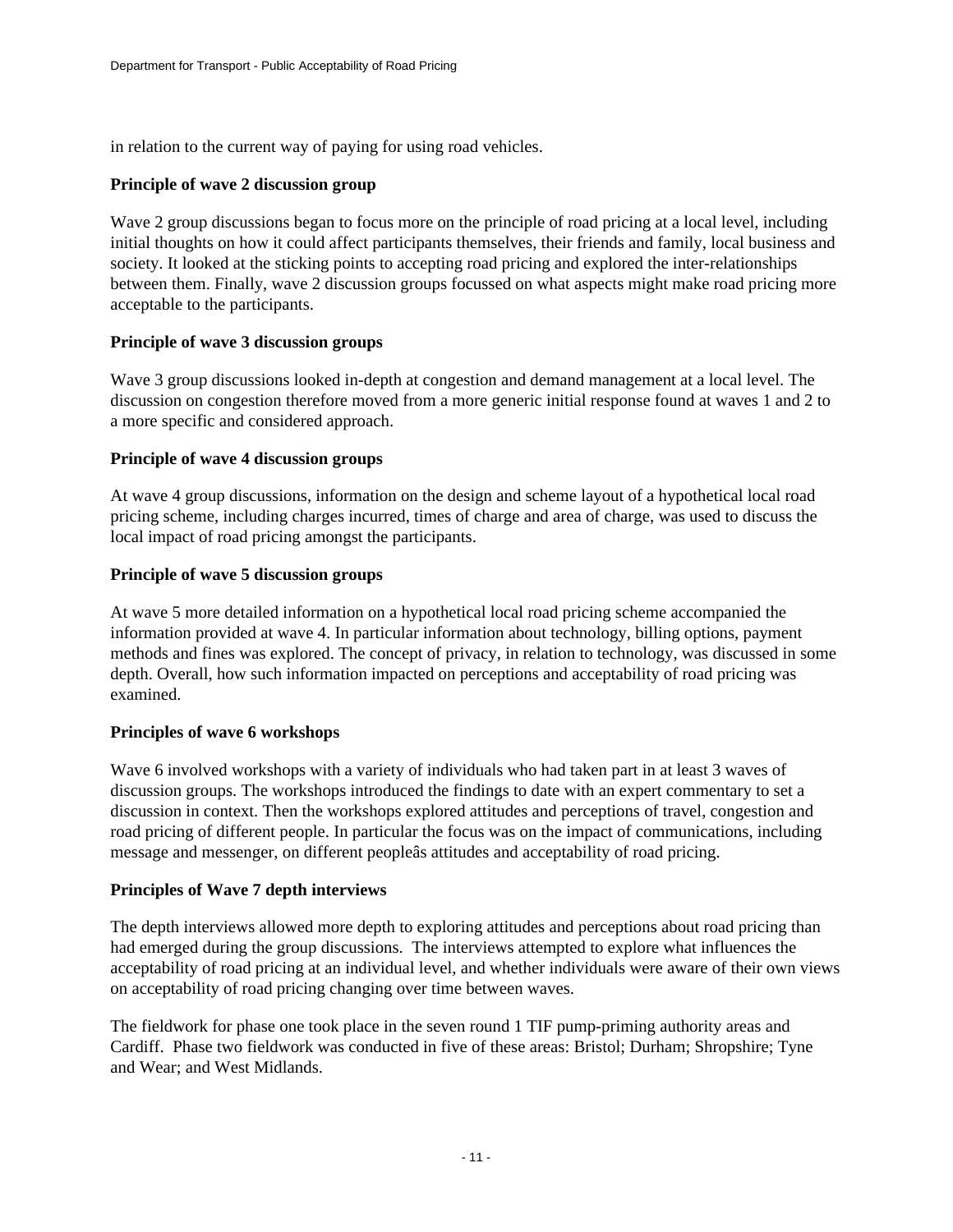in relation to the current way of paying for using road vehicles.

### **Principle of wave 2 discussion group**

Wave 2 group discussions began to focus more on the principle of road pricing at a local level, including initial thoughts on how it could affect participants themselves, their friends and family, local business and society. It looked at the sticking points to accepting road pricing and explored the inter-relationships between them. Finally, wave 2 discussion groups focussed on what aspects might make road pricing more acceptable to the participants.

### **Principle of wave 3 discussion groups**

Wave 3 group discussions looked in-depth at congestion and demand management at a local level. The discussion on congestion therefore moved from a more generic initial response found at waves 1 and 2 to a more specific and considered approach.

### **Principle of wave 4 discussion groups**

At wave 4 group discussions, information on the design and scheme layout of a hypothetical local road pricing scheme, including charges incurred, times of charge and area of charge, was used to discuss the local impact of road pricing amongst the participants.

#### **Principle of wave 5 discussion groups**

At wave 5 more detailed information on a hypothetical local road pricing scheme accompanied the information provided at wave 4. In particular information about technology, billing options, payment methods and fines was explored. The concept of privacy, in relation to technology, was discussed in some depth. Overall, how such information impacted on perceptions and acceptability of road pricing was examined.

#### **Principles of wave 6 workshops**

Wave 6 involved workshops with a variety of individuals who had taken part in at least 3 waves of discussion groups. The workshops introduced the findings to date with an expert commentary to set a discussion in context. Then the workshops explored attitudes and perceptions of travel, congestion and road pricing of different people. In particular the focus was on the impact of communications, including message and messenger, on different peopleâs attitudes and acceptability of road pricing.

#### **Principles of Wave 7 depth interviews**

The depth interviews allowed more depth to exploring attitudes and perceptions about road pricing than had emerged during the group discussions. The interviews attempted to explore what influences the acceptability of road pricing at an individual level, and whether individuals were aware of their own views on acceptability of road pricing changing over time between waves.

The fieldwork for phase one took place in the seven round 1 TIF pump-priming authority areas and Cardiff. Phase two fieldwork was conducted in five of these areas: Bristol; Durham; Shropshire; Tyne and Wear; and West Midlands.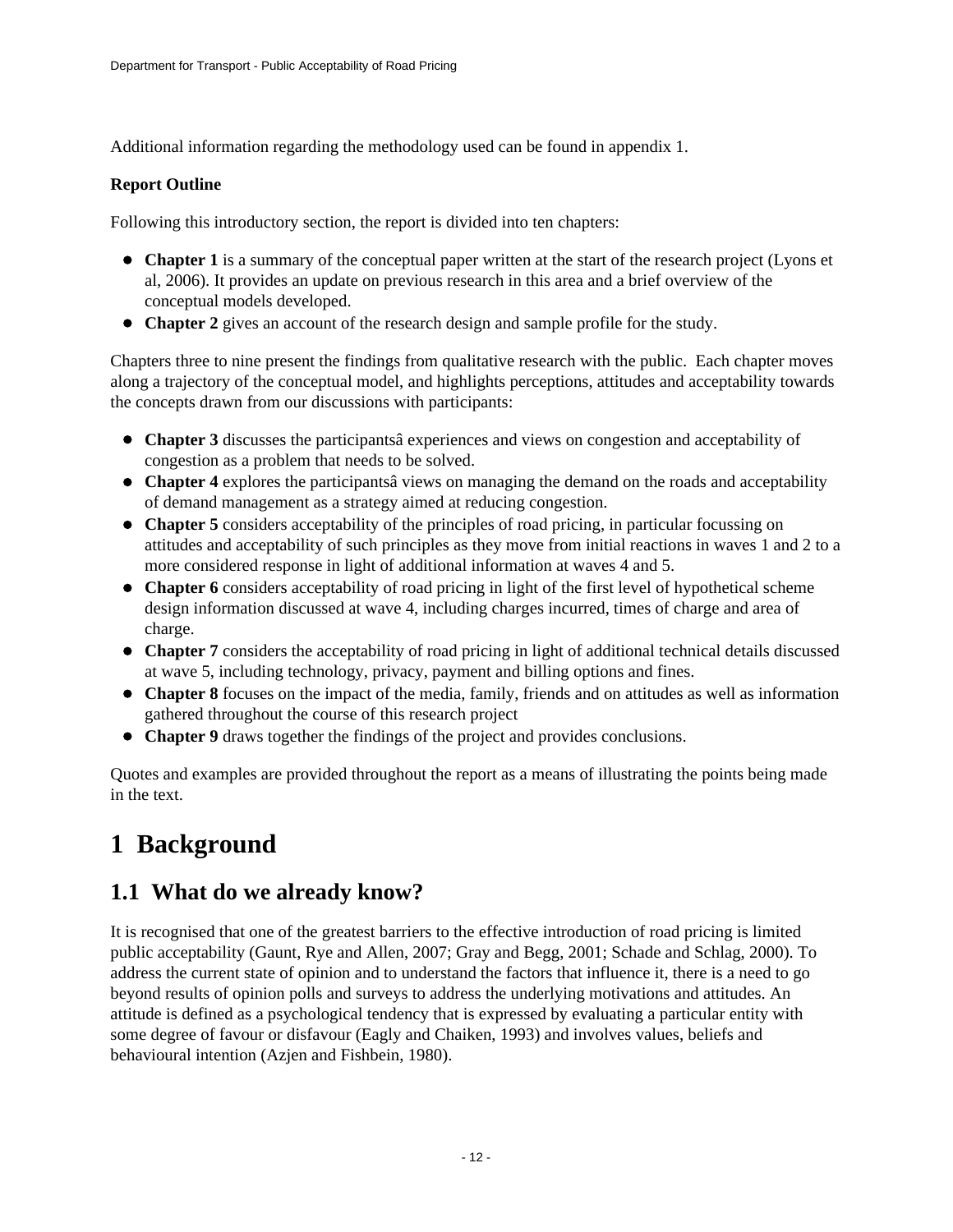Additional information regarding the methodology used can be found in appendix 1.

### **Report Outline**

Following this introductory section, the report is divided into ten chapters:

- **Chapter 1** is a summary of the conceptual paper written at the start of the research project (Lyons et al, 2006). It provides an update on previous research in this area and a brief overview of the conceptual models developed.
- **Chapter 2** gives an account of the research design and sample profile for the study.

Chapters three to nine present the findings from qualitative research with the public. Each chapter moves along a trajectory of the conceptual model, and highlights perceptions, attitudes and acceptability towards the concepts drawn from our discussions with participants:

- **Chapter 3** discusses the participantsâ experiences and views on congestion and acceptability of congestion as a problem that needs to be solved.
- **Chapter 4** explores the participantsâ views on managing the demand on the roads and acceptability of demand management as a strategy aimed at reducing congestion.
- **Chapter 5** considers acceptability of the principles of road pricing, in particular focussing on attitudes and acceptability of such principles as they move from initial reactions in waves 1 and 2 to a more considered response in light of additional information at waves 4 and 5.
- **Chapter 6** considers acceptability of road pricing in light of the first level of hypothetical scheme design information discussed at wave 4, including charges incurred, times of charge and area of charge.
- **Chapter 7** considers the acceptability of road pricing in light of additional technical details discussed at wave 5, including technology, privacy, payment and billing options and fines.
- **Chapter 8** focuses on the impact of the media, family, friends and on attitudes as well as information gathered throughout the course of this research project
- **Chapter 9** draws together the findings of the project and provides conclusions.

Quotes and examples are provided throughout the report as a means of illustrating the points being made in the text.

# <span id="page-11-0"></span>**1 Background**

# <span id="page-11-1"></span>**1.1 What do we already know?**

It is recognised that one of the greatest barriers to the effective introduction of road pricing is limited public acceptability (Gaunt, Rye and Allen, 2007; Gray and Begg, 2001; Schade and Schlag, 2000). To address the current state of opinion and to understand the factors that influence it, there is a need to go beyond results of opinion polls and surveys to address the underlying motivations and attitudes. An attitude is defined as a psychological tendency that is expressed by evaluating a particular entity with some degree of favour or disfavour (Eagly and Chaiken, 1993) and involves values, beliefs and behavioural intention (Azjen and Fishbein, 1980).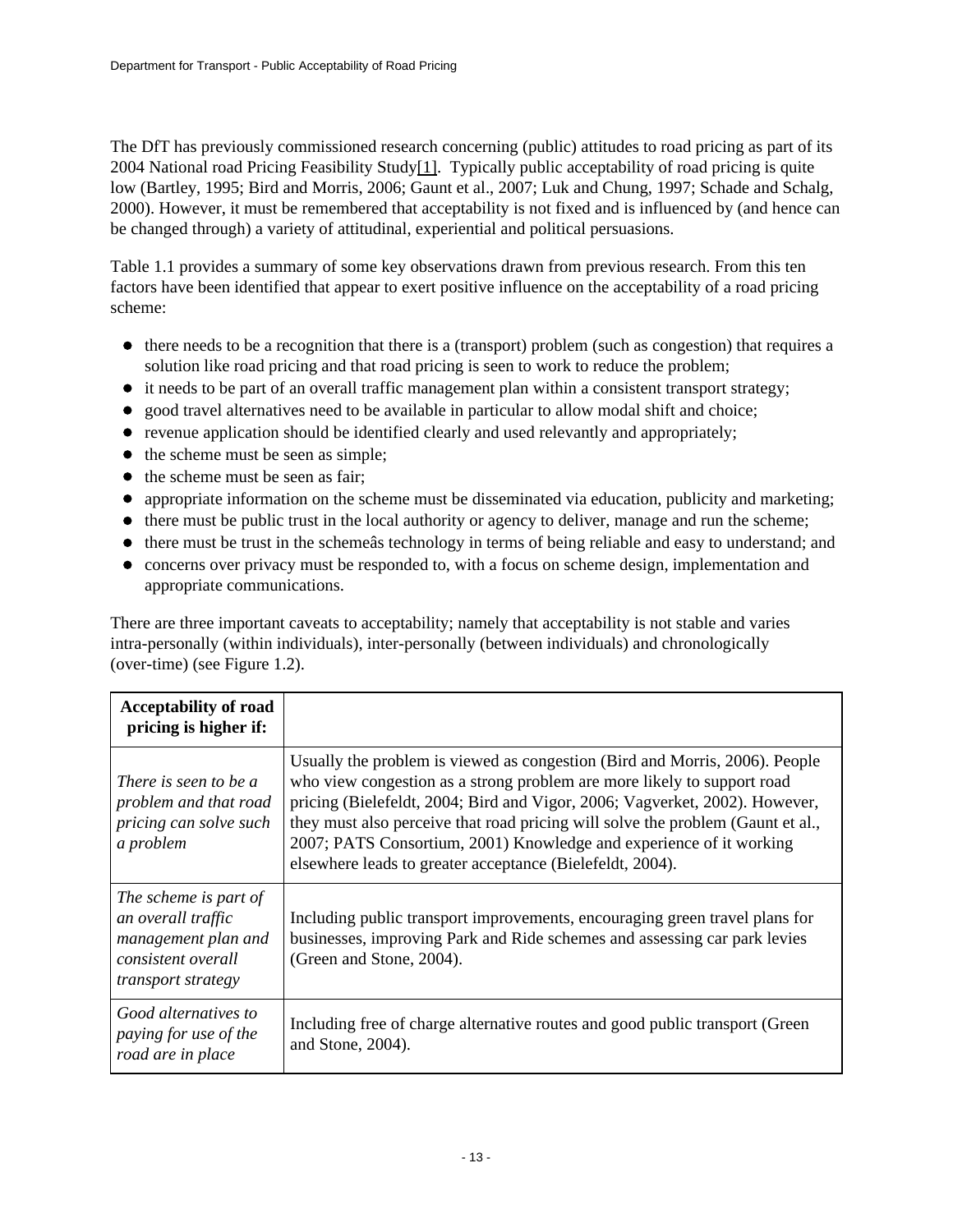The DfT has previously commissioned research concerning (public) attitudes to road pricing as part of its 2004 National road Pricing Feasibility Stud[y\[1\].](http://www.dft.gov.uk/#_ftn1) Typically public acceptability of road pricing is quite low (Bartley, 1995; Bird and Morris, 2006; Gaunt et al., 2007; Luk and Chung, 1997; Schade and Schalg, 2000). However, it must be remembered that acceptability is not fixed and is influenced by (and hence can be changed through) a variety of attitudinal, experiential and political persuasions.

Table 1.1 provides a summary of some key observations drawn from previous research. From this ten factors have been identified that appear to exert positive influence on the acceptability of a road pricing scheme:

- $\bullet$  there needs to be a recognition that there is a (transport) problem (such as congestion) that requires a solution like road pricing and that road pricing is seen to work to reduce the problem;
- it needs to be part of an overall traffic management plan within a consistent transport strategy;
- good travel alternatives need to be available in particular to allow modal shift and choice;
- $\bullet$  revenue application should be identified clearly and used relevantly and appropriately;
- $\bullet$  the scheme must be seen as simple;
- $\bullet$  the scheme must be seen as fair:
- appropriate information on the scheme must be disseminated via education, publicity and marketing;
- there must be public trust in the local authority or agency to deliver, manage and run the scheme;
- there must be trust in the scheme as technology in terms of being reliable and easy to understand; and
- concerns over privacy must be responded to, with a focus on scheme design, implementation and appropriate communications.

There are three important caveats to acceptability; namely that acceptability is not stable and varies intra-personally (within individuals), inter-personally (between individuals) and chronologically (over-time) (see Figure 1.2).

| <b>Acceptability of road</b><br>pricing is higher if:                                                                 |                                                                                                                                                                                                                                                                                                                                                                                                                                                              |
|-----------------------------------------------------------------------------------------------------------------------|--------------------------------------------------------------------------------------------------------------------------------------------------------------------------------------------------------------------------------------------------------------------------------------------------------------------------------------------------------------------------------------------------------------------------------------------------------------|
| There is seen to be a<br>problem and that road<br>pricing can solve such<br>a problem                                 | Usually the problem is viewed as congestion (Bird and Morris, 2006). People<br>who view congestion as a strong problem are more likely to support road<br>pricing (Bielefeldt, 2004; Bird and Vigor, 2006; Vagverket, 2002). However,<br>they must also perceive that road pricing will solve the problem (Gaunt et al.,<br>2007; PATS Consortium, 2001) Knowledge and experience of it working<br>elsewhere leads to greater acceptance (Bielefeldt, 2004). |
| The scheme is part of<br>an overall traffic<br>management plan and<br>consistent overall<br><i>transport strategy</i> | Including public transport improvements, encouraging green travel plans for<br>businesses, improving Park and Ride schemes and assessing car park levies<br>(Green and Stone, 2004).                                                                                                                                                                                                                                                                         |
| Good alternatives to<br>paying for use of the<br>road are in place                                                    | Including free of charge alternative routes and good public transport (Green<br>and Stone, $2004$ ).                                                                                                                                                                                                                                                                                                                                                         |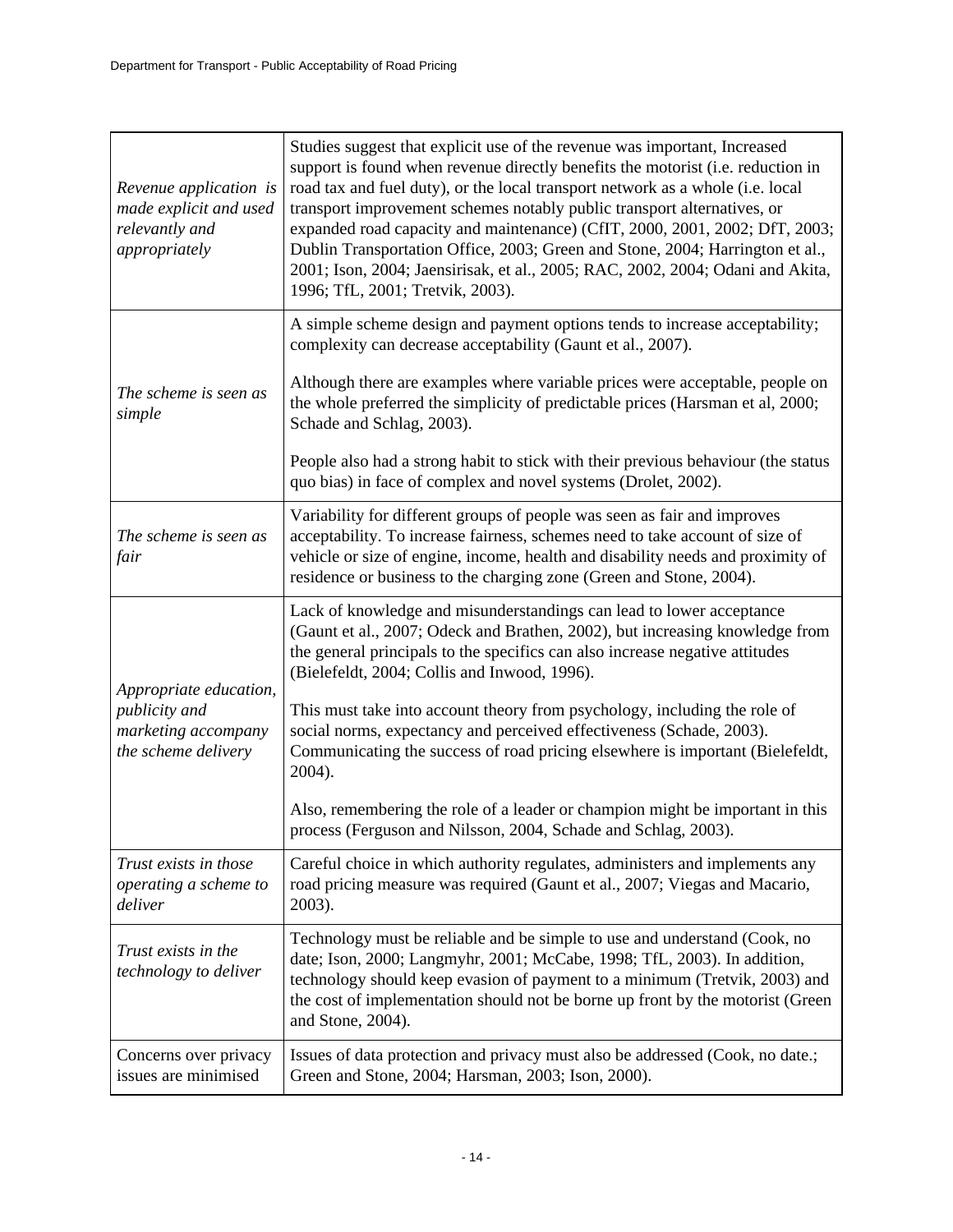| Revenue application is<br>made explicit and used<br>relevantly and<br>appropriately   | Studies suggest that explicit use of the revenue was important, Increased<br>support is found when revenue directly benefits the motorist (i.e. reduction in<br>road tax and fuel duty), or the local transport network as a whole (i.e. local<br>transport improvement schemes notably public transport alternatives, or<br>expanded road capacity and maintenance) (CfIT, 2000, 2001, 2002; DfT, 2003;<br>Dublin Transportation Office, 2003; Green and Stone, 2004; Harrington et al.,<br>2001; Ison, 2004; Jaensirisak, et al., 2005; RAC, 2002, 2004; Odani and Akita,<br>1996; TfL, 2001; Tretvik, 2003). |
|---------------------------------------------------------------------------------------|-----------------------------------------------------------------------------------------------------------------------------------------------------------------------------------------------------------------------------------------------------------------------------------------------------------------------------------------------------------------------------------------------------------------------------------------------------------------------------------------------------------------------------------------------------------------------------------------------------------------|
|                                                                                       | A simple scheme design and payment options tends to increase acceptability;<br>complexity can decrease acceptability (Gaunt et al., 2007).                                                                                                                                                                                                                                                                                                                                                                                                                                                                      |
| The scheme is seen as<br>simple                                                       | Although there are examples where variable prices were acceptable, people on<br>the whole preferred the simplicity of predictable prices (Harsman et al, 2000;<br>Schade and Schlag, 2003).                                                                                                                                                                                                                                                                                                                                                                                                                     |
|                                                                                       | People also had a strong habit to stick with their previous behaviour (the status<br>quo bias) in face of complex and novel systems (Drolet, 2002).                                                                                                                                                                                                                                                                                                                                                                                                                                                             |
| The scheme is seen as<br>fair                                                         | Variability for different groups of people was seen as fair and improves<br>acceptability. To increase fairness, schemes need to take account of size of<br>vehicle or size of engine, income, health and disability needs and proximity of<br>residence or business to the charging zone (Green and Stone, 2004).                                                                                                                                                                                                                                                                                              |
|                                                                                       | Lack of knowledge and misunderstandings can lead to lower acceptance<br>(Gaunt et al., 2007; Odeck and Brathen, 2002), but increasing knowledge from<br>the general principals to the specifics can also increase negative attitudes<br>(Bielefeldt, 2004; Collis and Inwood, 1996).                                                                                                                                                                                                                                                                                                                            |
| Appropriate education,<br>publicity and<br>marketing accompany<br>the scheme delivery | This must take into account theory from psychology, including the role of<br>social norms, expectancy and perceived effectiveness (Schade, 2003).<br>Communicating the success of road pricing elsewhere is important (Bielefeldt,<br>2004).                                                                                                                                                                                                                                                                                                                                                                    |
|                                                                                       | Also, remembering the role of a leader or champion might be important in this<br>process (Ferguson and Nilsson, 2004, Schade and Schlag, 2003).                                                                                                                                                                                                                                                                                                                                                                                                                                                                 |
| Trust exists in those<br>operating a scheme to<br>deliver                             | Careful choice in which authority regulates, administers and implements any<br>road pricing measure was required (Gaunt et al., 2007; Viegas and Macario,<br>2003).                                                                                                                                                                                                                                                                                                                                                                                                                                             |
| Trust exists in the<br>technology to deliver                                          | Technology must be reliable and be simple to use and understand (Cook, no<br>date; Ison, 2000; Langmyhr, 2001; McCabe, 1998; TfL, 2003). In addition,<br>technology should keep evasion of payment to a minimum (Tretvik, 2003) and<br>the cost of implementation should not be borne up front by the motorist (Green<br>and Stone, 2004).                                                                                                                                                                                                                                                                      |
| Concerns over privacy<br>issues are minimised                                         | Issues of data protection and privacy must also be addressed (Cook, no date.;<br>Green and Stone, 2004; Harsman, 2003; Ison, 2000).                                                                                                                                                                                                                                                                                                                                                                                                                                                                             |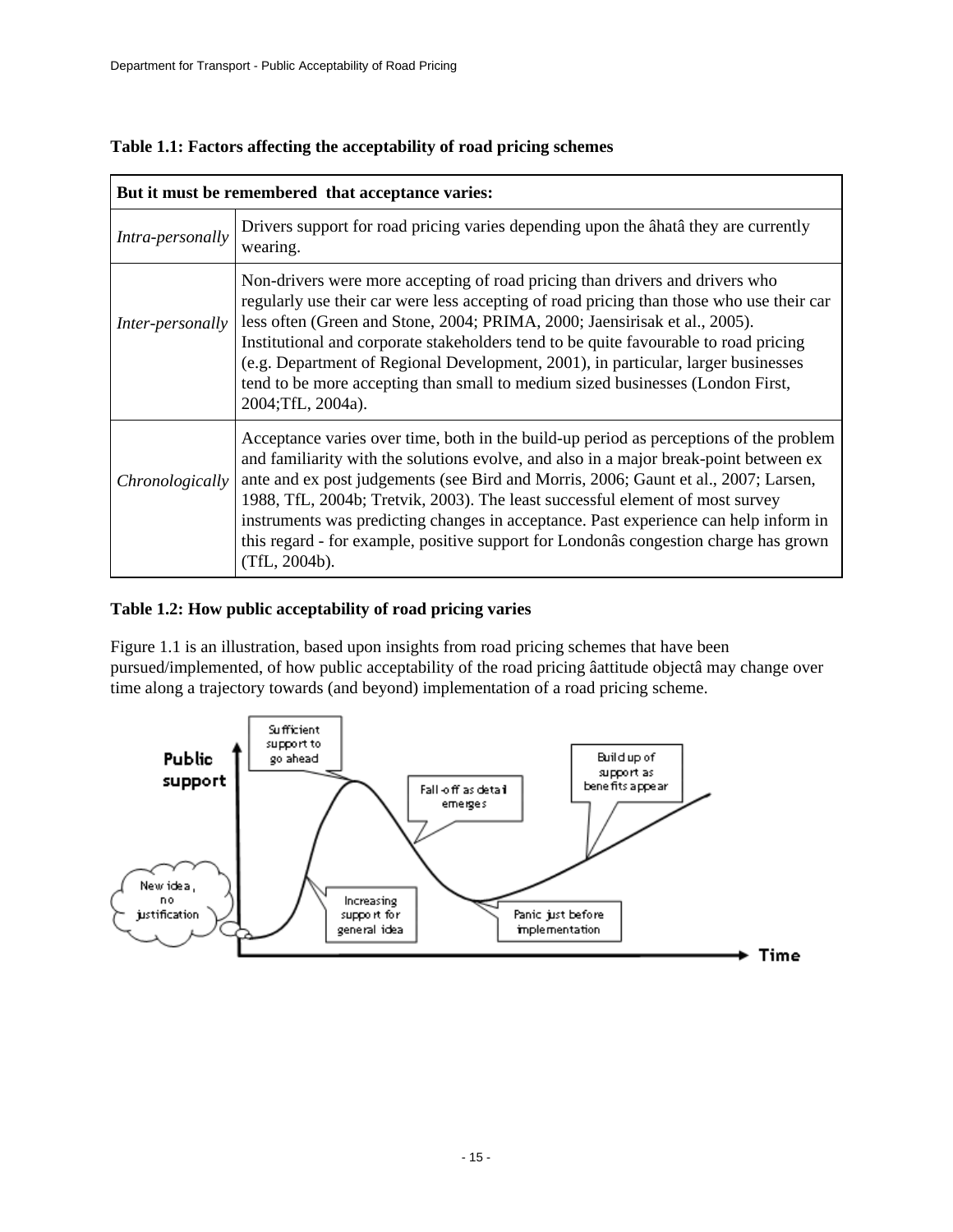|                  | But it must be remembered that acceptance varies:                                                                                                                                                                                                                                                                                                                                                                                                                                                                                                        |
|------------------|----------------------------------------------------------------------------------------------------------------------------------------------------------------------------------------------------------------------------------------------------------------------------------------------------------------------------------------------------------------------------------------------------------------------------------------------------------------------------------------------------------------------------------------------------------|
| Intra-personally | Drivers support for road pricing varies depending upon the ata they are currently<br>wearing.                                                                                                                                                                                                                                                                                                                                                                                                                                                            |
| Inter-personally | Non-drivers were more accepting of road pricing than drivers and drivers who<br>regularly use their car were less accepting of road pricing than those who use their car<br>less often (Green and Stone, 2004; PRIMA, 2000; Jaensirisak et al., 2005).<br>Institutional and corporate stakeholders tend to be quite favourable to road pricing<br>(e.g. Department of Regional Development, 2001), in particular, larger businesses<br>tend to be more accepting than small to medium sized businesses (London First,<br>2004;TfL, 2004a).               |
| Chronologically  | Acceptance varies over time, both in the build-up period as perceptions of the problem<br>and familiarity with the solutions evolve, and also in a major break-point between ex<br>ante and ex post judgements (see Bird and Morris, 2006; Gaunt et al., 2007; Larsen,<br>1988, TfL, 2004b; Tretvik, 2003). The least successful element of most survey<br>instruments was predicting changes in acceptance. Past experience can help inform in<br>this regard - for example, positive support for Londonâs congestion charge has grown<br>(TfL, 2004b). |

| Table 1.1: Factors affecting the acceptability of road pricing schemes |
|------------------------------------------------------------------------|
|------------------------------------------------------------------------|

### **Table 1.2: How public acceptability of road pricing varies**

Figure 1.1 is an illustration, based upon insights from road pricing schemes that have been pursued/implemented, of how public acceptability of the road pricing âattitude objectâ may change over time along a trajectory towards (and beyond) implementation of a road pricing scheme.

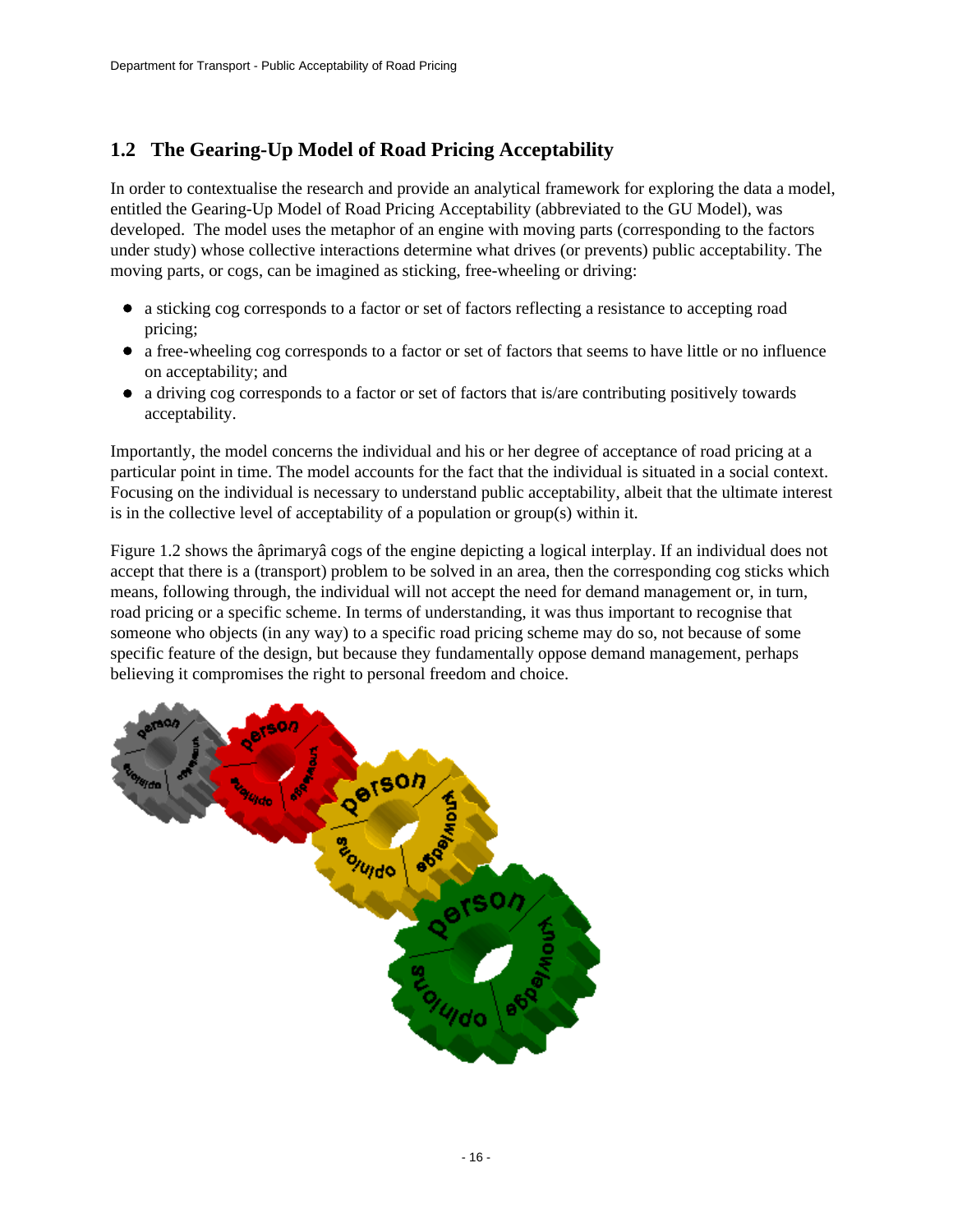## **1.2 The Gearing-Up Model of Road Pricing Acceptability**

In order to contextualise the research and provide an analytical framework for exploring the data a model, entitled the Gearing-Up Model of Road Pricing Acceptability (abbreviated to the GU Model), was developed. The model uses the metaphor of an engine with moving parts (corresponding to the factors under study) whose collective interactions determine what drives (or prevents) public acceptability. The moving parts, or cogs, can be imagined as sticking, free-wheeling or driving:

- a sticking cog corresponds to a factor or set of factors reflecting a resistance to accepting road  $\bullet$ pricing;
- a free-wheeling cog corresponds to a factor or set of factors that seems to have little or no influence on acceptability; and
- a driving cog corresponds to a factor or set of factors that is/are contributing positively towards acceptability.

Importantly, the model concerns the individual and his or her degree of acceptance of road pricing at a particular point in time. The model accounts for the fact that the individual is situated in a social context. Focusing on the individual is necessary to understand public acceptability, albeit that the ultimate interest is in the collective level of acceptability of a population or group(s) within it.

Figure 1.2 shows the âprimaryâ cogs of the engine depicting a logical interplay. If an individual does not accept that there is a (transport) problem to be solved in an area, then the corresponding cog sticks which means, following through, the individual will not accept the need for demand management or, in turn, road pricing or a specific scheme. In terms of understanding, it was thus important to recognise that someone who objects (in any way) to a specific road pricing scheme may do so, not because of some specific feature of the design, but because they fundamentally oppose demand management, perhaps believing it compromises the right to personal freedom and choice.

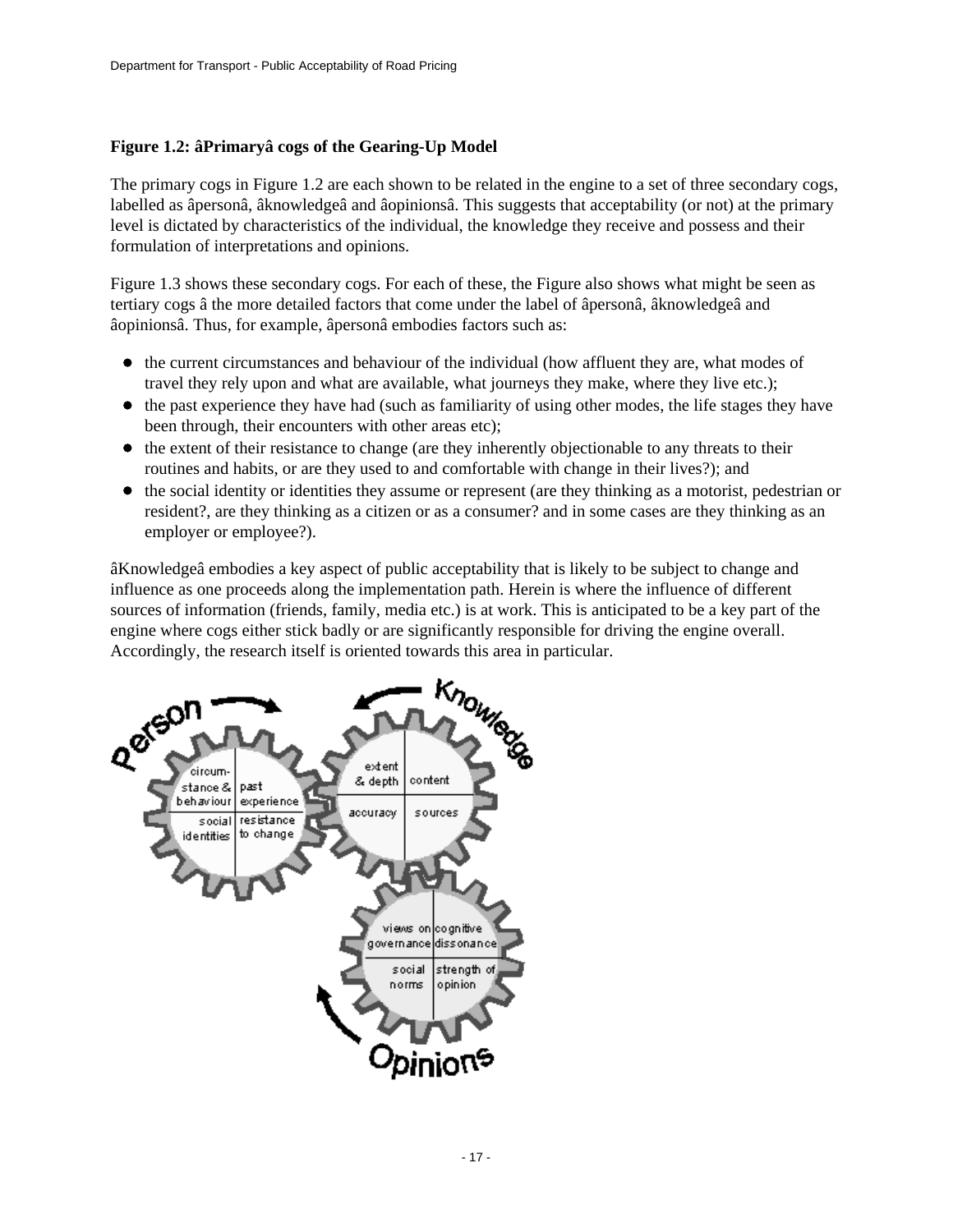### **Figure 1.2: âPrimaryâ cogs of the Gearing-Up Model**

The primary cogs in Figure 1.2 are each shown to be related in the engine to a set of three secondary cogs, labelled as âpersonâ, âknowledgeâ and âopinionsâ. This suggests that acceptability (or not) at the primary level is dictated by characteristics of the individual, the knowledge they receive and possess and their formulation of interpretations and opinions.

Figure 1.3 shows these secondary cogs. For each of these, the Figure also shows what might be seen as tertiary cogs â the more detailed factors that come under the label of âpersonâ, âknowledgeâ and âopinionsâ. Thus, for example, âpersonâ embodies factors such as:

- the current circumstances and behaviour of the individual (how affluent they are, what modes of travel they rely upon and what are available, what journeys they make, where they live etc.);
- $\bullet$  the past experience they have had (such as familiarity of using other modes, the life stages they have been through, their encounters with other areas etc);
- the extent of their resistance to change (are they inherently objectionable to any threats to their routines and habits, or are they used to and comfortable with change in their lives?); and
- $\bullet$  the social identity or identities they assume or represent (are they thinking as a motorist, pedestrian or resident?, are they thinking as a citizen or as a consumer? and in some cases are they thinking as an employer or employee?).

âKnowledgeâ embodies a key aspect of public acceptability that is likely to be subject to change and influence as one proceeds along the implementation path. Herein is where the influence of different sources of information (friends, family, media etc.) is at work. This is anticipated to be a key part of the engine where cogs either stick badly or are significantly responsible for driving the engine overall.

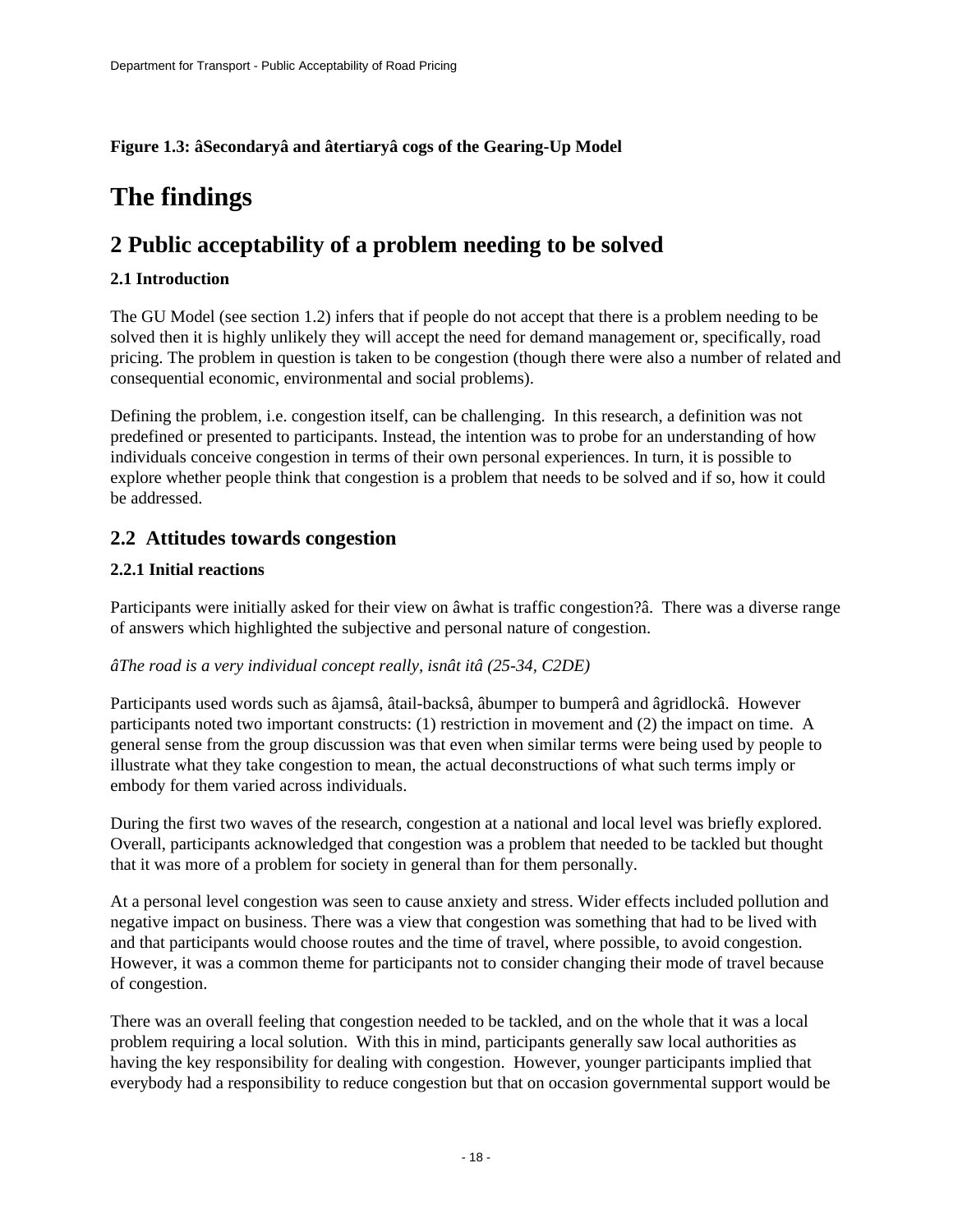### **Figure 1.3: âSecondaryâ and âtertiaryâ cogs of the Gearing-Up Model**

# <span id="page-17-0"></span>**The findings**

# <span id="page-17-1"></span>**2 Public acceptability of a problem needing to be solved**

### **2.1 Introduction**

The GU Model (see section 1.2) infers that if people do not accept that there is a problem needing to be solved then it is highly unlikely they will accept the need for demand management or, specifically, road pricing. The problem in question is taken to be congestion (though there were also a number of related and consequential economic, environmental and social problems).

Defining the problem, i.e. congestion itself, can be challenging. In this research, a definition was not predefined or presented to participants. Instead, the intention was to probe for an understanding of how individuals conceive congestion in terms of their own personal experiences. In turn, it is possible to explore whether people think that congestion is a problem that needs to be solved and if so, how it could be addressed.

### **2.2 Attitudes towards congestion**

### **2.2.1 Initial reactions**

Participants were initially asked for their view on âwhat is traffic congestion?â. There was a diverse range of answers which highlighted the subjective and personal nature of congestion.

#### *âThe road is a very individual concept really, isnât itâ (25-34, C2DE)*

Participants used words such as âjamsâ, âtail-backsâ, âbumper to bumperâ and âgridlockâ. However participants noted two important constructs: (1) restriction in movement and (2) the impact on time. A general sense from the group discussion was that even when similar terms were being used by people to illustrate what they take congestion to mean, the actual deconstructions of what such terms imply or embody for them varied across individuals.

During the first two waves of the research, congestion at a national and local level was briefly explored. Overall, participants acknowledged that congestion was a problem that needed to be tackled but thought that it was more of a problem for society in general than for them personally.

At a personal level congestion was seen to cause anxiety and stress. Wider effects included pollution and negative impact on business. There was a view that congestion was something that had to be lived with and that participants would choose routes and the time of travel, where possible, to avoid congestion. However, it was a common theme for participants not to consider changing their mode of travel because of congestion.

There was an overall feeling that congestion needed to be tackled, and on the whole that it was a local problem requiring a local solution. With this in mind, participants generally saw local authorities as having the key responsibility for dealing with congestion. However, younger participants implied that everybody had a responsibility to reduce congestion but that on occasion governmental support would be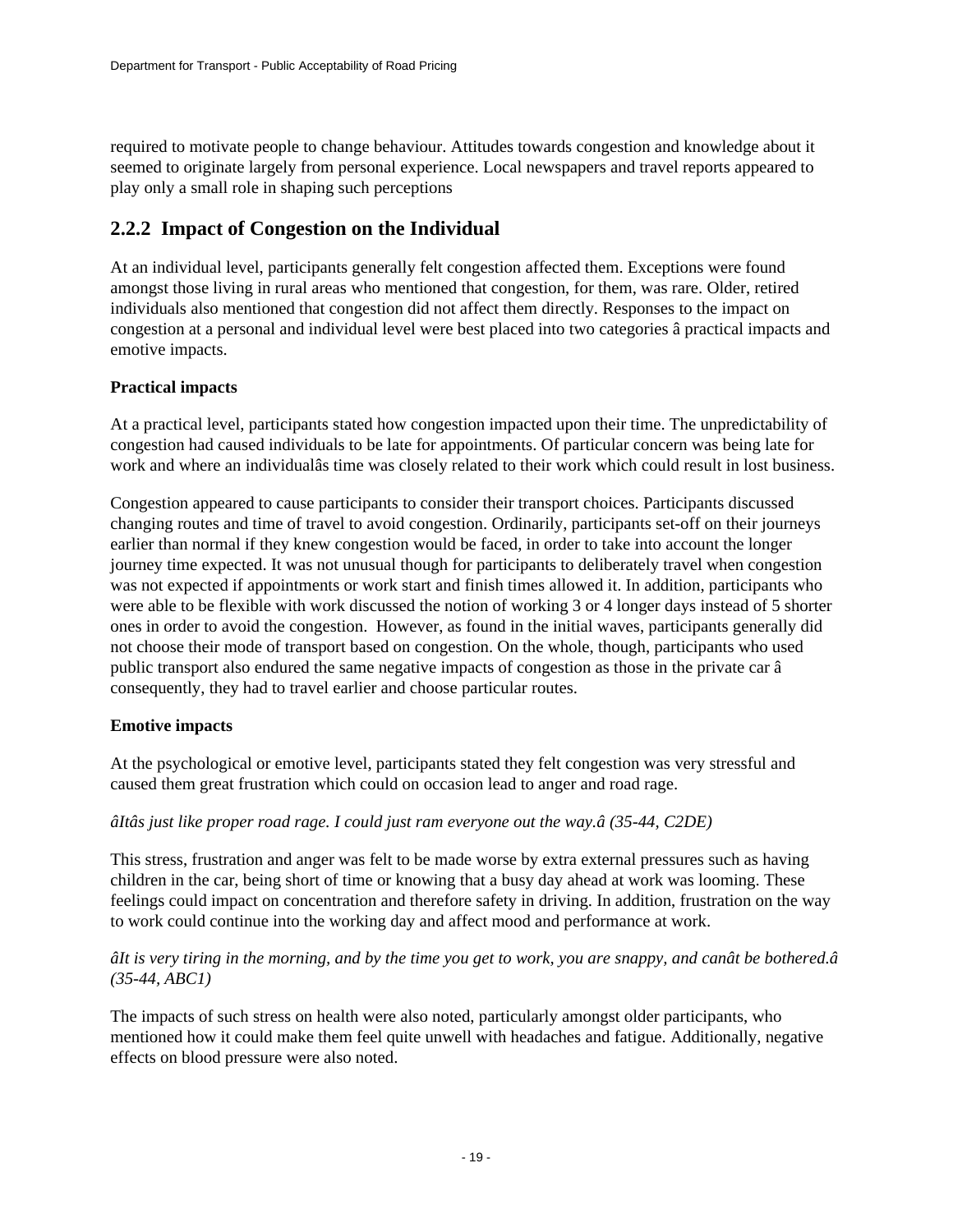required to motivate people to change behaviour. Attitudes towards congestion and knowledge about it seemed to originate largely from personal experience. Local newspapers and travel reports appeared to play only a small role in shaping such perceptions

## **2.2.2 Impact of Congestion on the Individual**

At an individual level, participants generally felt congestion affected them. Exceptions were found amongst those living in rural areas who mentioned that congestion, for them, was rare. Older, retired individuals also mentioned that congestion did not affect them directly. Responses to the impact on congestion at a personal and individual level were best placed into two categories â practical impacts and emotive impacts.

### **Practical impacts**

At a practical level, participants stated how congestion impacted upon their time. The unpredictability of congestion had caused individuals to be late for appointments. Of particular concern was being late for work and where an individualâs time was closely related to their work which could result in lost business.

Congestion appeared to cause participants to consider their transport choices. Participants discussed changing routes and time of travel to avoid congestion. Ordinarily, participants set-off on their journeys earlier than normal if they knew congestion would be faced, in order to take into account the longer journey time expected. It was not unusual though for participants to deliberately travel when congestion was not expected if appointments or work start and finish times allowed it. In addition, participants who were able to be flexible with work discussed the notion of working 3 or 4 longer days instead of 5 shorter ones in order to avoid the congestion. However, as found in the initial waves, participants generally did not choose their mode of transport based on congestion. On the whole, though, participants who used public transport also endured the same negative impacts of congestion as those in the private car â consequently, they had to travel earlier and choose particular routes.

#### **Emotive impacts**

At the psychological or emotive level, participants stated they felt congestion was very stressful and caused them great frustration which could on occasion lead to anger and road rage.

#### *âItâs just like proper road rage. I could just ram everyone out the way.â (35-44, C2DE)*

This stress, frustration and anger was felt to be made worse by extra external pressures such as having children in the car, being short of time or knowing that a busy day ahead at work was looming. These feelings could impact on concentration and therefore safety in driving. In addition, frustration on the way to work could continue into the working day and affect mood and performance at work.

### *âIt is very tiring in the morning, and by the time you get to work, you are snappy, and canât be bothered.â (35-44, ABC1)*

The impacts of such stress on health were also noted, particularly amongst older participants, who mentioned how it could make them feel quite unwell with headaches and fatigue. Additionally, negative effects on blood pressure were also noted.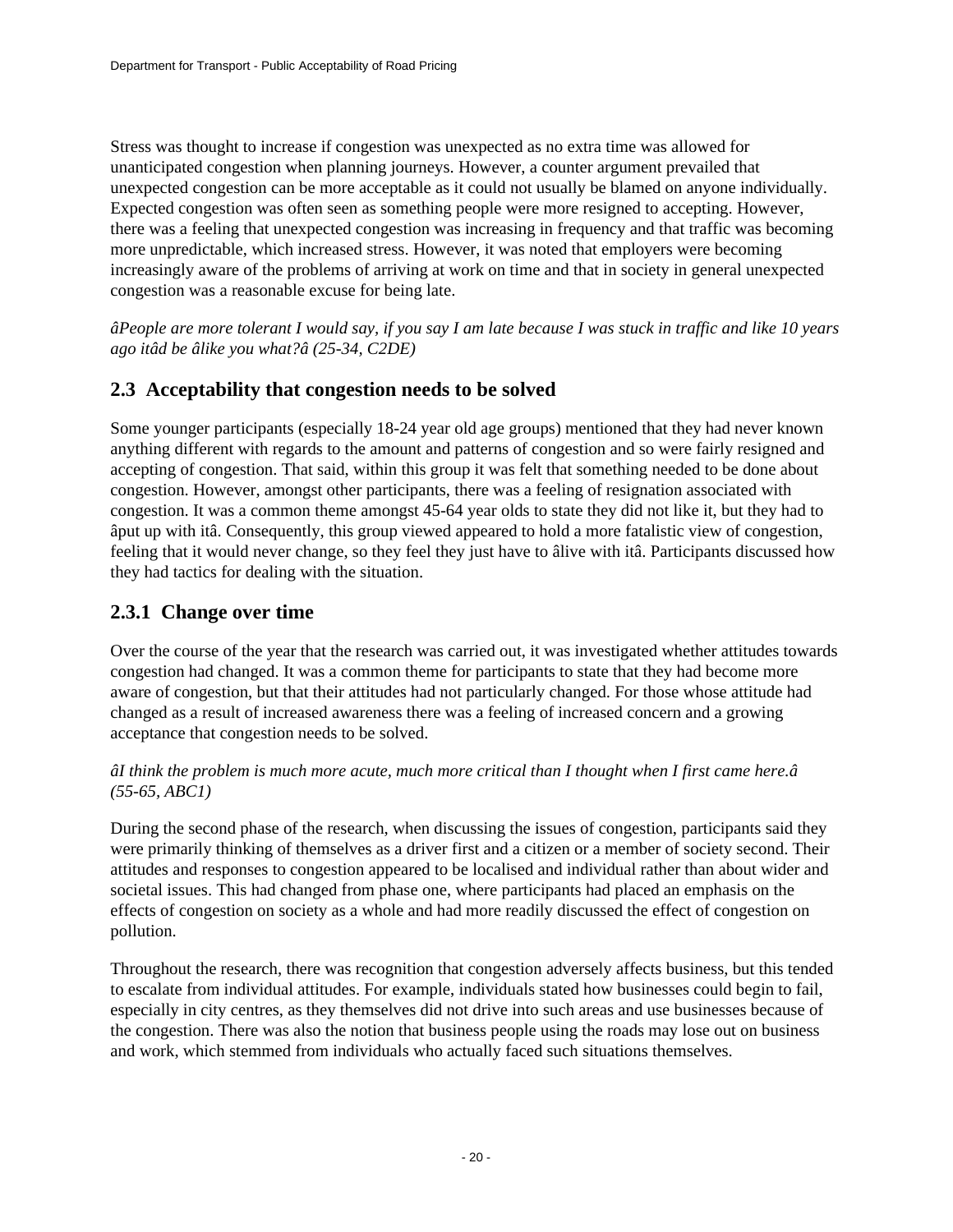Stress was thought to increase if congestion was unexpected as no extra time was allowed for unanticipated congestion when planning journeys. However, a counter argument prevailed that unexpected congestion can be more acceptable as it could not usually be blamed on anyone individually. Expected congestion was often seen as something people were more resigned to accepting. However, there was a feeling that unexpected congestion was increasing in frequency and that traffic was becoming more unpredictable, which increased stress. However, it was noted that employers were becoming increasingly aware of the problems of arriving at work on time and that in society in general unexpected congestion was a reasonable excuse for being late.

*âPeople are more tolerant I would say, if you say I am late because I was stuck in traffic and like 10 years ago itâd be âlike you what?â (25-34, C2DE)*

## **2.3 Acceptability that congestion needs to be solved**

Some younger participants (especially 18-24 year old age groups) mentioned that they had never known anything different with regards to the amount and patterns of congestion and so were fairly resigned and accepting of congestion. That said, within this group it was felt that something needed to be done about congestion. However, amongst other participants, there was a feeling of resignation associated with congestion. It was a common theme amongst 45-64 year olds to state they did not like it, but they had to âput up with itâ. Consequently, this group viewed appeared to hold a more fatalistic view of congestion, feeling that it would never change, so they feel they just have to âlive with itâ. Participants discussed how they had tactics for dealing with the situation.

## **2.3.1 Change over time**

Over the course of the year that the research was carried out, it was investigated whether attitudes towards congestion had changed. It was a common theme for participants to state that they had become more aware of congestion, but that their attitudes had not particularly changed. For those whose attitude had changed as a result of increased awareness there was a feeling of increased concern and a growing acceptance that congestion needs to be solved.

### *âI think the problem is much more acute, much more critical than I thought when I first came here.â (55-65, ABC1)*

During the second phase of the research, when discussing the issues of congestion, participants said they were primarily thinking of themselves as a driver first and a citizen or a member of society second. Their attitudes and responses to congestion appeared to be localised and individual rather than about wider and societal issues. This had changed from phase one, where participants had placed an emphasis on the effects of congestion on society as a whole and had more readily discussed the effect of congestion on pollution.

Throughout the research, there was recognition that congestion adversely affects business, but this tended to escalate from individual attitudes. For example, individuals stated how businesses could begin to fail, especially in city centres, as they themselves did not drive into such areas and use businesses because of the congestion. There was also the notion that business people using the roads may lose out on business and work, which stemmed from individuals who actually faced such situations themselves.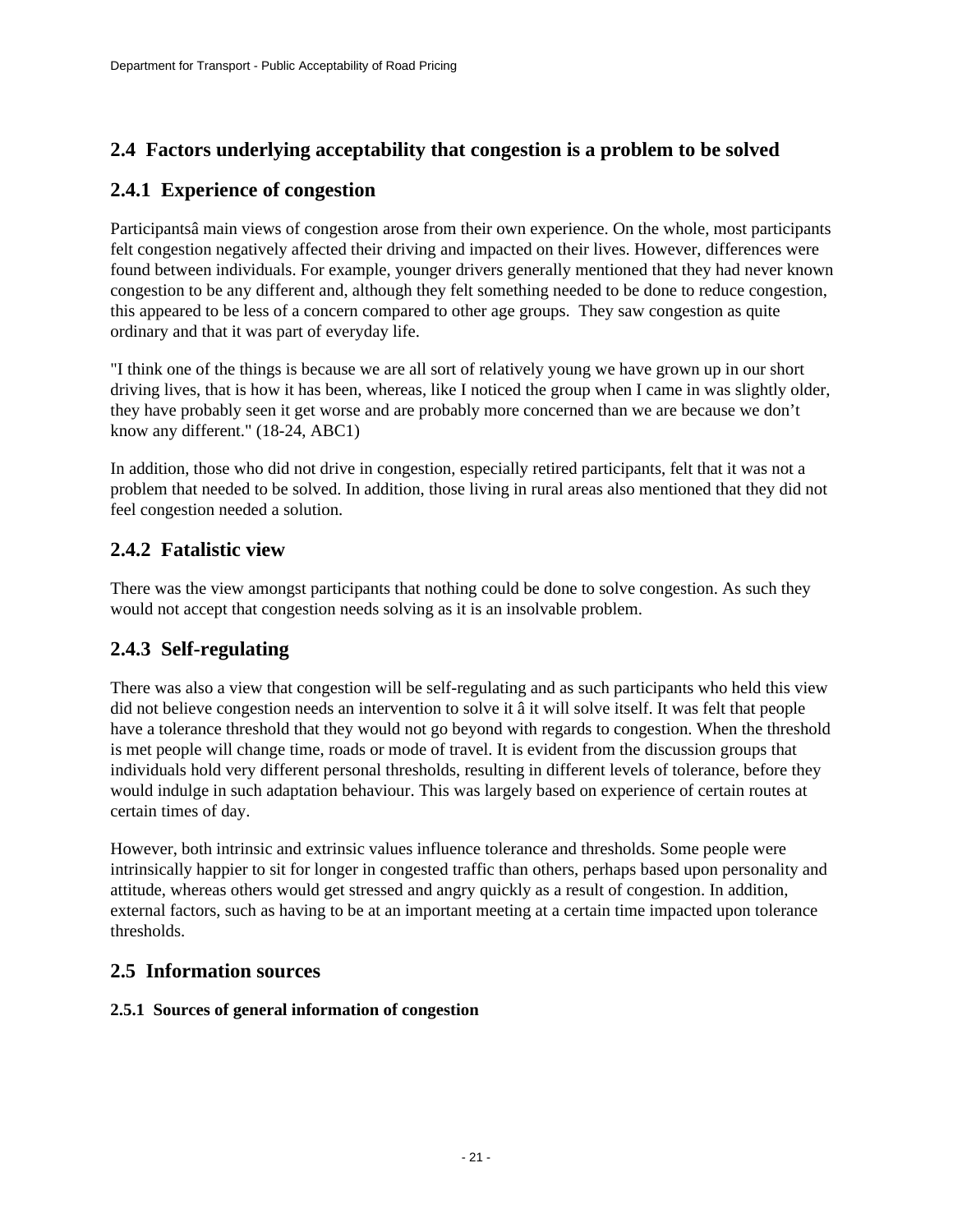## **2.4 Factors underlying acceptability that congestion is a problem to be solved**

### **2.4.1 Experience of congestion**

Participantsâ main views of congestion arose from their own experience. On the whole, most participants felt congestion negatively affected their driving and impacted on their lives. However, differences were found between individuals. For example, younger drivers generally mentioned that they had never known congestion to be any different and, although they felt something needed to be done to reduce congestion, this appeared to be less of a concern compared to other age groups. They saw congestion as quite ordinary and that it was part of everyday life.

"I think one of the things is because we are all sort of relatively young we have grown up in our short driving lives, that is how it has been, whereas, like I noticed the group when I came in was slightly older, they have probably seen it get worse and are probably more concerned than we are because we don't know any different." (18-24, ABC1)

In addition, those who did not drive in congestion, especially retired participants, felt that it was not a problem that needed to be solved. In addition, those living in rural areas also mentioned that they did not feel congestion needed a solution.

## **2.4.2 Fatalistic view**

There was the view amongst participants that nothing could be done to solve congestion. As such they would not accept that congestion needs solving as it is an insolvable problem.

## **2.4.3 Self-regulating**

There was also a view that congestion will be self-regulating and as such participants who held this view did not believe congestion needs an intervention to solve it â it will solve itself. It was felt that people have a tolerance threshold that they would not go beyond with regards to congestion. When the threshold is met people will change time, roads or mode of travel. It is evident from the discussion groups that individuals hold very different personal thresholds, resulting in different levels of tolerance, before they would indulge in such adaptation behaviour. This was largely based on experience of certain routes at certain times of day.

However, both intrinsic and extrinsic values influence tolerance and thresholds. Some people were intrinsically happier to sit for longer in congested traffic than others, perhaps based upon personality and attitude, whereas others would get stressed and angry quickly as a result of congestion. In addition, external factors, such as having to be at an important meeting at a certain time impacted upon tolerance thresholds.

### **2.5 Information sources**

### **2.5.1 Sources of general information of congestion**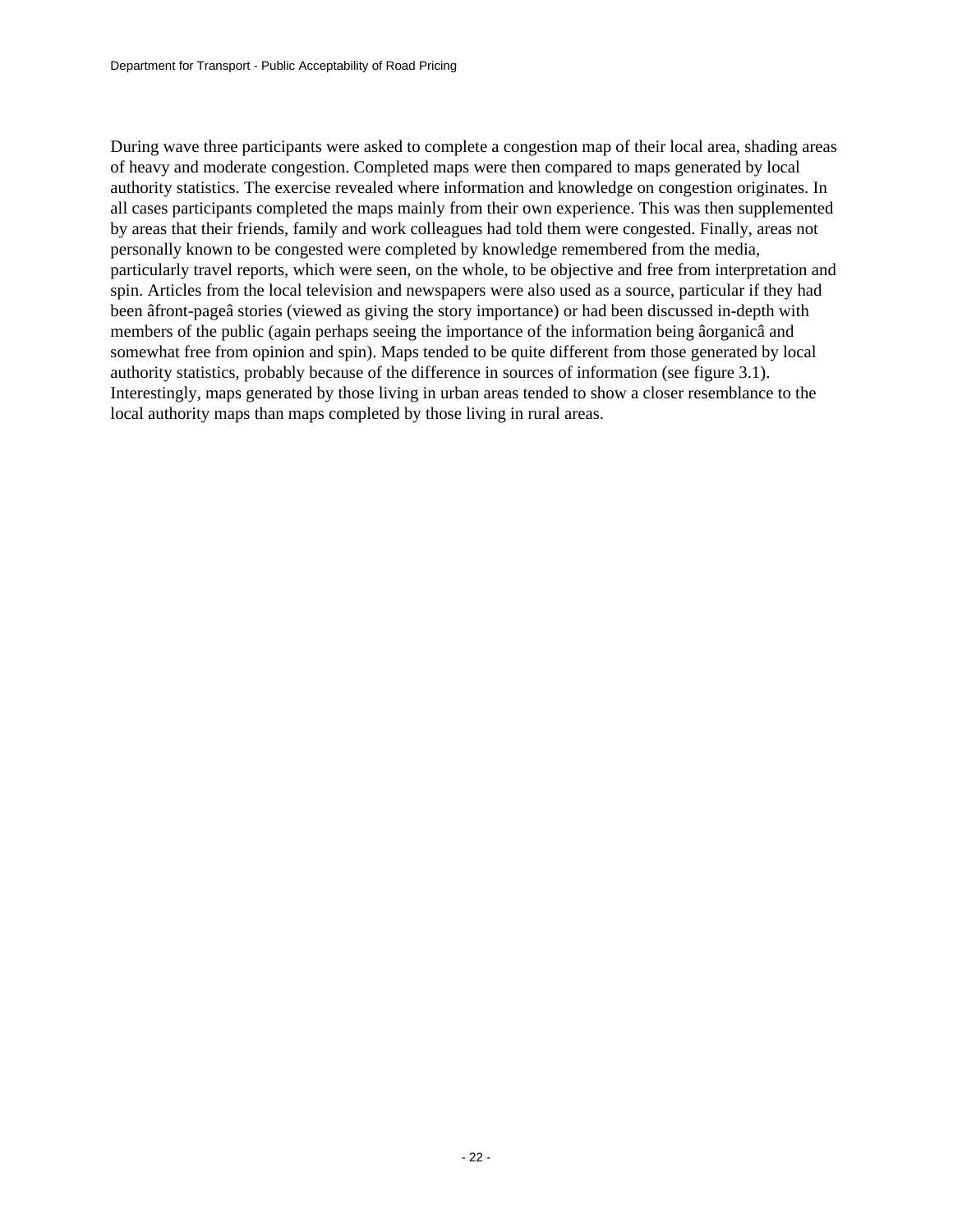During wave three participants were asked to complete a congestion map of their local area, shading areas of heavy and moderate congestion. Completed maps were then compared to maps generated by local authority statistics. The exercise revealed where information and knowledge on congestion originates. In all cases participants completed the maps mainly from their own experience. This was then supplemented by areas that their friends, family and work colleagues had told them were congested. Finally, areas not personally known to be congested were completed by knowledge remembered from the media, particularly travel reports, which were seen, on the whole, to be objective and free from interpretation and spin. Articles from the local television and newspapers were also used as a source, particular if they had been âfront-pageâ stories (viewed as giving the story importance) or had been discussed in-depth with members of the public (again perhaps seeing the importance of the information being âorganicâ and somewhat free from opinion and spin). Maps tended to be quite different from those generated by local authority statistics, probably because of the difference in sources of information (see figure 3.1). Interestingly, maps generated by those living in urban areas tended to show a closer resemblance to the local authority maps than maps completed by those living in rural areas.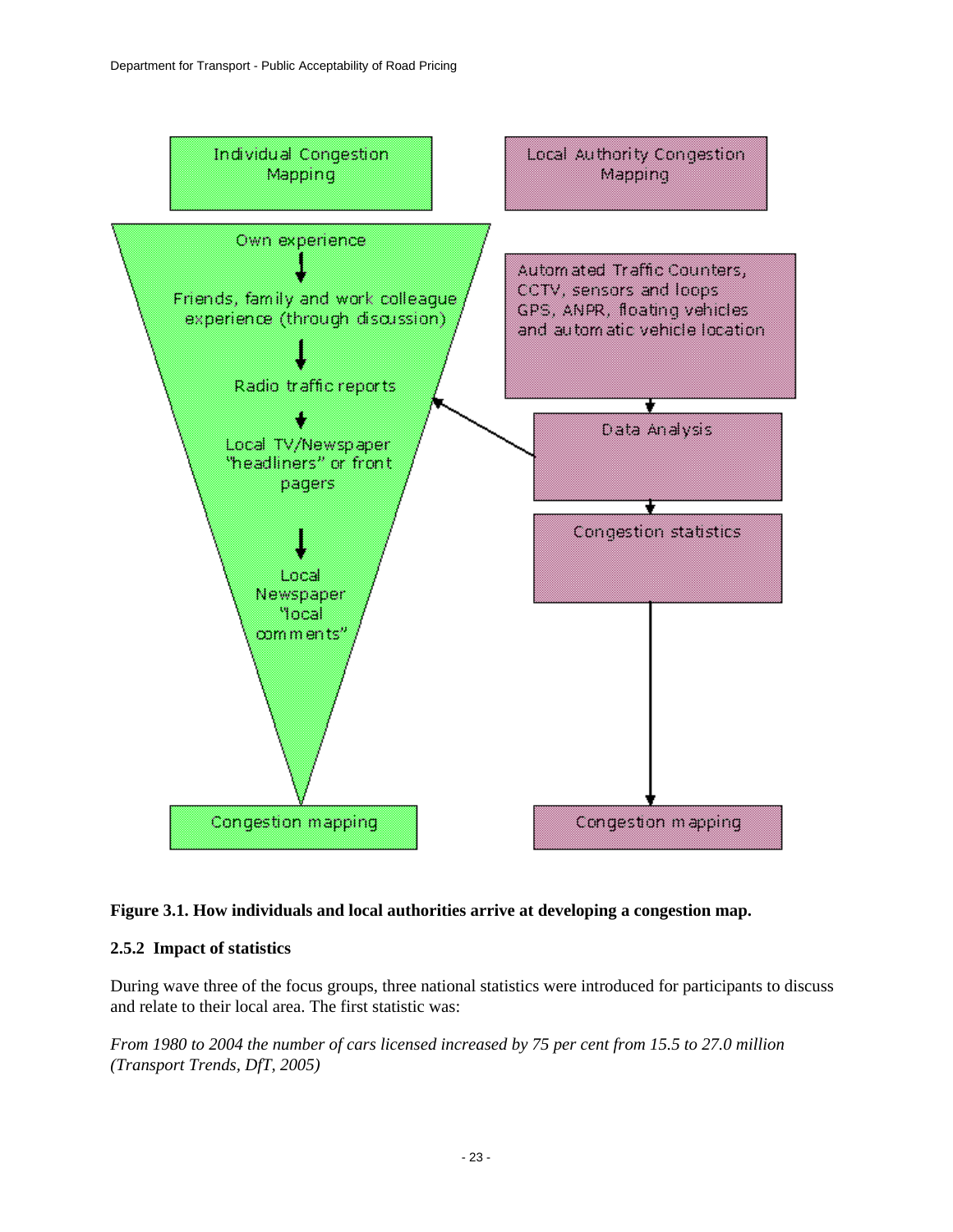

#### **Figure 3.1. How individuals and local authorities arrive at developing a congestion map.**

#### **2.5.2 Impact of statistics**

During wave three of the focus groups, three national statistics were introduced for participants to discuss and relate to their local area. The first statistic was:

*From 1980 to 2004 the number of cars licensed increased by 75 per cent from 15.5 to 27.0 million (Transport Trends, DfT, 2005)*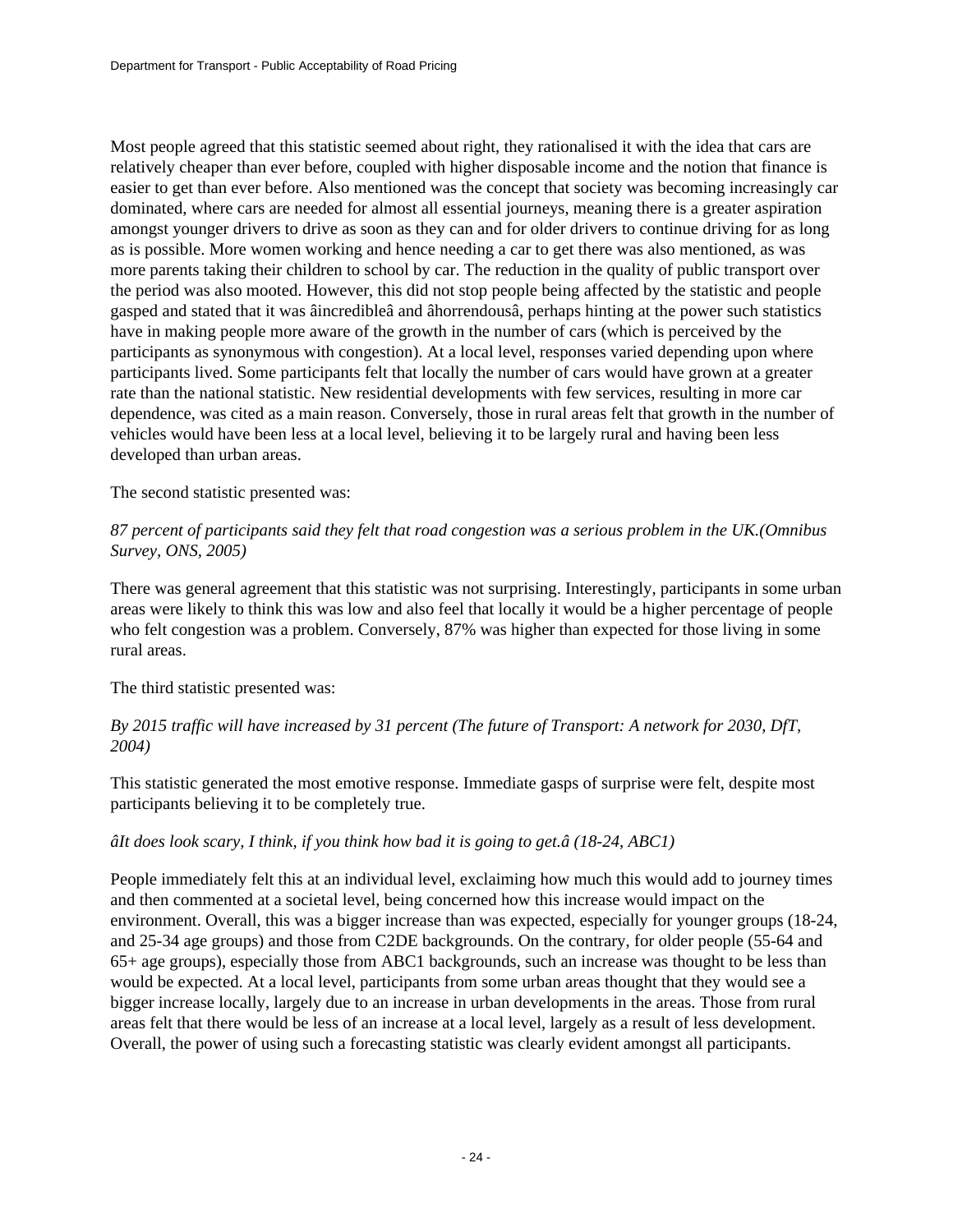Most people agreed that this statistic seemed about right, they rationalised it with the idea that cars are relatively cheaper than ever before, coupled with higher disposable income and the notion that finance is easier to get than ever before. Also mentioned was the concept that society was becoming increasingly car dominated, where cars are needed for almost all essential journeys, meaning there is a greater aspiration amongst younger drivers to drive as soon as they can and for older drivers to continue driving for as long as is possible. More women working and hence needing a car to get there was also mentioned, as was more parents taking their children to school by car. The reduction in the quality of public transport over the period was also mooted. However, this did not stop people being affected by the statistic and people gasped and stated that it was âincredibleâ and âhorrendousâ, perhaps hinting at the power such statistics have in making people more aware of the growth in the number of cars (which is perceived by the participants as synonymous with congestion). At a local level, responses varied depending upon where participants lived. Some participants felt that locally the number of cars would have grown at a greater rate than the national statistic. New residential developments with few services, resulting in more car dependence, was cited as a main reason. Conversely, those in rural areas felt that growth in the number of vehicles would have been less at a local level, believing it to be largely rural and having been less developed than urban areas.

### The second statistic presented was:

### *87 percent of participants said they felt that road congestion was a serious problem in the UK.(Omnibus Survey, ONS, 2005)*

There was general agreement that this statistic was not surprising. Interestingly, participants in some urban areas were likely to think this was low and also feel that locally it would be a higher percentage of people who felt congestion was a problem. Conversely, 87% was higher than expected for those living in some rural areas.

The third statistic presented was:

### *By 2015 traffic will have increased by 31 percent (The future of Transport: A network for 2030, DfT, 2004)*

This statistic generated the most emotive response. Immediate gasps of surprise were felt, despite most participants believing it to be completely true.

### *âIt does look scary, I think, if you think how bad it is going to get.â (18-24, ABC1)*

People immediately felt this at an individual level, exclaiming how much this would add to journey times and then commented at a societal level, being concerned how this increase would impact on the environment. Overall, this was a bigger increase than was expected, especially for younger groups (18-24, and 25-34 age groups) and those from C2DE backgrounds. On the contrary, for older people (55-64 and 65+ age groups), especially those from ABC1 backgrounds, such an increase was thought to be less than would be expected. At a local level, participants from some urban areas thought that they would see a bigger increase locally, largely due to an increase in urban developments in the areas. Those from rural areas felt that there would be less of an increase at a local level, largely as a result of less development. Overall, the power of using such a forecasting statistic was clearly evident amongst all participants.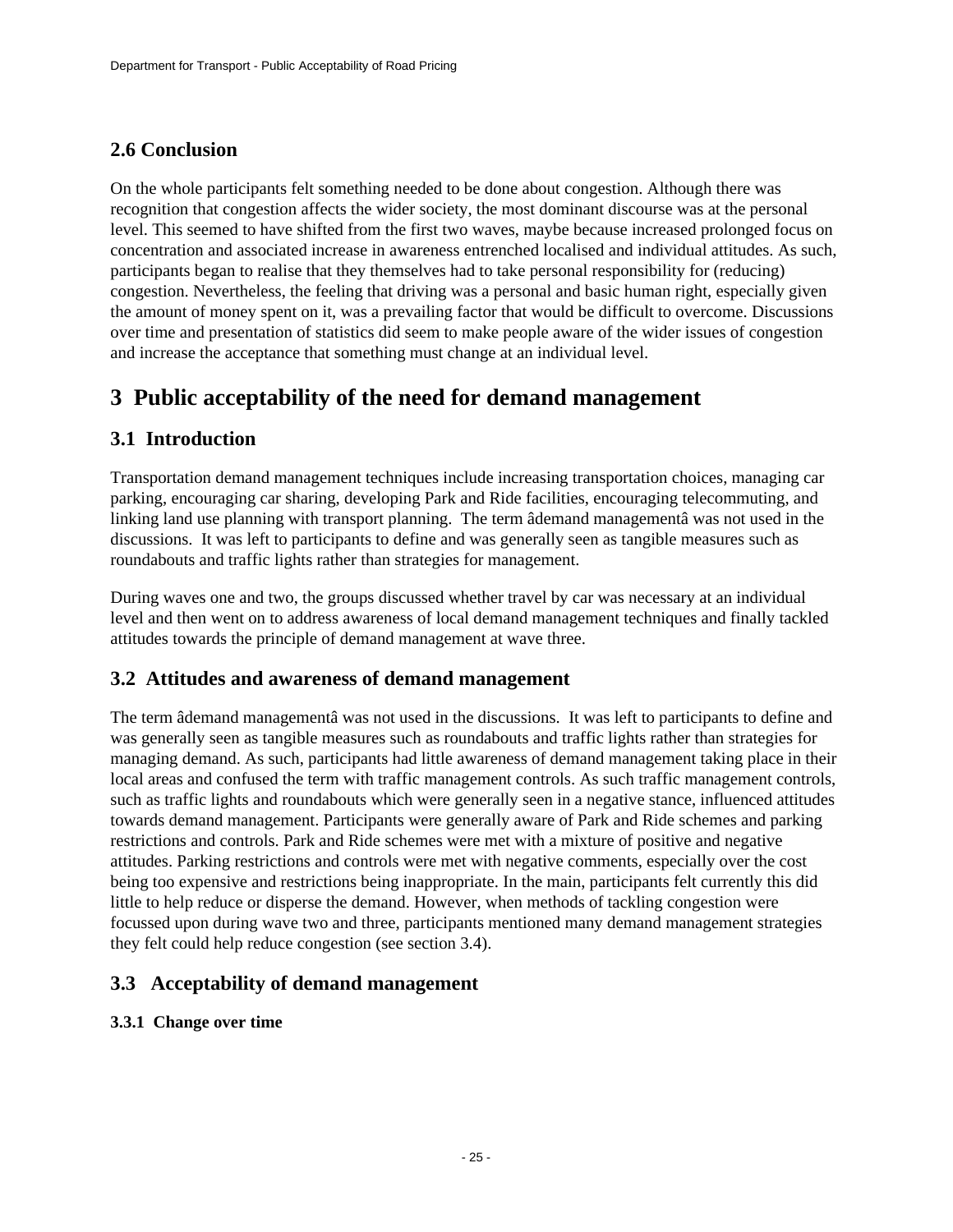## **2.6 Conclusion**

On the whole participants felt something needed to be done about congestion. Although there was recognition that congestion affects the wider society, the most dominant discourse was at the personal level. This seemed to have shifted from the first two waves, maybe because increased prolonged focus on concentration and associated increase in awareness entrenched localised and individual attitudes. As such, participants began to realise that they themselves had to take personal responsibility for (reducing) congestion. Nevertheless, the feeling that driving was a personal and basic human right, especially given the amount of money spent on it, was a prevailing factor that would be difficult to overcome. Discussions over time and presentation of statistics did seem to make people aware of the wider issues of congestion and increase the acceptance that something must change at an individual level.

# <span id="page-24-0"></span>**3 Public acceptability of the need for demand management**

### **3.1 Introduction**

Transportation demand management techniques include increasing transportation choices, managing car parking, encouraging car sharing, developing Park and Ride facilities, encouraging telecommuting, and linking land use planning with transport planning. The term âdemand managementâ was not used in the discussions. It was left to participants to define and was generally seen as tangible measures such as roundabouts and traffic lights rather than strategies for management.

During waves one and two, the groups discussed whether travel by car was necessary at an individual level and then went on to address awareness of local demand management techniques and finally tackled attitudes towards the principle of demand management at wave three.

### **3.2 Attitudes and awareness of demand management**

The term âdemand managementâ was not used in the discussions. It was left to participants to define and was generally seen as tangible measures such as roundabouts and traffic lights rather than strategies for managing demand. As such, participants had little awareness of demand management taking place in their local areas and confused the term with traffic management controls. As such traffic management controls, such as traffic lights and roundabouts which were generally seen in a negative stance, influenced attitudes towards demand management. Participants were generally aware of Park and Ride schemes and parking restrictions and controls. Park and Ride schemes were met with a mixture of positive and negative attitudes. Parking restrictions and controls were met with negative comments, especially over the cost being too expensive and restrictions being inappropriate. In the main, participants felt currently this did little to help reduce or disperse the demand. However, when methods of tackling congestion were focussed upon during wave two and three, participants mentioned many demand management strategies they felt could help reduce congestion (see section 3.4).

### **3.3 Acceptability of demand management**

### **3.3.1 Change over time**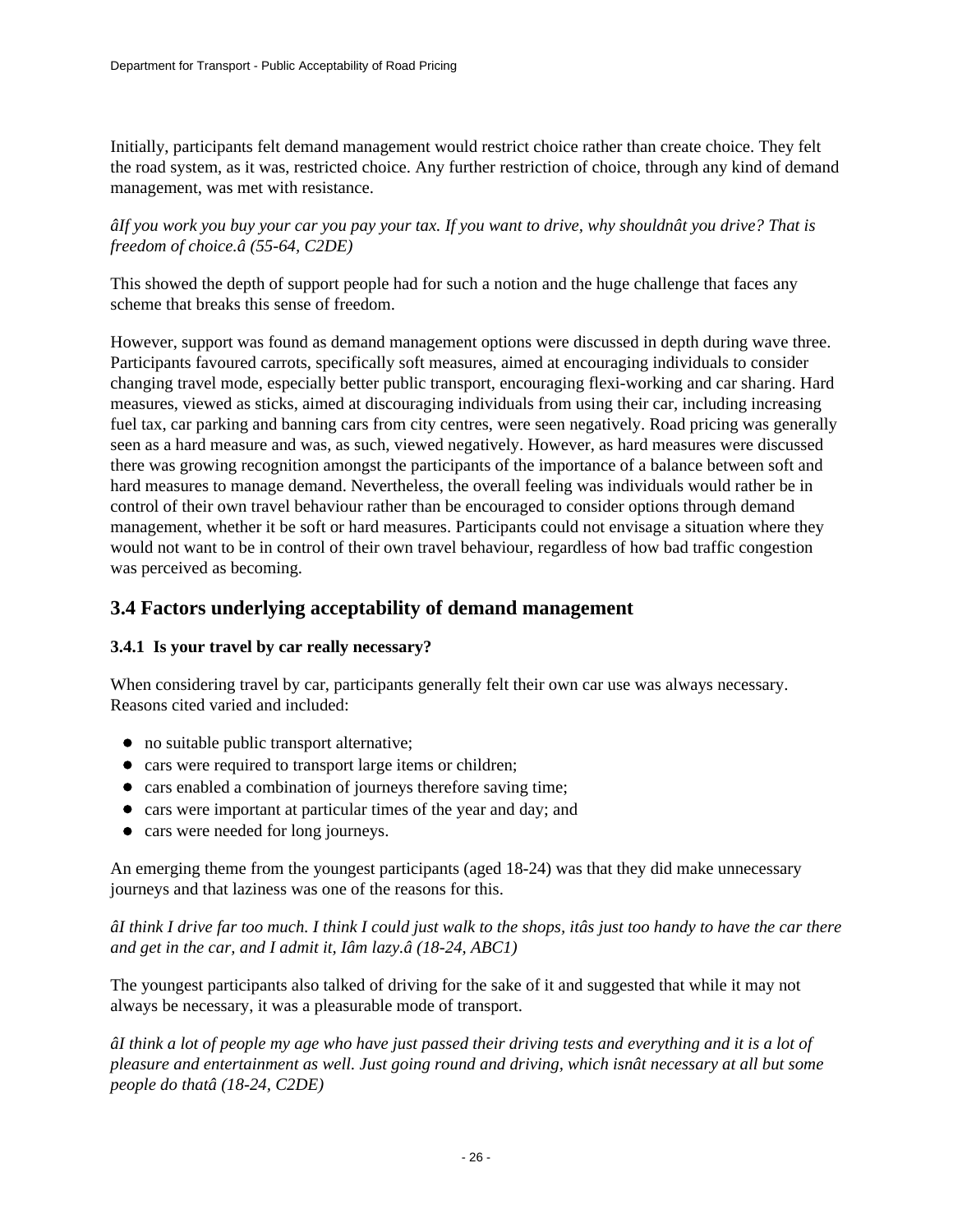Initially, participants felt demand management would restrict choice rather than create choice. They felt the road system, as it was, restricted choice. Any further restriction of choice, through any kind of demand management, was met with resistance.

*âIf you work you buy your car you pay your tax. If you want to drive, why shouldnât you drive? That is freedom of choice.â (55-64, C2DE)*

This showed the depth of support people had for such a notion and the huge challenge that faces any scheme that breaks this sense of freedom.

However, support was found as demand management options were discussed in depth during wave three. Participants favoured carrots, specifically soft measures, aimed at encouraging individuals to consider changing travel mode, especially better public transport, encouraging flexi-working and car sharing. Hard measures, viewed as sticks, aimed at discouraging individuals from using their car, including increasing fuel tax, car parking and banning cars from city centres, were seen negatively. Road pricing was generally seen as a hard measure and was, as such, viewed negatively. However, as hard measures were discussed there was growing recognition amongst the participants of the importance of a balance between soft and hard measures to manage demand. Nevertheless, the overall feeling was individuals would rather be in control of their own travel behaviour rather than be encouraged to consider options through demand management, whether it be soft or hard measures. Participants could not envisage a situation where they would not want to be in control of their own travel behaviour, regardless of how bad traffic congestion was perceived as becoming.

### **3.4 Factors underlying acceptability of demand management**

### **3.4.1 Is your travel by car really necessary?**

When considering travel by car, participants generally felt their own car use was always necessary. Reasons cited varied and included:

- no suitable public transport alternative;
- cars were required to transport large items or children;
- cars enabled a combination of journeys therefore saving time;
- cars were important at particular times of the year and day; and
- cars were needed for long journeys.

An emerging theme from the youngest participants (aged 18-24) was that they did make unnecessary journeys and that laziness was one of the reasons for this.

*âI think I drive far too much. I think I could just walk to the shops, itâs just too handy to have the car there and get in the car, and I admit it, Iâm lazy.â (18-24, ABC1)*

The youngest participants also talked of driving for the sake of it and suggested that while it may not always be necessary, it was a pleasurable mode of transport.

*âI think a lot of people my age who have just passed their driving tests and everything and it is a lot of pleasure and entertainment as well. Just going round and driving, which isnât necessary at all but some people do thatâ (18-24, C2DE)*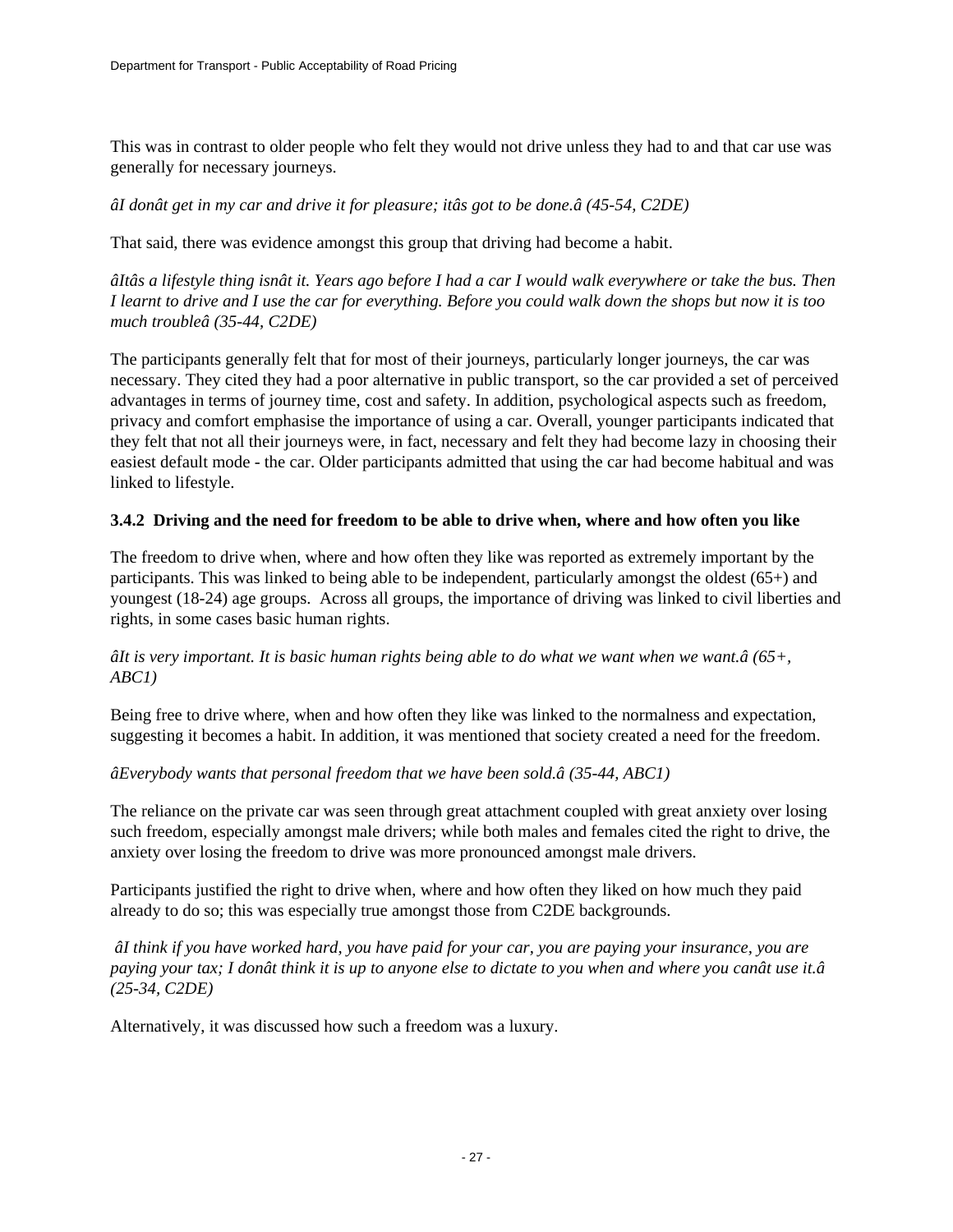This was in contrast to older people who felt they would not drive unless they had to and that car use was generally for necessary journeys.

*âI donât get in my car and drive it for pleasure; itâs got to be done.â (45-54, C2DE)*

That said, there was evidence amongst this group that driving had become a habit.

*âItâs a lifestyle thing isnât it. Years ago before I had a car I would walk everywhere or take the bus. Then I learnt to drive and I use the car for everything. Before you could walk down the shops but now it is too much troubleâ (35-44, C2DE)*

The participants generally felt that for most of their journeys, particularly longer journeys, the car was necessary. They cited they had a poor alternative in public transport, so the car provided a set of perceived advantages in terms of journey time, cost and safety. In addition, psychological aspects such as freedom, privacy and comfort emphasise the importance of using a car. Overall, younger participants indicated that they felt that not all their journeys were, in fact, necessary and felt they had become lazy in choosing their easiest default mode - the car. Older participants admitted that using the car had become habitual and was linked to lifestyle.

### **3.4.2 Driving and the need for freedom to be able to drive when, where and how often you like**

The freedom to drive when, where and how often they like was reported as extremely important by the participants. This was linked to being able to be independent, particularly amongst the oldest (65+) and youngest (18-24) age groups. Across all groups, the importance of driving was linked to civil liberties and rights, in some cases basic human rights.

### *âIt is very important. It is basic human rights being able to do what we want when we want.â (65+, ABC1)*

Being free to drive where, when and how often they like was linked to the normalness and expectation, suggesting it becomes a habit. In addition, it was mentioned that society created a need for the freedom.

#### *âEverybody wants that personal freedom that we have been sold.â (35-44, ABC1)*

The reliance on the private car was seen through great attachment coupled with great anxiety over losing such freedom, especially amongst male drivers; while both males and females cited the right to drive, the anxiety over losing the freedom to drive was more pronounced amongst male drivers.

Participants justified the right to drive when, where and how often they liked on how much they paid already to do so; this was especially true amongst those from C2DE backgrounds.

 *âI think if you have worked hard, you have paid for your car, you are paying your insurance, you are paying your tax; I donât think it is up to anyone else to dictate to you when and where you canât use it.â (25-34, C2DE)*

Alternatively, it was discussed how such a freedom was a luxury.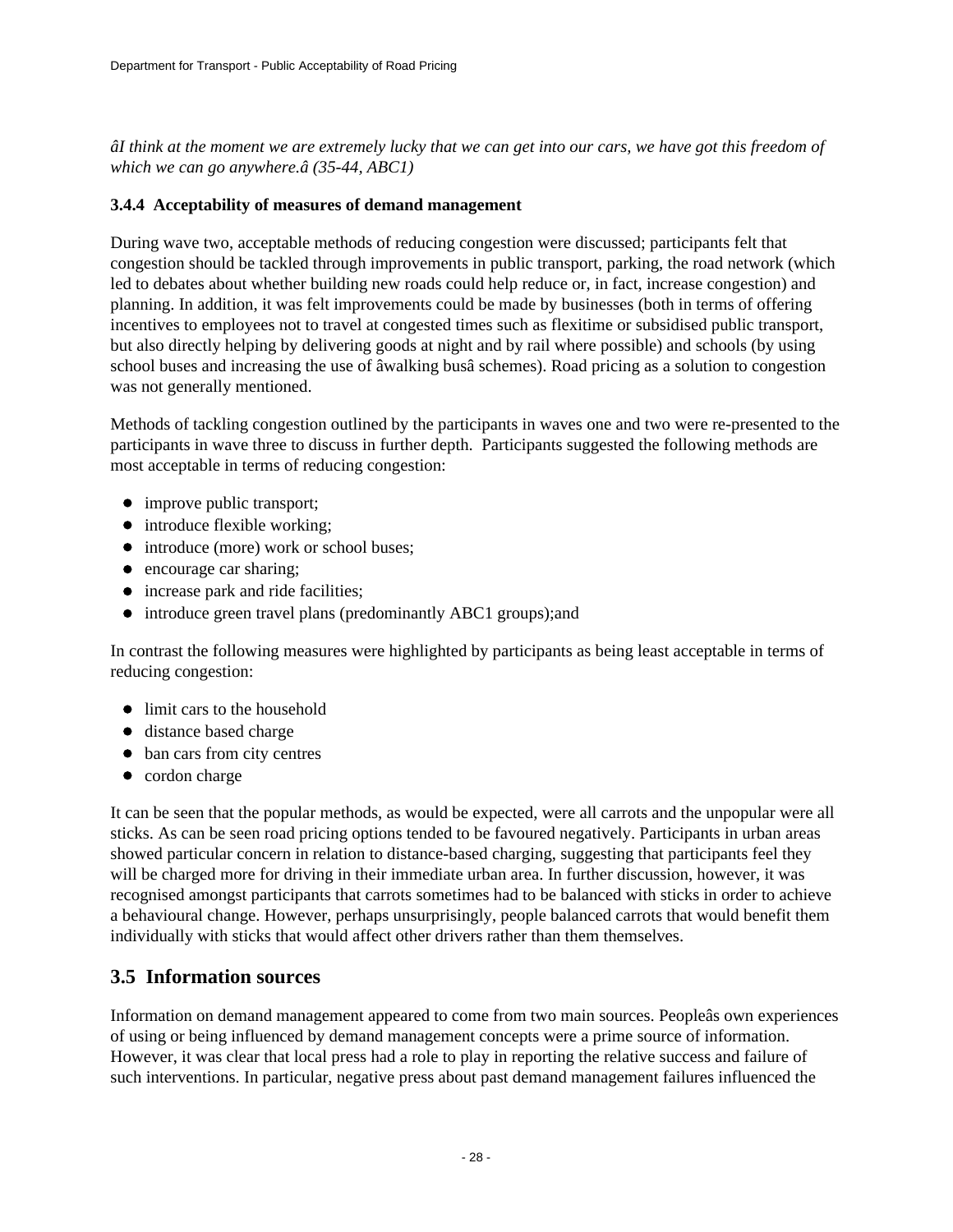*âI think at the moment we are extremely lucky that we can get into our cars, we have got this freedom of which we can go anywhere.â (35-44, ABC1)*

### **3.4.4 Acceptability of measures of demand management**

During wave two, acceptable methods of reducing congestion were discussed; participants felt that congestion should be tackled through improvements in public transport, parking, the road network (which led to debates about whether building new roads could help reduce or, in fact, increase congestion) and planning. In addition, it was felt improvements could be made by businesses (both in terms of offering incentives to employees not to travel at congested times such as flexitime or subsidised public transport, but also directly helping by delivering goods at night and by rail where possible) and schools (by using school buses and increasing the use of âwalking busâ schemes). Road pricing as a solution to congestion was not generally mentioned.

Methods of tackling congestion outlined by the participants in waves one and two were re-presented to the participants in wave three to discuss in further depth. Participants suggested the following methods are most acceptable in terms of reducing congestion:

- improve public transport;
- introduce flexible working;
- introduce (more) work or school buses;
- encourage car sharing;
- increase park and ride facilities;
- introduce green travel plans (predominantly ABC1 groups);and

In contrast the following measures were highlighted by participants as being least acceptable in terms of reducing congestion:

- limit cars to the household
- distance based charge
- $\bullet$  ban cars from city centres
- cordon charge

It can be seen that the popular methods, as would be expected, were all carrots and the unpopular were all sticks. As can be seen road pricing options tended to be favoured negatively. Participants in urban areas showed particular concern in relation to distance-based charging, suggesting that participants feel they will be charged more for driving in their immediate urban area. In further discussion, however, it was recognised amongst participants that carrots sometimes had to be balanced with sticks in order to achieve a behavioural change. However, perhaps unsurprisingly, people balanced carrots that would benefit them individually with sticks that would affect other drivers rather than them themselves.

### **3.5 Information sources**

Information on demand management appeared to come from two main sources. Peopleâs own experiences of using or being influenced by demand management concepts were a prime source of information. However, it was clear that local press had a role to play in reporting the relative success and failure of such interventions. In particular, negative press about past demand management failures influenced the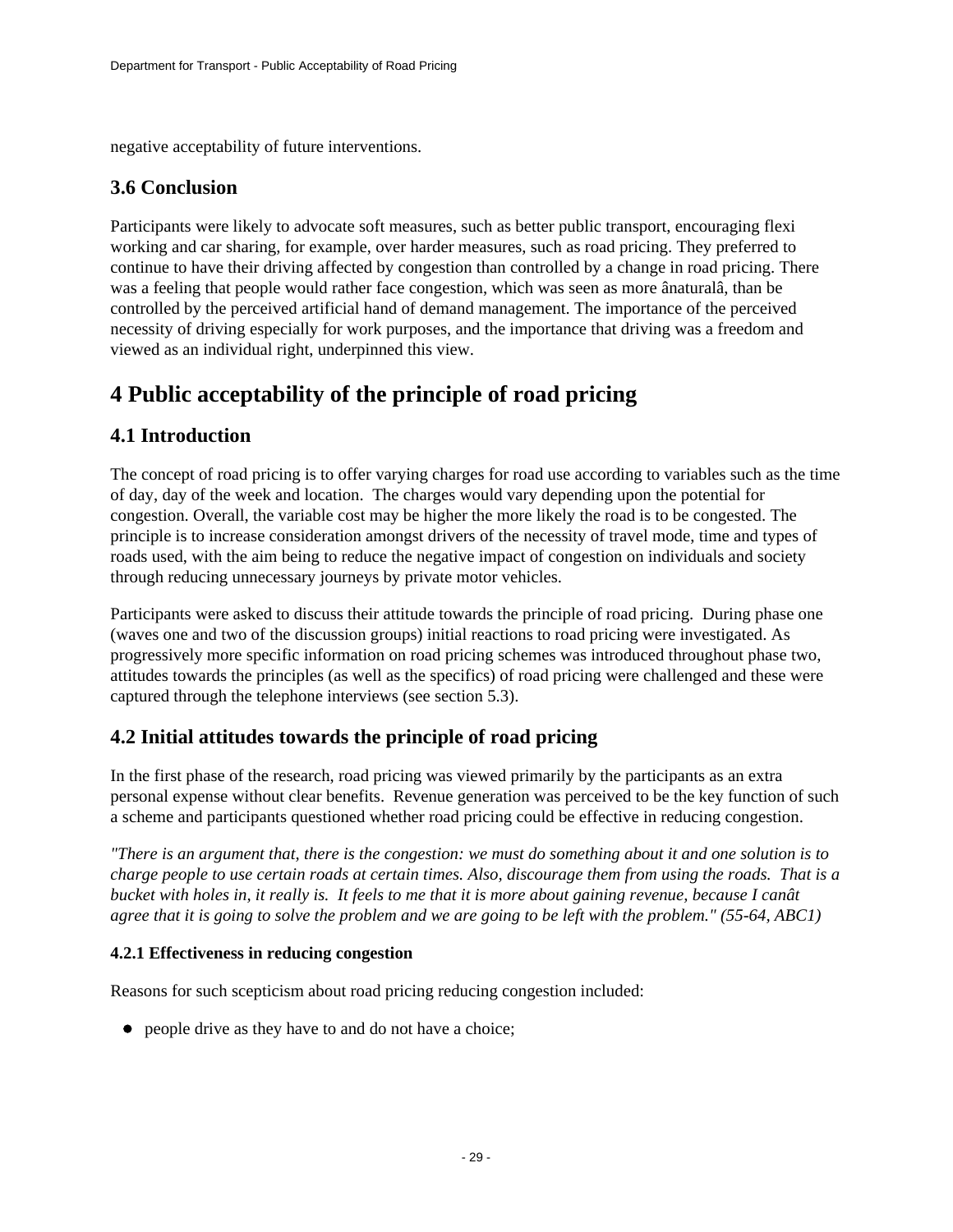negative acceptability of future interventions.

### **3.6 Conclusion**

Participants were likely to advocate soft measures, such as better public transport, encouraging flexi working and car sharing, for example, over harder measures, such as road pricing. They preferred to continue to have their driving affected by congestion than controlled by a change in road pricing. There was a feeling that people would rather face congestion, which was seen as more ânaturalâ, than be controlled by the perceived artificial hand of demand management. The importance of the perceived necessity of driving especially for work purposes, and the importance that driving was a freedom and viewed as an individual right, underpinned this view.

# <span id="page-28-0"></span>**4 Public acceptability of the principle of road pricing**

### **4.1 Introduction**

The concept of road pricing is to offer varying charges for road use according to variables such as the time of day, day of the week and location. The charges would vary depending upon the potential for congestion. Overall, the variable cost may be higher the more likely the road is to be congested. The principle is to increase consideration amongst drivers of the necessity of travel mode, time and types of roads used, with the aim being to reduce the negative impact of congestion on individuals and society through reducing unnecessary journeys by private motor vehicles.

Participants were asked to discuss their attitude towards the principle of road pricing. During phase one (waves one and two of the discussion groups) initial reactions to road pricing were investigated. As progressively more specific information on road pricing schemes was introduced throughout phase two, attitudes towards the principles (as well as the specifics) of road pricing were challenged and these were captured through the telephone interviews (see section 5.3).

## **4.2 Initial attitudes towards the principle of road pricing**

In the first phase of the research, road pricing was viewed primarily by the participants as an extra personal expense without clear benefits. Revenue generation was perceived to be the key function of such a scheme and participants questioned whether road pricing could be effective in reducing congestion.

*"There is an argument that, there is the congestion: we must do something about it and one solution is to charge people to use certain roads at certain times. Also, discourage them from using the roads. That is a bucket with holes in, it really is. It feels to me that it is more about gaining revenue, because I canât agree that it is going to solve the problem and we are going to be left with the problem." (55-64, ABC1)*

### **4.2.1 Effectiveness in reducing congestion**

Reasons for such scepticism about road pricing reducing congestion included:

• people drive as they have to and do not have a choice;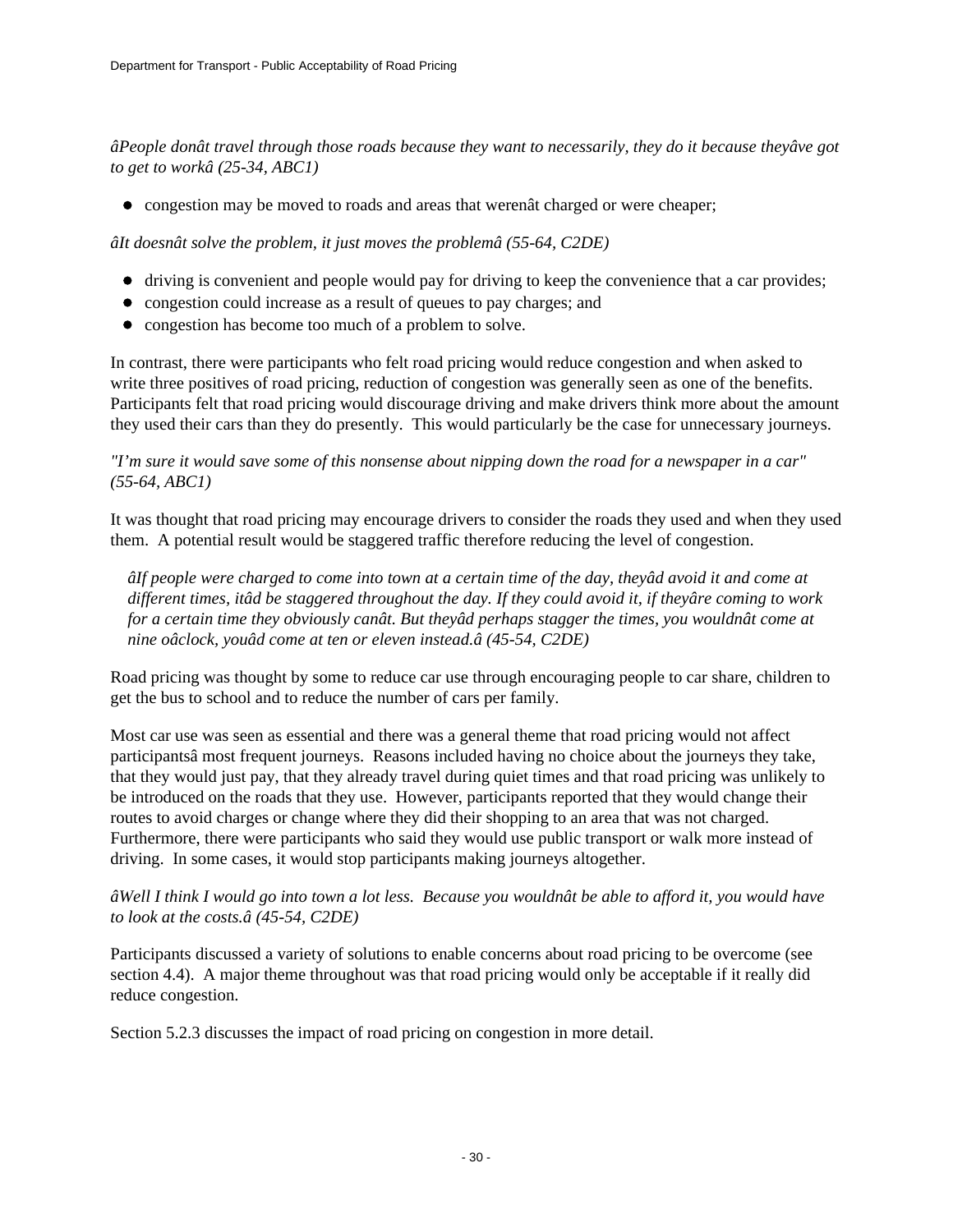*âPeople donât travel through those roads because they want to necessarily, they do it because theyâve got to get to workâ (25-34, ABC1)*

congestion may be moved to roads and areas that werenât charged or were cheaper;

*âIt doesnât solve the problem, it just moves the problemâ (55-64, C2DE)*

- driving is convenient and people would pay for driving to keep the convenience that a car provides;
- congestion could increase as a result of queues to pay charges; and
- congestion has become too much of a problem to solve.

In contrast, there were participants who felt road pricing would reduce congestion and when asked to write three positives of road pricing, reduction of congestion was generally seen as one of the benefits. Participants felt that road pricing would discourage driving and make drivers think more about the amount they used their cars than they do presently. This would particularly be the case for unnecessary journeys.

#### *"I'm sure it would save some of this nonsense about nipping down the road for a newspaper in a car" (55-64, ABC1)*

It was thought that road pricing may encourage drivers to consider the roads they used and when they used them. A potential result would be staggered traffic therefore reducing the level of congestion.

*âIf people were charged to come into town at a certain time of the day, theyâd avoid it and come at different times, itâd be staggered throughout the day. If they could avoid it, if theyâre coming to work for a certain time they obviously canât. But theyâd perhaps stagger the times, you wouldnât come at nine oâclock, youâd come at ten or eleven instead.â (45-54, C2DE)* 

Road pricing was thought by some to reduce car use through encouraging people to car share, children to get the bus to school and to reduce the number of cars per family.

Most car use was seen as essential and there was a general theme that road pricing would not affect participantsâ most frequent journeys. Reasons included having no choice about the journeys they take, that they would just pay, that they already travel during quiet times and that road pricing was unlikely to be introduced on the roads that they use. However, participants reported that they would change their routes to avoid charges or change where they did their shopping to an area that was not charged. Furthermore, there were participants who said they would use public transport or walk more instead of driving. In some cases, it would stop participants making journeys altogether.

### *âWell I think I would go into town a lot less. Because you wouldnât be able to afford it, you would have to look at the costs.â (45-54, C2DE)*

Participants discussed a variety of solutions to enable concerns about road pricing to be overcome (see section 4.4). A major theme throughout was that road pricing would only be acceptable if it really did reduce congestion.

Section 5.2.3 discusses the impact of road pricing on congestion in more detail.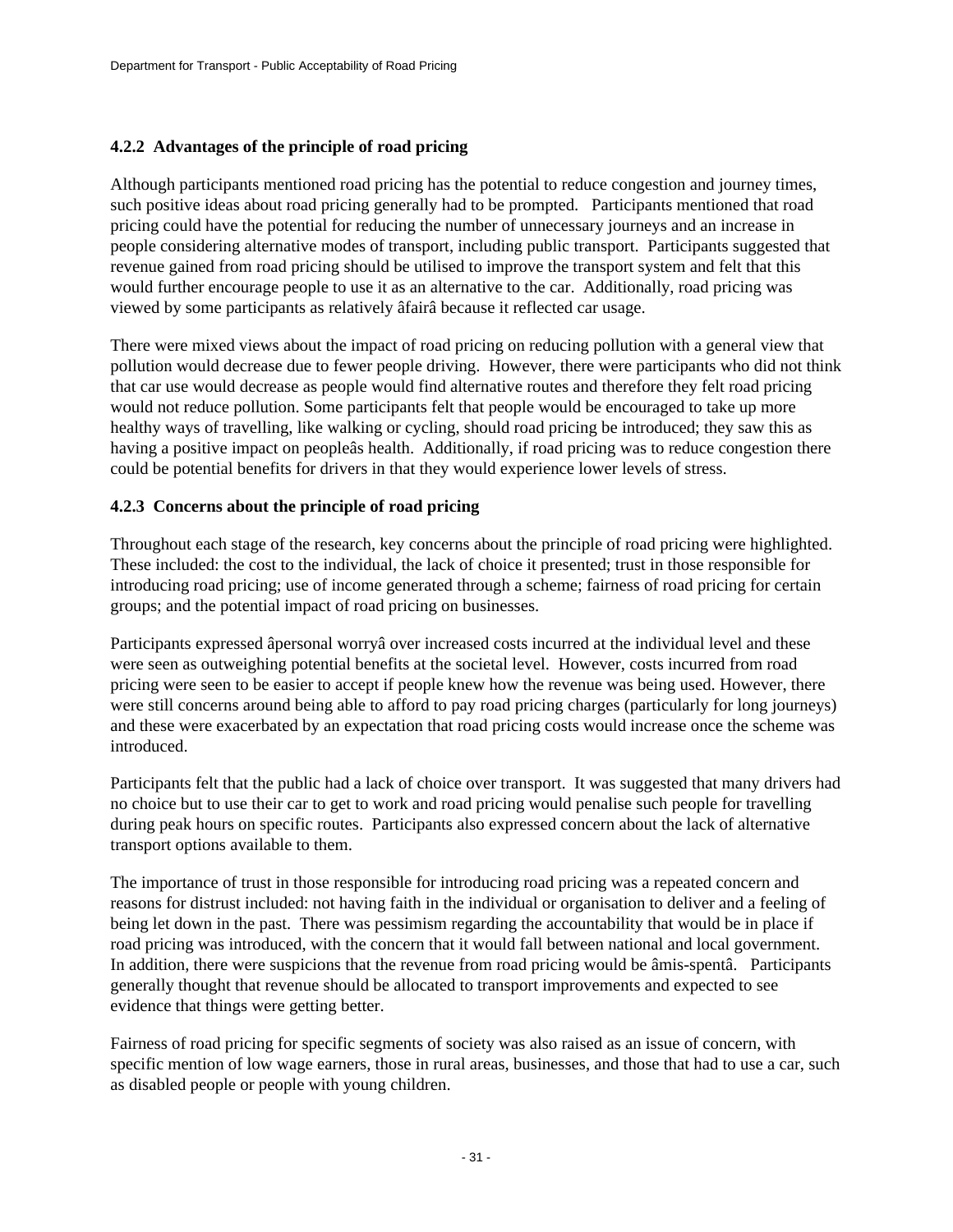### **4.2.2 Advantages of the principle of road pricing**

Although participants mentioned road pricing has the potential to reduce congestion and journey times, such positive ideas about road pricing generally had to be prompted. Participants mentioned that road pricing could have the potential for reducing the number of unnecessary journeys and an increase in people considering alternative modes of transport, including public transport. Participants suggested that revenue gained from road pricing should be utilised to improve the transport system and felt that this would further encourage people to use it as an alternative to the car. Additionally, road pricing was viewed by some participants as relatively âfairâ because it reflected car usage.

There were mixed views about the impact of road pricing on reducing pollution with a general view that pollution would decrease due to fewer people driving. However, there were participants who did not think that car use would decrease as people would find alternative routes and therefore they felt road pricing would not reduce pollution. Some participants felt that people would be encouraged to take up more healthy ways of travelling, like walking or cycling, should road pricing be introduced; they saw this as having a positive impact on peopleâs health. Additionally, if road pricing was to reduce congestion there could be potential benefits for drivers in that they would experience lower levels of stress.

### **4.2.3 Concerns about the principle of road pricing**

Throughout each stage of the research, key concerns about the principle of road pricing were highlighted. These included: the cost to the individual, the lack of choice it presented; trust in those responsible for introducing road pricing; use of income generated through a scheme; fairness of road pricing for certain groups; and the potential impact of road pricing on businesses.

Participants expressed âpersonal worryâ over increased costs incurred at the individual level and these were seen as outweighing potential benefits at the societal level. However, costs incurred from road pricing were seen to be easier to accept if people knew how the revenue was being used. However, there were still concerns around being able to afford to pay road pricing charges (particularly for long journeys) and these were exacerbated by an expectation that road pricing costs would increase once the scheme was introduced.

Participants felt that the public had a lack of choice over transport. It was suggested that many drivers had no choice but to use their car to get to work and road pricing would penalise such people for travelling during peak hours on specific routes. Participants also expressed concern about the lack of alternative transport options available to them.

The importance of trust in those responsible for introducing road pricing was a repeated concern and reasons for distrust included: not having faith in the individual or organisation to deliver and a feeling of being let down in the past. There was pessimism regarding the accountability that would be in place if road pricing was introduced, with the concern that it would fall between national and local government. In addition, there were suspicions that the revenue from road pricing would be âmis-spentâ. Participants generally thought that revenue should be allocated to transport improvements and expected to see evidence that things were getting better.

Fairness of road pricing for specific segments of society was also raised as an issue of concern, with specific mention of low wage earners, those in rural areas, businesses, and those that had to use a car, such as disabled people or people with young children.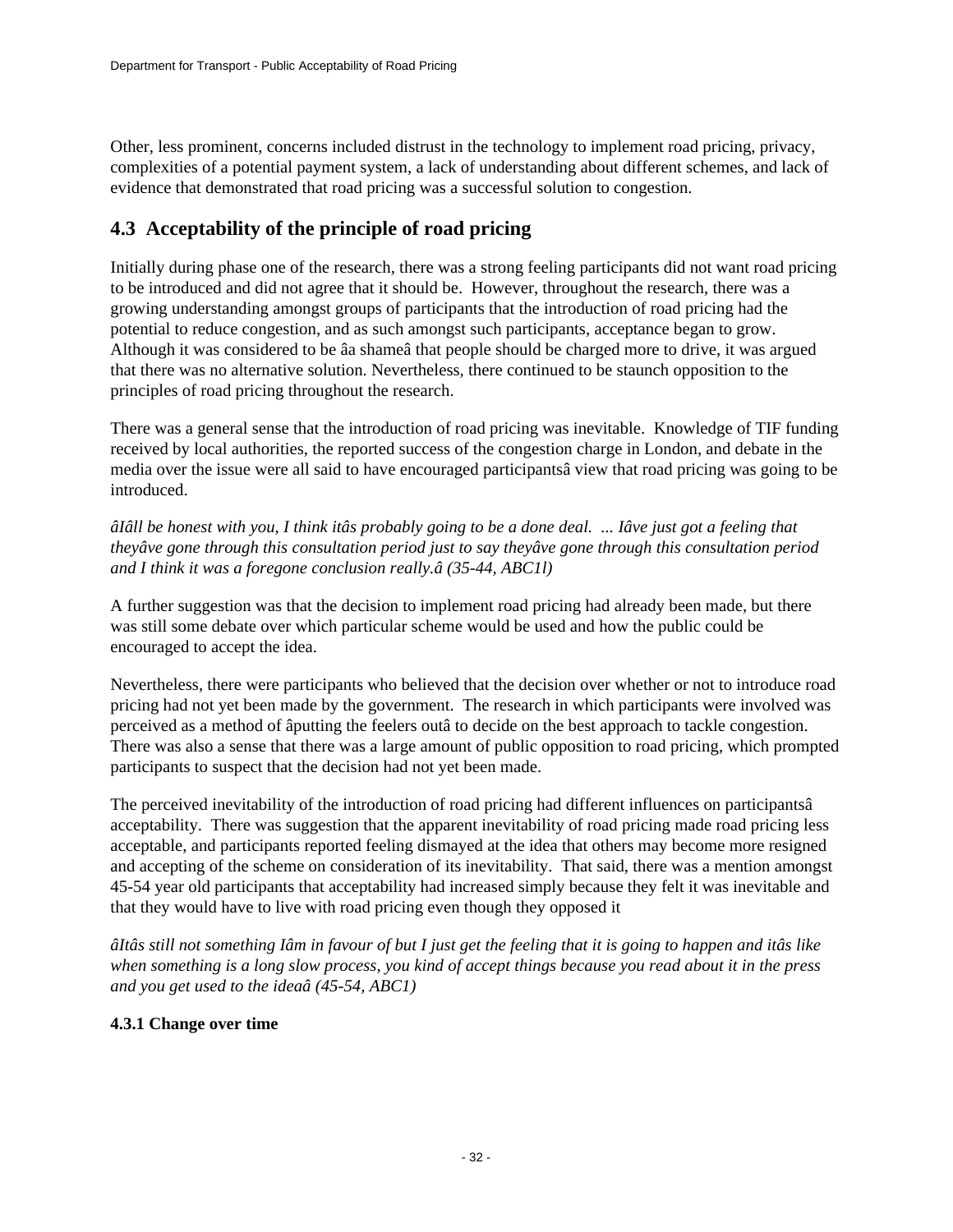Other, less prominent, concerns included distrust in the technology to implement road pricing, privacy, complexities of a potential payment system, a lack of understanding about different schemes, and lack of evidence that demonstrated that road pricing was a successful solution to congestion.

## **4.3 Acceptability of the principle of road pricing**

Initially during phase one of the research, there was a strong feeling participants did not want road pricing to be introduced and did not agree that it should be. However, throughout the research, there was a growing understanding amongst groups of participants that the introduction of road pricing had the potential to reduce congestion, and as such amongst such participants, acceptance began to grow. Although it was considered to be âa shameâ that people should be charged more to drive, it was argued that there was no alternative solution. Nevertheless, there continued to be staunch opposition to the principles of road pricing throughout the research.

There was a general sense that the introduction of road pricing was inevitable. Knowledge of TIF funding received by local authorities, the reported success of the congestion charge in London, and debate in the media over the issue were all said to have encouraged participantsâ view that road pricing was going to be introduced.

*âIâll be honest with you, I think itâs probably going to be a done deal. ... Iâve just got a feeling that theyâve gone through this consultation period just to say theyâve gone through this consultation period and I think it was a foregone conclusion really.â (35-44, ABC1l)*

A further suggestion was that the decision to implement road pricing had already been made, but there was still some debate over which particular scheme would be used and how the public could be encouraged to accept the idea.

Nevertheless, there were participants who believed that the decision over whether or not to introduce road pricing had not yet been made by the government. The research in which participants were involved was perceived as a method of âputting the feelers outâ to decide on the best approach to tackle congestion. There was also a sense that there was a large amount of public opposition to road pricing, which prompted participants to suspect that the decision had not yet been made.

The perceived inevitability of the introduction of road pricing had different influences on participantsâ acceptability. There was suggestion that the apparent inevitability of road pricing made road pricing less acceptable, and participants reported feeling dismayed at the idea that others may become more resigned and accepting of the scheme on consideration of its inevitability. That said, there was a mention amongst 45-54 year old participants that acceptability had increased simply because they felt it was inevitable and that they would have to live with road pricing even though they opposed it

*âItâs still not something Iâm in favour of but I just get the feeling that it is going to happen and itâs like when something is a long slow process, you kind of accept things because you read about it in the press and you get used to the ideaâ (45-54, ABC1)*

### **4.3.1 Change over time**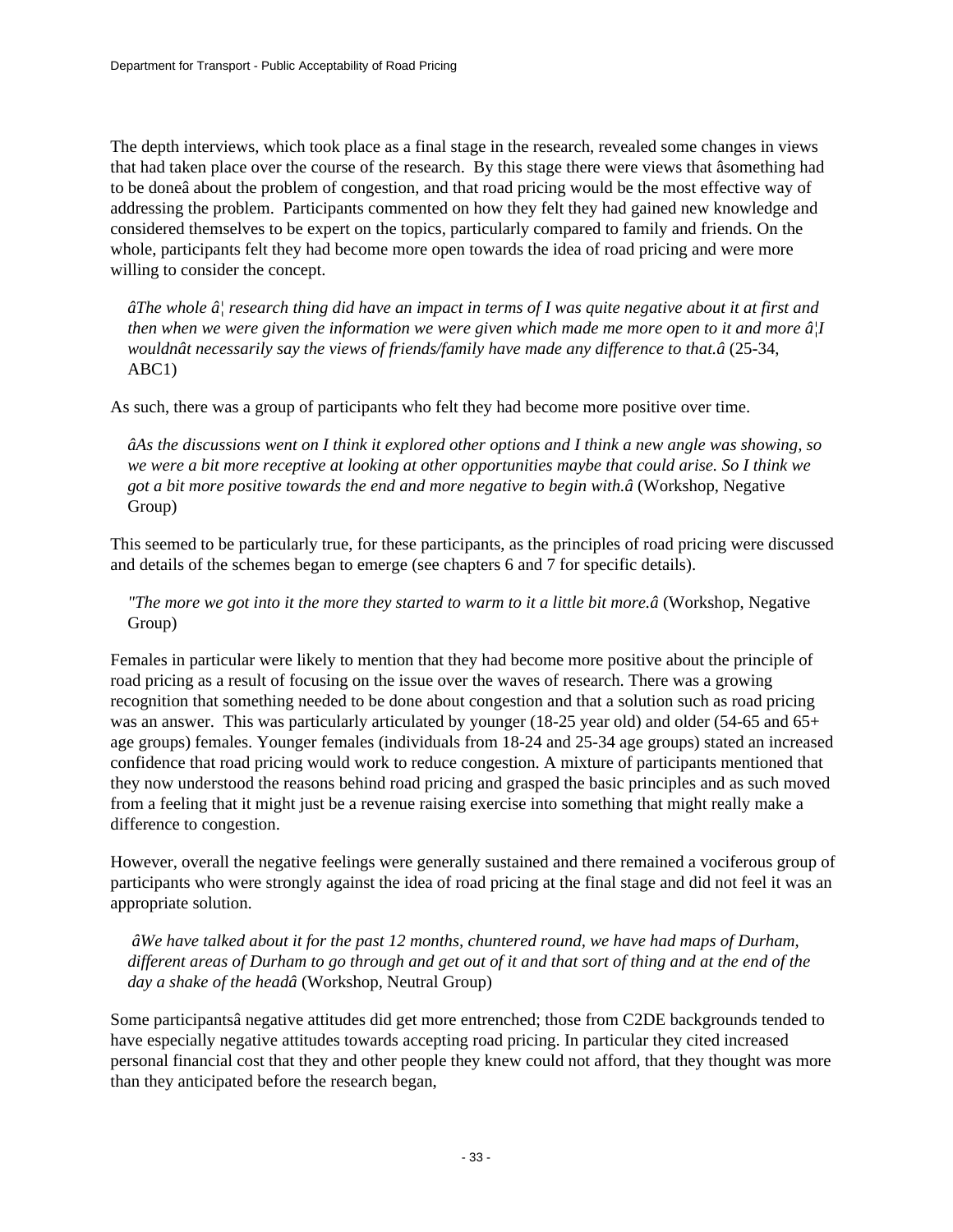The depth interviews, which took place as a final stage in the research, revealed some changes in views that had taken place over the course of the research. By this stage there were views that âsomething had to be doneâ about the problem of congestion, and that road pricing would be the most effective way of addressing the problem. Participants commented on how they felt they had gained new knowledge and considered themselves to be expert on the topics, particularly compared to family and friends. On the whole, participants felt they had become more open towards the idea of road pricing and were more willing to consider the concept.

*âThe whole â*, research thing did have an impact in terms of I was quite negative about it at first and *then when we were given the information we were given which made me more open to it and more â¦I wouldnât necessarily say the views of friends/family have made any difference to that.â* (25-34, ABC1)

As such, there was a group of participants who felt they had become more positive over time.

*âAs the discussions went on I think it explored other options and I think a new angle was showing, so we were a bit more receptive at looking at other opportunities maybe that could arise. So I think we got a bit more positive towards the end and more negative to begin with.â* (Workshop, Negative Group)

This seemed to be particularly true, for these participants, as the principles of road pricing were discussed and details of the schemes began to emerge (see chapters 6 and 7 for specific details).

*"The more we got into it the more they started to warm to it a little bit more.â* (Workshop, Negative Group)

Females in particular were likely to mention that they had become more positive about the principle of road pricing as a result of focusing on the issue over the waves of research. There was a growing recognition that something needed to be done about congestion and that a solution such as road pricing was an answer. This was particularly articulated by younger (18-25 year old) and older (54-65 and 65+ age groups) females. Younger females (individuals from 18-24 and 25-34 age groups) stated an increased confidence that road pricing would work to reduce congestion. A mixture of participants mentioned that they now understood the reasons behind road pricing and grasped the basic principles and as such moved from a feeling that it might just be a revenue raising exercise into something that might really make a difference to congestion.

However, overall the negative feelings were generally sustained and there remained a vociferous group of participants who were strongly against the idea of road pricing at the final stage and did not feel it was an appropriate solution.

 *âWe have talked about it for the past 12 months, chuntered round, we have had maps of Durham, different areas of Durham to go through and get out of it and that sort of thing and at the end of the day a shake of the headâ* (Workshop, Neutral Group)

Some participantsâ negative attitudes did get more entrenched; those from C2DE backgrounds tended to have especially negative attitudes towards accepting road pricing. In particular they cited increased personal financial cost that they and other people they knew could not afford, that they thought was more than they anticipated before the research began,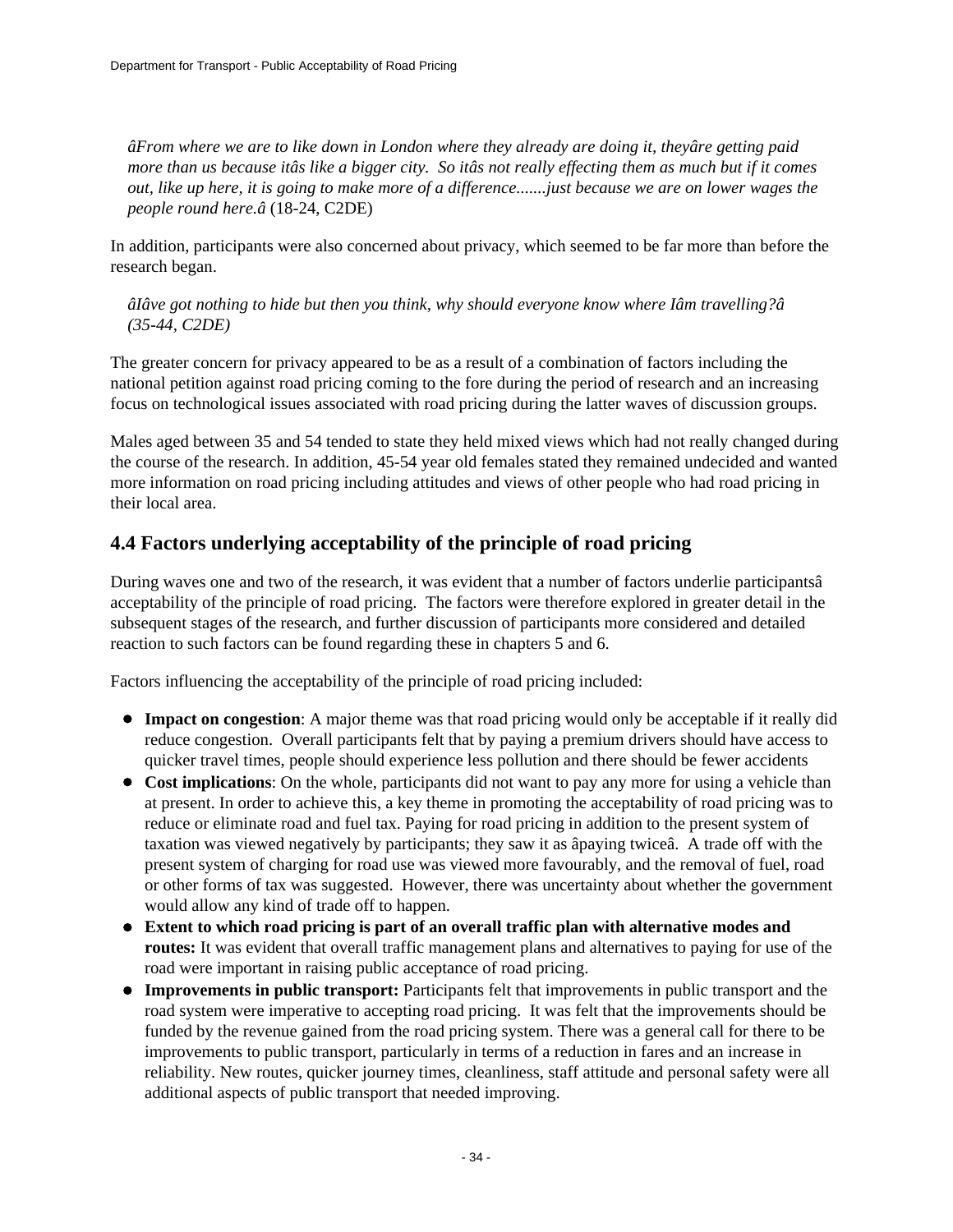*âFrom where we are to like down in London where they already are doing it, theyâre getting paid more than us because itâs like a bigger city. So itâs not really effecting them as much but if it comes out, like up here, it is going to make more of a difference.......just because we are on lower wages the people round here.â* (18-24, C2DE)

In addition, participants were also concerned about privacy, which seemed to be far more than before the research began.

*âIâve got nothing to hide but then you think, why should everyone know where Iâm travelling?â (35-44, C2DE)*

The greater concern for privacy appeared to be as a result of a combination of factors including the national petition against road pricing coming to the fore during the period of research and an increasing focus on technological issues associated with road pricing during the latter waves of discussion groups.

Males aged between 35 and 54 tended to state they held mixed views which had not really changed during the course of the research. In addition, 45-54 year old females stated they remained undecided and wanted more information on road pricing including attitudes and views of other people who had road pricing in their local area.

## **4.4 Factors underlying acceptability of the principle of road pricing**

During waves one and two of the research, it was evident that a number of factors underlie participantsâ acceptability of the principle of road pricing. The factors were therefore explored in greater detail in the subsequent stages of the research, and further discussion of participants more considered and detailed reaction to such factors can be found regarding these in chapters 5 and 6.

Factors influencing the acceptability of the principle of road pricing included:

- **Impact on congestion**: A major theme was that road pricing would only be acceptable if it really did reduce congestion. Overall participants felt that by paying a premium drivers should have access to quicker travel times, people should experience less pollution and there should be fewer accidents
- **Cost implications**: On the whole, participants did not want to pay any more for using a vehicle than at present. In order to achieve this, a key theme in promoting the acceptability of road pricing was to reduce or eliminate road and fuel tax. Paying for road pricing in addition to the present system of taxation was viewed negatively by participants; they saw it as âpaying twiceâ. A trade off with the present system of charging for road use was viewed more favourably, and the removal of fuel, road or other forms of tax was suggested. However, there was uncertainty about whether the government would allow any kind of trade off to happen.
- **Extent to which road pricing is part of an overall traffic plan with alternative modes and routes:** It was evident that overall traffic management plans and alternatives to paying for use of the road were important in raising public acceptance of road pricing.
- **Improvements in public transport:** Participants felt that improvements in public transport and the road system were imperative to accepting road pricing. It was felt that the improvements should be funded by the revenue gained from the road pricing system. There was a general call for there to be improvements to public transport, particularly in terms of a reduction in fares and an increase in reliability. New routes, quicker journey times, cleanliness, staff attitude and personal safety were all additional aspects of public transport that needed improving.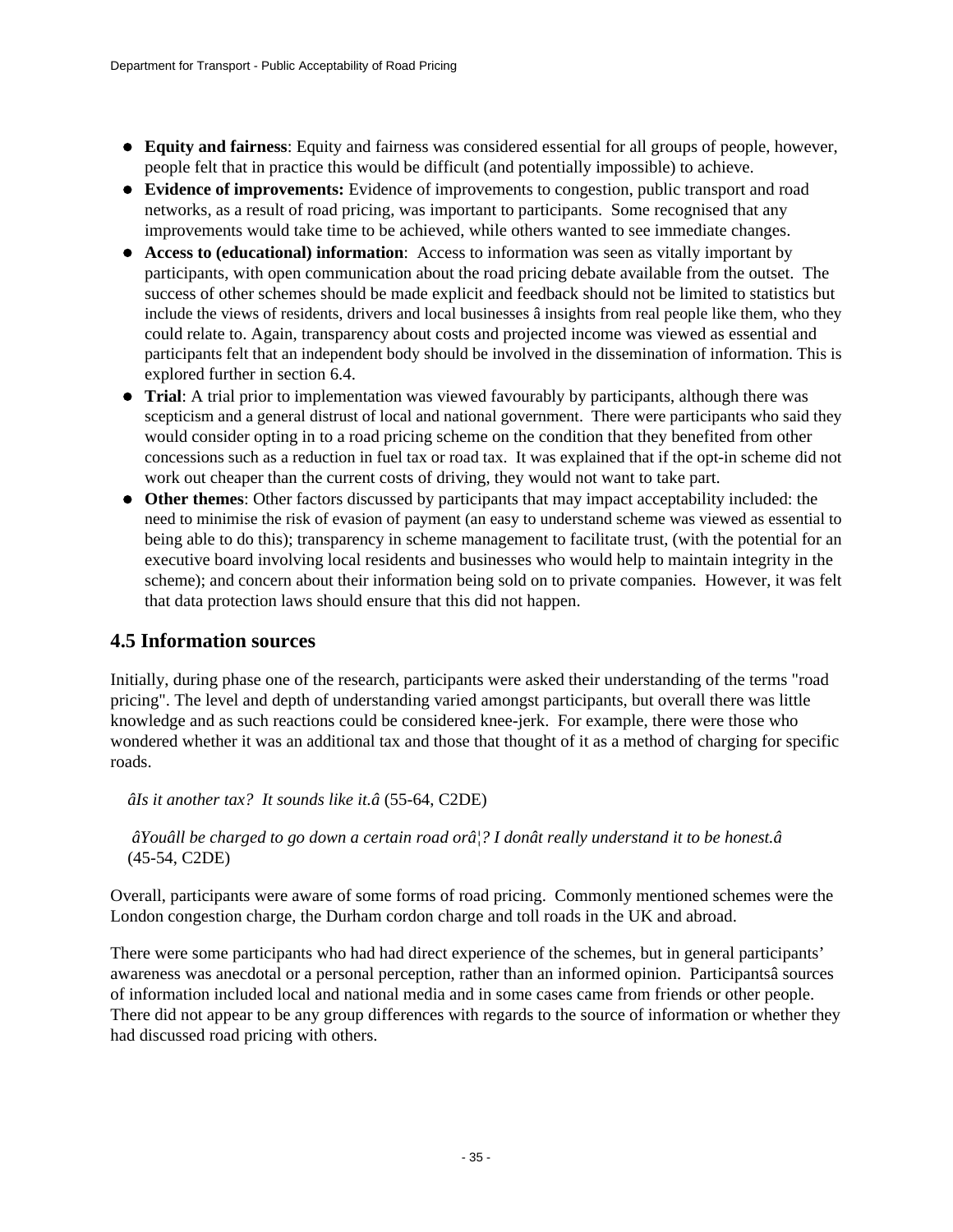- **Equity and fairness**: Equity and fairness was considered essential for all groups of people, however, people felt that in practice this would be difficult (and potentially impossible) to achieve.
- **Evidence of improvements:** Evidence of improvements to congestion, public transport and road networks, as a result of road pricing, was important to participants. Some recognised that any improvements would take time to be achieved, while others wanted to see immediate changes.
- **Access to (educational) information**: Access to information was seen as vitally important by participants, with open communication about the road pricing debate available from the outset. The success of other schemes should be made explicit and feedback should not be limited to statistics but include the views of residents, drivers and local businesses â insights from real people like them, who they could relate to. Again, transparency about costs and projected income was viewed as essential and participants felt that an independent body should be involved in the dissemination of information. This is explored further in section 6.4.
- **Trial**: A trial prior to implementation was viewed favourably by participants, although there was scepticism and a general distrust of local and national government. There were participants who said they would consider opting in to a road pricing scheme on the condition that they benefited from other concessions such as a reduction in fuel tax or road tax. It was explained that if the opt-in scheme did not work out cheaper than the current costs of driving, they would not want to take part.
- **Other themes**: Other factors discussed by participants that may impact acceptability included: the need to minimise the risk of evasion of payment (an easy to understand scheme was viewed as essential to being able to do this); transparency in scheme management to facilitate trust, (with the potential for an executive board involving local residents and businesses who would help to maintain integrity in the scheme); and concern about their information being sold on to private companies. However, it was felt that data protection laws should ensure that this did not happen.

### **4.5 Information sources**

Initially, during phase one of the research, participants were asked their understanding of the terms "road pricing". The level and depth of understanding varied amongst participants, but overall there was little knowledge and as such reactions could be considered knee-jerk. For example, there were those who wondered whether it was an additional tax and those that thought of it as a method of charging for specific roads.

*âIs it another tax? It sounds like it.â* (55-64, C2DE)

### *âYouâll be charged to go down a certain road orâ¦? I donât really understand it to be honest.â* (45-54, C2DE)

Overall, participants were aware of some forms of road pricing. Commonly mentioned schemes were the London congestion charge, the Durham cordon charge and toll roads in the UK and abroad.

There were some participants who had had direct experience of the schemes, but in general participants' awareness was anecdotal or a personal perception, rather than an informed opinion. Participantsâ sources of information included local and national media and in some cases came from friends or other people. There did not appear to be any group differences with regards to the source of information or whether they had discussed road pricing with others.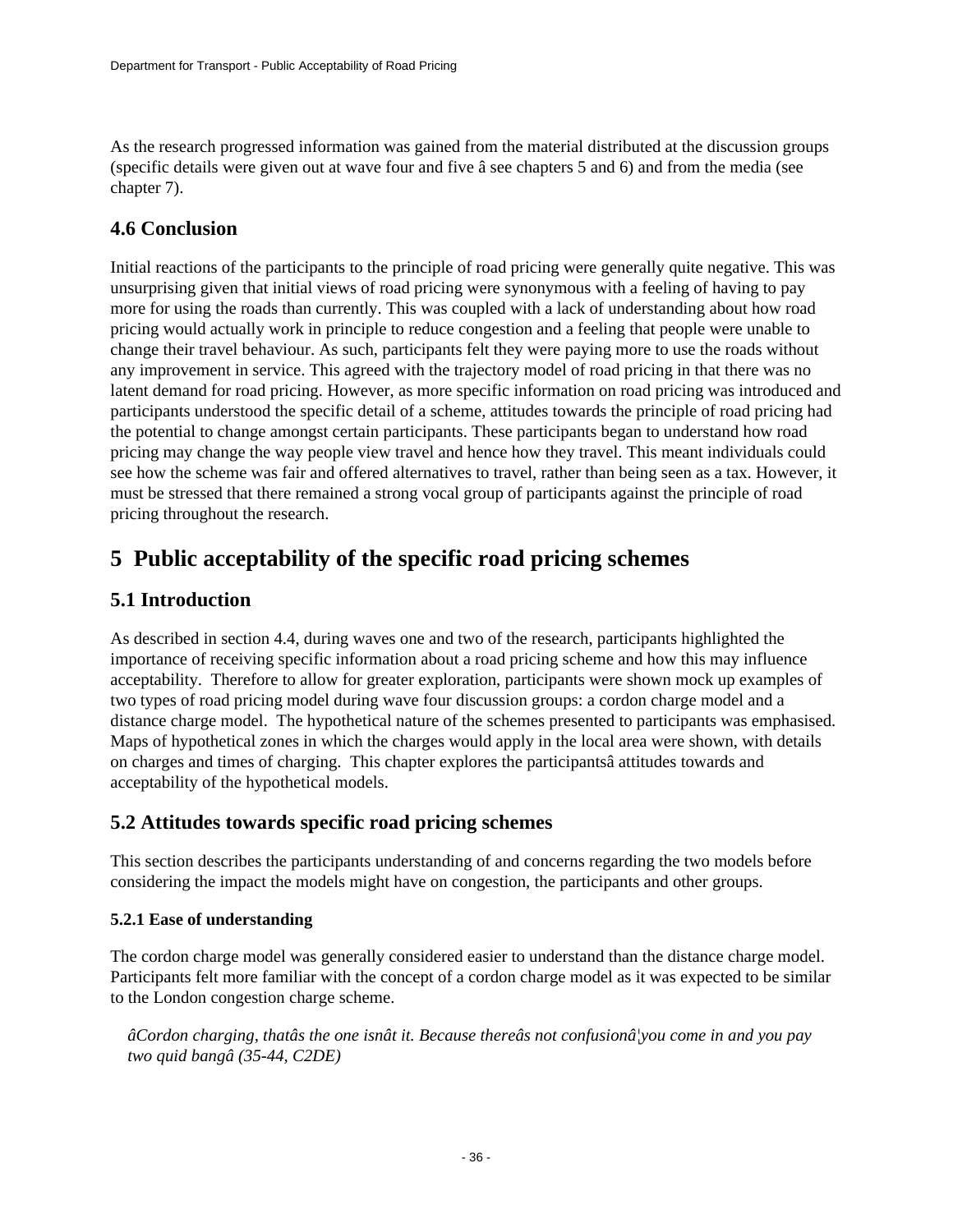As the research progressed information was gained from the material distributed at the discussion groups (specific details were given out at wave four and five â see chapters 5 and 6) and from the media (see chapter 7).

## **4.6 Conclusion**

Initial reactions of the participants to the principle of road pricing were generally quite negative. This was unsurprising given that initial views of road pricing were synonymous with a feeling of having to pay more for using the roads than currently. This was coupled with a lack of understanding about how road pricing would actually work in principle to reduce congestion and a feeling that people were unable to change their travel behaviour. As such, participants felt they were paying more to use the roads without any improvement in service. This agreed with the trajectory model of road pricing in that there was no latent demand for road pricing. However, as more specific information on road pricing was introduced and participants understood the specific detail of a scheme, attitudes towards the principle of road pricing had the potential to change amongst certain participants. These participants began to understand how road pricing may change the way people view travel and hence how they travel. This meant individuals could see how the scheme was fair and offered alternatives to travel, rather than being seen as a tax. However, it must be stressed that there remained a strong vocal group of participants against the principle of road pricing throughout the research.

# <span id="page-35-0"></span>**5 Public acceptability of the specific road pricing schemes**

## **5.1 Introduction**

As described in section 4.4, during waves one and two of the research, participants highlighted the importance of receiving specific information about a road pricing scheme and how this may influence acceptability. Therefore to allow for greater exploration, participants were shown mock up examples of two types of road pricing model during wave four discussion groups: a cordon charge model and a distance charge model. The hypothetical nature of the schemes presented to participants was emphasised. Maps of hypothetical zones in which the charges would apply in the local area were shown, with details on charges and times of charging. This chapter explores the participantsâ attitudes towards and acceptability of the hypothetical models.

## **5.2 Attitudes towards specific road pricing schemes**

This section describes the participants understanding of and concerns regarding the two models before considering the impact the models might have on congestion, the participants and other groups.

### **5.2.1 Ease of understanding**

The cordon charge model was generally considered easier to understand than the distance charge model. Participants felt more familiar with the concept of a cordon charge model as it was expected to be similar to the London congestion charge scheme.

*âCordon charging, thatâs the one isnât it. Because thereâs not confusionâ¦you come in and you pay two quid bangâ (35-44, C2DE)*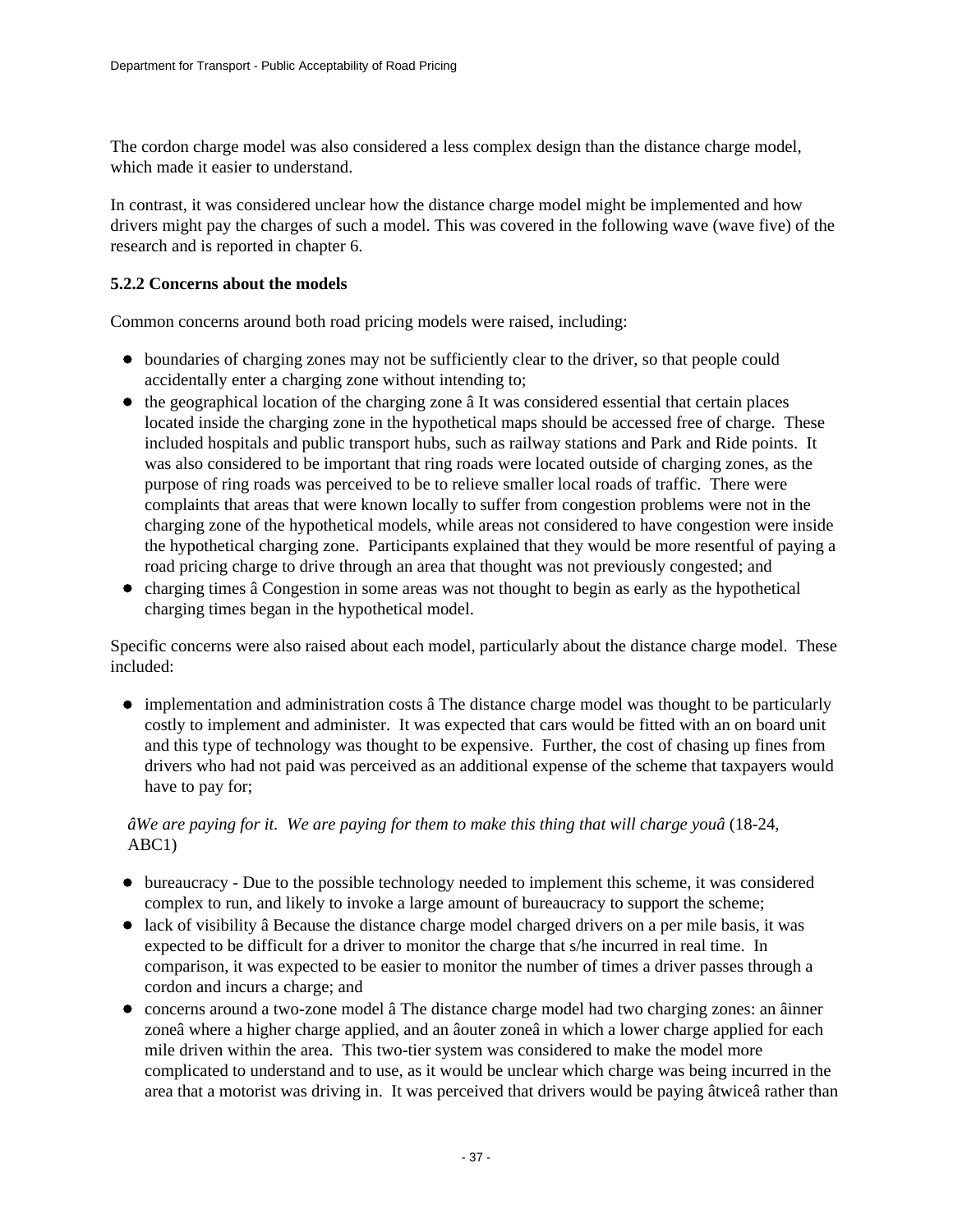The cordon charge model was also considered a less complex design than the distance charge model, which made it easier to understand.

In contrast, it was considered unclear how the distance charge model might be implemented and how drivers might pay the charges of such a model. This was covered in the following wave (wave five) of the research and is reported in chapter 6.

### **5.2.2 Concerns about the models**

Common concerns around both road pricing models were raised, including:

- boundaries of charging zones may not be sufficiently clear to the driver, so that people could accidentally enter a charging zone without intending to;
- $\bullet$  the geographical location of the charging zone  $\hat{a}$  It was considered essential that certain places located inside the charging zone in the hypothetical maps should be accessed free of charge. These included hospitals and public transport hubs, such as railway stations and Park and Ride points. It was also considered to be important that ring roads were located outside of charging zones, as the purpose of ring roads was perceived to be to relieve smaller local roads of traffic. There were complaints that areas that were known locally to suffer from congestion problems were not in the charging zone of the hypothetical models, while areas not considered to have congestion were inside the hypothetical charging zone. Participants explained that they would be more resentful of paying a road pricing charge to drive through an area that thought was not previously congested; and
- $\bullet$  charging times â Congestion in some areas was not thought to begin as early as the hypothetical charging times began in the hypothetical model.

Specific concerns were also raised about each model, particularly about the distance charge model. These included:

• implementation and administration costs â The distance charge model was thought to be particularly costly to implement and administer. It was expected that cars would be fitted with an on board unit and this type of technology was thought to be expensive. Further, the cost of chasing up fines from drivers who had not paid was perceived as an additional expense of the scheme that taxpayers would have to pay for;

### *âWe are paying for it. We are paying for them to make this thing that will charge youâ* (18-24, ABC1)

- bureaucracy Due to the possible technology needed to implement this scheme, it was considered complex to run, and likely to invoke a large amount of bureaucracy to support the scheme;
- lack of visibility â Because the distance charge model charged drivers on a per mile basis, it was expected to be difficult for a driver to monitor the charge that s/he incurred in real time. In comparison, it was expected to be easier to monitor the number of times a driver passes through a cordon and incurs a charge; and
- concerns around a two-zone model â The distance charge model had two charging zones: an âinner zoneâ where a higher charge applied, and an âouter zoneâ in which a lower charge applied for each mile driven within the area. This two-tier system was considered to make the model more complicated to understand and to use, as it would be unclear which charge was being incurred in the area that a motorist was driving in. It was perceived that drivers would be paying âtwiceâ rather than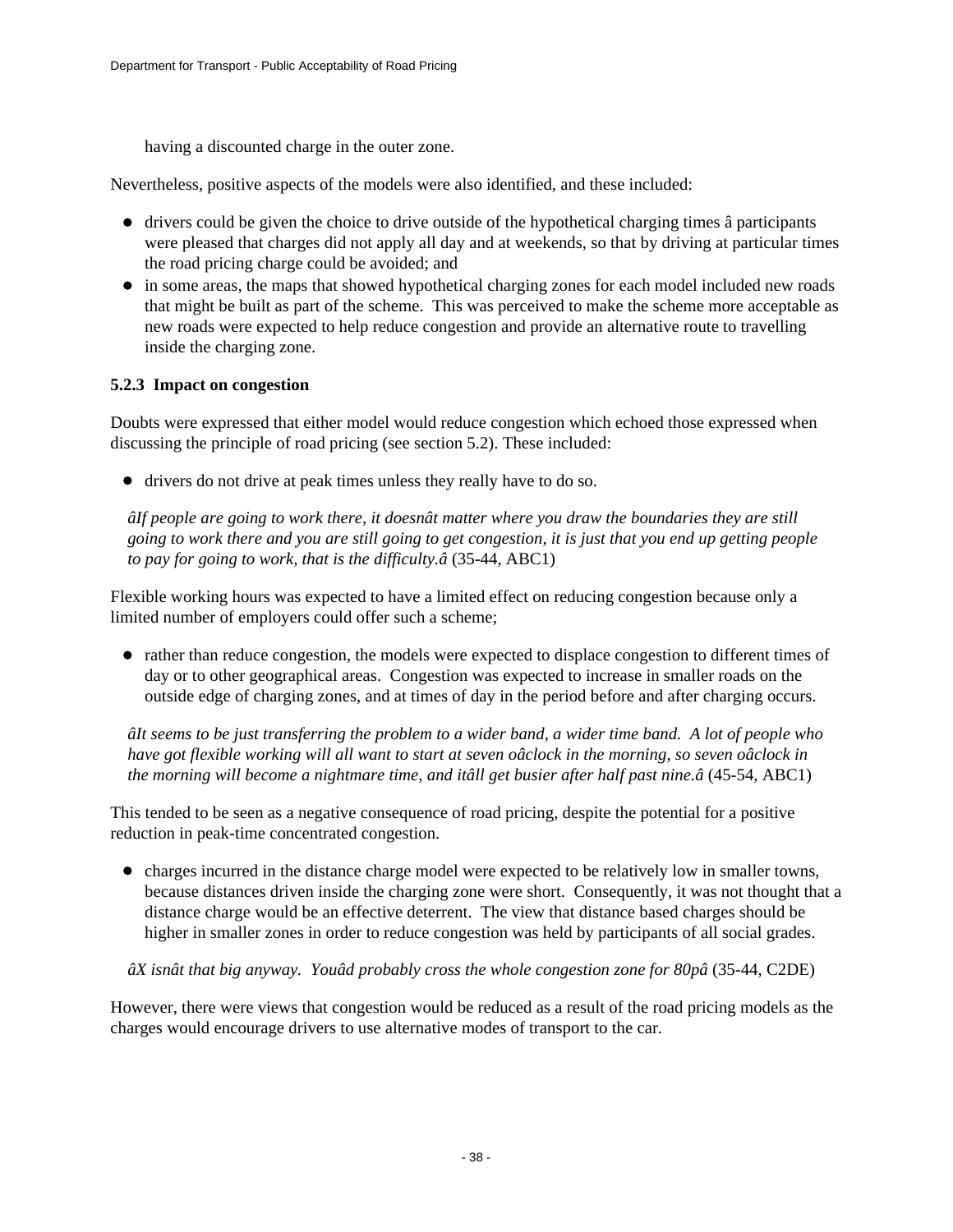having a discounted charge in the outer zone.

Nevertheless, positive aspects of the models were also identified, and these included:

- drivers could be given the choice to drive outside of the hypothetical charging times â participants were pleased that charges did not apply all day and at weekends, so that by driving at particular times the road pricing charge could be avoided; and
- in some areas, the maps that showed hypothetical charging zones for each model included new roads that might be built as part of the scheme. This was perceived to make the scheme more acceptable as new roads were expected to help reduce congestion and provide an alternative route to travelling inside the charging zone.

### **5.2.3 Impact on congestion**

Doubts were expressed that either model would reduce congestion which echoed those expressed when discussing the principle of road pricing (see section 5.2). These included:

drivers do not drive at peak times unless they really have to do so.

*âIf people are going to work there, it doesnât matter where you draw the boundaries they are still going to work there and you are still going to get congestion, it is just that you end up getting people to pay for going to work, that is the difficulty.â* (35-44, ABC1)

Flexible working hours was expected to have a limited effect on reducing congestion because only a limited number of employers could offer such a scheme;

rather than reduce congestion, the models were expected to displace congestion to different times of day or to other geographical areas. Congestion was expected to increase in smaller roads on the outside edge of charging zones, and at times of day in the period before and after charging occurs.

*âIt seems to be just transferring the problem to a wider band, a wider time band. A lot of people who have got flexible working will all want to start at seven oâclock in the morning, so seven oâclock in the morning will become a nightmare time, and itâll get busier after half past nine.â* (45-54, ABC1)

This tended to be seen as a negative consequence of road pricing, despite the potential for a positive reduction in peak-time concentrated congestion.

• charges incurred in the distance charge model were expected to be relatively low in smaller towns, because distances driven inside the charging zone were short. Consequently, it was not thought that a distance charge would be an effective deterrent. The view that distance based charges should be higher in smaller zones in order to reduce congestion was held by participants of all social grades.

*âX isnât that big anyway. Youâd probably cross the whole congestion zone for 80pâ* (35-44, C2DE)

However, there were views that congestion would be reduced as a result of the road pricing models as the charges would encourage drivers to use alternative modes of transport to the car.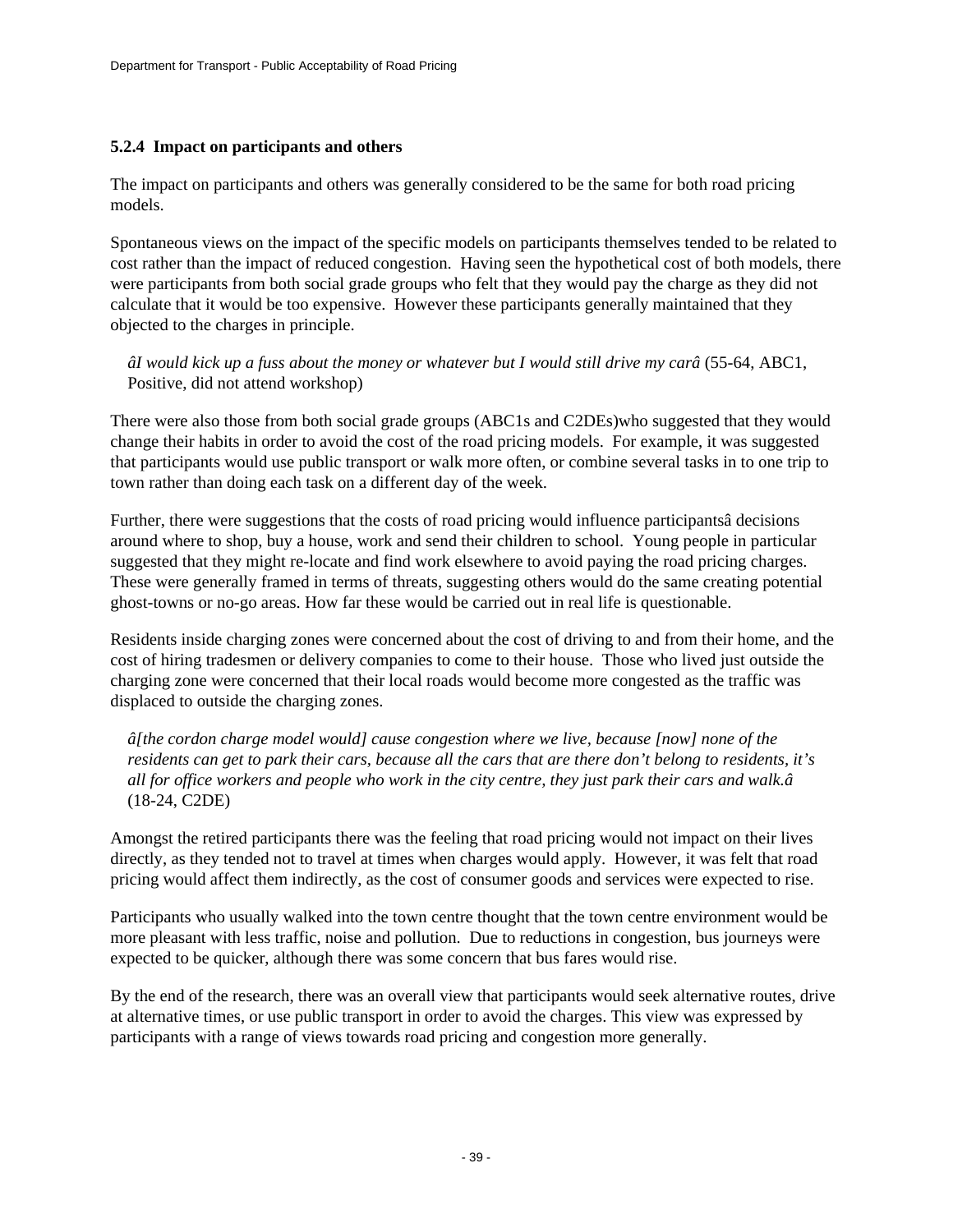### **5.2.4 Impact on participants and others**

The impact on participants and others was generally considered to be the same for both road pricing models.

Spontaneous views on the impact of the specific models on participants themselves tended to be related to cost rather than the impact of reduced congestion. Having seen the hypothetical cost of both models, there were participants from both social grade groups who felt that they would pay the charge as they did not calculate that it would be too expensive. However these participants generally maintained that they objected to the charges in principle.

*âI would kick up a fuss about the money or whatever but I would still drive my carâ* (55-64, ABC1, Positive, did not attend workshop)

There were also those from both social grade groups (ABC1s and C2DEs)who suggested that they would change their habits in order to avoid the cost of the road pricing models. For example, it was suggested that participants would use public transport or walk more often, or combine several tasks in to one trip to town rather than doing each task on a different day of the week.

Further, there were suggestions that the costs of road pricing would influence participantsâ decisions around where to shop, buy a house, work and send their children to school. Young people in particular suggested that they might re-locate and find work elsewhere to avoid paying the road pricing charges. These were generally framed in terms of threats, suggesting others would do the same creating potential ghost-towns or no-go areas. How far these would be carried out in real life is questionable.

Residents inside charging zones were concerned about the cost of driving to and from their home, and the cost of hiring tradesmen or delivery companies to come to their house. Those who lived just outside the charging zone were concerned that their local roads would become more congested as the traffic was displaced to outside the charging zones.

*â[the cordon charge model would] cause congestion where we live, because [now] none of the residents can get to park their cars, because all the cars that are there don't belong to residents, it's all for office workers and people who work in the city centre, they just park their cars and walk.â* (18-24, C2DE)

Amongst the retired participants there was the feeling that road pricing would not impact on their lives directly, as they tended not to travel at times when charges would apply. However, it was felt that road pricing would affect them indirectly, as the cost of consumer goods and services were expected to rise.

Participants who usually walked into the town centre thought that the town centre environment would be more pleasant with less traffic, noise and pollution. Due to reductions in congestion, bus journeys were expected to be quicker, although there was some concern that bus fares would rise.

By the end of the research, there was an overall view that participants would seek alternative routes, drive at alternative times, or use public transport in order to avoid the charges. This view was expressed by participants with a range of views towards road pricing and congestion more generally.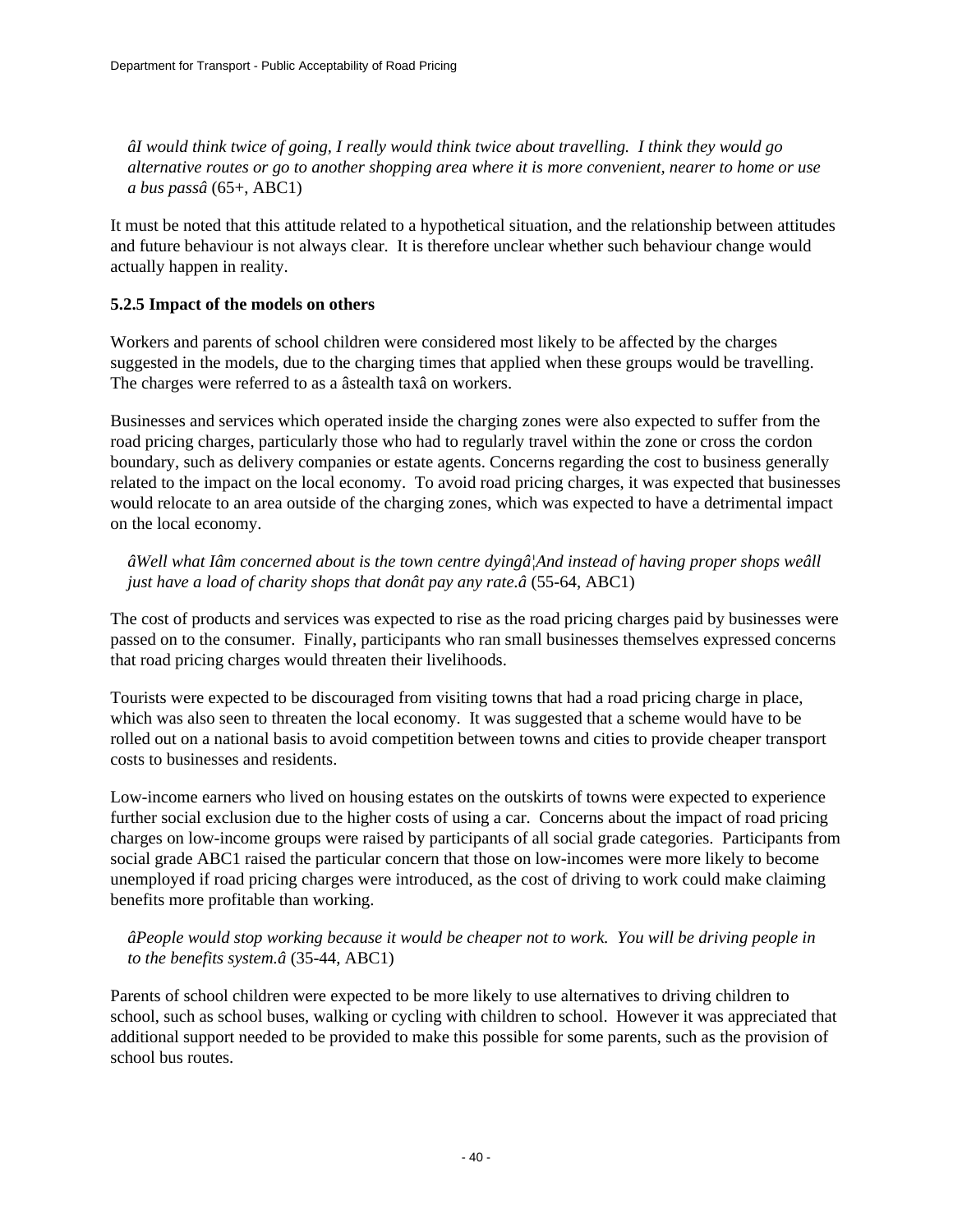*âI would think twice of going, I really would think twice about travelling. I think they would go alternative routes or go to another shopping area where it is more convenient, nearer to home or use a bus passâ* (65+, ABC1)

It must be noted that this attitude related to a hypothetical situation, and the relationship between attitudes and future behaviour is not always clear. It is therefore unclear whether such behaviour change would actually happen in reality.

### **5.2.5 Impact of the models on others**

Workers and parents of school children were considered most likely to be affected by the charges suggested in the models, due to the charging times that applied when these groups would be travelling. The charges were referred to as a âstealth taxâ on workers.

Businesses and services which operated inside the charging zones were also expected to suffer from the road pricing charges, particularly those who had to regularly travel within the zone or cross the cordon boundary, such as delivery companies or estate agents. Concerns regarding the cost to business generally related to the impact on the local economy. To avoid road pricing charges, it was expected that businesses would relocate to an area outside of the charging zones, which was expected to have a detrimental impact on the local economy.

*âWell what Iâm concerned about is the town centre dyingâ¦And instead of having proper shops weâll just have a load of charity shops that donât pay any rate.â* (55-64, ABC1)

The cost of products and services was expected to rise as the road pricing charges paid by businesses were passed on to the consumer. Finally, participants who ran small businesses themselves expressed concerns that road pricing charges would threaten their livelihoods.

Tourists were expected to be discouraged from visiting towns that had a road pricing charge in place, which was also seen to threaten the local economy. It was suggested that a scheme would have to be rolled out on a national basis to avoid competition between towns and cities to provide cheaper transport costs to businesses and residents.

Low-income earners who lived on housing estates on the outskirts of towns were expected to experience further social exclusion due to the higher costs of using a car. Concerns about the impact of road pricing charges on low-income groups were raised by participants of all social grade categories. Participants from social grade ABC1 raised the particular concern that those on low-incomes were more likely to become unemployed if road pricing charges were introduced, as the cost of driving to work could make claiming benefits more profitable than working.

### *âPeople would stop working because it would be cheaper not to work. You will be driving people in to the benefits system.â* (35-44, ABC1)

Parents of school children were expected to be more likely to use alternatives to driving children to school, such as school buses, walking or cycling with children to school. However it was appreciated that additional support needed to be provided to make this possible for some parents, such as the provision of school bus routes.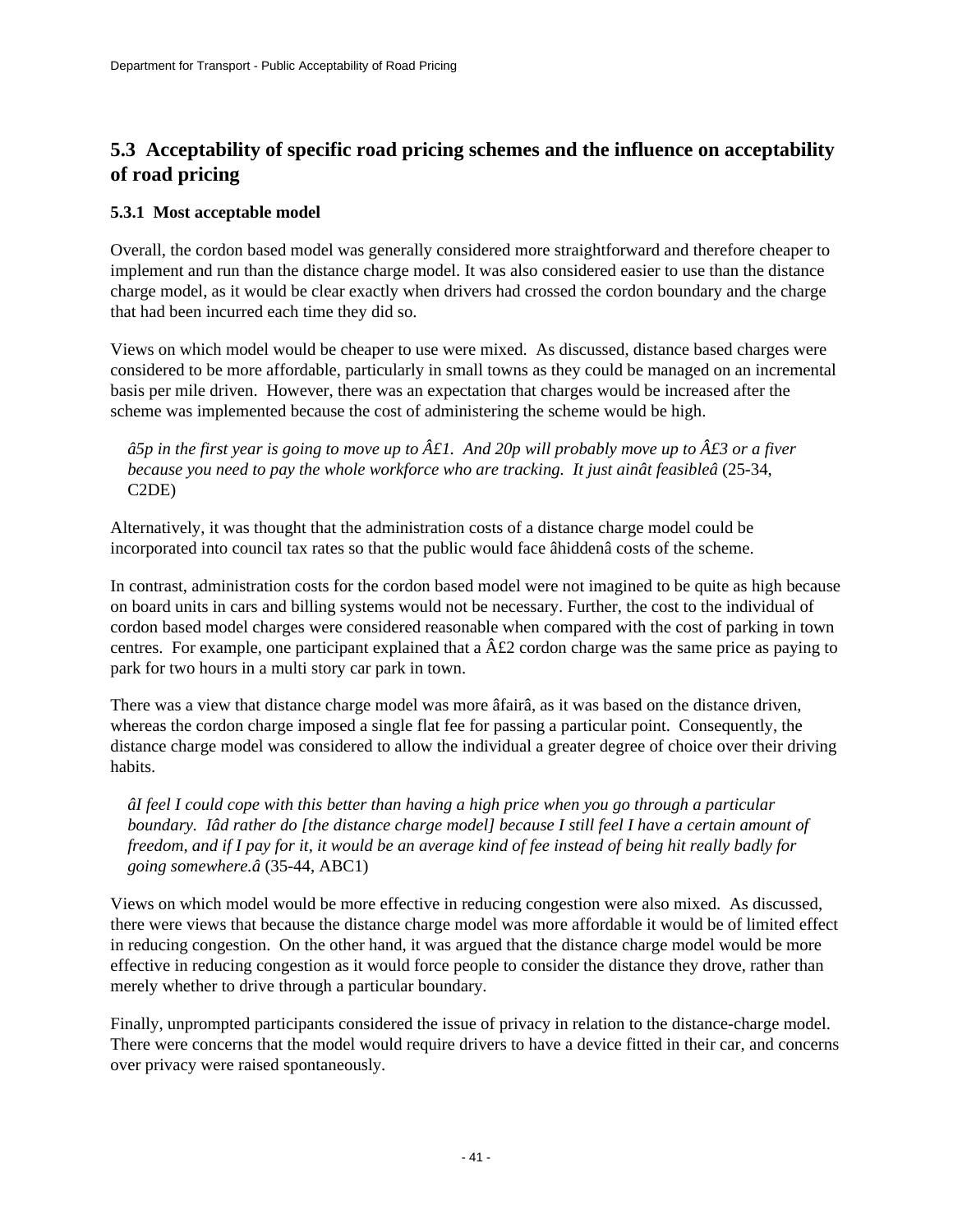## **5.3 Acceptability of specific road pricing schemes and the influence on acceptability of road pricing**

### **5.3.1 Most acceptable model**

Overall, the cordon based model was generally considered more straightforward and therefore cheaper to implement and run than the distance charge model. It was also considered easier to use than the distance charge model, as it would be clear exactly when drivers had crossed the cordon boundary and the charge that had been incurred each time they did so.

Views on which model would be cheaper to use were mixed. As discussed, distance based charges were considered to be more affordable, particularly in small towns as they could be managed on an incremental basis per mile driven. However, there was an expectation that charges would be increased after the scheme was implemented because the cost of administering the scheme would be high.

*â5p in the first year is going to move up to*  $\hat{A}\hat{\mathcal{L}}$  *And 20p will probably move up to*  $\hat{A}\hat{\mathcal{L}}$  *3 or a fiver because you need to pay the whole workforce who are tracking. It just ainât feasibleâ* (25-34, C2DE)

Alternatively, it was thought that the administration costs of a distance charge model could be incorporated into council tax rates so that the public would face âhiddenâ costs of the scheme.

In contrast, administration costs for the cordon based model were not imagined to be quite as high because on board units in cars and billing systems would not be necessary. Further, the cost to the individual of cordon based model charges were considered reasonable when compared with the cost of parking in town centres. For example, one participant explained that a  $\hat{A} \hat{\mathcal{L}} 2$  cordon charge was the same price as paying to park for two hours in a multi story car park in town.

There was a view that distance charge model was more âfairâ, as it was based on the distance driven, whereas the cordon charge imposed a single flat fee for passing a particular point. Consequently, the distance charge model was considered to allow the individual a greater degree of choice over their driving habits.

*âI feel I could cope with this better than having a high price when you go through a particular boundary. Iâd rather do [the distance charge model] because I still feel I have a certain amount of freedom, and if I pay for it, it would be an average kind of fee instead of being hit really badly for going somewhere.â* (35-44, ABC1)

Views on which model would be more effective in reducing congestion were also mixed. As discussed, there were views that because the distance charge model was more affordable it would be of limited effect in reducing congestion. On the other hand, it was argued that the distance charge model would be more effective in reducing congestion as it would force people to consider the distance they drove, rather than merely whether to drive through a particular boundary.

Finally, unprompted participants considered the issue of privacy in relation to the distance-charge model. There were concerns that the model would require drivers to have a device fitted in their car, and concerns over privacy were raised spontaneously.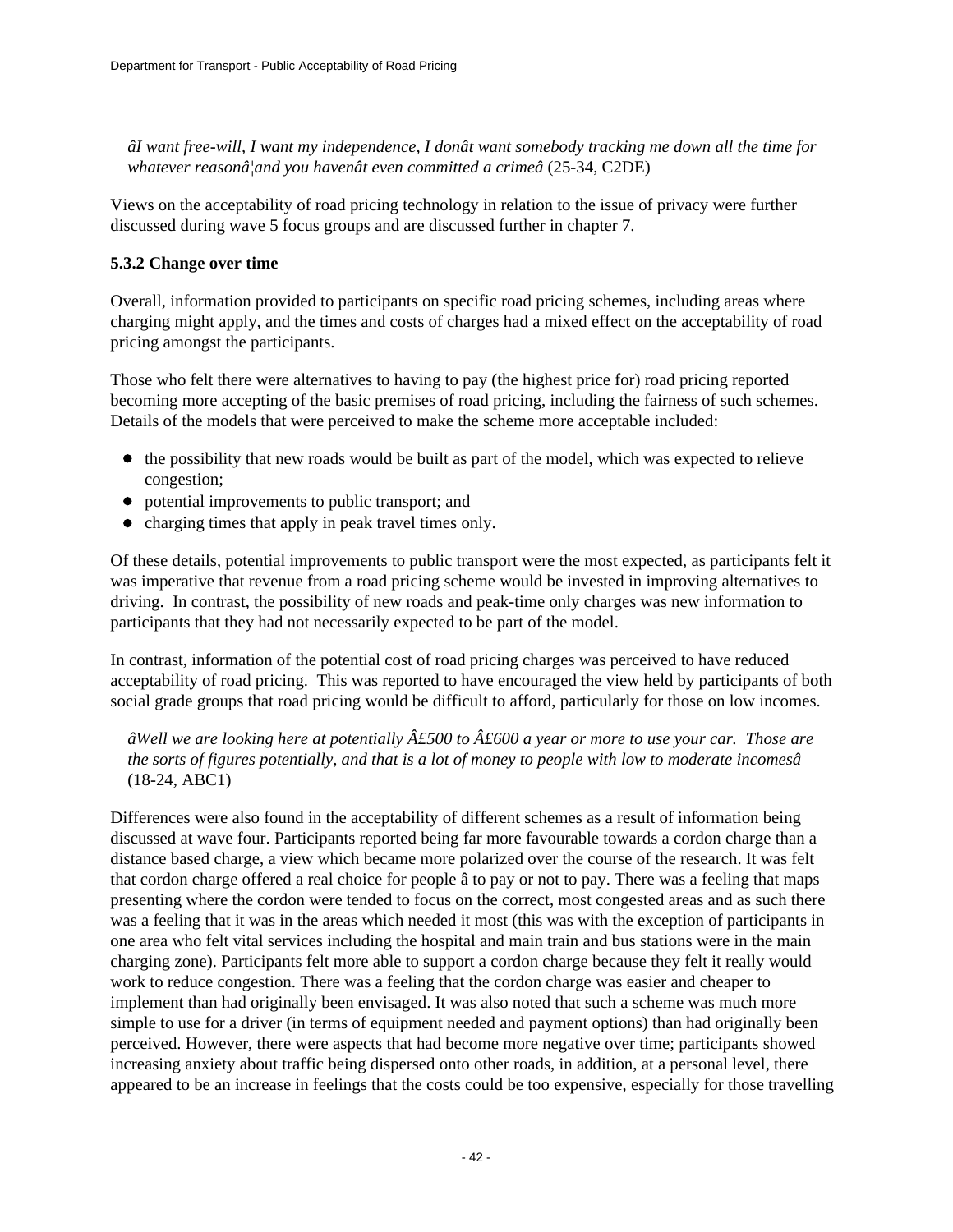*âI want free-will, I want my independence, I donât want somebody tracking me down all the time for whatever reasonâ¦and you havenât even committed a crimeâ* (25-34, C2DE)

Views on the acceptability of road pricing technology in relation to the issue of privacy were further discussed during wave 5 focus groups and are discussed further in chapter 7.

### **5.3.2 Change over time**

Overall, information provided to participants on specific road pricing schemes, including areas where charging might apply, and the times and costs of charges had a mixed effect on the acceptability of road pricing amongst the participants.

Those who felt there were alternatives to having to pay (the highest price for) road pricing reported becoming more accepting of the basic premises of road pricing, including the fairness of such schemes. Details of the models that were perceived to make the scheme more acceptable included:

- $\bullet$  the possibility that new roads would be built as part of the model, which was expected to relieve congestion;
- potential improvements to public transport; and
- $\bullet$  charging times that apply in peak travel times only.

Of these details, potential improvements to public transport were the most expected, as participants felt it was imperative that revenue from a road pricing scheme would be invested in improving alternatives to driving. In contrast, the possibility of new roads and peak-time only charges was new information to participants that they had not necessarily expected to be part of the model.

In contrast, information of the potential cost of road pricing charges was perceived to have reduced acceptability of road pricing. This was reported to have encouraged the view held by participants of both social grade groups that road pricing would be difficult to afford, particularly for those on low incomes.

*âWell we are looking here at potentially £500 to £600 a year or more to use your car. Those are the sorts of figures potentially, and that is a lot of money to people with low to moderate incomesâ* (18-24, ABC1)

Differences were also found in the acceptability of different schemes as a result of information being discussed at wave four. Participants reported being far more favourable towards a cordon charge than a distance based charge, a view which became more polarized over the course of the research. It was felt that cordon charge offered a real choice for people â to pay or not to pay. There was a feeling that maps presenting where the cordon were tended to focus on the correct, most congested areas and as such there was a feeling that it was in the areas which needed it most (this was with the exception of participants in one area who felt vital services including the hospital and main train and bus stations were in the main charging zone). Participants felt more able to support a cordon charge because they felt it really would work to reduce congestion. There was a feeling that the cordon charge was easier and cheaper to implement than had originally been envisaged. It was also noted that such a scheme was much more simple to use for a driver (in terms of equipment needed and payment options) than had originally been perceived. However, there were aspects that had become more negative over time; participants showed increasing anxiety about traffic being dispersed onto other roads, in addition, at a personal level, there appeared to be an increase in feelings that the costs could be too expensive, especially for those travelling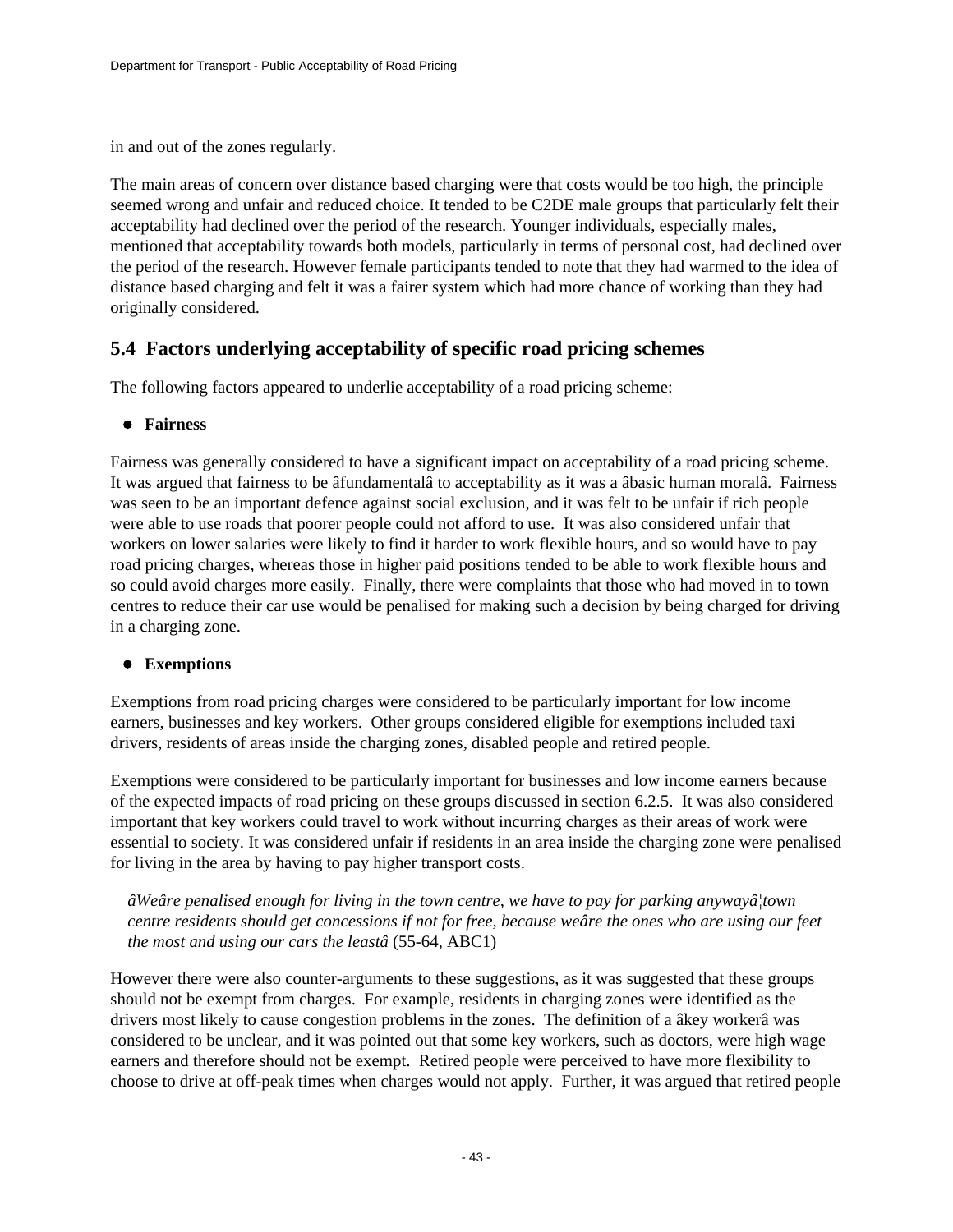in and out of the zones regularly.

The main areas of concern over distance based charging were that costs would be too high, the principle seemed wrong and unfair and reduced choice. It tended to be C2DE male groups that particularly felt their acceptability had declined over the period of the research. Younger individuals, especially males, mentioned that acceptability towards both models, particularly in terms of personal cost, had declined over the period of the research. However female participants tended to note that they had warmed to the idea of distance based charging and felt it was a fairer system which had more chance of working than they had originally considered.

## **5.4 Factors underlying acceptability of specific road pricing schemes**

The following factors appeared to underlie acceptability of a road pricing scheme:

### **Fairness**

Fairness was generally considered to have a significant impact on acceptability of a road pricing scheme. It was argued that fairness to be âfundamentalâ to acceptability as it was a âbasic human moralâ. Fairness was seen to be an important defence against social exclusion, and it was felt to be unfair if rich people were able to use roads that poorer people could not afford to use. It was also considered unfair that workers on lower salaries were likely to find it harder to work flexible hours, and so would have to pay road pricing charges, whereas those in higher paid positions tended to be able to work flexible hours and so could avoid charges more easily. Finally, there were complaints that those who had moved in to town centres to reduce their car use would be penalised for making such a decision by being charged for driving in a charging zone.

### **Exemptions**

Exemptions from road pricing charges were considered to be particularly important for low income earners, businesses and key workers. Other groups considered eligible for exemptions included taxi drivers, residents of areas inside the charging zones, disabled people and retired people.

Exemptions were considered to be particularly important for businesses and low income earners because of the expected impacts of road pricing on these groups discussed in section 6.2.5. It was also considered important that key workers could travel to work without incurring charges as their areas of work were essential to society. It was considered unfair if residents in an area inside the charging zone were penalised for living in the area by having to pay higher transport costs.

*âWeâre penalised enough for living in the town centre, we have to pay for parking anywayâ¦town centre residents should get concessions if not for free, because weâre the ones who are using our feet the most and using our cars the leastâ* (55-64, ABC1)

However there were also counter-arguments to these suggestions, as it was suggested that these groups should not be exempt from charges. For example, residents in charging zones were identified as the drivers most likely to cause congestion problems in the zones. The definition of a âkey workerâ was considered to be unclear, and it was pointed out that some key workers, such as doctors, were high wage earners and therefore should not be exempt. Retired people were perceived to have more flexibility to choose to drive at off-peak times when charges would not apply. Further, it was argued that retired people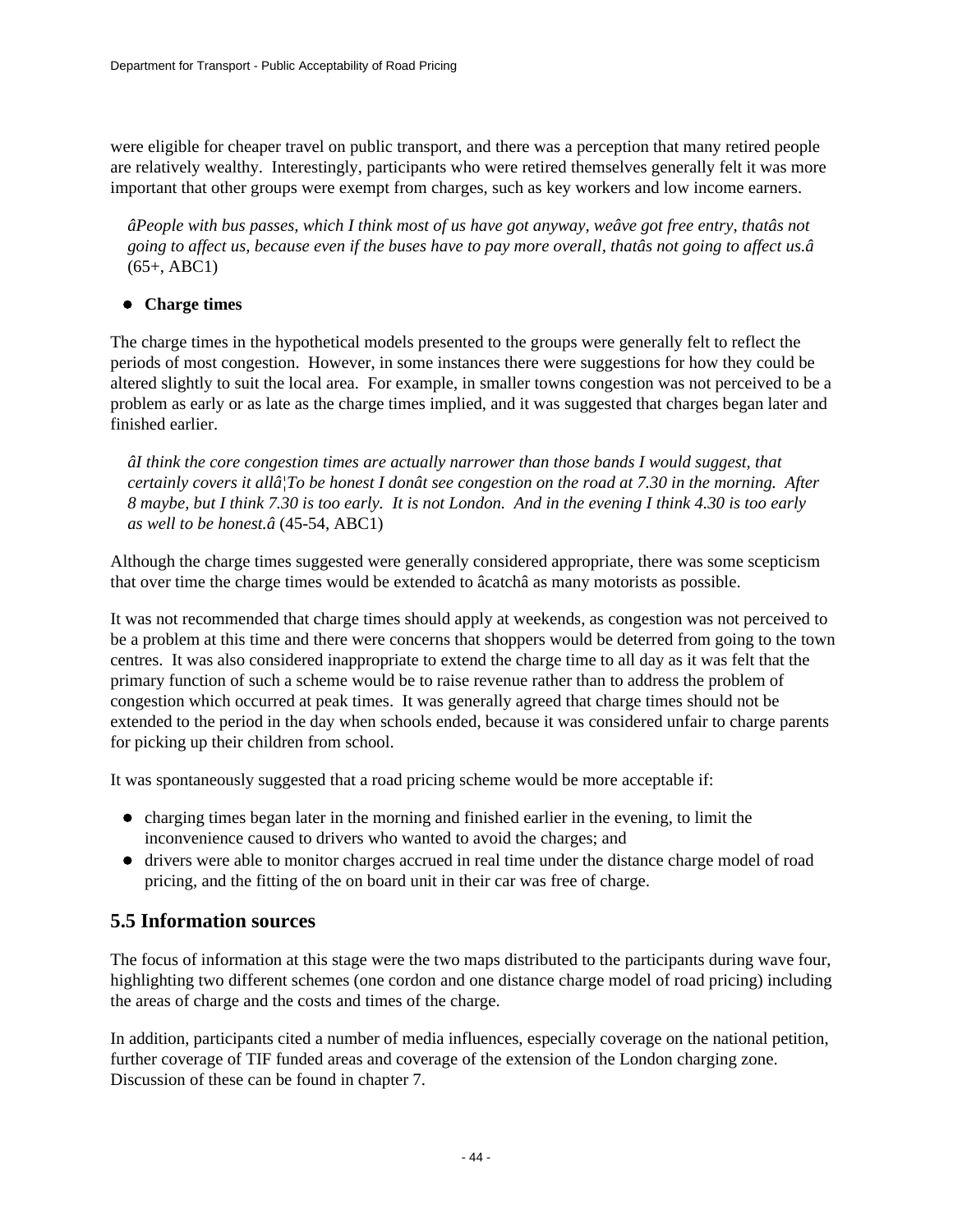were eligible for cheaper travel on public transport, and there was a perception that many retired people are relatively wealthy. Interestingly, participants who were retired themselves generally felt it was more important that other groups were exempt from charges, such as key workers and low income earners.

*âPeople with bus passes, which I think most of us have got anyway, weâve got free entry, thatâs not going to affect us, because even if the buses have to pay more overall, thatâs not going to affect us.â* (65+, ABC1)

### **Charge times**

The charge times in the hypothetical models presented to the groups were generally felt to reflect the periods of most congestion. However, in some instances there were suggestions for how they could be altered slightly to suit the local area. For example, in smaller towns congestion was not perceived to be a problem as early or as late as the charge times implied, and it was suggested that charges began later and finished earlier.

*âI think the core congestion times are actually narrower than those bands I would suggest, that certainly covers it allâ¦To be honest I donât see congestion on the road at 7.30 in the morning. After 8 maybe, but I think 7.30 is too early. It is not London. And in the evening I think 4.30 is too early as well to be honest.â* (45-54, ABC1)

Although the charge times suggested were generally considered appropriate, there was some scepticism that over time the charge times would be extended to âcatchâ as many motorists as possible.

It was not recommended that charge times should apply at weekends, as congestion was not perceived to be a problem at this time and there were concerns that shoppers would be deterred from going to the town centres. It was also considered inappropriate to extend the charge time to all day as it was felt that the primary function of such a scheme would be to raise revenue rather than to address the problem of congestion which occurred at peak times. It was generally agreed that charge times should not be extended to the period in the day when schools ended, because it was considered unfair to charge parents for picking up their children from school.

It was spontaneously suggested that a road pricing scheme would be more acceptable if:

- charging times began later in the morning and finished earlier in the evening, to limit the inconvenience caused to drivers who wanted to avoid the charges; and
- drivers were able to monitor charges accrued in real time under the distance charge model of road pricing, and the fitting of the on board unit in their car was free of charge.

### **5.5 Information sources**

The focus of information at this stage were the two maps distributed to the participants during wave four, highlighting two different schemes (one cordon and one distance charge model of road pricing) including the areas of charge and the costs and times of the charge.

In addition, participants cited a number of media influences, especially coverage on the national petition, further coverage of TIF funded areas and coverage of the extension of the London charging zone. Discussion of these can be found in chapter 7.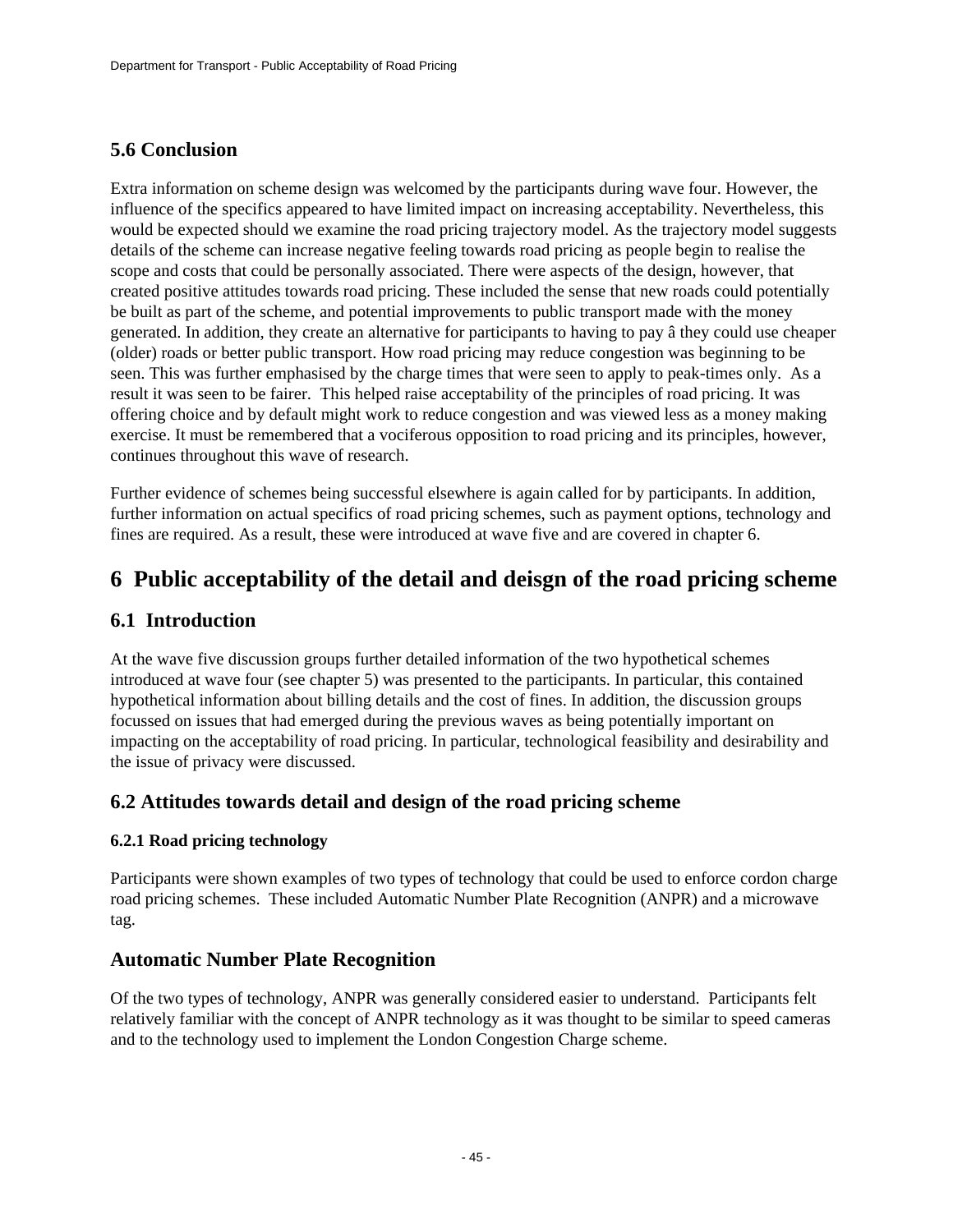## **5.6 Conclusion**

Extra information on scheme design was welcomed by the participants during wave four. However, the influence of the specifics appeared to have limited impact on increasing acceptability. Nevertheless, this would be expected should we examine the road pricing trajectory model. As the trajectory model suggests details of the scheme can increase negative feeling towards road pricing as people begin to realise the scope and costs that could be personally associated. There were aspects of the design, however, that created positive attitudes towards road pricing. These included the sense that new roads could potentially be built as part of the scheme, and potential improvements to public transport made with the money generated. In addition, they create an alternative for participants to having to pay â they could use cheaper (older) roads or better public transport. How road pricing may reduce congestion was beginning to be seen. This was further emphasised by the charge times that were seen to apply to peak-times only. As a result it was seen to be fairer. This helped raise acceptability of the principles of road pricing. It was offering choice and by default might work to reduce congestion and was viewed less as a money making exercise. It must be remembered that a vociferous opposition to road pricing and its principles, however, continues throughout this wave of research.

Further evidence of schemes being successful elsewhere is again called for by participants. In addition, further information on actual specifics of road pricing schemes, such as payment options, technology and fines are required. As a result, these were introduced at wave five and are covered in chapter 6.

## **6 Public acceptability of the detail and deisgn of the road pricing scheme**

### **6.1 Introduction**

At the wave five discussion groups further detailed information of the two hypothetical schemes introduced at wave four (see chapter 5) was presented to the participants. In particular, this contained hypothetical information about billing details and the cost of fines. In addition, the discussion groups focussed on issues that had emerged during the previous waves as being potentially important on impacting on the acceptability of road pricing. In particular, technological feasibility and desirability and the issue of privacy were discussed.

### **6.2 Attitudes towards detail and design of the road pricing scheme**

### **6.2.1 Road pricing technology**

Participants were shown examples of two types of technology that could be used to enforce cordon charge road pricing schemes. These included Automatic Number Plate Recognition (ANPR) and a microwave tag.

### **Automatic Number Plate Recognition**

Of the two types of technology, ANPR was generally considered easier to understand. Participants felt relatively familiar with the concept of ANPR technology as it was thought to be similar to speed cameras and to the technology used to implement the London Congestion Charge scheme.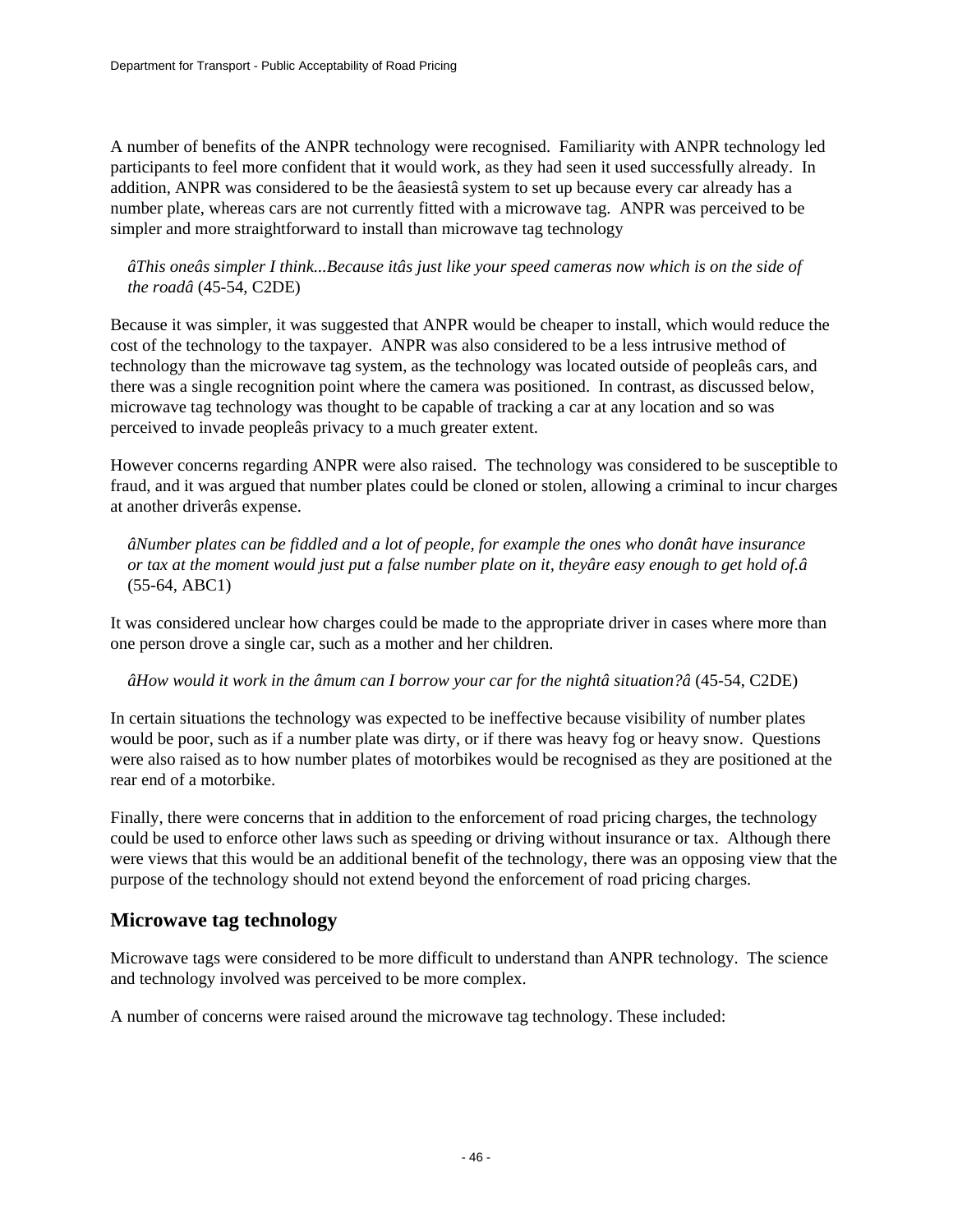A number of benefits of the ANPR technology were recognised. Familiarity with ANPR technology led participants to feel more confident that it would work, as they had seen it used successfully already. In addition, ANPR was considered to be the âeasiestâ system to set up because every car already has a number plate, whereas cars are not currently fitted with a microwave tag. ANPR was perceived to be simpler and more straightforward to install than microwave tag technology

*âThis oneâs simpler I think...Because itâs just like your speed cameras now which is on the side of the roadâ* (45-54, C2DE)

Because it was simpler, it was suggested that ANPR would be cheaper to install, which would reduce the cost of the technology to the taxpayer. ANPR was also considered to be a less intrusive method of technology than the microwave tag system, as the technology was located outside of peopleâs cars, and there was a single recognition point where the camera was positioned. In contrast, as discussed below, microwave tag technology was thought to be capable of tracking a car at any location and so was perceived to invade peopleâs privacy to a much greater extent.

However concerns regarding ANPR were also raised. The technology was considered to be susceptible to fraud, and it was argued that number plates could be cloned or stolen, allowing a criminal to incur charges at another driverâs expense.

*âNumber plates can be fiddled and a lot of people, for example the ones who donât have insurance or tax at the moment would just put a false number plate on it, theyâre easy enough to get hold of.â* (55-64, ABC1)

It was considered unclear how charges could be made to the appropriate driver in cases where more than one person drove a single car, such as a mother and her children.

*âHow would it work in the âmum can I borrow your car for the nightâ situation?â* (45-54, C2DE)

In certain situations the technology was expected to be ineffective because visibility of number plates would be poor, such as if a number plate was dirty, or if there was heavy fog or heavy snow. Questions were also raised as to how number plates of motorbikes would be recognised as they are positioned at the rear end of a motorbike.

Finally, there were concerns that in addition to the enforcement of road pricing charges, the technology could be used to enforce other laws such as speeding or driving without insurance or tax. Although there were views that this would be an additional benefit of the technology, there was an opposing view that the purpose of the technology should not extend beyond the enforcement of road pricing charges.

## **Microwave tag technology**

Microwave tags were considered to be more difficult to understand than ANPR technology. The science and technology involved was perceived to be more complex.

A number of concerns were raised around the microwave tag technology. These included: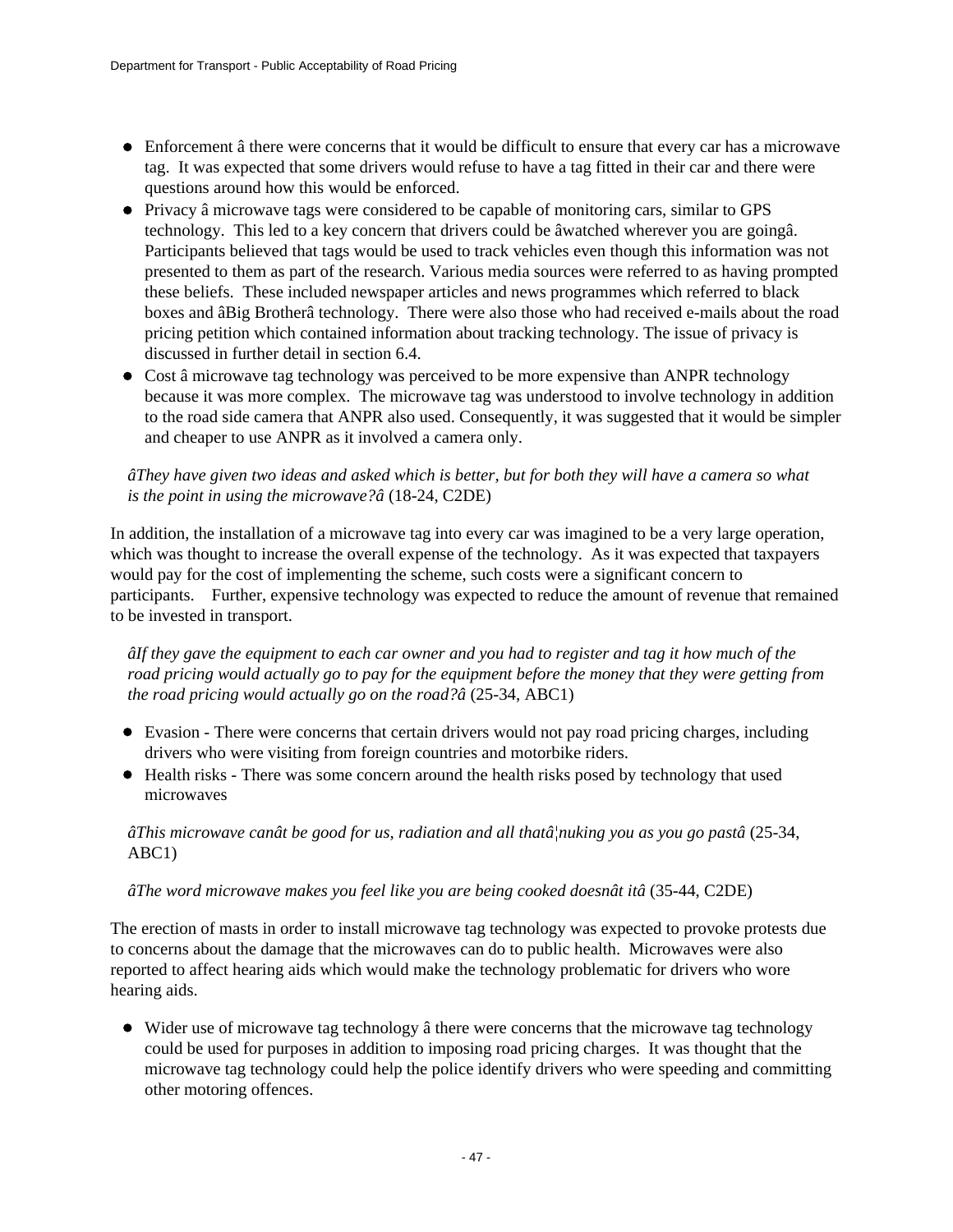- Enforcement â there were concerns that it would be difficult to ensure that every car has a microwave tag. It was expected that some drivers would refuse to have a tag fitted in their car and there were questions around how this would be enforced.
- Privacy â microwave tags were considered to be capable of monitoring cars, similar to GPS technology. This led to a key concern that drivers could be âwatched wherever you are goingâ. Participants believed that tags would be used to track vehicles even though this information was not presented to them as part of the research. Various media sources were referred to as having prompted these beliefs. These included newspaper articles and news programmes which referred to black boxes and âBig Brotherâ technology. There were also those who had received e-mails about the road pricing petition which contained information about tracking technology. The issue of privacy is discussed in further detail in section 6.4.
- Cost â microwave tag technology was perceived to be more expensive than ANPR technology because it was more complex. The microwave tag was understood to involve technology in addition to the road side camera that ANPR also used. Consequently, it was suggested that it would be simpler and cheaper to use ANPR as it involved a camera only.

### *âThey have given two ideas and asked which is better, but for both they will have a camera so what is the point in using the microwave?â* (18-24, C2DE)

In addition, the installation of a microwave tag into every car was imagined to be a very large operation, which was thought to increase the overall expense of the technology. As it was expected that taxpayers would pay for the cost of implementing the scheme, such costs were a significant concern to participants. Further, expensive technology was expected to reduce the amount of revenue that remained to be invested in transport.

*âIf they gave the equipment to each car owner and you had to register and tag it how much of the road pricing would actually go to pay for the equipment before the money that they were getting from the road pricing would actually go on the road?â* (25-34, ABC1)

- Evasion There were concerns that certain drivers would not pay road pricing charges, including drivers who were visiting from foreign countries and motorbike riders.
- Health risks There was some concern around the health risks posed by technology that used microwaves

*âThis microwave canât be good for us, radiation and all thatâ¦nuking you as you go pastâ* (25-34, ABC1)

### *âThe word microwave makes you feel like you are being cooked doesnât itâ* (35-44, C2DE)

The erection of masts in order to install microwave tag technology was expected to provoke protests due to concerns about the damage that the microwaves can do to public health. Microwaves were also reported to affect hearing aids which would make the technology problematic for drivers who wore hearing aids.

• Wider use of microwave tag technology â there were concerns that the microwave tag technology could be used for purposes in addition to imposing road pricing charges. It was thought that the microwave tag technology could help the police identify drivers who were speeding and committing other motoring offences.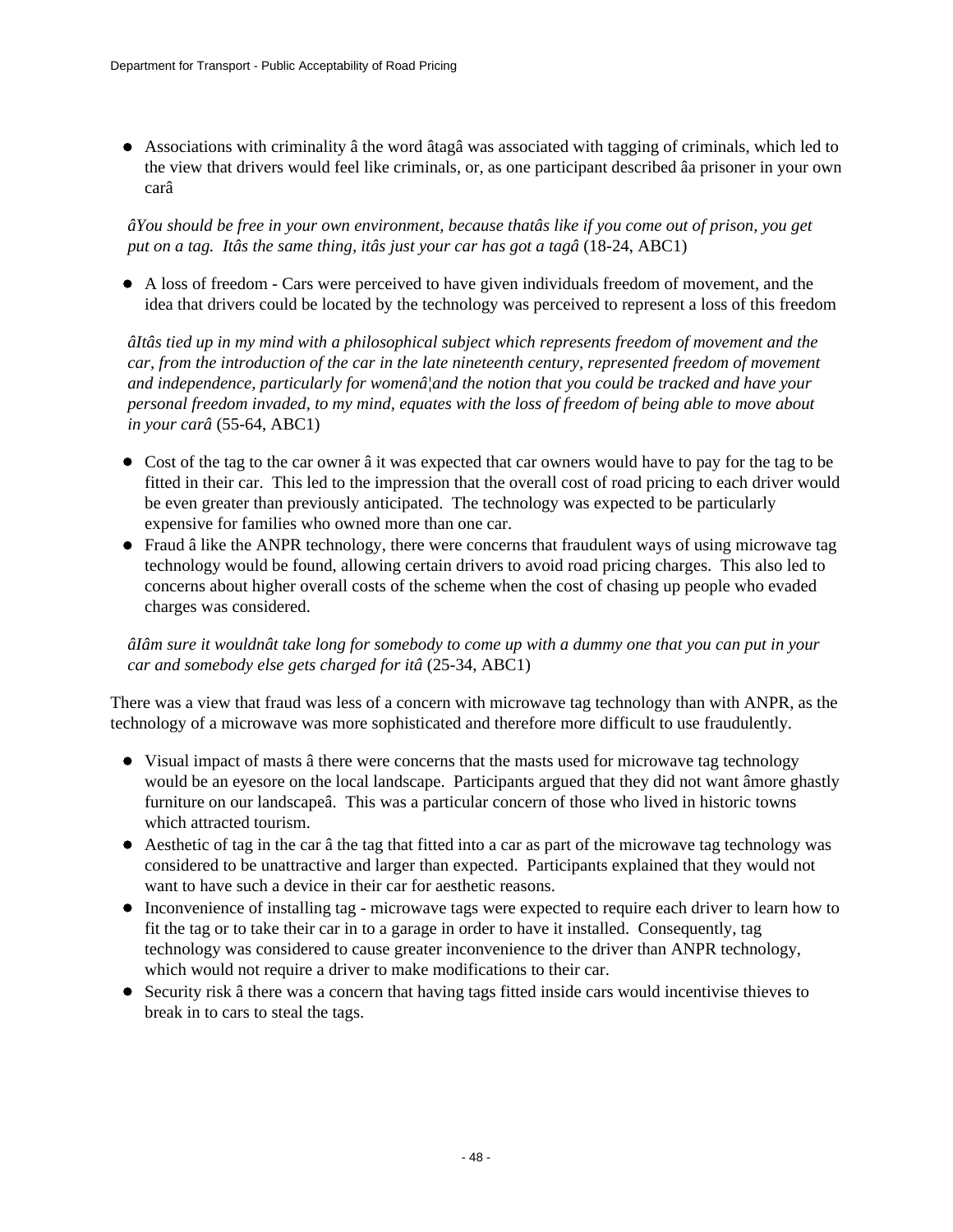Associations with criminality â the word âtagâ was associated with tagging of criminals, which led to the view that drivers would feel like criminals, or, as one participant described âa prisoner in your own carâ

*âYou should be free in your own environment, because thatâs like if you come out of prison, you get put on a tag. Itâs the same thing, itâs just your car has got a tagâ* (18-24, ABC1)

A loss of freedom - Cars were perceived to have given individuals freedom of movement, and the idea that drivers could be located by the technology was perceived to represent a loss of this freedom

*âItâs tied up in my mind with a philosophical subject which represents freedom of movement and the car, from the introduction of the car in the late nineteenth century, represented freedom of movement and independence, particularly for womenâ¦and the notion that you could be tracked and have your personal freedom invaded, to my mind, equates with the loss of freedom of being able to move about in your carâ* (55-64, ABC1)

- Cost of the tag to the car owner â it was expected that car owners would have to pay for the tag to be fitted in their car. This led to the impression that the overall cost of road pricing to each driver would be even greater than previously anticipated. The technology was expected to be particularly expensive for families who owned more than one car.
- Fraud â like the ANPR technology, there were concerns that fraudulent ways of using microwave tag technology would be found, allowing certain drivers to avoid road pricing charges. This also led to concerns about higher overall costs of the scheme when the cost of chasing up people who evaded charges was considered.

*âIâm sure it wouldnât take long for somebody to come up with a dummy one that you can put in your car and somebody else gets charged for itâ* (25-34, ABC1)

There was a view that fraud was less of a concern with microwave tag technology than with ANPR, as the technology of a microwave was more sophisticated and therefore more difficult to use fraudulently.

- Visual impact of masts â there were concerns that the masts used for microwave tag technology would be an eyesore on the local landscape. Participants argued that they did not want âmore ghastly furniture on our landscapeâ. This was a particular concern of those who lived in historic towns which attracted tourism.
- Aesthetic of tag in the car â the tag that fitted into a car as part of the microwave tag technology was considered to be unattractive and larger than expected. Participants explained that they would not want to have such a device in their car for aesthetic reasons.
- Inconvenience of installing tag microwave tags were expected to require each driver to learn how to fit the tag or to take their car in to a garage in order to have it installed. Consequently, tag technology was considered to cause greater inconvenience to the driver than ANPR technology, which would not require a driver to make modifications to their car.
- Security risk â there was a concern that having tags fitted inside cars would incentivise thieves to break in to cars to steal the tags.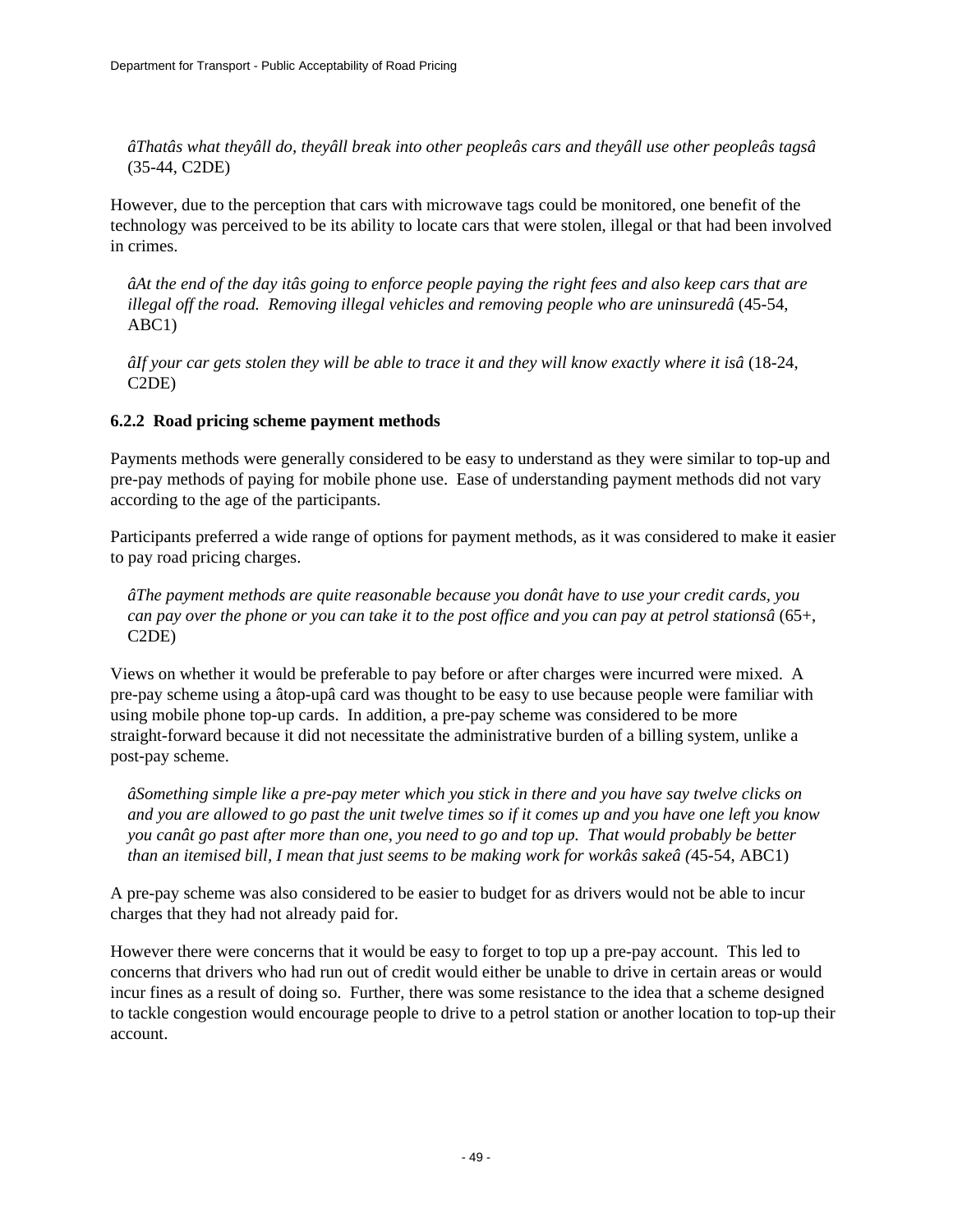*âThatâs what theyâll do, theyâll break into other peopleâs cars and theyâll use other peopleâs tagsâ* (35-44, C2DE)

However, due to the perception that cars with microwave tags could be monitored, one benefit of the technology was perceived to be its ability to locate cars that were stolen, illegal or that had been involved in crimes.

*âAt the end of the day itâs going to enforce people paying the right fees and also keep cars that are illegal off the road. Removing illegal vehicles and removing people who are uninsuredâ* (45-54, ABC1)

*âIf your car gets stolen they will be able to trace it and they will know exactly where it isâ* (18-24, C2DE)

### **6.2.2 Road pricing scheme payment methods**

Payments methods were generally considered to be easy to understand as they were similar to top-up and pre-pay methods of paying for mobile phone use. Ease of understanding payment methods did not vary according to the age of the participants.

Participants preferred a wide range of options for payment methods, as it was considered to make it easier to pay road pricing charges.

*âThe payment methods are quite reasonable because you donât have to use your credit cards, you can pay over the phone or you can take it to the post office and you can pay at petrol stationsâ* (65+, C2DE)

Views on whether it would be preferable to pay before or after charges were incurred were mixed. A pre-pay scheme using a âtop-upâ card was thought to be easy to use because people were familiar with using mobile phone top-up cards. In addition, a pre-pay scheme was considered to be more straight-forward because it did not necessitate the administrative burden of a billing system, unlike a post-pay scheme.

*âSomething simple like a pre-pay meter which you stick in there and you have say twelve clicks on and you are allowed to go past the unit twelve times so if it comes up and you have one left you know you canât go past after more than one, you need to go and top up. That would probably be better than an itemised bill, I mean that just seems to be making work for workâs sakeâ (*45-54, ABC1)

A pre-pay scheme was also considered to be easier to budget for as drivers would not be able to incur charges that they had not already paid for.

However there were concerns that it would be easy to forget to top up a pre-pay account. This led to concerns that drivers who had run out of credit would either be unable to drive in certain areas or would incur fines as a result of doing so. Further, there was some resistance to the idea that a scheme designed to tackle congestion would encourage people to drive to a petrol station or another location to top-up their account.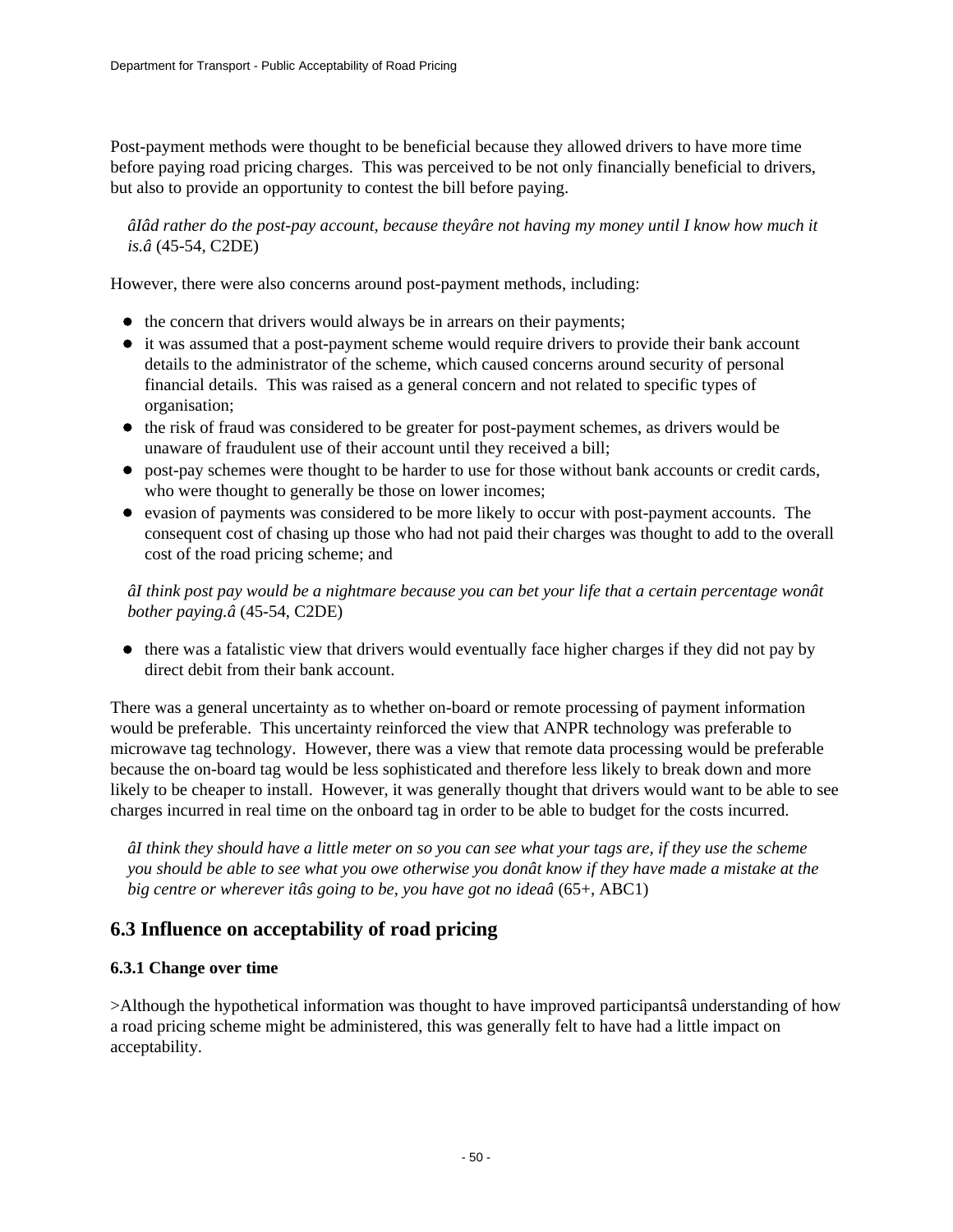Post-payment methods were thought to be beneficial because they allowed drivers to have more time before paying road pricing charges. This was perceived to be not only financially beneficial to drivers, but also to provide an opportunity to contest the bill before paying.

*âIâd rather do the post-pay account, because theyâre not having my money until I know how much it is.â* (45-54, C2DE)

However, there were also concerns around post-payment methods, including:

- the concern that drivers would always be in arrears on their payments;
- it was assumed that a post-payment scheme would require drivers to provide their bank account details to the administrator of the scheme, which caused concerns around security of personal financial details. This was raised as a general concern and not related to specific types of organisation;
- the risk of fraud was considered to be greater for post-payment schemes, as drivers would be unaware of fraudulent use of their account until they received a bill;
- post-pay schemes were thought to be harder to use for those without bank accounts or credit cards, who were thought to generally be those on lower incomes;
- evasion of payments was considered to be more likely to occur with post-payment accounts. The consequent cost of chasing up those who had not paid their charges was thought to add to the overall cost of the road pricing scheme; and

*âI think post pay would be a nightmare because you can bet your life that a certain percentage wonât bother paying.â* (45-54, C2DE)

there was a fatalistic view that drivers would eventually face higher charges if they did not pay by direct debit from their bank account.

There was a general uncertainty as to whether on-board or remote processing of payment information would be preferable. This uncertainty reinforced the view that ANPR technology was preferable to microwave tag technology. However, there was a view that remote data processing would be preferable because the on-board tag would be less sophisticated and therefore less likely to break down and more likely to be cheaper to install. However, it was generally thought that drivers would want to be able to see charges incurred in real time on the onboard tag in order to be able to budget for the costs incurred.

*âI think they should have a little meter on so you can see what your tags are, if they use the scheme you should be able to see what you owe otherwise you donât know if they have made a mistake at the big centre or wherever itâs going to be, you have got no ideaâ* (65+, ABC1)

## **6.3 Influence on acceptability of road pricing**

### **6.3.1 Change over time**

>Although the hypothetical information was thought to have improved participantsâ understanding of how a road pricing scheme might be administered, this was generally felt to have had a little impact on acceptability.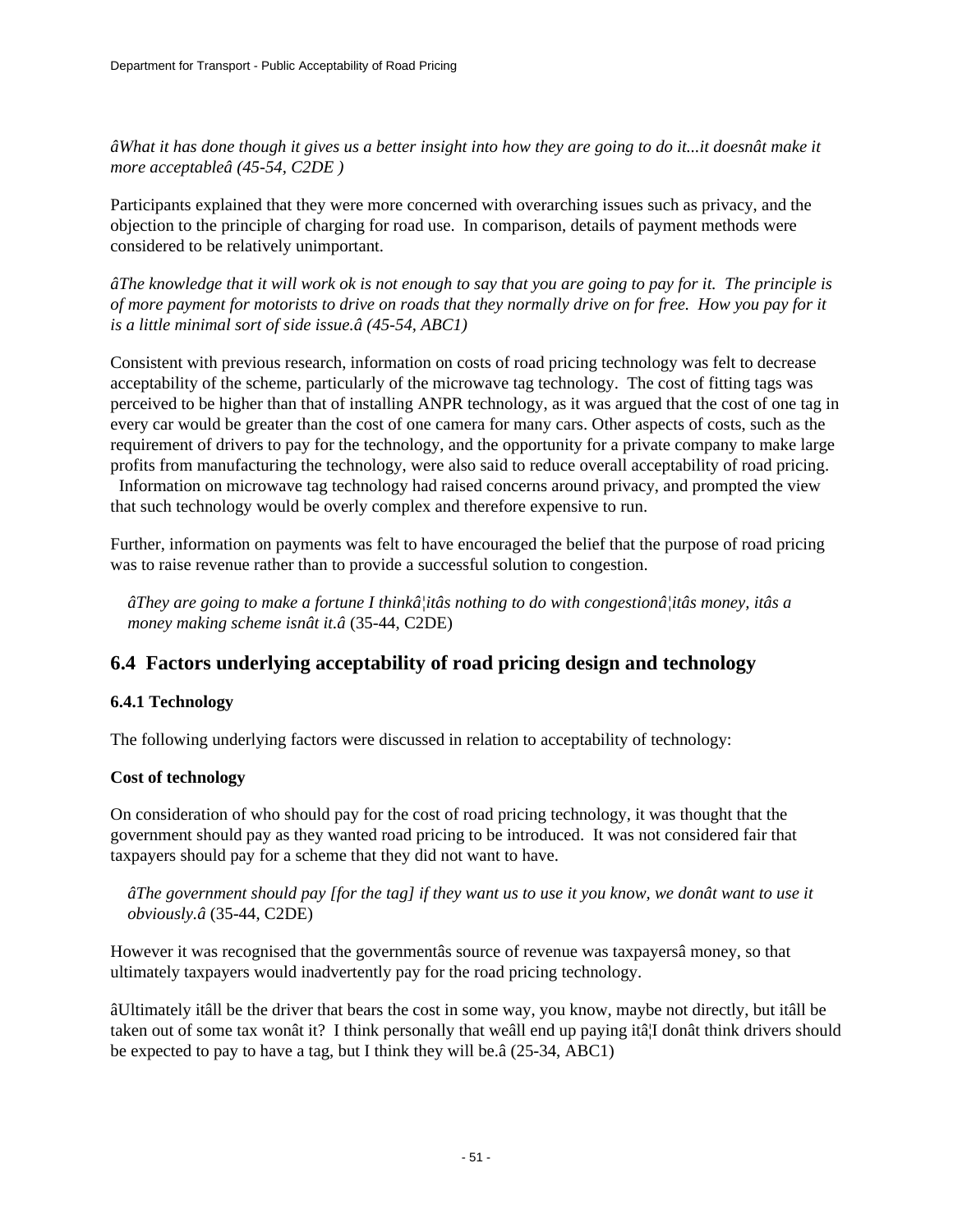*âWhat it has done though it gives us a better insight into how they are going to do it...it doesnât make it more acceptableâ (45-54, C2DE )*

Participants explained that they were more concerned with overarching issues such as privacy, and the objection to the principle of charging for road use. In comparison, details of payment methods were considered to be relatively unimportant.

*âThe knowledge that it will work ok is not enough to say that you are going to pay for it. The principle is of more payment for motorists to drive on roads that they normally drive on for free. How you pay for it is a little minimal sort of side issue.â (45-54, ABC1)*

Consistent with previous research, information on costs of road pricing technology was felt to decrease acceptability of the scheme, particularly of the microwave tag technology. The cost of fitting tags was perceived to be higher than that of installing ANPR technology, as it was argued that the cost of one tag in every car would be greater than the cost of one camera for many cars. Other aspects of costs, such as the requirement of drivers to pay for the technology, and the opportunity for a private company to make large profits from manufacturing the technology, were also said to reduce overall acceptability of road pricing. Information on microwave tag technology had raised concerns around privacy, and prompted the view that such technology would be overly complex and therefore expensive to run.

Further, information on payments was felt to have encouraged the belief that the purpose of road pricing was to raise revenue rather than to provide a successful solution to congestion.

*âThey are going to make a fortune I thinkâ¦itâs nothing to do with congestionâ¦itâs money, itâs a money making scheme isnât it.â* (35-44, C2DE)

### **6.4 Factors underlying acceptability of road pricing design and technology**

### **6.4.1 Technology**

The following underlying factors were discussed in relation to acceptability of technology:

### **Cost of technology**

On consideration of who should pay for the cost of road pricing technology, it was thought that the government should pay as they wanted road pricing to be introduced. It was not considered fair that taxpayers should pay for a scheme that they did not want to have.

*âThe government should pay [for the tag] if they want us to use it you know, we donât want to use it obviously.â* (35-44, C2DE)

However it was recognised that the governmentâs source of revenue was taxpayersâ money, so that ultimately taxpayers would inadvertently pay for the road pricing technology.

âUltimately itâll be the driver that bears the cost in some way, you know, maybe not directly, but itâll be taken out of some tax wonât it? I think personally that weâll end up paying itâ¦I donât think drivers should be expected to pay to have a tag, but I think they will be.â (25-34, ABC1)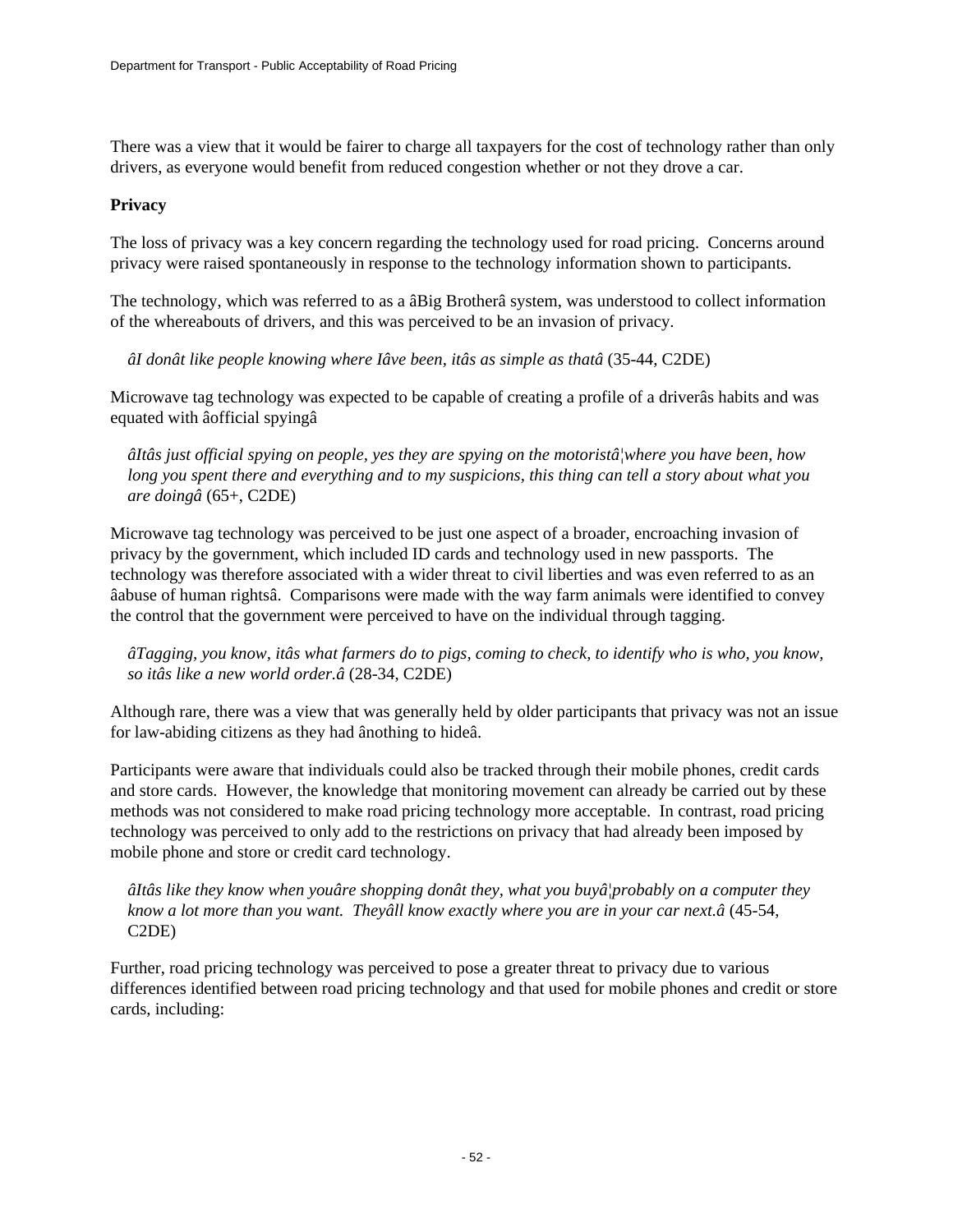There was a view that it would be fairer to charge all taxpayers for the cost of technology rather than only drivers, as everyone would benefit from reduced congestion whether or not they drove a car.

### **Privacy**

The loss of privacy was a key concern regarding the technology used for road pricing. Concerns around privacy were raised spontaneously in response to the technology information shown to participants.

The technology, which was referred to as a âBig Brotherâ system, was understood to collect information of the whereabouts of drivers, and this was perceived to be an invasion of privacy.

*âI donât like people knowing where Iâve been, itâs as simple as thatâ* (35-44, C2DE)

Microwave tag technology was expected to be capable of creating a profile of a driverâs habits and was equated with âofficial spyingâ

*âItâs just official spying on people, yes they are spying on the motoristâ¦where you have been, how long you spent there and everything and to my suspicions, this thing can tell a story about what you are doingâ* (65+, C2DE)

Microwave tag technology was perceived to be just one aspect of a broader, encroaching invasion of privacy by the government, which included ID cards and technology used in new passports. The technology was therefore associated with a wider threat to civil liberties and was even referred to as an âabuse of human rightsâ. Comparisons were made with the way farm animals were identified to convey the control that the government were perceived to have on the individual through tagging.

*âTagging, you know, itâs what farmers do to pigs, coming to check, to identify who is who, you know, so itâs like a new world order.â* (28-34, C2DE)

Although rare, there was a view that was generally held by older participants that privacy was not an issue for law-abiding citizens as they had ânothing to hideâ.

Participants were aware that individuals could also be tracked through their mobile phones, credit cards and store cards. However, the knowledge that monitoring movement can already be carried out by these methods was not considered to make road pricing technology more acceptable. In contrast, road pricing technology was perceived to only add to the restrictions on privacy that had already been imposed by mobile phone and store or credit card technology.

*âItâs like they know when youâre shopping donât they, what you buyâ¦probably on a computer they know a lot more than you want. Theyâll know exactly where you are in your car next.â* (45-54, C2DE)

Further, road pricing technology was perceived to pose a greater threat to privacy due to various differences identified between road pricing technology and that used for mobile phones and credit or store cards, including: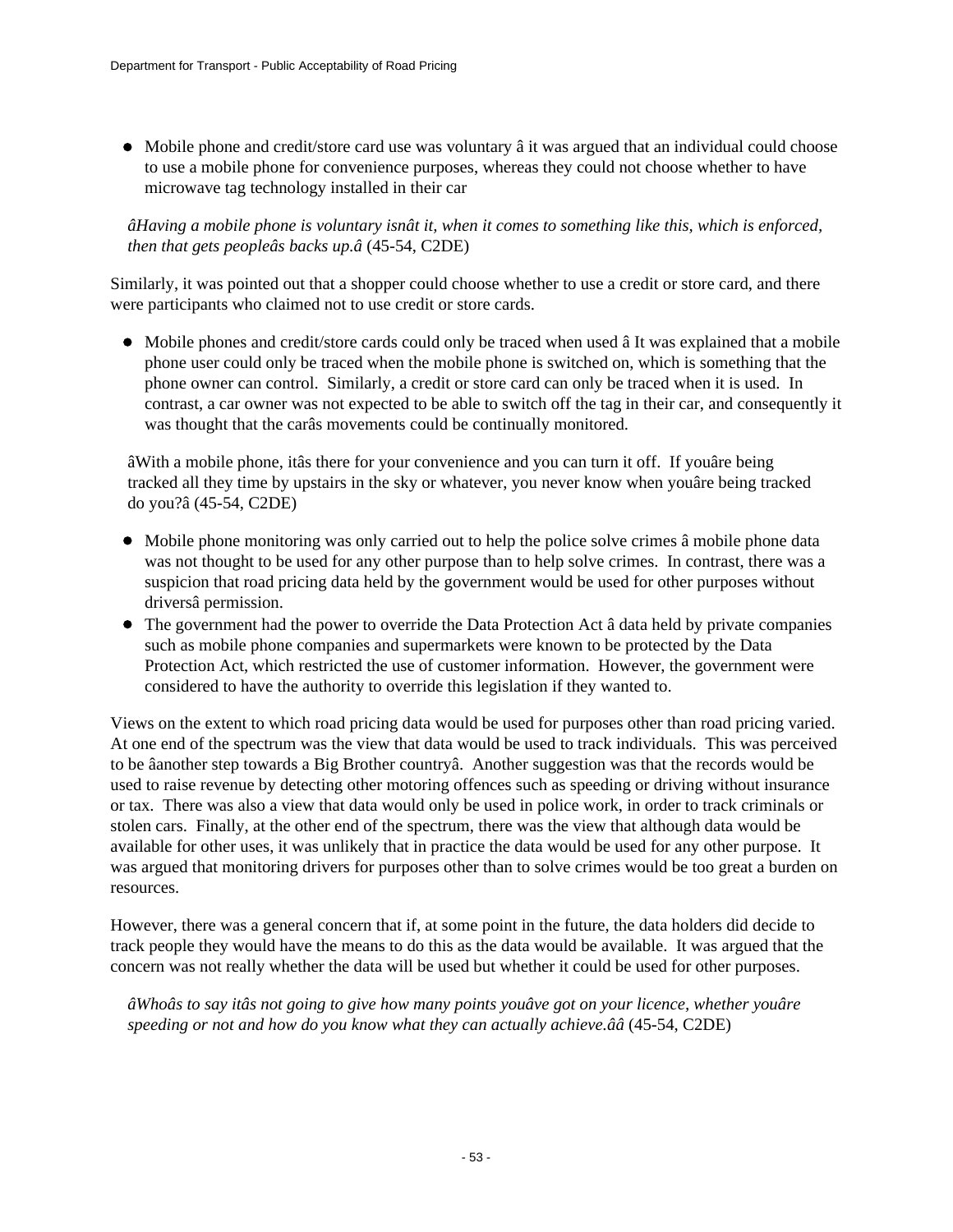• Mobile phone and credit/store card use was voluntary  $\hat{a}$  it was argued that an individual could choose to use a mobile phone for convenience purposes, whereas they could not choose whether to have microwave tag technology installed in their car

*âHaving a mobile phone is voluntary isnât it, when it comes to something like this, which is enforced, then that gets peopleâs backs up.â* (45-54, C2DE)

Similarly, it was pointed out that a shopper could choose whether to use a credit or store card, and there were participants who claimed not to use credit or store cards.

Mobile phones and credit/store cards could only be traced when used â It was explained that a mobile phone user could only be traced when the mobile phone is switched on, which is something that the phone owner can control. Similarly, a credit or store card can only be traced when it is used. In contrast, a car owner was not expected to be able to switch off the tag in their car, and consequently it was thought that the carâs movements could be continually monitored.

âWith a mobile phone, itâs there for your convenience and you can turn it off. If youâre being tracked all they time by upstairs in the sky or whatever, you never know when youâre being tracked do you?â (45-54, C2DE)

- Mobile phone monitoring was only carried out to help the police solve crimes â mobile phone data was not thought to be used for any other purpose than to help solve crimes. In contrast, there was a suspicion that road pricing data held by the government would be used for other purposes without driversâ permission.
- The government had the power to override the Data Protection Act â data held by private companies such as mobile phone companies and supermarkets were known to be protected by the Data Protection Act, which restricted the use of customer information. However, the government were considered to have the authority to override this legislation if they wanted to.

Views on the extent to which road pricing data would be used for purposes other than road pricing varied. At one end of the spectrum was the view that data would be used to track individuals. This was perceived to be âanother step towards a Big Brother countryâ. Another suggestion was that the records would be used to raise revenue by detecting other motoring offences such as speeding or driving without insurance or tax. There was also a view that data would only be used in police work, in order to track criminals or stolen cars. Finally, at the other end of the spectrum, there was the view that although data would be available for other uses, it was unlikely that in practice the data would be used for any other purpose. It was argued that monitoring drivers for purposes other than to solve crimes would be too great a burden on resources.

However, there was a general concern that if, at some point in the future, the data holders did decide to track people they would have the means to do this as the data would be available. It was argued that the concern was not really whether the data will be used but whether it could be used for other purposes.

*âWhoâs to say itâs not going to give how many points youâve got on your licence, whether youâre speeding or not and how do you know what they can actually achieve.ââ* (45-54, C2DE)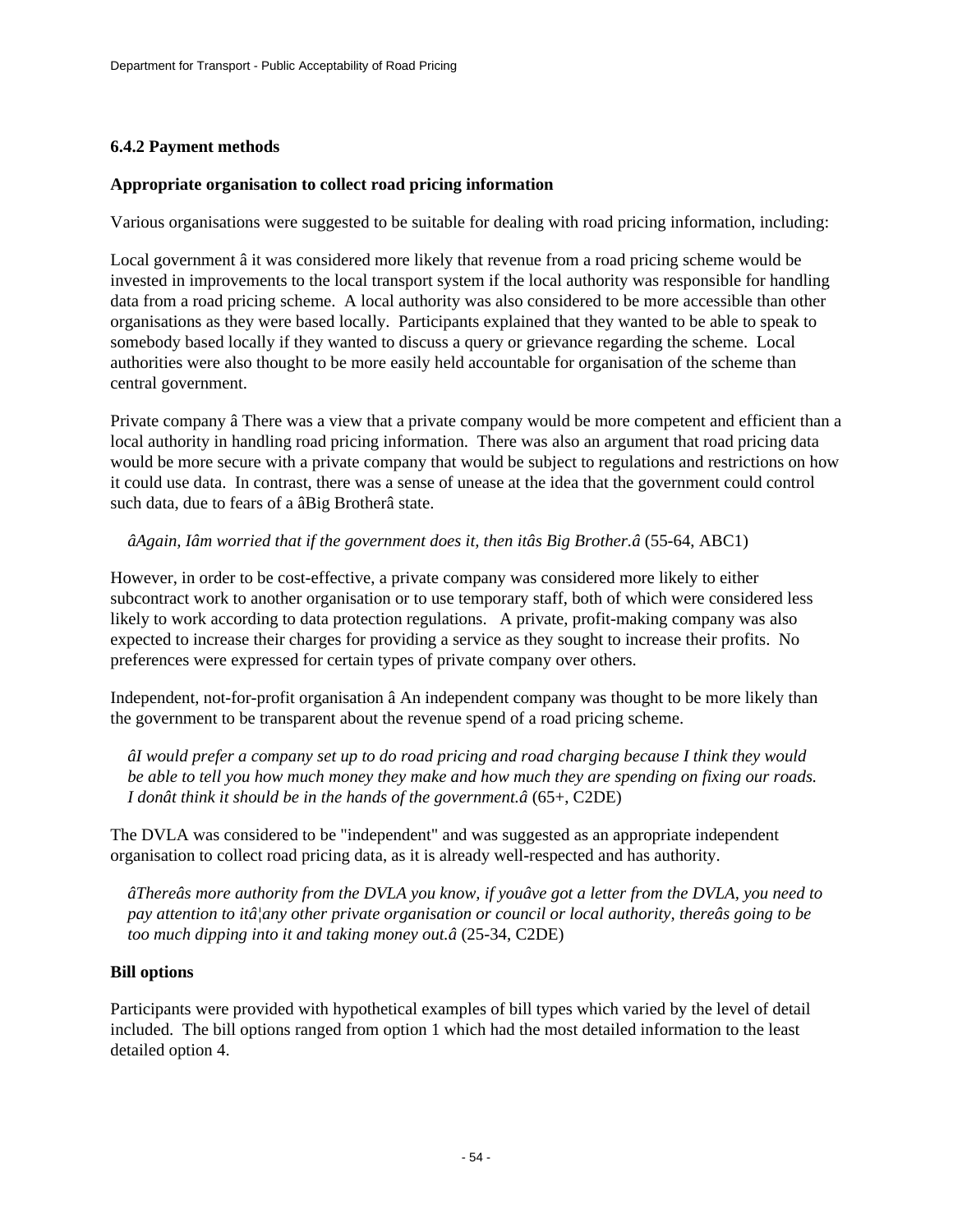### **6.4.2 Payment methods**

#### **Appropriate organisation to collect road pricing information**

Various organisations were suggested to be suitable for dealing with road pricing information, including:

Local government â it was considered more likely that revenue from a road pricing scheme would be invested in improvements to the local transport system if the local authority was responsible for handling data from a road pricing scheme. A local authority was also considered to be more accessible than other organisations as they were based locally. Participants explained that they wanted to be able to speak to somebody based locally if they wanted to discuss a query or grievance regarding the scheme. Local authorities were also thought to be more easily held accountable for organisation of the scheme than central government.

Private company â There was a view that a private company would be more competent and efficient than a local authority in handling road pricing information. There was also an argument that road pricing data would be more secure with a private company that would be subject to regulations and restrictions on how it could use data. In contrast, there was a sense of unease at the idea that the government could control such data, due to fears of a âBig Brotherâ state.

### *âAgain, Iâm worried that if the government does it, then itâs Big Brother.â* (55-64, ABC1)

However, in order to be cost-effective, a private company was considered more likely to either subcontract work to another organisation or to use temporary staff, both of which were considered less likely to work according to data protection regulations. A private, profit-making company was also expected to increase their charges for providing a service as they sought to increase their profits. No preferences were expressed for certain types of private company over others.

Independent, not-for-profit organisation â An independent company was thought to be more likely than the government to be transparent about the revenue spend of a road pricing scheme.

*âI would prefer a company set up to do road pricing and road charging because I think they would be able to tell you how much money they make and how much they are spending on fixing our roads. I donât think it should be in the hands of the government.â* (65+, C2DE)

The DVLA was considered to be "independent" and was suggested as an appropriate independent organisation to collect road pricing data, as it is already well-respected and has authority.

*âThereâs more authority from the DVLA you know, if youâve got a letter from the DVLA, you need to pay attention to itâ¦any other private organisation or council or local authority, thereâs going to be too much dipping into it and taking money out.â* (25-34, C2DE)

### **Bill options**

Participants were provided with hypothetical examples of bill types which varied by the level of detail included. The bill options ranged from option 1 which had the most detailed information to the least detailed option 4.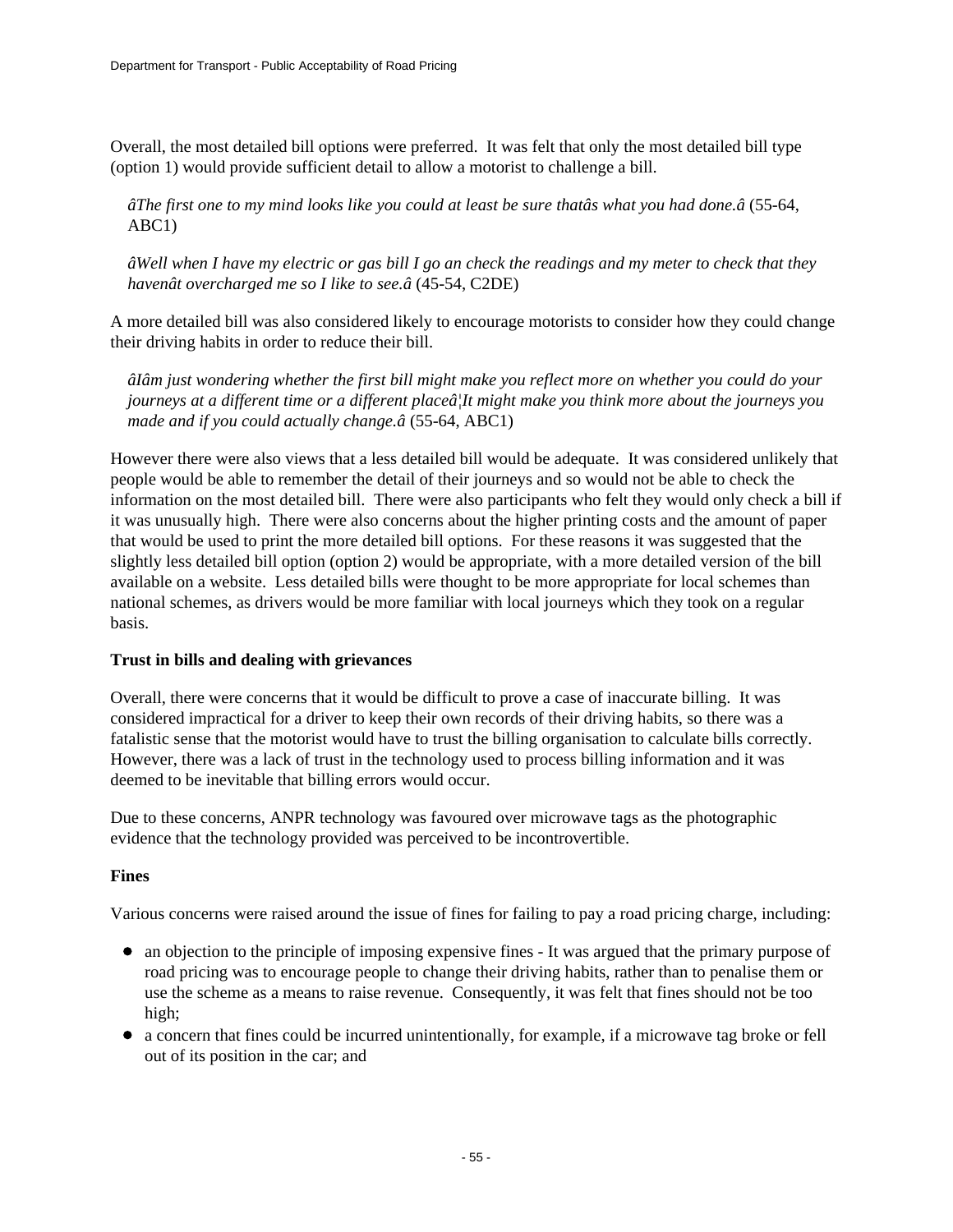Overall, the most detailed bill options were preferred. It was felt that only the most detailed bill type (option 1) would provide sufficient detail to allow a motorist to challenge a bill.

*âThe first one to my mind looks like you could at least be sure thatâs what you had done.â* (55-64, ABC1)

*âWell when I have my electric or gas bill I go an check the readings and my meter to check that they havenât overcharged me so I like to see.â* (45-54, C2DE)

A more detailed bill was also considered likely to encourage motorists to consider how they could change their driving habits in order to reduce their bill.

*âIâm just wondering whether the first bill might make you reflect more on whether you could do your journeys at a different time or a different placeâ¦It might make you think more about the journeys you made and if you could actually change.â* (55-64, ABC1)

However there were also views that a less detailed bill would be adequate. It was considered unlikely that people would be able to remember the detail of their journeys and so would not be able to check the information on the most detailed bill. There were also participants who felt they would only check a bill if it was unusually high. There were also concerns about the higher printing costs and the amount of paper that would be used to print the more detailed bill options. For these reasons it was suggested that the slightly less detailed bill option (option 2) would be appropriate, with a more detailed version of the bill available on a website. Less detailed bills were thought to be more appropriate for local schemes than national schemes, as drivers would be more familiar with local journeys which they took on a regular basis.

### **Trust in bills and dealing with grievances**

Overall, there were concerns that it would be difficult to prove a case of inaccurate billing. It was considered impractical for a driver to keep their own records of their driving habits, so there was a fatalistic sense that the motorist would have to trust the billing organisation to calculate bills correctly. However, there was a lack of trust in the technology used to process billing information and it was deemed to be inevitable that billing errors would occur.

Due to these concerns, ANPR technology was favoured over microwave tags as the photographic evidence that the technology provided was perceived to be incontrovertible.

### **Fines**

Various concerns were raised around the issue of fines for failing to pay a road pricing charge, including:

- an objection to the principle of imposing expensive fines It was argued that the primary purpose of road pricing was to encourage people to change their driving habits, rather than to penalise them or use the scheme as a means to raise revenue. Consequently, it was felt that fines should not be too high;
- a concern that fines could be incurred unintentionally, for example, if a microwave tag broke or fell out of its position in the car; and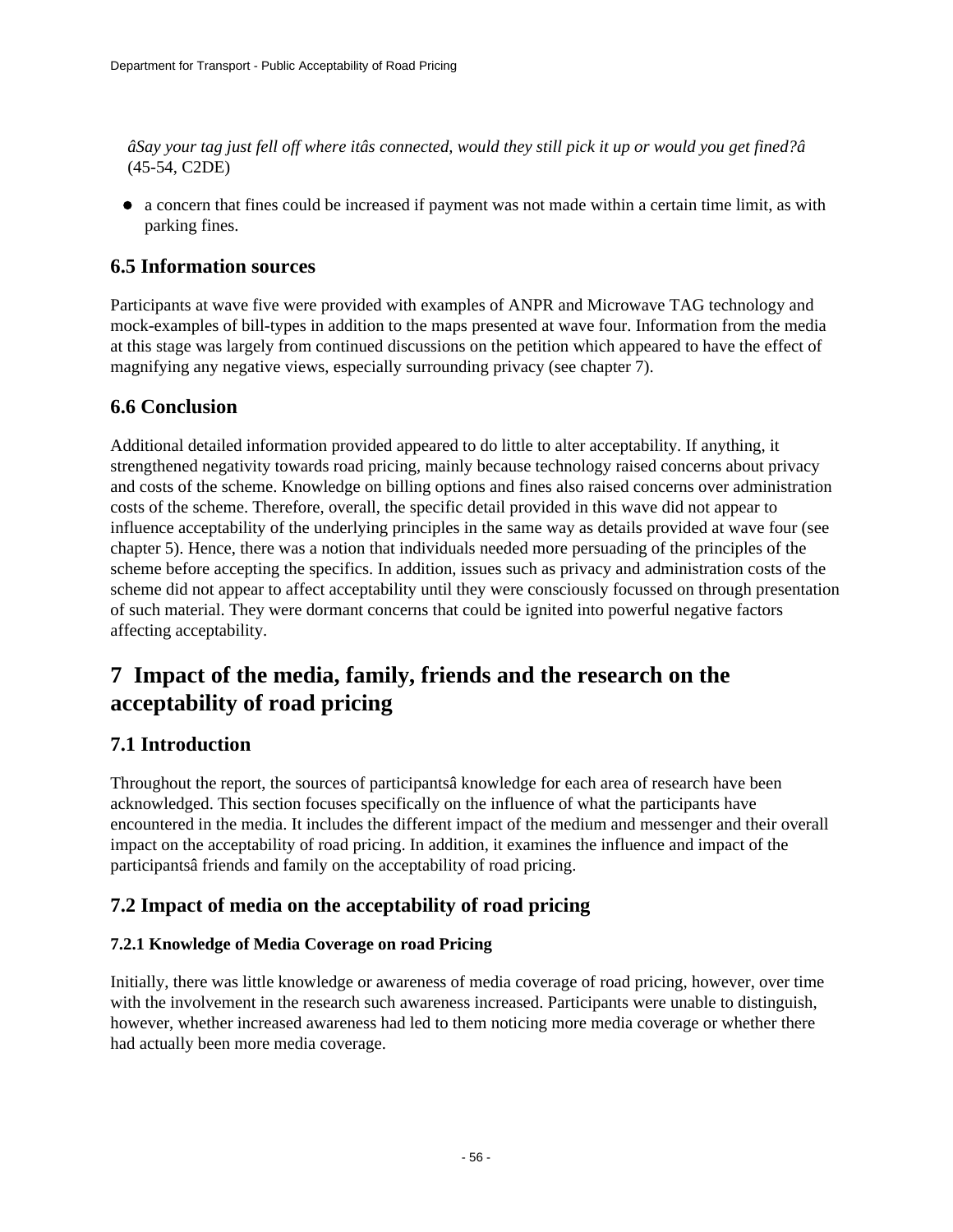*âSay your tag just fell off where itâs connected, would they still pick it up or would you get fined?â* (45-54, C2DE)

a concern that fines could be increased if payment was not made within a certain time limit, as with parking fines.

## **6.5 Information sources**

Participants at wave five were provided with examples of ANPR and Microwave TAG technology and mock-examples of bill-types in addition to the maps presented at wave four. Information from the media at this stage was largely from continued discussions on the petition which appeared to have the effect of magnifying any negative views, especially surrounding privacy (see chapter 7).

## **6.6 Conclusion**

Additional detailed information provided appeared to do little to alter acceptability. If anything, it strengthened negativity towards road pricing, mainly because technology raised concerns about privacy and costs of the scheme. Knowledge on billing options and fines also raised concerns over administration costs of the scheme. Therefore, overall, the specific detail provided in this wave did not appear to influence acceptability of the underlying principles in the same way as details provided at wave four (see chapter 5). Hence, there was a notion that individuals needed more persuading of the principles of the scheme before accepting the specifics. In addition, issues such as privacy and administration costs of the scheme did not appear to affect acceptability until they were consciously focussed on through presentation of such material. They were dormant concerns that could be ignited into powerful negative factors affecting acceptability.

## **7 Impact of the media, family, friends and the research on the acceptability of road pricing**

## **7.1 Introduction**

Throughout the report, the sources of participantsâ knowledge for each area of research have been acknowledged. This section focuses specifically on the influence of what the participants have encountered in the media. It includes the different impact of the medium and messenger and their overall impact on the acceptability of road pricing. In addition, it examines the influence and impact of the participantsâ friends and family on the acceptability of road pricing.

## **7.2 Impact of media on the acceptability of road pricing**

### **7.2.1 Knowledge of Media Coverage on road Pricing**

Initially, there was little knowledge or awareness of media coverage of road pricing, however, over time with the involvement in the research such awareness increased. Participants were unable to distinguish, however, whether increased awareness had led to them noticing more media coverage or whether there had actually been more media coverage.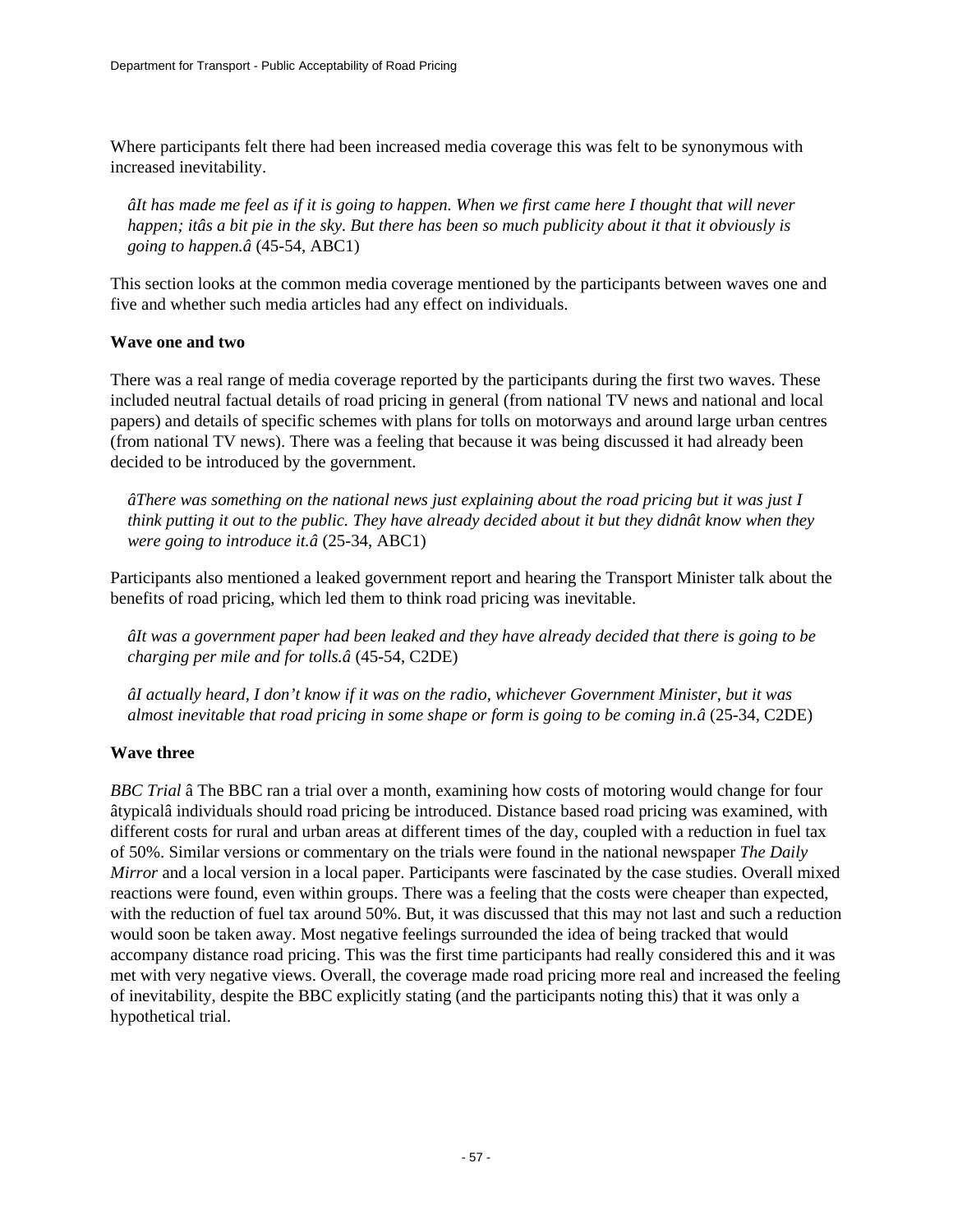Where participants felt there had been increased media coverage this was felt to be synonymous with increased inevitability.

*âIt has made me feel as if it is going to happen. When we first came here I thought that will never happen; itâs a bit pie in the sky. But there has been so much publicity about it that it obviously is going to happen.â* (45-54, ABC1)

This section looks at the common media coverage mentioned by the participants between waves one and five and whether such media articles had any effect on individuals.

### **Wave one and two**

There was a real range of media coverage reported by the participants during the first two waves. These included neutral factual details of road pricing in general (from national TV news and national and local papers) and details of specific schemes with plans for tolls on motorways and around large urban centres (from national TV news). There was a feeling that because it was being discussed it had already been decided to be introduced by the government.

*âThere was something on the national news just explaining about the road pricing but it was just I think putting it out to the public. They have already decided about it but they didnât know when they were going to introduce it.â* (25-34, ABC1)

Participants also mentioned a leaked government report and hearing the Transport Minister talk about the benefits of road pricing, which led them to think road pricing was inevitable.

*âIt was a government paper had been leaked and they have already decided that there is going to be charging per mile and for tolls.â* (45-54, C2DE)

*âI actually heard, I don't know if it was on the radio, whichever Government Minister, but it was almost inevitable that road pricing in some shape or form is going to be coming in.â* (25-34, C2DE)

### **Wave three**

*BBC Trial* â The BBC ran a trial over a month, examining how costs of motoring would change for four âtypicalâ individuals should road pricing be introduced. Distance based road pricing was examined, with different costs for rural and urban areas at different times of the day, coupled with a reduction in fuel tax of 50%. Similar versions or commentary on the trials were found in the national newspaper *The Daily Mirror* and a local version in a local paper. Participants were fascinated by the case studies. Overall mixed reactions were found, even within groups. There was a feeling that the costs were cheaper than expected, with the reduction of fuel tax around 50%. But, it was discussed that this may not last and such a reduction would soon be taken away. Most negative feelings surrounded the idea of being tracked that would accompany distance road pricing. This was the first time participants had really considered this and it was met with very negative views. Overall, the coverage made road pricing more real and increased the feeling of inevitability, despite the BBC explicitly stating (and the participants noting this) that it was only a hypothetical trial.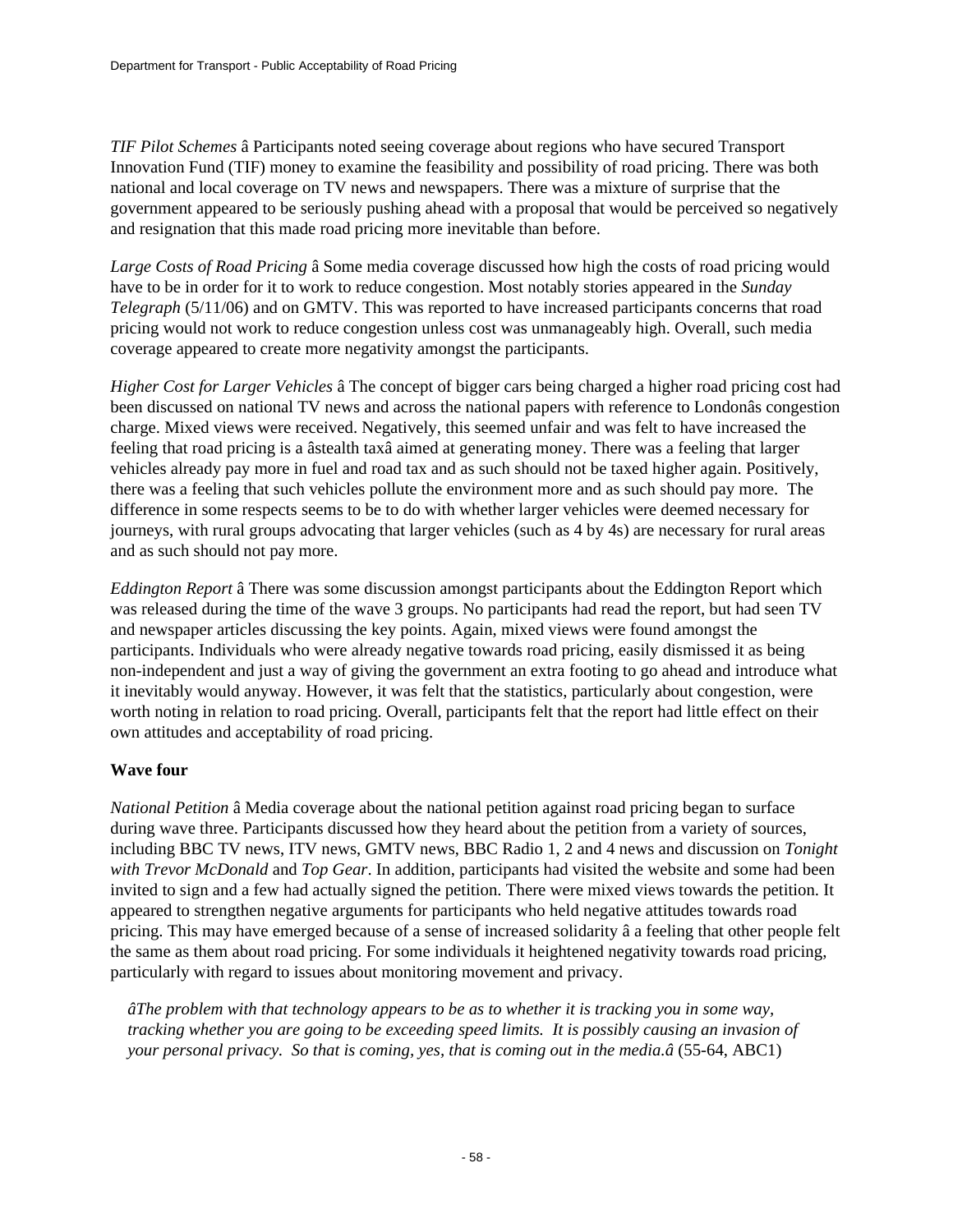*TIF Pilot Schemes* â Participants noted seeing coverage about regions who have secured Transport Innovation Fund (TIF) money to examine the feasibility and possibility of road pricing. There was both national and local coverage on TV news and newspapers. There was a mixture of surprise that the government appeared to be seriously pushing ahead with a proposal that would be perceived so negatively and resignation that this made road pricing more inevitable than before.

*Large Costs of Road Pricing* â Some media coverage discussed how high the costs of road pricing would have to be in order for it to work to reduce congestion. Most notably stories appeared in the *Sunday Telegraph* (5/11/06) and on GMTV. This was reported to have increased participants concerns that road pricing would not work to reduce congestion unless cost was unmanageably high. Overall, such media coverage appeared to create more negativity amongst the participants.

*Higher Cost for Larger Vehicles* â The concept of bigger cars being charged a higher road pricing cost had been discussed on national TV news and across the national papers with reference to Londonâs congestion charge. Mixed views were received. Negatively, this seemed unfair and was felt to have increased the feeling that road pricing is a âstealth taxâ aimed at generating money. There was a feeling that larger vehicles already pay more in fuel and road tax and as such should not be taxed higher again. Positively, there was a feeling that such vehicles pollute the environment more and as such should pay more. The difference in some respects seems to be to do with whether larger vehicles were deemed necessary for journeys, with rural groups advocating that larger vehicles (such as 4 by 4s) are necessary for rural areas and as such should not pay more.

*Eddington Report* â There was some discussion amongst participants about the Eddington Report which was released during the time of the wave 3 groups. No participants had read the report, but had seen TV and newspaper articles discussing the key points. Again, mixed views were found amongst the participants. Individuals who were already negative towards road pricing, easily dismissed it as being non-independent and just a way of giving the government an extra footing to go ahead and introduce what it inevitably would anyway. However, it was felt that the statistics, particularly about congestion, were worth noting in relation to road pricing. Overall, participants felt that the report had little effect on their own attitudes and acceptability of road pricing.

### **Wave four**

*National Petition* â Media coverage about the national petition against road pricing began to surface during wave three. Participants discussed how they heard about the petition from a variety of sources, including BBC TV news, ITV news, GMTV news, BBC Radio 1, 2 and 4 news and discussion on *Tonight with Trevor McDonald* and *Top Gear*. In addition, participants had visited the website and some had been invited to sign and a few had actually signed the petition. There were mixed views towards the petition. It appeared to strengthen negative arguments for participants who held negative attitudes towards road pricing. This may have emerged because of a sense of increased solidarity â a feeling that other people felt the same as them about road pricing. For some individuals it heightened negativity towards road pricing, particularly with regard to issues about monitoring movement and privacy.

*âThe problem with that technology appears to be as to whether it is tracking you in some way, tracking whether you are going to be exceeding speed limits. It is possibly causing an invasion of your personal privacy. So that is coming, yes, that is coming out in the media.â* (55-64, ABC1)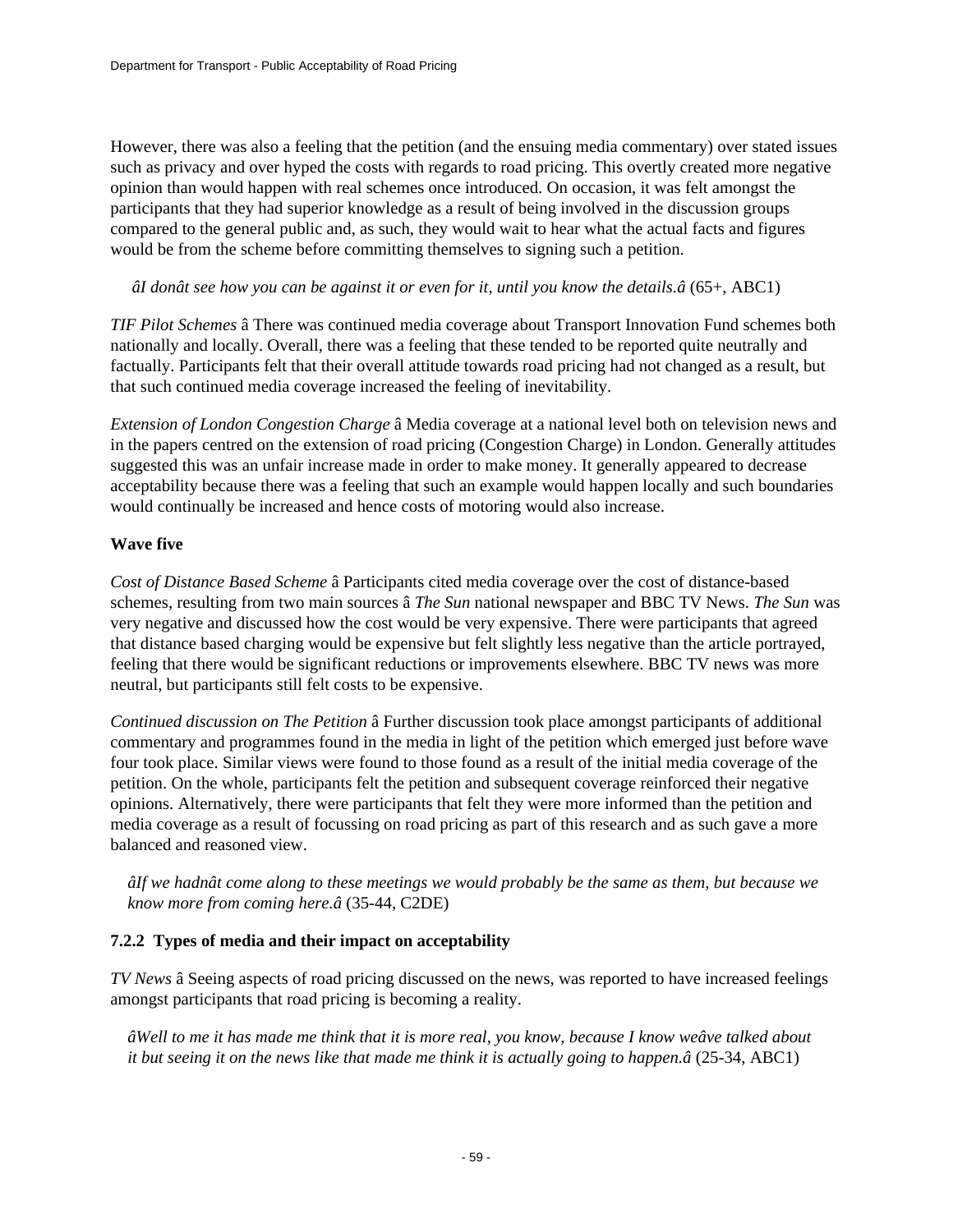However, there was also a feeling that the petition (and the ensuing media commentary) over stated issues such as privacy and over hyped the costs with regards to road pricing. This overtly created more negative opinion than would happen with real schemes once introduced. On occasion, it was felt amongst the participants that they had superior knowledge as a result of being involved in the discussion groups compared to the general public and, as such, they would wait to hear what the actual facts and figures would be from the scheme before committing themselves to signing such a petition.

 *âI donât see how you can be against it or even for it, until you know the details.â* (65+, ABC1)

*TIF Pilot Schemes* â There was continued media coverage about Transport Innovation Fund schemes both nationally and locally. Overall, there was a feeling that these tended to be reported quite neutrally and factually. Participants felt that their overall attitude towards road pricing had not changed as a result, but that such continued media coverage increased the feeling of inevitability.

*Extension of London Congestion Charge* â Media coverage at a national level both on television news and in the papers centred on the extension of road pricing (Congestion Charge) in London. Generally attitudes suggested this was an unfair increase made in order to make money. It generally appeared to decrease acceptability because there was a feeling that such an example would happen locally and such boundaries would continually be increased and hence costs of motoring would also increase.

### **Wave five**

*Cost of Distance Based Scheme* â Participants cited media coverage over the cost of distance-based schemes, resulting from two main sources â *The Sun* national newspaper and BBC TV News. *The Sun* was very negative and discussed how the cost would be very expensive. There were participants that agreed that distance based charging would be expensive but felt slightly less negative than the article portrayed, feeling that there would be significant reductions or improvements elsewhere. BBC TV news was more neutral, but participants still felt costs to be expensive.

*Continued discussion on The Petition* â Further discussion took place amongst participants of additional commentary and programmes found in the media in light of the petition which emerged just before wave four took place. Similar views were found to those found as a result of the initial media coverage of the petition. On the whole, participants felt the petition and subsequent coverage reinforced their negative opinions. Alternatively, there were participants that felt they were more informed than the petition and media coverage as a result of focussing on road pricing as part of this research and as such gave a more balanced and reasoned view.

*âIf we hadnât come along to these meetings we would probably be the same as them, but because we know more from coming here.â* (35-44, C2DE)

### **7.2.2 Types of media and their impact on acceptability**

*TV News* â Seeing aspects of road pricing discussed on the news, was reported to have increased feelings amongst participants that road pricing is becoming a reality.

*âWell to me it has made me think that it is more real, you know, because I know weâve talked about it but seeing it on the news like that made me think it is actually going to happen.â* (25-34, ABC1)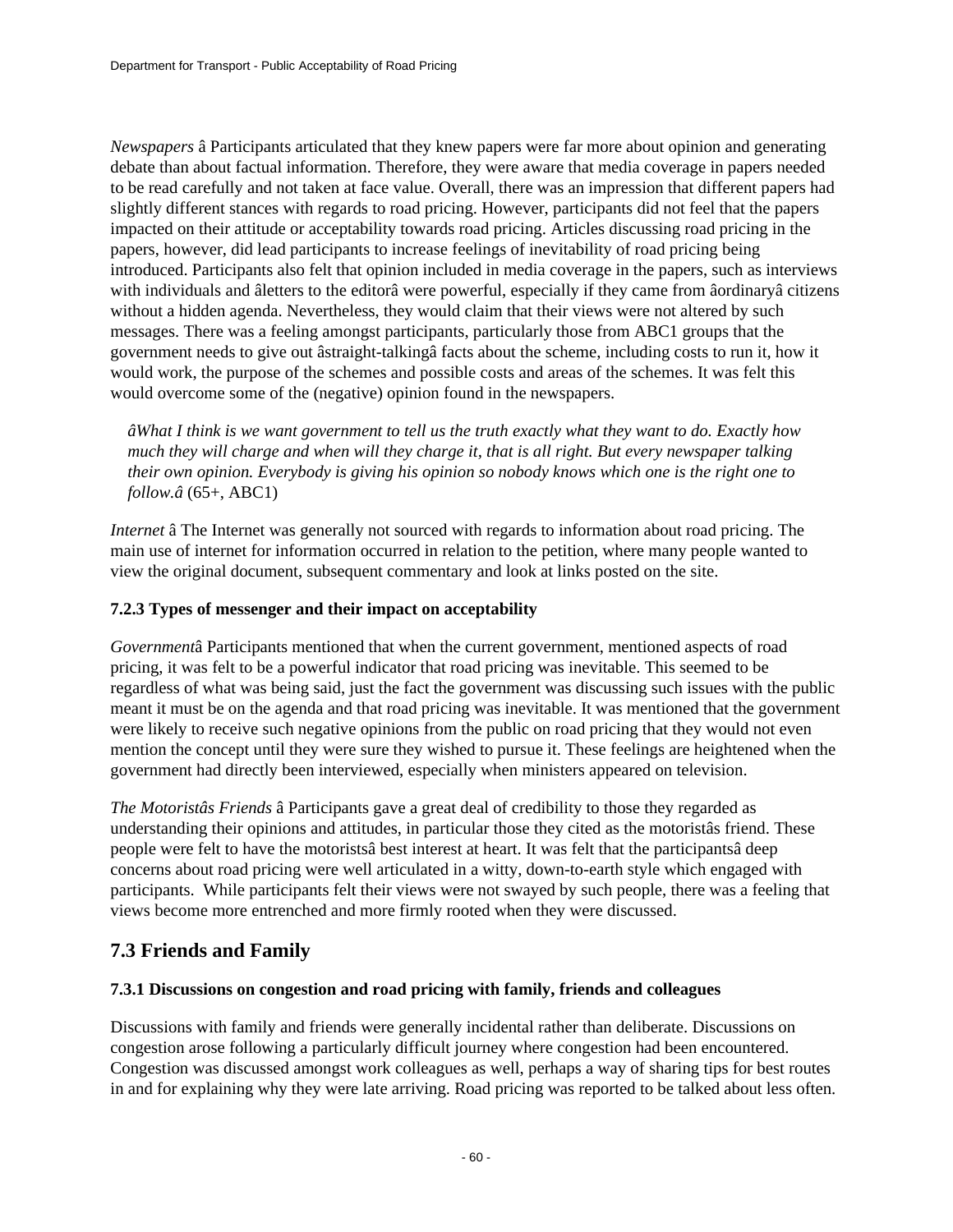*Newspapers* â Participants articulated that they knew papers were far more about opinion and generating debate than about factual information. Therefore, they were aware that media coverage in papers needed to be read carefully and not taken at face value. Overall, there was an impression that different papers had slightly different stances with regards to road pricing. However, participants did not feel that the papers impacted on their attitude or acceptability towards road pricing. Articles discussing road pricing in the papers, however, did lead participants to increase feelings of inevitability of road pricing being introduced. Participants also felt that opinion included in media coverage in the papers, such as interviews with individuals and âletters to the editorâ were powerful, especially if they came from âordinaryâ citizens without a hidden agenda. Nevertheless, they would claim that their views were not altered by such messages. There was a feeling amongst participants, particularly those from ABC1 groups that the government needs to give out âstraight-talkingâ facts about the scheme, including costs to run it, how it would work, the purpose of the schemes and possible costs and areas of the schemes. It was felt this would overcome some of the (negative) opinion found in the newspapers.

*âWhat I think is we want government to tell us the truth exactly what they want to do. Exactly how much they will charge and when will they charge it, that is all right. But every newspaper talking their own opinion. Everybody is giving his opinion so nobody knows which one is the right one to follow.â* (65+, ABC1)

*Internet* â The Internet was generally not sourced with regards to information about road pricing. The main use of internet for information occurred in relation to the petition, where many people wanted to view the original document, subsequent commentary and look at links posted on the site.

### **7.2.3 Types of messenger and their impact on acceptability**

*Government*â Participants mentioned that when the current government, mentioned aspects of road pricing, it was felt to be a powerful indicator that road pricing was inevitable. This seemed to be regardless of what was being said, just the fact the government was discussing such issues with the public meant it must be on the agenda and that road pricing was inevitable. It was mentioned that the government were likely to receive such negative opinions from the public on road pricing that they would not even mention the concept until they were sure they wished to pursue it. These feelings are heightened when the government had directly been interviewed, especially when ministers appeared on television.

*The Motoristâs Friends* â Participants gave a great deal of credibility to those they regarded as understanding their opinions and attitudes, in particular those they cited as the motoristâs friend. These people were felt to have the motoristsâ best interest at heart. It was felt that the participantsâ deep concerns about road pricing were well articulated in a witty, down-to-earth style which engaged with participants. While participants felt their views were not swayed by such people, there was a feeling that views become more entrenched and more firmly rooted when they were discussed.

## **7.3 Friends and Family**

### **7.3.1 Discussions on congestion and road pricing with family, friends and colleagues**

Discussions with family and friends were generally incidental rather than deliberate. Discussions on congestion arose following a particularly difficult journey where congestion had been encountered. Congestion was discussed amongst work colleagues as well, perhaps a way of sharing tips for best routes in and for explaining why they were late arriving. Road pricing was reported to be talked about less often.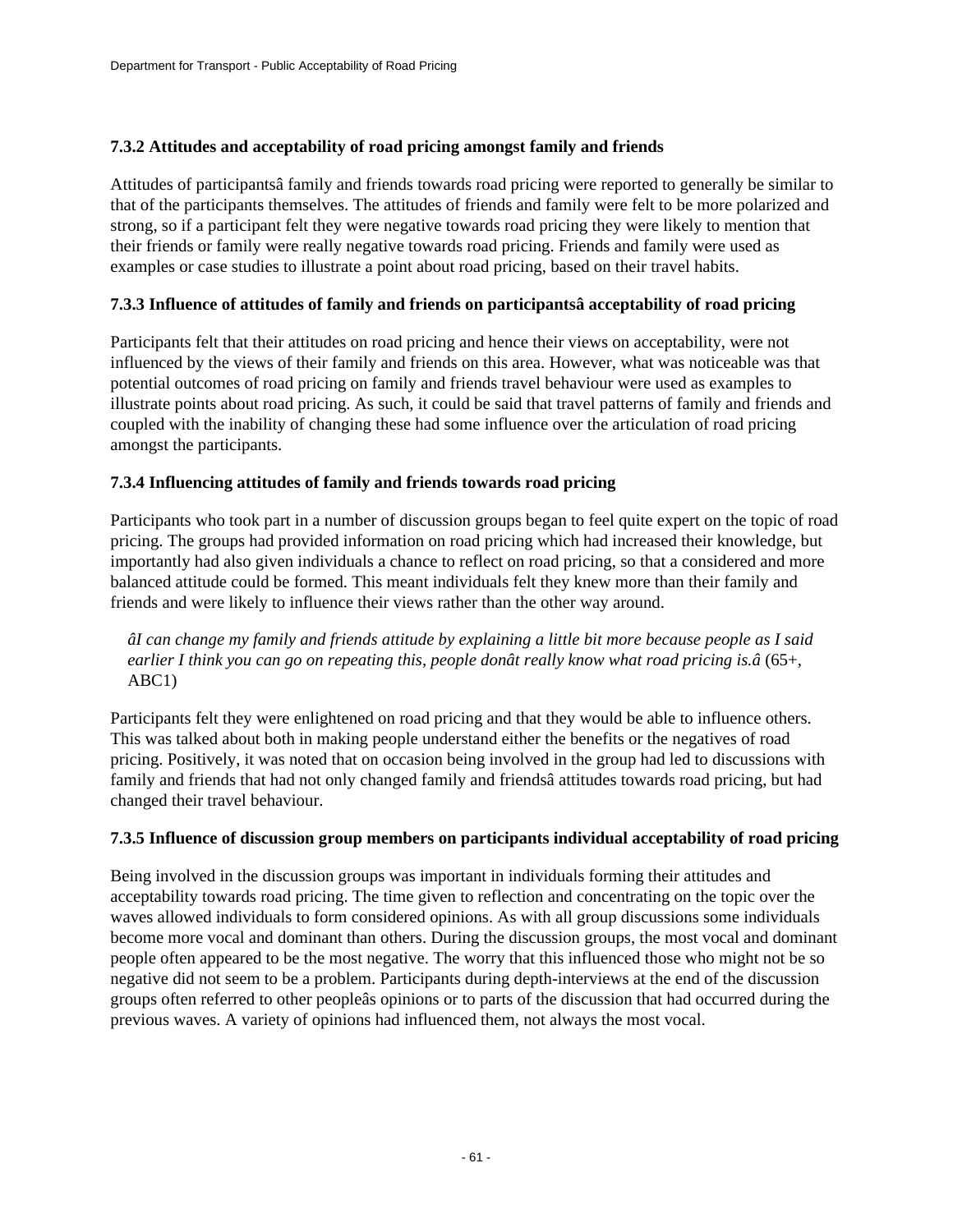### **7.3.2 Attitudes and acceptability of road pricing amongst family and friends**

Attitudes of participantsâ family and friends towards road pricing were reported to generally be similar to that of the participants themselves. The attitudes of friends and family were felt to be more polarized and strong, so if a participant felt they were negative towards road pricing they were likely to mention that their friends or family were really negative towards road pricing. Friends and family were used as examples or case studies to illustrate a point about road pricing, based on their travel habits.

### **7.3.3 Influence of attitudes of family and friends on participantsâ acceptability of road pricing**

Participants felt that their attitudes on road pricing and hence their views on acceptability, were not influenced by the views of their family and friends on this area. However, what was noticeable was that potential outcomes of road pricing on family and friends travel behaviour were used as examples to illustrate points about road pricing. As such, it could be said that travel patterns of family and friends and coupled with the inability of changing these had some influence over the articulation of road pricing amongst the participants.

### **7.3.4 Influencing attitudes of family and friends towards road pricing**

Participants who took part in a number of discussion groups began to feel quite expert on the topic of road pricing. The groups had provided information on road pricing which had increased their knowledge, but importantly had also given individuals a chance to reflect on road pricing, so that a considered and more balanced attitude could be formed. This meant individuals felt they knew more than their family and friends and were likely to influence their views rather than the other way around.

### *âI can change my family and friends attitude by explaining a little bit more because people as I said earlier I think you can go on repeating this, people donât really know what road pricing is.â* (65+, ABC1)

Participants felt they were enlightened on road pricing and that they would be able to influence others. This was talked about both in making people understand either the benefits or the negatives of road pricing. Positively, it was noted that on occasion being involved in the group had led to discussions with family and friends that had not only changed family and friendsâ attitudes towards road pricing, but had changed their travel behaviour.

### **7.3.5 Influence of discussion group members on participants individual acceptability of road pricing**

Being involved in the discussion groups was important in individuals forming their attitudes and acceptability towards road pricing. The time given to reflection and concentrating on the topic over the waves allowed individuals to form considered opinions. As with all group discussions some individuals become more vocal and dominant than others. During the discussion groups, the most vocal and dominant people often appeared to be the most negative. The worry that this influenced those who might not be so negative did not seem to be a problem. Participants during depth-interviews at the end of the discussion groups often referred to other peopleâs opinions or to parts of the discussion that had occurred during the previous waves. A variety of opinions had influenced them, not always the most vocal.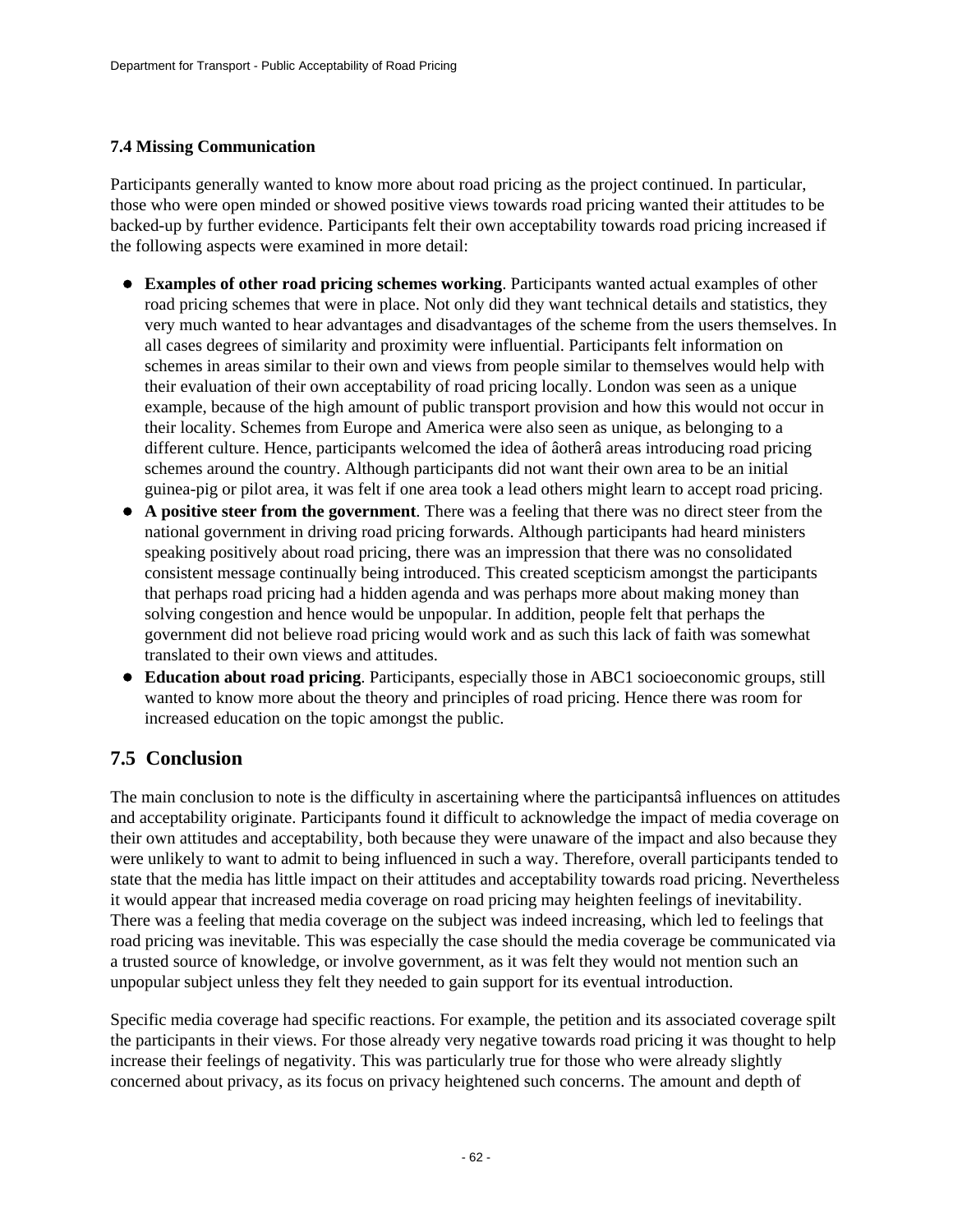### **7.4 Missing Communication**

Participants generally wanted to know more about road pricing as the project continued. In particular, those who were open minded or showed positive views towards road pricing wanted their attitudes to be backed-up by further evidence. Participants felt their own acceptability towards road pricing increased if the following aspects were examined in more detail:

- **Examples of other road pricing schemes working**. Participants wanted actual examples of other road pricing schemes that were in place. Not only did they want technical details and statistics, they very much wanted to hear advantages and disadvantages of the scheme from the users themselves. In all cases degrees of similarity and proximity were influential. Participants felt information on schemes in areas similar to their own and views from people similar to themselves would help with their evaluation of their own acceptability of road pricing locally. London was seen as a unique example, because of the high amount of public transport provision and how this would not occur in their locality. Schemes from Europe and America were also seen as unique, as belonging to a different culture. Hence, participants welcomed the idea of âotherâ areas introducing road pricing schemes around the country. Although participants did not want their own area to be an initial guinea-pig or pilot area, it was felt if one area took a lead others might learn to accept road pricing.
- **A positive steer from the government**. There was a feeling that there was no direct steer from the national government in driving road pricing forwards. Although participants had heard ministers speaking positively about road pricing, there was an impression that there was no consolidated consistent message continually being introduced. This created scepticism amongst the participants that perhaps road pricing had a hidden agenda and was perhaps more about making money than solving congestion and hence would be unpopular. In addition, people felt that perhaps the government did not believe road pricing would work and as such this lack of faith was somewhat translated to their own views and attitudes.
- **Education about road pricing**. Participants, especially those in ABC1 socioeconomic groups, still wanted to know more about the theory and principles of road pricing. Hence there was room for increased education on the topic amongst the public.

## **7.5 Conclusion**

The main conclusion to note is the difficulty in ascertaining where the participantsâ influences on attitudes and acceptability originate. Participants found it difficult to acknowledge the impact of media coverage on their own attitudes and acceptability, both because they were unaware of the impact and also because they were unlikely to want to admit to being influenced in such a way. Therefore, overall participants tended to state that the media has little impact on their attitudes and acceptability towards road pricing. Nevertheless it would appear that increased media coverage on road pricing may heighten feelings of inevitability. There was a feeling that media coverage on the subject was indeed increasing, which led to feelings that road pricing was inevitable. This was especially the case should the media coverage be communicated via a trusted source of knowledge, or involve government, as it was felt they would not mention such an unpopular subject unless they felt they needed to gain support for its eventual introduction.

Specific media coverage had specific reactions. For example, the petition and its associated coverage spilt the participants in their views. For those already very negative towards road pricing it was thought to help increase their feelings of negativity. This was particularly true for those who were already slightly concerned about privacy, as its focus on privacy heightened such concerns. The amount and depth of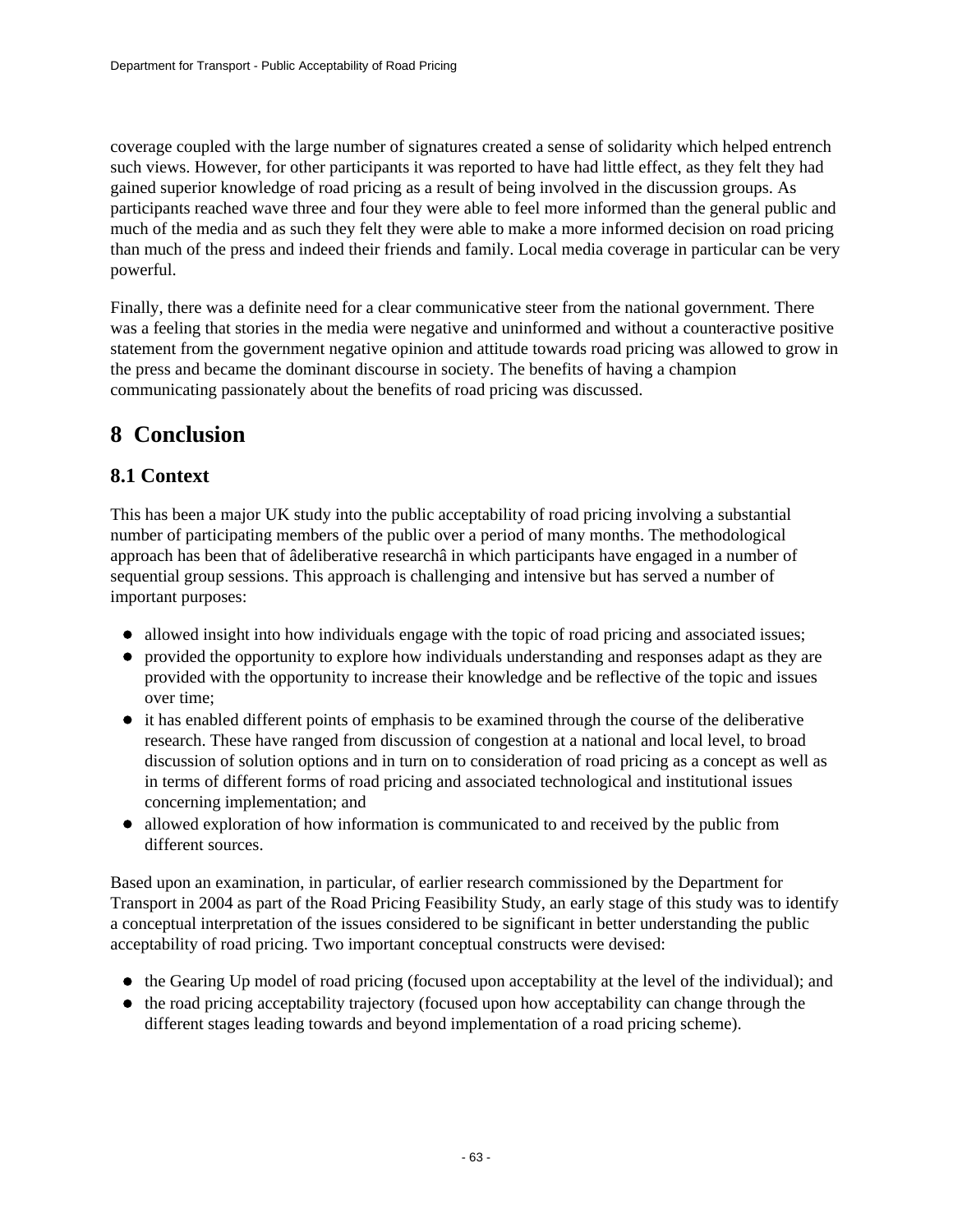coverage coupled with the large number of signatures created a sense of solidarity which helped entrench such views. However, for other participants it was reported to have had little effect, as they felt they had gained superior knowledge of road pricing as a result of being involved in the discussion groups. As participants reached wave three and four they were able to feel more informed than the general public and much of the media and as such they felt they were able to make a more informed decision on road pricing than much of the press and indeed their friends and family. Local media coverage in particular can be very powerful.

Finally, there was a definite need for a clear communicative steer from the national government. There was a feeling that stories in the media were negative and uninformed and without a counteractive positive statement from the government negative opinion and attitude towards road pricing was allowed to grow in the press and became the dominant discourse in society. The benefits of having a champion communicating passionately about the benefits of road pricing was discussed.

## **8 Conclusion**

## **8.1 Context**

This has been a major UK study into the public acceptability of road pricing involving a substantial number of participating members of the public over a period of many months. The methodological approach has been that of âdeliberative researchâ in which participants have engaged in a number of sequential group sessions. This approach is challenging and intensive but has served a number of important purposes:

- allowed insight into how individuals engage with the topic of road pricing and associated issues;
- provided the opportunity to explore how individuals understanding and responses adapt as they are provided with the opportunity to increase their knowledge and be reflective of the topic and issues over time;
- it has enabled different points of emphasis to be examined through the course of the deliberative research. These have ranged from discussion of congestion at a national and local level, to broad discussion of solution options and in turn on to consideration of road pricing as a concept as well as in terms of different forms of road pricing and associated technological and institutional issues concerning implementation; and
- allowed exploration of how information is communicated to and received by the public from different sources.

Based upon an examination, in particular, of earlier research commissioned by the Department for Transport in 2004 as part of the Road Pricing Feasibility Study, an early stage of this study was to identify a conceptual interpretation of the issues considered to be significant in better understanding the public acceptability of road pricing. Two important conceptual constructs were devised:

- the Gearing Up model of road pricing (focused upon acceptability at the level of the individual); and
- the road pricing acceptability trajectory (focused upon how acceptability can change through the different stages leading towards and beyond implementation of a road pricing scheme).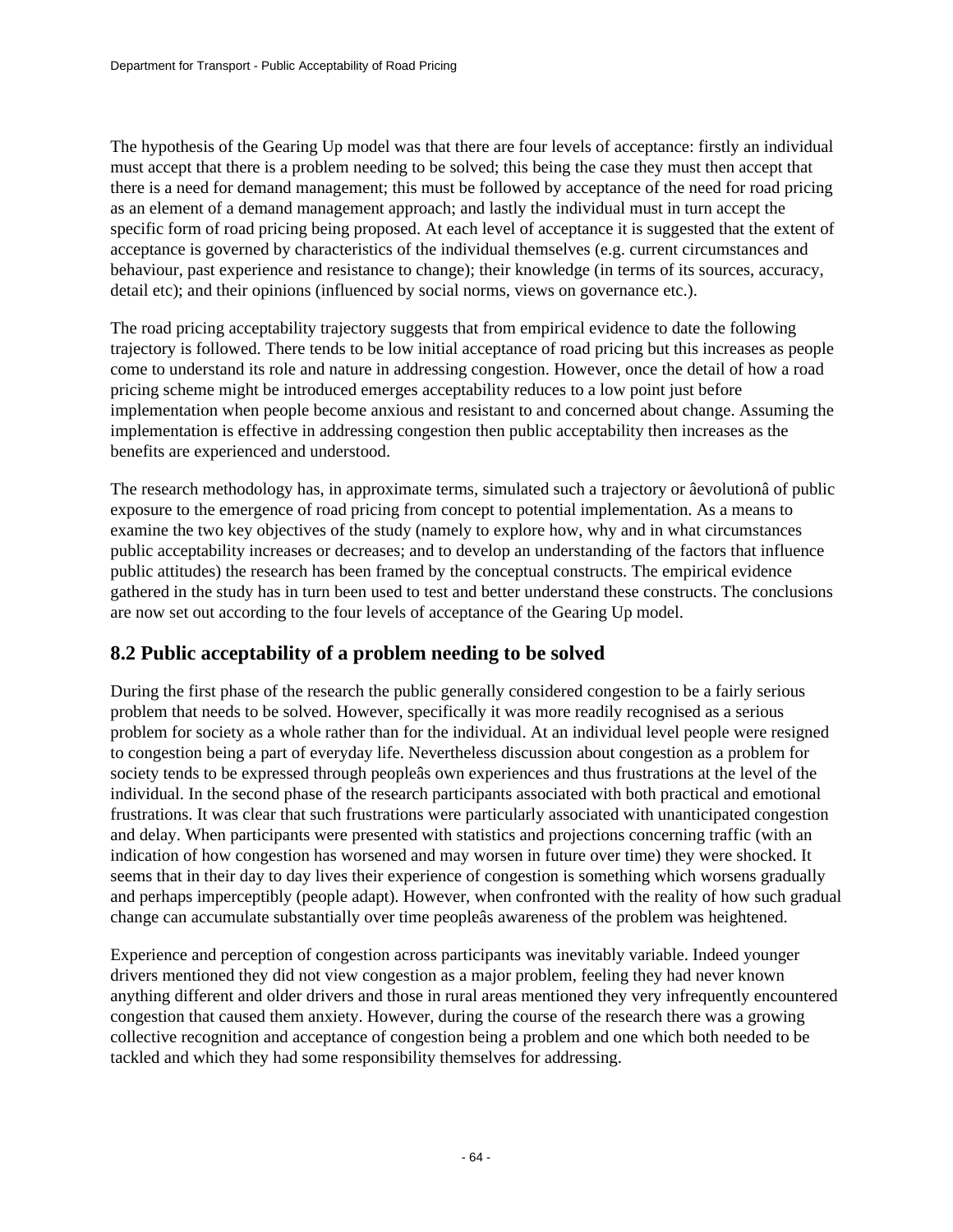The hypothesis of the Gearing Up model was that there are four levels of acceptance: firstly an individual must accept that there is a problem needing to be solved; this being the case they must then accept that there is a need for demand management; this must be followed by acceptance of the need for road pricing as an element of a demand management approach; and lastly the individual must in turn accept the specific form of road pricing being proposed. At each level of acceptance it is suggested that the extent of acceptance is governed by characteristics of the individual themselves (e.g. current circumstances and behaviour, past experience and resistance to change); their knowledge (in terms of its sources, accuracy, detail etc); and their opinions (influenced by social norms, views on governance etc.).

The road pricing acceptability trajectory suggests that from empirical evidence to date the following trajectory is followed. There tends to be low initial acceptance of road pricing but this increases as people come to understand its role and nature in addressing congestion. However, once the detail of how a road pricing scheme might be introduced emerges acceptability reduces to a low point just before implementation when people become anxious and resistant to and concerned about change. Assuming the implementation is effective in addressing congestion then public acceptability then increases as the benefits are experienced and understood.

The research methodology has, in approximate terms, simulated such a trajectory or âevolutionâ of public exposure to the emergence of road pricing from concept to potential implementation. As a means to examine the two key objectives of the study (namely to explore how, why and in what circumstances public acceptability increases or decreases; and to develop an understanding of the factors that influence public attitudes) the research has been framed by the conceptual constructs. The empirical evidence gathered in the study has in turn been used to test and better understand these constructs. The conclusions are now set out according to the four levels of acceptance of the Gearing Up model.

## **8.2 Public acceptability of a problem needing to be solved**

During the first phase of the research the public generally considered congestion to be a fairly serious problem that needs to be solved. However, specifically it was more readily recognised as a serious problem for society as a whole rather than for the individual. At an individual level people were resigned to congestion being a part of everyday life. Nevertheless discussion about congestion as a problem for society tends to be expressed through peopleâs own experiences and thus frustrations at the level of the individual. In the second phase of the research participants associated with both practical and emotional frustrations. It was clear that such frustrations were particularly associated with unanticipated congestion and delay. When participants were presented with statistics and projections concerning traffic (with an indication of how congestion has worsened and may worsen in future over time) they were shocked. It seems that in their day to day lives their experience of congestion is something which worsens gradually and perhaps imperceptibly (people adapt). However, when confronted with the reality of how such gradual change can accumulate substantially over time peopleâs awareness of the problem was heightened.

Experience and perception of congestion across participants was inevitably variable. Indeed younger drivers mentioned they did not view congestion as a major problem, feeling they had never known anything different and older drivers and those in rural areas mentioned they very infrequently encountered congestion that caused them anxiety. However, during the course of the research there was a growing collective recognition and acceptance of congestion being a problem and one which both needed to be tackled and which they had some responsibility themselves for addressing.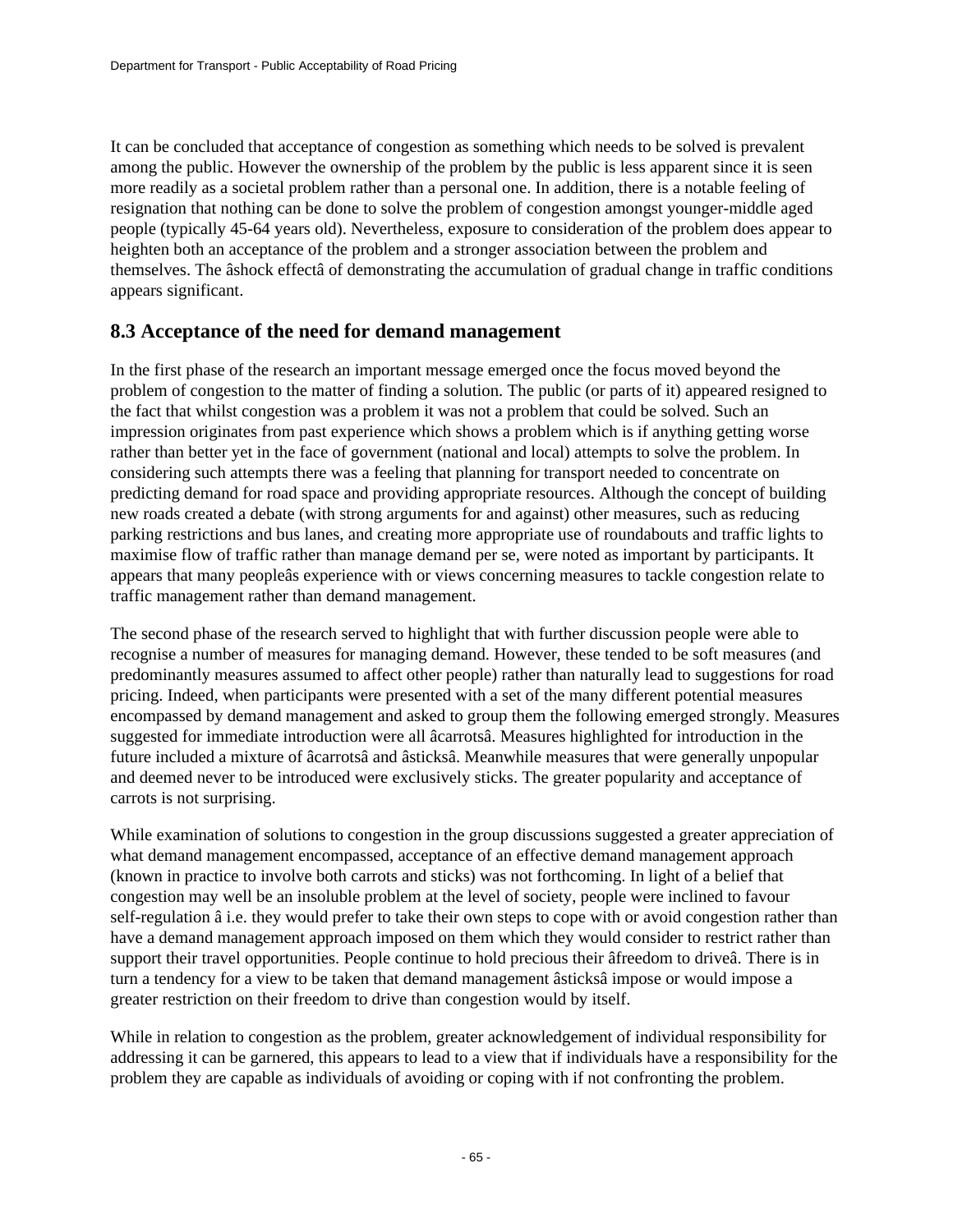It can be concluded that acceptance of congestion as something which needs to be solved is prevalent among the public. However the ownership of the problem by the public is less apparent since it is seen more readily as a societal problem rather than a personal one. In addition, there is a notable feeling of resignation that nothing can be done to solve the problem of congestion amongst younger-middle aged people (typically 45-64 years old). Nevertheless, exposure to consideration of the problem does appear to heighten both an acceptance of the problem and a stronger association between the problem and themselves. The âshock effectâ of demonstrating the accumulation of gradual change in traffic conditions appears significant.

## **8.3 Acceptance of the need for demand management**

In the first phase of the research an important message emerged once the focus moved beyond the problem of congestion to the matter of finding a solution. The public (or parts of it) appeared resigned to the fact that whilst congestion was a problem it was not a problem that could be solved. Such an impression originates from past experience which shows a problem which is if anything getting worse rather than better yet in the face of government (national and local) attempts to solve the problem. In considering such attempts there was a feeling that planning for transport needed to concentrate on predicting demand for road space and providing appropriate resources. Although the concept of building new roads created a debate (with strong arguments for and against) other measures, such as reducing parking restrictions and bus lanes, and creating more appropriate use of roundabouts and traffic lights to maximise flow of traffic rather than manage demand per se, were noted as important by participants. It appears that many peopleâs experience with or views concerning measures to tackle congestion relate to traffic management rather than demand management.

The second phase of the research served to highlight that with further discussion people were able to recognise a number of measures for managing demand. However, these tended to be soft measures (and predominantly measures assumed to affect other people) rather than naturally lead to suggestions for road pricing. Indeed, when participants were presented with a set of the many different potential measures encompassed by demand management and asked to group them the following emerged strongly. Measures suggested for immediate introduction were all âcarrotsâ. Measures highlighted for introduction in the future included a mixture of âcarrotsâ and âsticksâ. Meanwhile measures that were generally unpopular and deemed never to be introduced were exclusively sticks. The greater popularity and acceptance of carrots is not surprising.

While examination of solutions to congestion in the group discussions suggested a greater appreciation of what demand management encompassed, acceptance of an effective demand management approach (known in practice to involve both carrots and sticks) was not forthcoming. In light of a belief that congestion may well be an insoluble problem at the level of society, people were inclined to favour self-regulation â i.e. they would prefer to take their own steps to cope with or avoid congestion rather than have a demand management approach imposed on them which they would consider to restrict rather than support their travel opportunities. People continue to hold precious their âfreedom to driveâ. There is in turn a tendency for a view to be taken that demand management âsticksâ impose or would impose a greater restriction on their freedom to drive than congestion would by itself.

While in relation to congestion as the problem, greater acknowledgement of individual responsibility for addressing it can be garnered, this appears to lead to a view that if individuals have a responsibility for the problem they are capable as individuals of avoiding or coping with if not confronting the problem.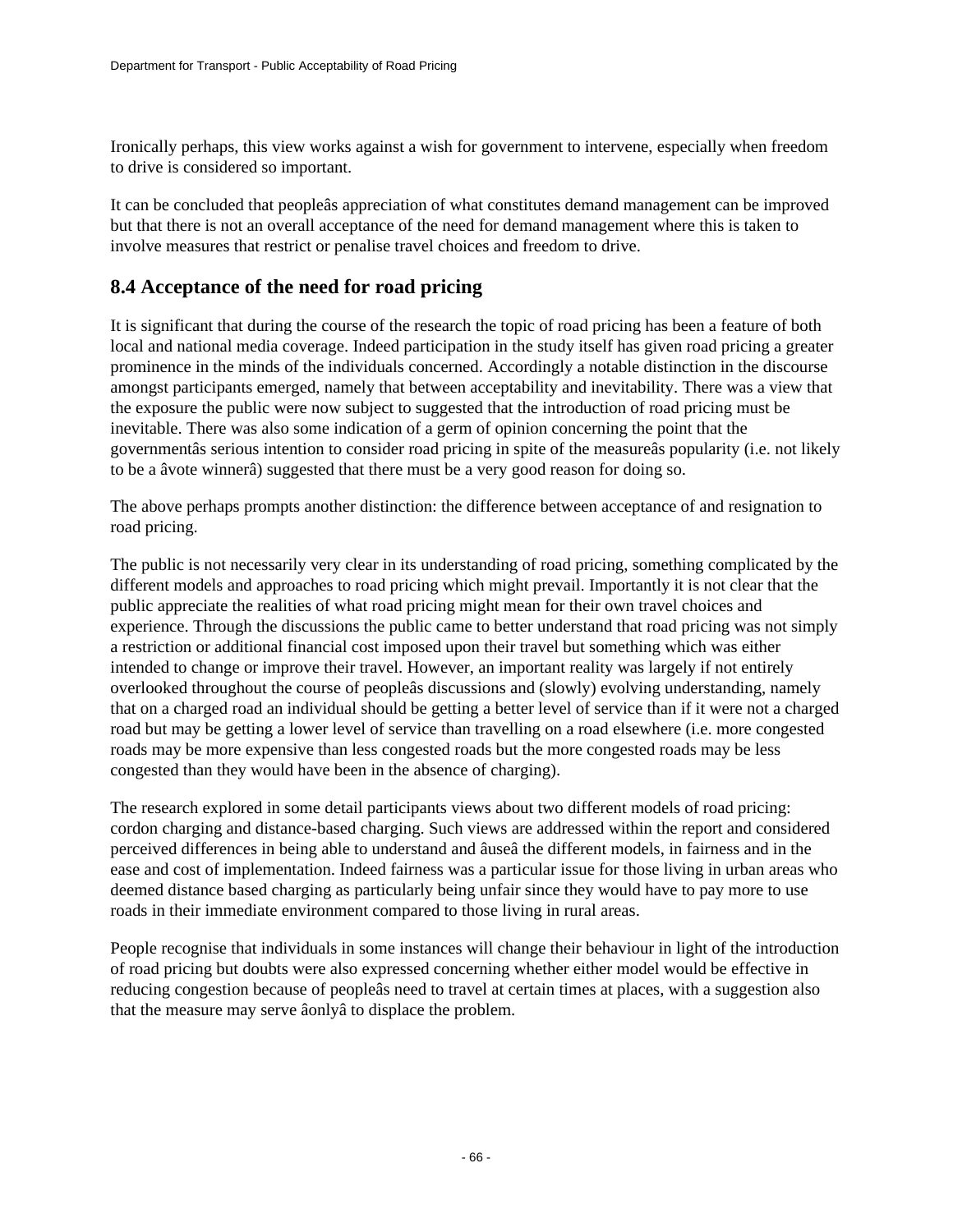Ironically perhaps, this view works against a wish for government to intervene, especially when freedom to drive is considered so important.

It can be concluded that peopleâs appreciation of what constitutes demand management can be improved but that there is not an overall acceptance of the need for demand management where this is taken to involve measures that restrict or penalise travel choices and freedom to drive.

### **8.4 Acceptance of the need for road pricing**

It is significant that during the course of the research the topic of road pricing has been a feature of both local and national media coverage. Indeed participation in the study itself has given road pricing a greater prominence in the minds of the individuals concerned. Accordingly a notable distinction in the discourse amongst participants emerged, namely that between acceptability and inevitability. There was a view that the exposure the public were now subject to suggested that the introduction of road pricing must be inevitable. There was also some indication of a germ of opinion concerning the point that the governmentâs serious intention to consider road pricing in spite of the measureâs popularity (i.e. not likely to be a âvote winnerâ) suggested that there must be a very good reason for doing so.

The above perhaps prompts another distinction: the difference between acceptance of and resignation to road pricing.

The public is not necessarily very clear in its understanding of road pricing, something complicated by the different models and approaches to road pricing which might prevail. Importantly it is not clear that the public appreciate the realities of what road pricing might mean for their own travel choices and experience. Through the discussions the public came to better understand that road pricing was not simply a restriction or additional financial cost imposed upon their travel but something which was either intended to change or improve their travel. However, an important reality was largely if not entirely overlooked throughout the course of peopleâs discussions and (slowly) evolving understanding, namely that on a charged road an individual should be getting a better level of service than if it were not a charged road but may be getting a lower level of service than travelling on a road elsewhere (i.e. more congested roads may be more expensive than less congested roads but the more congested roads may be less congested than they would have been in the absence of charging).

The research explored in some detail participants views about two different models of road pricing: cordon charging and distance-based charging. Such views are addressed within the report and considered perceived differences in being able to understand and âuseâ the different models, in fairness and in the ease and cost of implementation. Indeed fairness was a particular issue for those living in urban areas who deemed distance based charging as particularly being unfair since they would have to pay more to use roads in their immediate environment compared to those living in rural areas.

People recognise that individuals in some instances will change their behaviour in light of the introduction of road pricing but doubts were also expressed concerning whether either model would be effective in reducing congestion because of peopleâs need to travel at certain times at places, with a suggestion also that the measure may serve âonlyâ to displace the problem.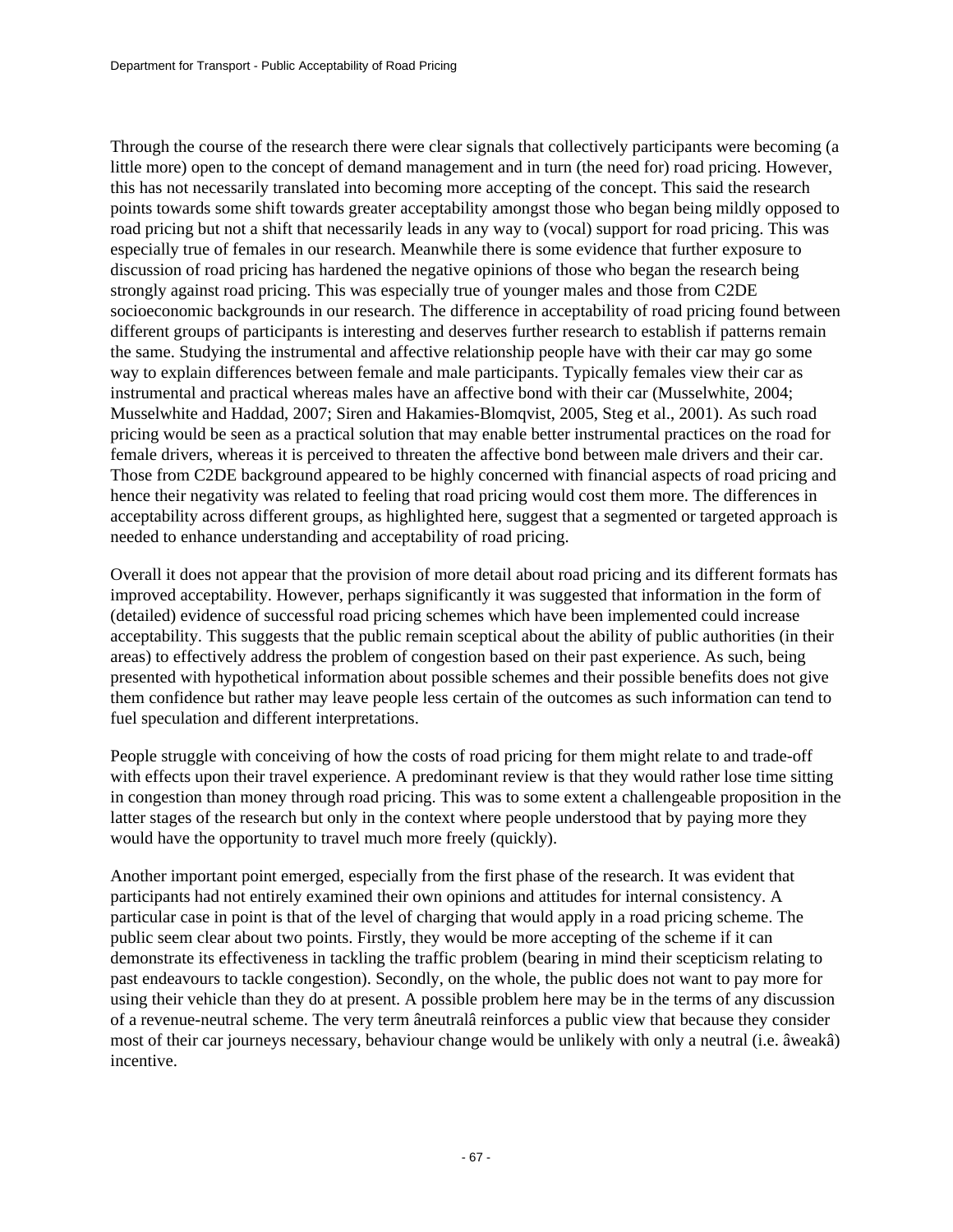Through the course of the research there were clear signals that collectively participants were becoming (a little more) open to the concept of demand management and in turn (the need for) road pricing. However, this has not necessarily translated into becoming more accepting of the concept. This said the research points towards some shift towards greater acceptability amongst those who began being mildly opposed to road pricing but not a shift that necessarily leads in any way to (vocal) support for road pricing. This was especially true of females in our research. Meanwhile there is some evidence that further exposure to discussion of road pricing has hardened the negative opinions of those who began the research being strongly against road pricing. This was especially true of younger males and those from C2DE socioeconomic backgrounds in our research. The difference in acceptability of road pricing found between different groups of participants is interesting and deserves further research to establish if patterns remain the same. Studying the instrumental and affective relationship people have with their car may go some way to explain differences between female and male participants. Typically females view their car as instrumental and practical whereas males have an affective bond with their car (Musselwhite, 2004; Musselwhite and Haddad, 2007; Siren and Hakamies-Blomqvist, 2005, Steg et al., 2001). As such road pricing would be seen as a practical solution that may enable better instrumental practices on the road for female drivers, whereas it is perceived to threaten the affective bond between male drivers and their car. Those from C2DE background appeared to be highly concerned with financial aspects of road pricing and hence their negativity was related to feeling that road pricing would cost them more. The differences in acceptability across different groups, as highlighted here, suggest that a segmented or targeted approach is needed to enhance understanding and acceptability of road pricing.

Overall it does not appear that the provision of more detail about road pricing and its different formats has improved acceptability. However, perhaps significantly it was suggested that information in the form of (detailed) evidence of successful road pricing schemes which have been implemented could increase acceptability. This suggests that the public remain sceptical about the ability of public authorities (in their areas) to effectively address the problem of congestion based on their past experience. As such, being presented with hypothetical information about possible schemes and their possible benefits does not give them confidence but rather may leave people less certain of the outcomes as such information can tend to fuel speculation and different interpretations.

People struggle with conceiving of how the costs of road pricing for them might relate to and trade-off with effects upon their travel experience. A predominant review is that they would rather lose time sitting in congestion than money through road pricing. This was to some extent a challengeable proposition in the latter stages of the research but only in the context where people understood that by paying more they would have the opportunity to travel much more freely (quickly).

Another important point emerged, especially from the first phase of the research. It was evident that participants had not entirely examined their own opinions and attitudes for internal consistency. A particular case in point is that of the level of charging that would apply in a road pricing scheme. The public seem clear about two points. Firstly, they would be more accepting of the scheme if it can demonstrate its effectiveness in tackling the traffic problem (bearing in mind their scepticism relating to past endeavours to tackle congestion). Secondly, on the whole, the public does not want to pay more for using their vehicle than they do at present. A possible problem here may be in the terms of any discussion of a revenue-neutral scheme. The very term âneutralâ reinforces a public view that because they consider most of their car journeys necessary, behaviour change would be unlikely with only a neutral (i.e. âweakâ) incentive.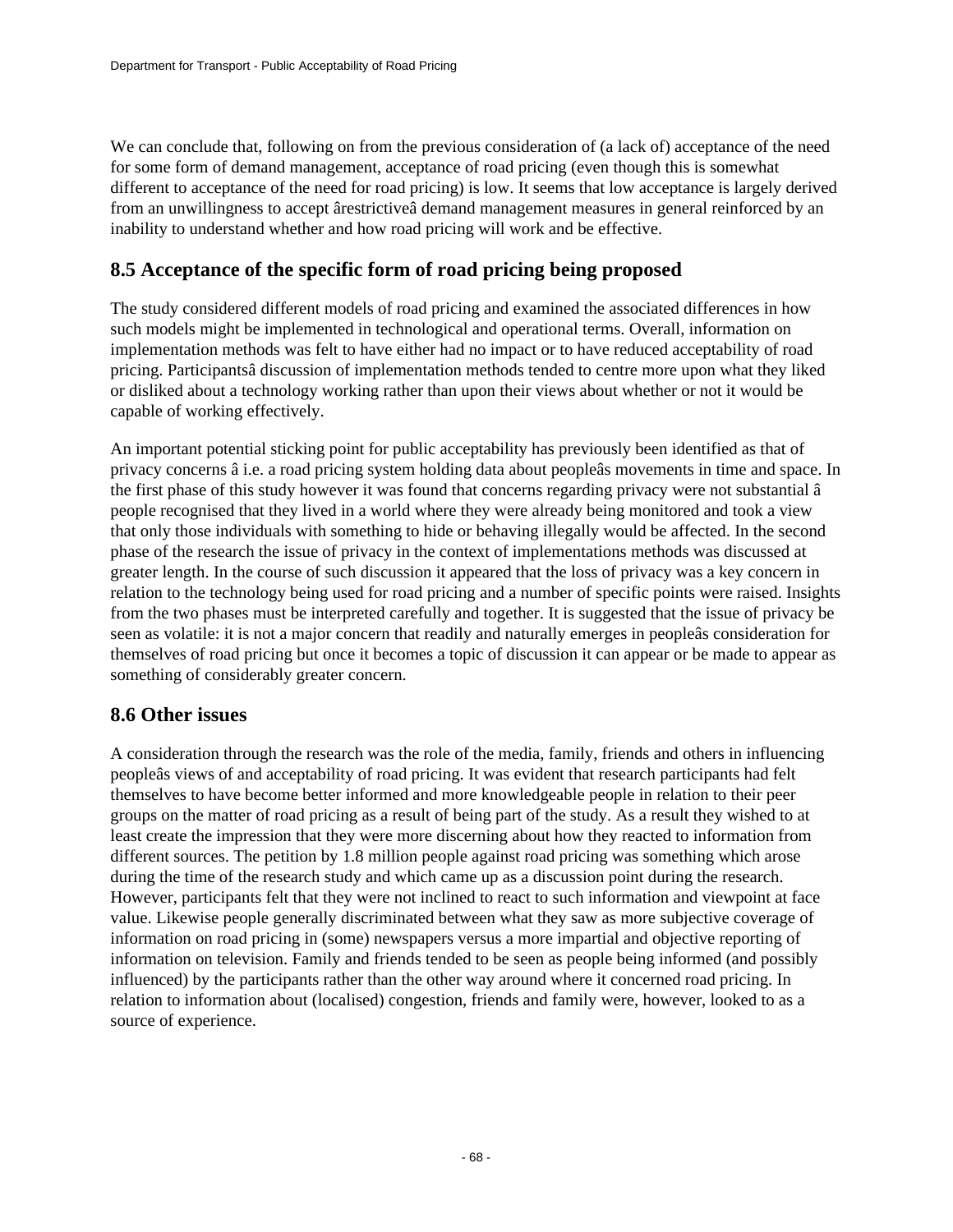We can conclude that, following on from the previous consideration of (a lack of) acceptance of the need for some form of demand management, acceptance of road pricing (even though this is somewhat different to acceptance of the need for road pricing) is low. It seems that low acceptance is largely derived from an unwillingness to accept ârestrictiveâ demand management measures in general reinforced by an inability to understand whether and how road pricing will work and be effective.

## **8.5 Acceptance of the specific form of road pricing being proposed**

The study considered different models of road pricing and examined the associated differences in how such models might be implemented in technological and operational terms. Overall, information on implementation methods was felt to have either had no impact or to have reduced acceptability of road pricing. Participantsâ discussion of implementation methods tended to centre more upon what they liked or disliked about a technology working rather than upon their views about whether or not it would be capable of working effectively.

An important potential sticking point for public acceptability has previously been identified as that of privacy concerns â i.e. a road pricing system holding data about peopleâs movements in time and space. In the first phase of this study however it was found that concerns regarding privacy were not substantial â people recognised that they lived in a world where they were already being monitored and took a view that only those individuals with something to hide or behaving illegally would be affected. In the second phase of the research the issue of privacy in the context of implementations methods was discussed at greater length. In the course of such discussion it appeared that the loss of privacy was a key concern in relation to the technology being used for road pricing and a number of specific points were raised. Insights from the two phases must be interpreted carefully and together. It is suggested that the issue of privacy be seen as volatile: it is not a major concern that readily and naturally emerges in peopleâs consideration for themselves of road pricing but once it becomes a topic of discussion it can appear or be made to appear as something of considerably greater concern.

### **8.6 Other issues**

A consideration through the research was the role of the media, family, friends and others in influencing peopleâs views of and acceptability of road pricing. It was evident that research participants had felt themselves to have become better informed and more knowledgeable people in relation to their peer groups on the matter of road pricing as a result of being part of the study. As a result they wished to at least create the impression that they were more discerning about how they reacted to information from different sources. The petition by 1.8 million people against road pricing was something which arose during the time of the research study and which came up as a discussion point during the research. However, participants felt that they were not inclined to react to such information and viewpoint at face value. Likewise people generally discriminated between what they saw as more subjective coverage of information on road pricing in (some) newspapers versus a more impartial and objective reporting of information on television. Family and friends tended to be seen as people being informed (and possibly influenced) by the participants rather than the other way around where it concerned road pricing. In relation to information about (localised) congestion, friends and family were, however, looked to as a source of experience.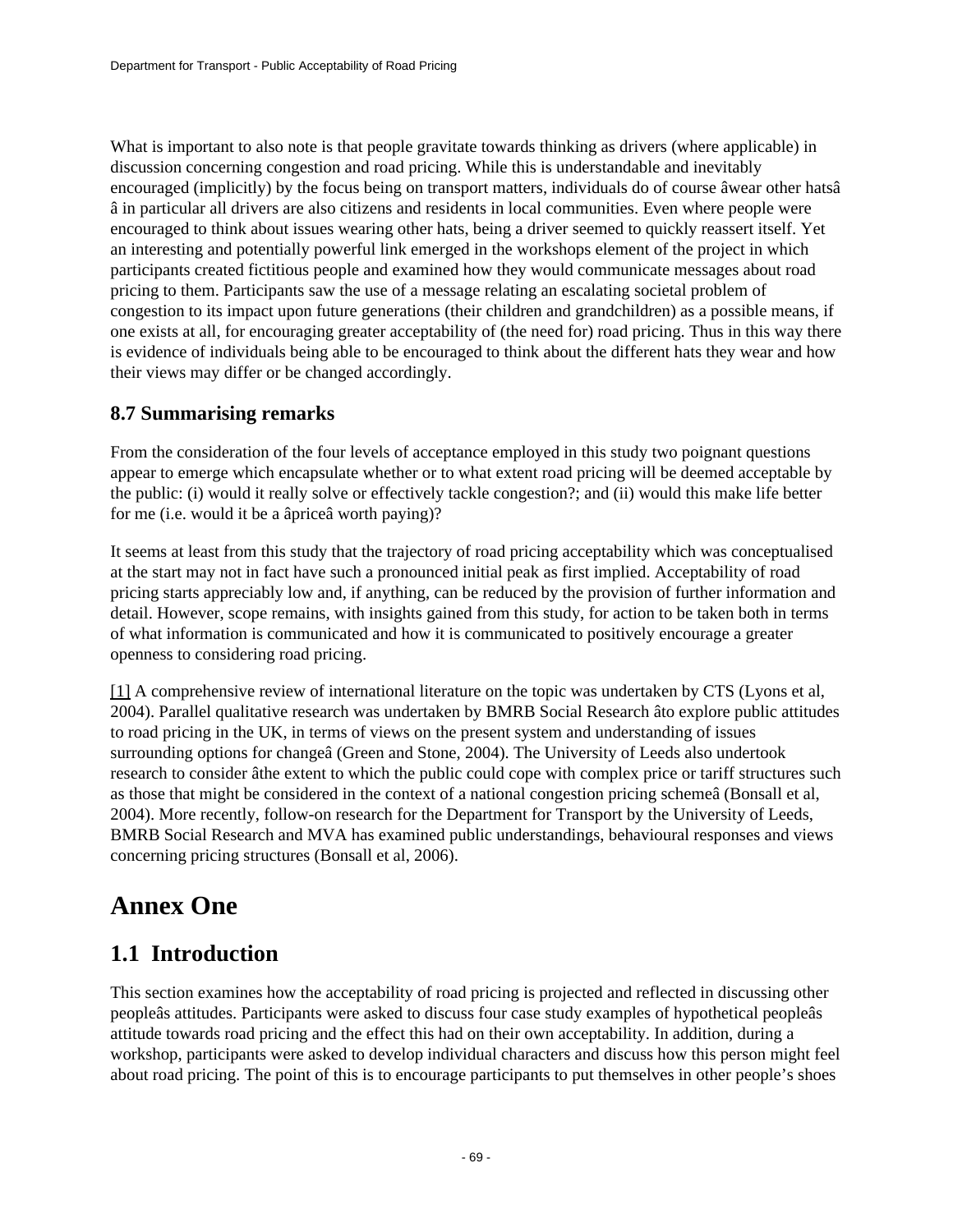What is important to also note is that people gravitate towards thinking as drivers (where applicable) in discussion concerning congestion and road pricing. While this is understandable and inevitably encouraged (implicitly) by the focus being on transport matters, individuals do of course âwear other hatsâ â in particular all drivers are also citizens and residents in local communities. Even where people were encouraged to think about issues wearing other hats, being a driver seemed to quickly reassert itself. Yet an interesting and potentially powerful link emerged in the workshops element of the project in which participants created fictitious people and examined how they would communicate messages about road pricing to them. Participants saw the use of a message relating an escalating societal problem of congestion to its impact upon future generations (their children and grandchildren) as a possible means, if one exists at all, for encouraging greater acceptability of (the need for) road pricing. Thus in this way there is evidence of individuals being able to be encouraged to think about the different hats they wear and how their views may differ or be changed accordingly.

## **8.7 Summarising remarks**

From the consideration of the four levels of acceptance employed in this study two poignant questions appear to emerge which encapsulate whether or to what extent road pricing will be deemed acceptable by the public: (i) would it really solve or effectively tackle congestion?; and (ii) would this make life better for me (i.e. would it be a âpriceâ worth paying)?

It seems at least from this study that the trajectory of road pricing acceptability which was conceptualised at the start may not in fact have such a pronounced initial peak as first implied. Acceptability of road pricing starts appreciably low and, if anything, can be reduced by the provision of further information and detail. However, scope remains, with insights gained from this study, for action to be taken both in terms of what information is communicated and how it is communicated to positively encourage a greater openness to considering road pricing.

[\[1\]](http://www.dft.gov.uk/#_ftnref1) A comprehensive review of international literature on the topic was undertaken by CTS (Lyons et al, 2004). Parallel qualitative research was undertaken by BMRB Social Research âto explore public attitudes to road pricing in the UK, in terms of views on the present system and understanding of issues surrounding options for changeâ (Green and Stone, 2004). The University of Leeds also undertook research to consider âthe extent to which the public could cope with complex price or tariff structures such as those that might be considered in the context of a national congestion pricing schemeâ (Bonsall et al, 2004). More recently, follow-on research for the Department for Transport by the University of Leeds, BMRB Social Research and MVA has examined public understandings, behavioural responses and views concerning pricing structures (Bonsall et al, 2006).

# **Annex One**

## **1.1 Introduction**

This section examines how the acceptability of road pricing is projected and reflected in discussing other peopleâs attitudes. Participants were asked to discuss four case study examples of hypothetical peopleâs attitude towards road pricing and the effect this had on their own acceptability. In addition, during a workshop, participants were asked to develop individual characters and discuss how this person might feel about road pricing. The point of this is to encourage participants to put themselves in other people's shoes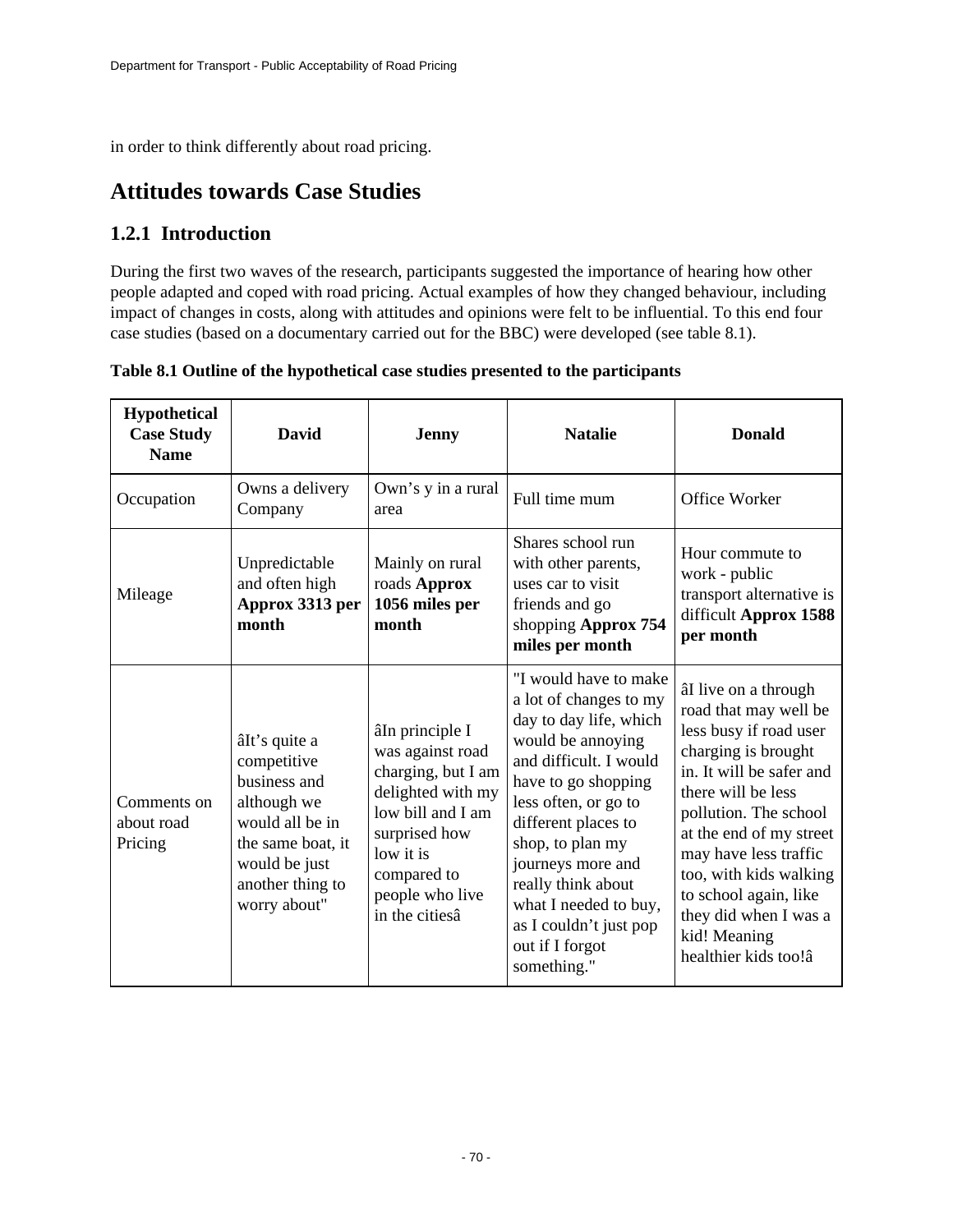in order to think differently about road pricing.

## **Attitudes towards Case Studies**

## **1.2.1 Introduction**

During the first two waves of the research, participants suggested the importance of hearing how other people adapted and coped with road pricing. Actual examples of how they changed behaviour, including impact of changes in costs, along with attitudes and opinions were felt to be influential. To this end four case studies (based on a documentary carried out for the BBC) were developed (see table 8.1).

| <b>Hypothetical</b><br><b>Case Study</b><br><b>Name</b> | David                                                                                                                                                    | <b>Jenny</b>                                                                                                                                                                          | <b>Natalie</b>                                                                                                                                                                                                                                                                                                                                     | <b>Donald</b>                                                                                                                                                                                                                                                                                                                                     |
|---------------------------------------------------------|----------------------------------------------------------------------------------------------------------------------------------------------------------|---------------------------------------------------------------------------------------------------------------------------------------------------------------------------------------|----------------------------------------------------------------------------------------------------------------------------------------------------------------------------------------------------------------------------------------------------------------------------------------------------------------------------------------------------|---------------------------------------------------------------------------------------------------------------------------------------------------------------------------------------------------------------------------------------------------------------------------------------------------------------------------------------------------|
| Occupation                                              | Owns a delivery<br>Company                                                                                                                               | Own's y in a rural<br>area                                                                                                                                                            | Full time mum                                                                                                                                                                                                                                                                                                                                      | Office Worker                                                                                                                                                                                                                                                                                                                                     |
| Mileage                                                 | Unpredictable<br>and often high<br>Approx 3313 per<br>month                                                                                              | Mainly on rural<br>roads Approx<br>1056 miles per<br>month                                                                                                                            | Shares school run<br>with other parents,<br>uses car to visit<br>friends and go<br>shopping Approx 754<br>miles per month                                                                                                                                                                                                                          | Hour commute to<br>work - public<br>transport alternative is<br>difficult Approx 1588<br>per month                                                                                                                                                                                                                                                |
| Comments on<br>about road<br>Pricing                    | âIt's quite a<br>competitive<br>business and<br>although we<br>would all be in<br>the same boat, it<br>would be just<br>another thing to<br>worry about" | âIn principle I<br>was against road<br>charging, but I am<br>delighted with my<br>low bill and I am<br>surprised how<br>low it is<br>compared to<br>people who live<br>in the citiesâ | "I would have to make<br>a lot of changes to my<br>day to day life, which<br>would be annoying<br>and difficult. I would<br>have to go shopping<br>less often, or go to<br>different places to<br>shop, to plan my<br>journeys more and<br>really think about<br>what I needed to buy,<br>as I couldn't just pop<br>out if I forgot<br>something." | âI live on a through<br>road that may well be<br>less busy if road user<br>charging is brought<br>in. It will be safer and<br>there will be less<br>pollution. The school<br>at the end of my street<br>may have less traffic<br>too, with kids walking<br>to school again, like<br>they did when I was a<br>kid! Meaning<br>healthier kids too!â |

**Table 8.1 Outline of the hypothetical case studies presented to the participants**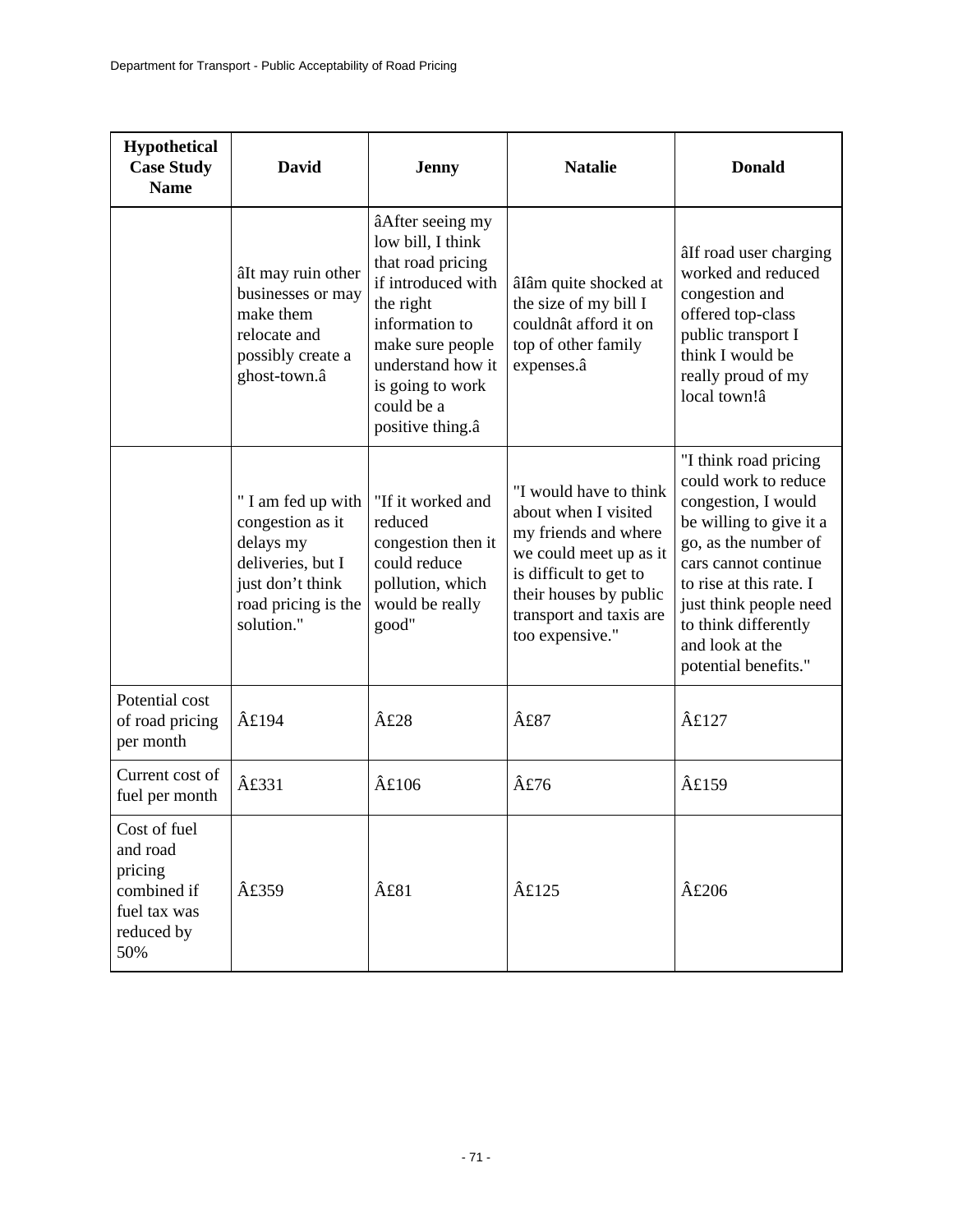| <b>Hypothetical</b><br><b>Case Study</b><br><b>Name</b>                                 | <b>David</b>                                                                                                                      | <b>Jenny</b>                                                                                                                                                                                                   | <b>Natalie</b>                                                                                                                                                                                     | <b>Donald</b>                                                                                                                                                                                                                                                           |
|-----------------------------------------------------------------------------------------|-----------------------------------------------------------------------------------------------------------------------------------|----------------------------------------------------------------------------------------------------------------------------------------------------------------------------------------------------------------|----------------------------------------------------------------------------------------------------------------------------------------------------------------------------------------------------|-------------------------------------------------------------------------------------------------------------------------------------------------------------------------------------------------------------------------------------------------------------------------|
|                                                                                         | âIt may ruin other<br>businesses or may<br>make them<br>relocate and<br>possibly create a<br>ghost-town.â                         | âAfter seeing my<br>low bill, I think<br>that road pricing<br>if introduced with<br>the right<br>information to<br>make sure people<br>understand how it<br>is going to work<br>could be a<br>positive thing.a | âIâm quite shocked at<br>the size of my bill I<br>couldnât afford it on<br>top of other family<br>expenses.â                                                                                       | âIf road user charging<br>worked and reduced<br>congestion and<br>offered top-class<br>public transport I<br>think I would be<br>really proud of my<br>local town!â                                                                                                     |
|                                                                                         | " I am fed up with<br>congestion as it<br>delays my<br>deliveries, but I<br>just don't think<br>road pricing is the<br>solution." | "If it worked and<br>reduced<br>congestion then it<br>could reduce<br>pollution, which<br>would be really<br>good"                                                                                             | "I would have to think<br>about when I visited<br>my friends and where<br>we could meet up as it<br>is difficult to get to<br>their houses by public<br>transport and taxis are<br>too expensive." | "I think road pricing<br>could work to reduce<br>congestion, I would<br>be willing to give it a<br>go, as the number of<br>cars cannot continue<br>to rise at this rate. I<br>just think people need<br>to think differently<br>and look at the<br>potential benefits." |
| Potential cost<br>of road pricing<br>per month                                          | $\hat{A}$ £194                                                                                                                    | $\hat{A}£28$                                                                                                                                                                                                   | £87                                                                                                                                                                                                | $\hat{A}$ £127                                                                                                                                                                                                                                                          |
| Current cost of<br>fuel per month                                                       | <b>£331</b>                                                                                                                       | $\hat{A}$ £106                                                                                                                                                                                                 | £76                                                                                                                                                                                                | $\hat{A}$ £159                                                                                                                                                                                                                                                          |
| Cost of fuel<br>and road<br>pricing<br>combined if<br>fuel tax was<br>reduced by<br>50% | $\hat{A}$ £359                                                                                                                    | $\hat{A}$ £81                                                                                                                                                                                                  | $\hat{A}$ £125                                                                                                                                                                                     | $\hat{A}$ £206                                                                                                                                                                                                                                                          |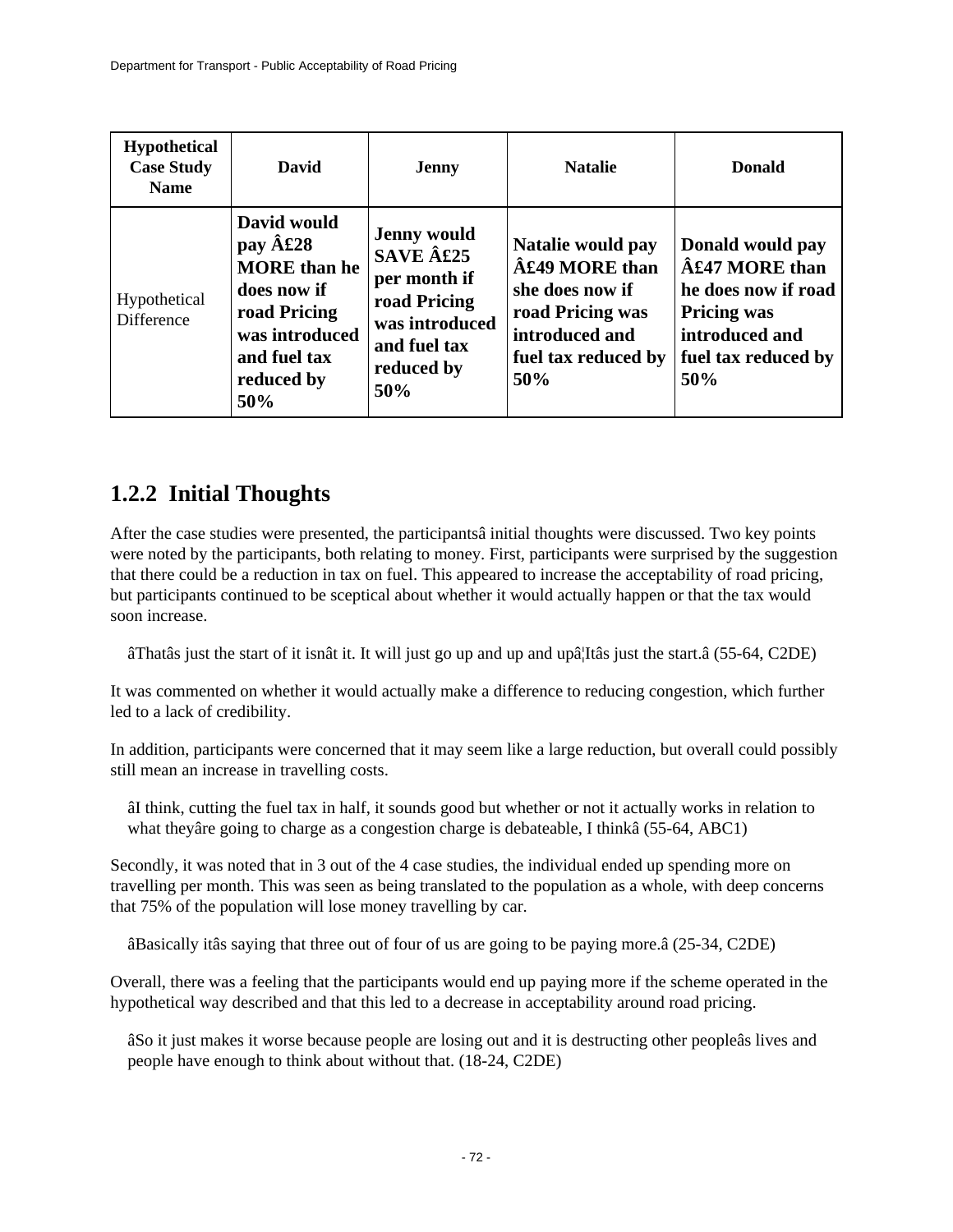| <b>Hypothetical</b><br><b>Case Study</b><br><b>Name</b> | David                                                                                                                                         | <b>Jenny</b>                                                                                                          | <b>Natalie</b>                                                                                                                      | <b>Donald</b>                                                                                                                            |
|---------------------------------------------------------|-----------------------------------------------------------------------------------------------------------------------------------------------|-----------------------------------------------------------------------------------------------------------------------|-------------------------------------------------------------------------------------------------------------------------------------|------------------------------------------------------------------------------------------------------------------------------------------|
| Hypothetical<br>Difference                              | David would<br>pay $\hat{A}$ £28<br><b>MORE</b> than he<br>does now if<br>road Pricing<br>was introduced<br>and fuel tax<br>reduced by<br>50% | <b>Jenny would</b><br>SAVE £25<br>per month if<br>road Pricing<br>was introduced<br>and fuel tax<br>reduced by<br>50% | Natalie would pay<br>$\hat{A}$ £49 MORE than<br>she does now if<br>road Pricing was<br>introduced and<br>fuel tax reduced by<br>50% | Donald would pay<br>$\hat{A}$ £47 MORE than<br>he does now if road<br><b>Pricing was</b><br>introduced and<br>fuel tax reduced by<br>50% |

## **1.2.2 Initial Thoughts**

After the case studies were presented, the participantsâ initial thoughts were discussed. Two key points were noted by the participants, both relating to money. First, participants were surprised by the suggestion that there could be a reduction in tax on fuel. This appeared to increase the acceptability of road pricing, but participants continued to be sceptical about whether it would actually happen or that the tax would soon increase.

âThatâs just the start of it isnât it. It will just go up and up and upâ¦Itâs just the start.â (55-64, C2DE)

It was commented on whether it would actually make a difference to reducing congestion, which further led to a lack of credibility.

In addition, participants were concerned that it may seem like a large reduction, but overall could possibly still mean an increase in travelling costs.

âI think, cutting the fuel tax in half, it sounds good but whether or not it actually works in relation to what theyâre going to charge as a congestion charge is debateable, I thinkâ (55-64, ABC1)

Secondly, it was noted that in 3 out of the 4 case studies, the individual ended up spending more on travelling per month. This was seen as being translated to the population as a whole, with deep concerns that 75% of the population will lose money travelling by car.

âBasically itâs saying that three out of four of us are going to be paying more.â (25-34, C2DE)

Overall, there was a feeling that the participants would end up paying more if the scheme operated in the hypothetical way described and that this led to a decrease in acceptability around road pricing.

âSo it just makes it worse because people are losing out and it is destructing other peopleâs lives and people have enough to think about without that. (18-24, C2DE)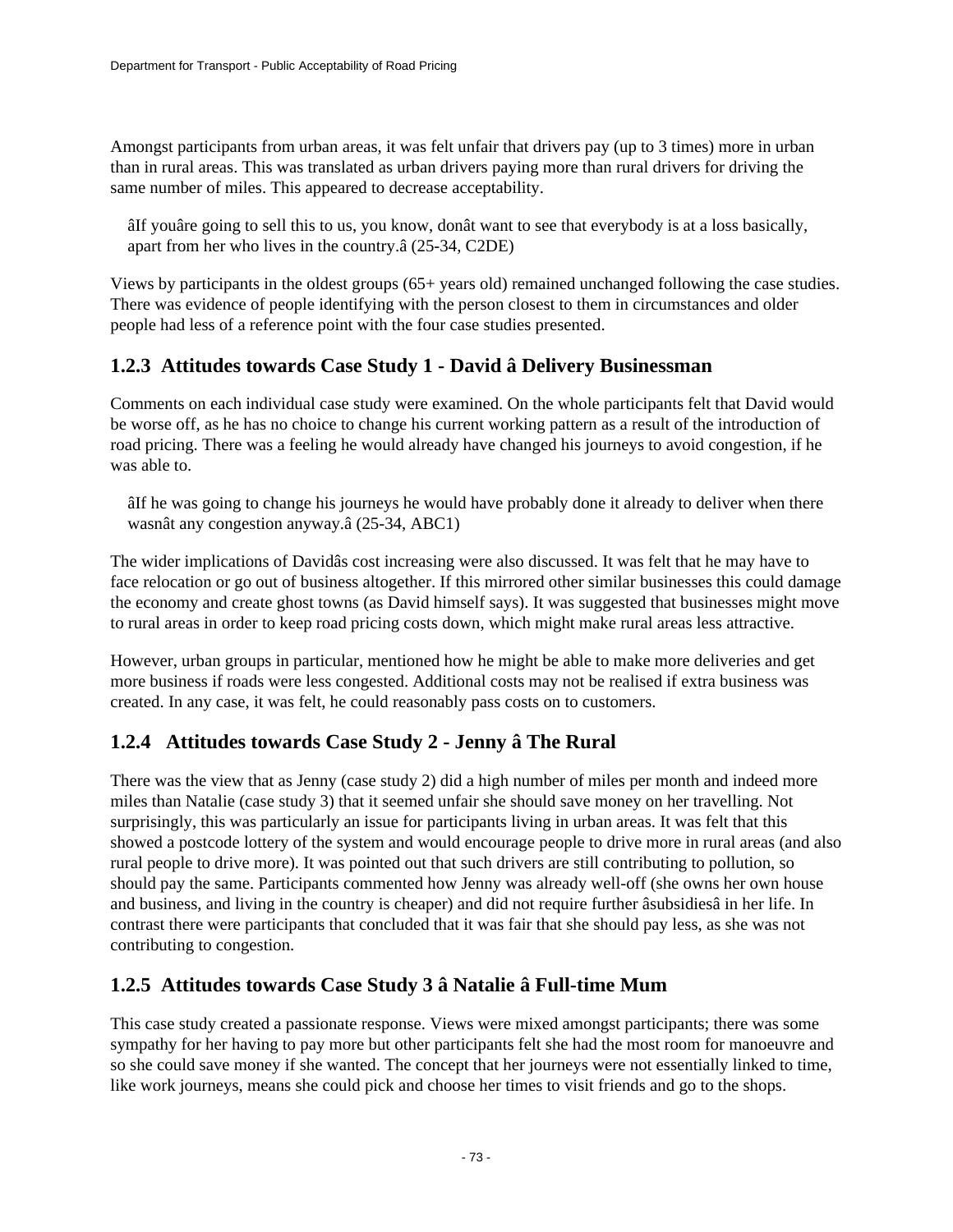Amongst participants from urban areas, it was felt unfair that drivers pay (up to 3 times) more in urban than in rural areas. This was translated as urban drivers paying more than rural drivers for driving the same number of miles. This appeared to decrease acceptability.

âIf youâre going to sell this to us, you know, donât want to see that everybody is at a loss basically, apart from her who lives in the country.â (25-34, C2DE)

Views by participants in the oldest groups (65+ years old) remained unchanged following the case studies. There was evidence of people identifying with the person closest to them in circumstances and older people had less of a reference point with the four case studies presented.

# **1.2.3 Attitudes towards Case Study 1 - David â Delivery Businessman**

Comments on each individual case study were examined. On the whole participants felt that David would be worse off, as he has no choice to change his current working pattern as a result of the introduction of road pricing. There was a feeling he would already have changed his journeys to avoid congestion, if he was able to.

âIf he was going to change his journeys he would have probably done it already to deliver when there wasnât any congestion anyway.â (25-34, ABC1)

The wider implications of Davidâs cost increasing were also discussed. It was felt that he may have to face relocation or go out of business altogether. If this mirrored other similar businesses this could damage the economy and create ghost towns (as David himself says). It was suggested that businesses might move to rural areas in order to keep road pricing costs down, which might make rural areas less attractive.

However, urban groups in particular, mentioned how he might be able to make more deliveries and get more business if roads were less congested. Additional costs may not be realised if extra business was created. In any case, it was felt, he could reasonably pass costs on to customers.

# **1.2.4 Attitudes towards Case Study 2 - Jenny â The Rural**

There was the view that as Jenny (case study 2) did a high number of miles per month and indeed more miles than Natalie (case study 3) that it seemed unfair she should save money on her travelling. Not surprisingly, this was particularly an issue for participants living in urban areas. It was felt that this showed a postcode lottery of the system and would encourage people to drive more in rural areas (and also rural people to drive more). It was pointed out that such drivers are still contributing to pollution, so should pay the same. Participants commented how Jenny was already well-off (she owns her own house and business, and living in the country is cheaper) and did not require further âsubsidiesâ in her life. In contrast there were participants that concluded that it was fair that she should pay less, as she was not contributing to congestion.

# **1.2.5 Attitudes towards Case Study 3 â Natalie â Full-time Mum**

This case study created a passionate response. Views were mixed amongst participants; there was some sympathy for her having to pay more but other participants felt she had the most room for manoeuvre and so she could save money if she wanted. The concept that her journeys were not essentially linked to time, like work journeys, means she could pick and choose her times to visit friends and go to the shops.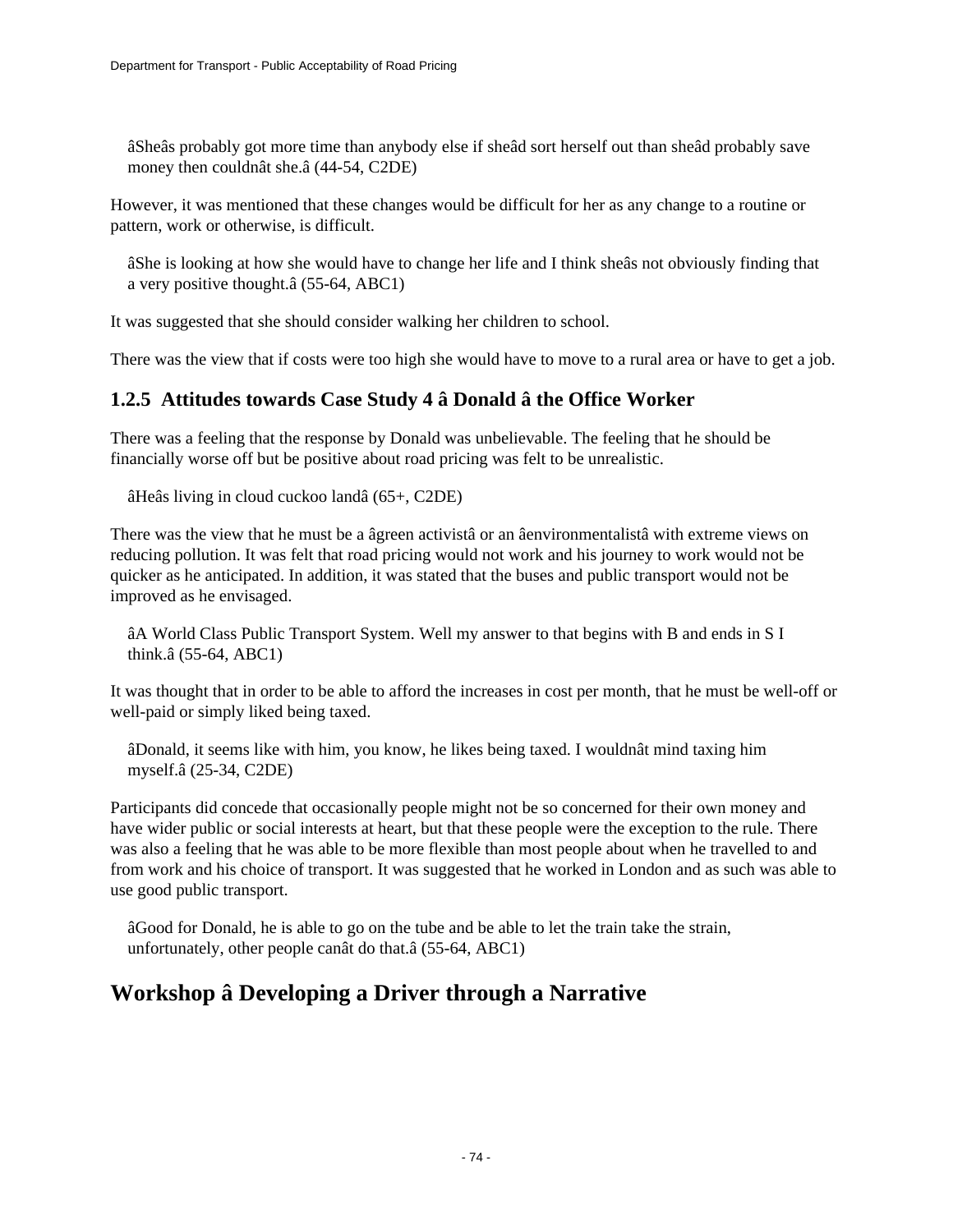âSheâs probably got more time than anybody else if sheâd sort herself out than sheâd probably save money then couldnât she.â (44-54, C2DE)

However, it was mentioned that these changes would be difficult for her as any change to a routine or pattern, work or otherwise, is difficult.

âShe is looking at how she would have to change her life and I think sheâs not obviously finding that a very positive thought.â (55-64, ABC1)

It was suggested that she should consider walking her children to school.

There was the view that if costs were too high she would have to move to a rural area or have to get a job.

# **1.2.5 Attitudes towards Case Study 4 â Donald â the Office Worker**

There was a feeling that the response by Donald was unbelievable. The feeling that he should be financially worse off but be positive about road pricing was felt to be unrealistic.

âHeâs living in cloud cuckoo landâ (65+, C2DE)

There was the view that he must be a âgreen activistâ or an âenvironmentalistâ with extreme views on reducing pollution. It was felt that road pricing would not work and his journey to work would not be quicker as he anticipated. In addition, it was stated that the buses and public transport would not be improved as he envisaged.

âA World Class Public Transport System. Well my answer to that begins with B and ends in S I think.â (55-64, ABC1)

It was thought that in order to be able to afford the increases in cost per month, that he must be well-off or well-paid or simply liked being taxed.

âDonald, it seems like with him, you know, he likes being taxed. I wouldnât mind taxing him myself.â (25-34, C2DE)

Participants did concede that occasionally people might not be so concerned for their own money and have wider public or social interests at heart, but that these people were the exception to the rule. There was also a feeling that he was able to be more flexible than most people about when he travelled to and from work and his choice of transport. It was suggested that he worked in London and as such was able to use good public transport.

âGood for Donald, he is able to go on the tube and be able to let the train take the strain, unfortunately, other people canât do that.â (55-64, ABC1)

# **Workshop â Developing a Driver through a Narrative**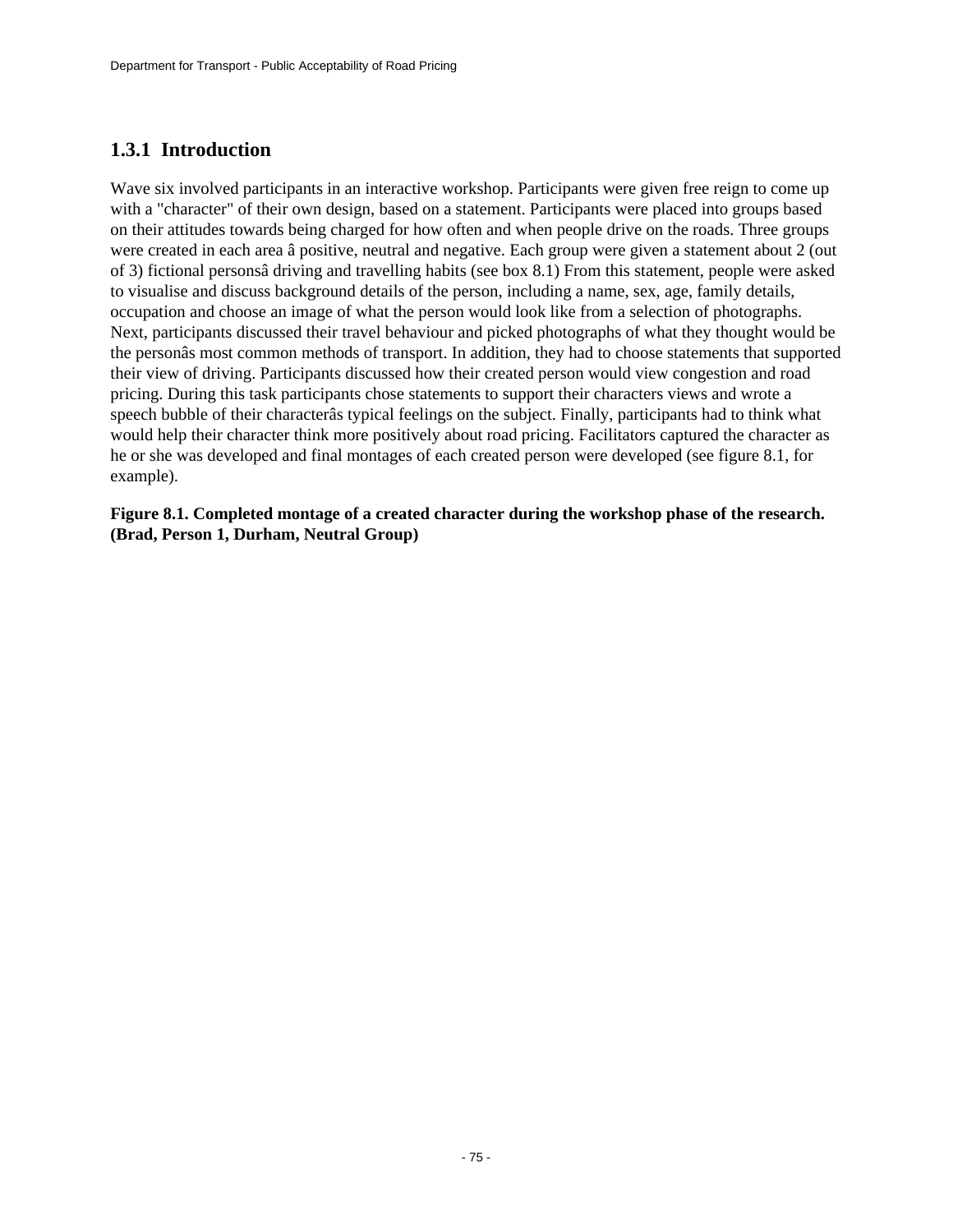# **1.3.1 Introduction**

Wave six involved participants in an interactive workshop. Participants were given free reign to come up with a "character" of their own design, based on a statement. Participants were placed into groups based on their attitudes towards being charged for how often and when people drive on the roads. Three groups were created in each area â positive, neutral and negative. Each group were given a statement about 2 (out of 3) fictional personsâ driving and travelling habits (see box 8.1) From this statement, people were asked to visualise and discuss background details of the person, including a name, sex, age, family details, occupation and choose an image of what the person would look like from a selection of photographs. Next, participants discussed their travel behaviour and picked photographs of what they thought would be the personâs most common methods of transport. In addition, they had to choose statements that supported their view of driving. Participants discussed how their created person would view congestion and road pricing. During this task participants chose statements to support their characters views and wrote a speech bubble of their characterâs typical feelings on the subject. Finally, participants had to think what would help their character think more positively about road pricing. Facilitators captured the character as he or she was developed and final montages of each created person were developed (see figure 8.1, for example).

**Figure 8.1. Completed montage of a created character during the workshop phase of the research. (Brad, Person 1, Durham, Neutral Group)**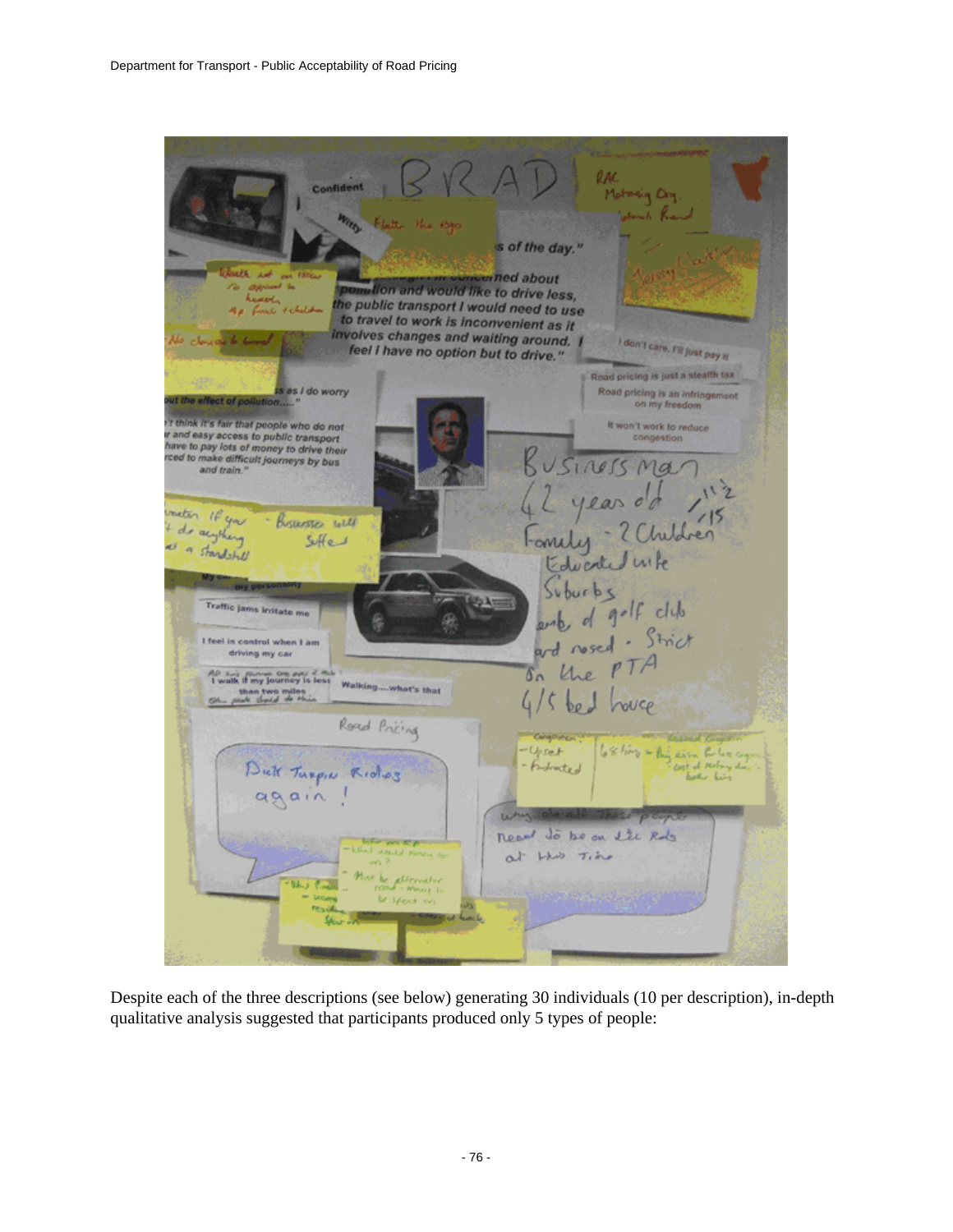

Despite each of the three descriptions (see below) generating 30 individuals (10 per description), in-depth qualitative analysis suggested that participants produced only 5 types of people: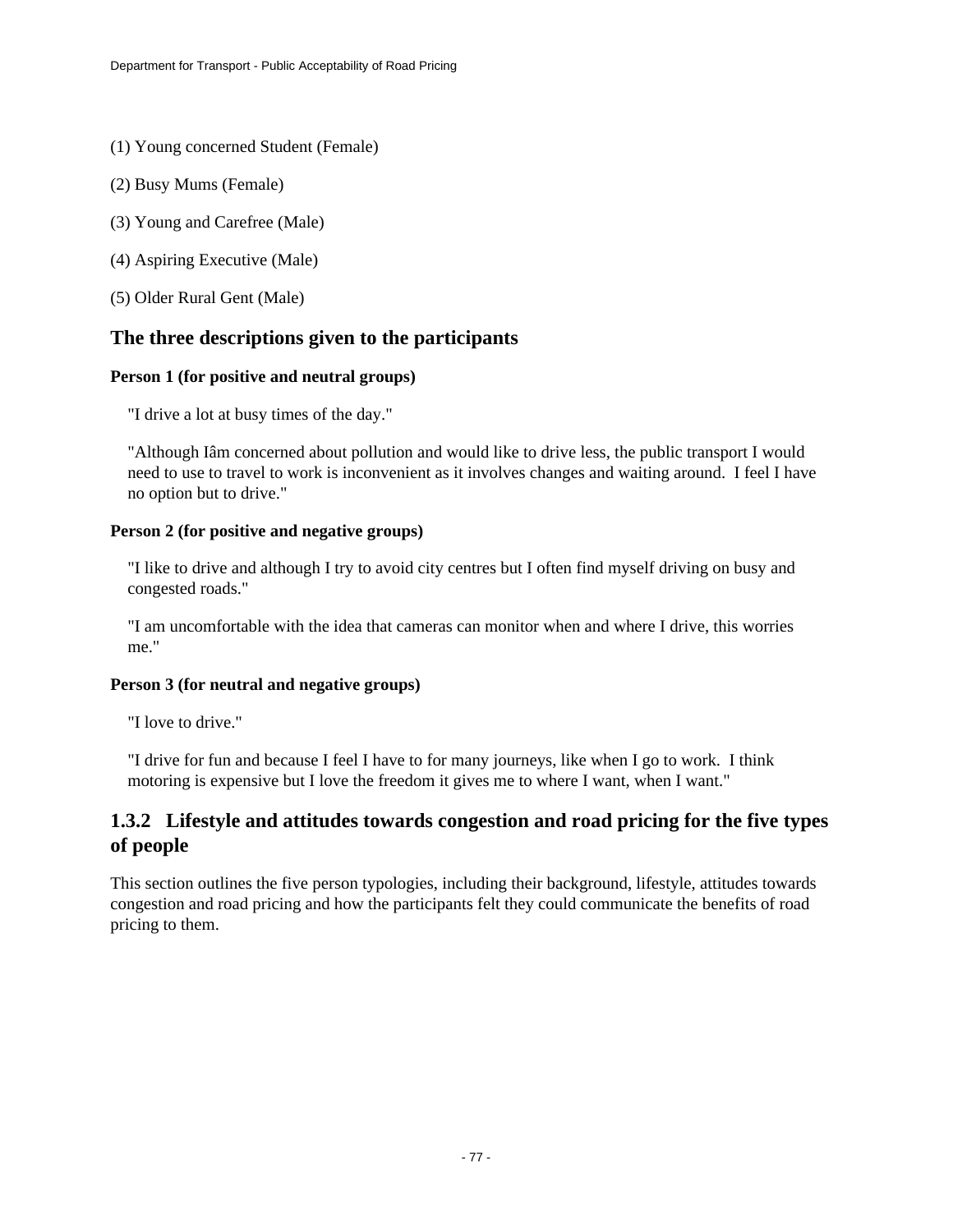- (1) Young concerned Student (Female)
- (2) Busy Mums (Female)
- (3) Young and Carefree (Male)
- (4) Aspiring Executive (Male)
- (5) Older Rural Gent (Male)

# **The three descriptions given to the participants**

### **Person 1 (for positive and neutral groups)**

"I drive a lot at busy times of the day."

"Although Iâm concerned about pollution and would like to drive less, the public transport I would need to use to travel to work is inconvenient as it involves changes and waiting around. I feel I have no option but to drive."

### **Person 2 (for positive and negative groups)**

"I like to drive and although I try to avoid city centres but I often find myself driving on busy and congested roads."

"I am uncomfortable with the idea that cameras can monitor when and where I drive, this worries me."

#### **Person 3 (for neutral and negative groups)**

"I love to drive."

"I drive for fun and because I feel I have to for many journeys, like when I go to work. I think motoring is expensive but I love the freedom it gives me to where I want, when I want."

# **1.3.2 Lifestyle and attitudes towards congestion and road pricing for the five types of people**

This section outlines the five person typologies, including their background, lifestyle, attitudes towards congestion and road pricing and how the participants felt they could communicate the benefits of road pricing to them.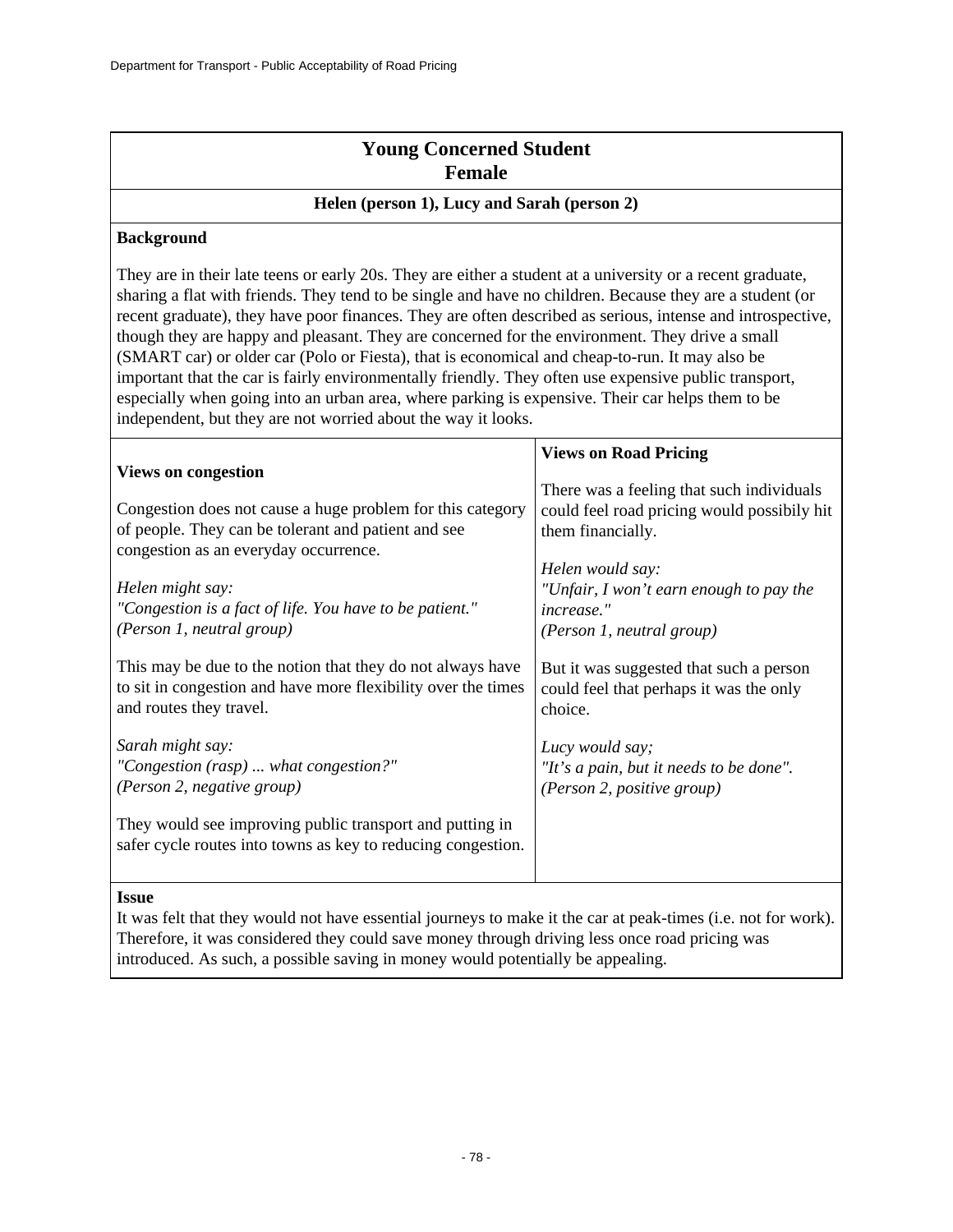| <b>Young Concerned Student</b> |  |
|--------------------------------|--|
| <b>Female</b>                  |  |

#### **Helen (person 1), Lucy and Sarah (person 2)**

### **Background**

They are in their late teens or early 20s. They are either a student at a university or a recent graduate, sharing a flat with friends. They tend to be single and have no children. Because they are a student (or recent graduate), they have poor finances. They are often described as serious, intense and introspective, though they are happy and pleasant. They are concerned for the environment. They drive a small (SMART car) or older car (Polo or Fiesta), that is economical and cheap-to-run. It may also be important that the car is fairly environmentally friendly. They often use expensive public transport, especially when going into an urban area, where parking is expensive. Their car helps them to be independent, but they are not worried about the way it looks.

|                                                                                              | <b>Views on Road Pricing</b>                |
|----------------------------------------------------------------------------------------------|---------------------------------------------|
| <b>Views on congestion</b>                                                                   |                                             |
|                                                                                              | There was a feeling that such individuals   |
| Congestion does not cause a huge problem for this category                                   | could feel road pricing would possibily hit |
| of people. They can be tolerant and patient and see<br>congestion as an everyday occurrence. | them financially.                           |
|                                                                                              | Helen would say:                            |
| Helen might say:                                                                             | "Unfair, I won't earn enough to pay the     |
| "Congestion is a fact of life. You have to be patient."                                      | <i>increase."</i>                           |
| (Person 1, neutral group)                                                                    | (Person 1, neutral group)                   |
| This may be due to the notion that they do not always have                                   | But it was suggested that such a person     |
| to sit in congestion and have more flexibility over the times                                | could feel that perhaps it was the only     |
| and routes they travel.                                                                      | choice.                                     |
| Sarah might say:                                                                             | Lucy would say;                             |
| "Congestion (rasp)  what congestion?"                                                        | "It's a pain, but it needs to be done".     |
| (Person 2, negative group)                                                                   | (Person 2, positive group)                  |
| They would see improving public transport and putting in                                     |                                             |
| safer cycle routes into towns as key to reducing congestion.                                 |                                             |
|                                                                                              |                                             |

#### **Issue**

It was felt that they would not have essential journeys to make it the car at peak-times (i.e. not for work). Therefore, it was considered they could save money through driving less once road pricing was introduced. As such, a possible saving in money would potentially be appealing.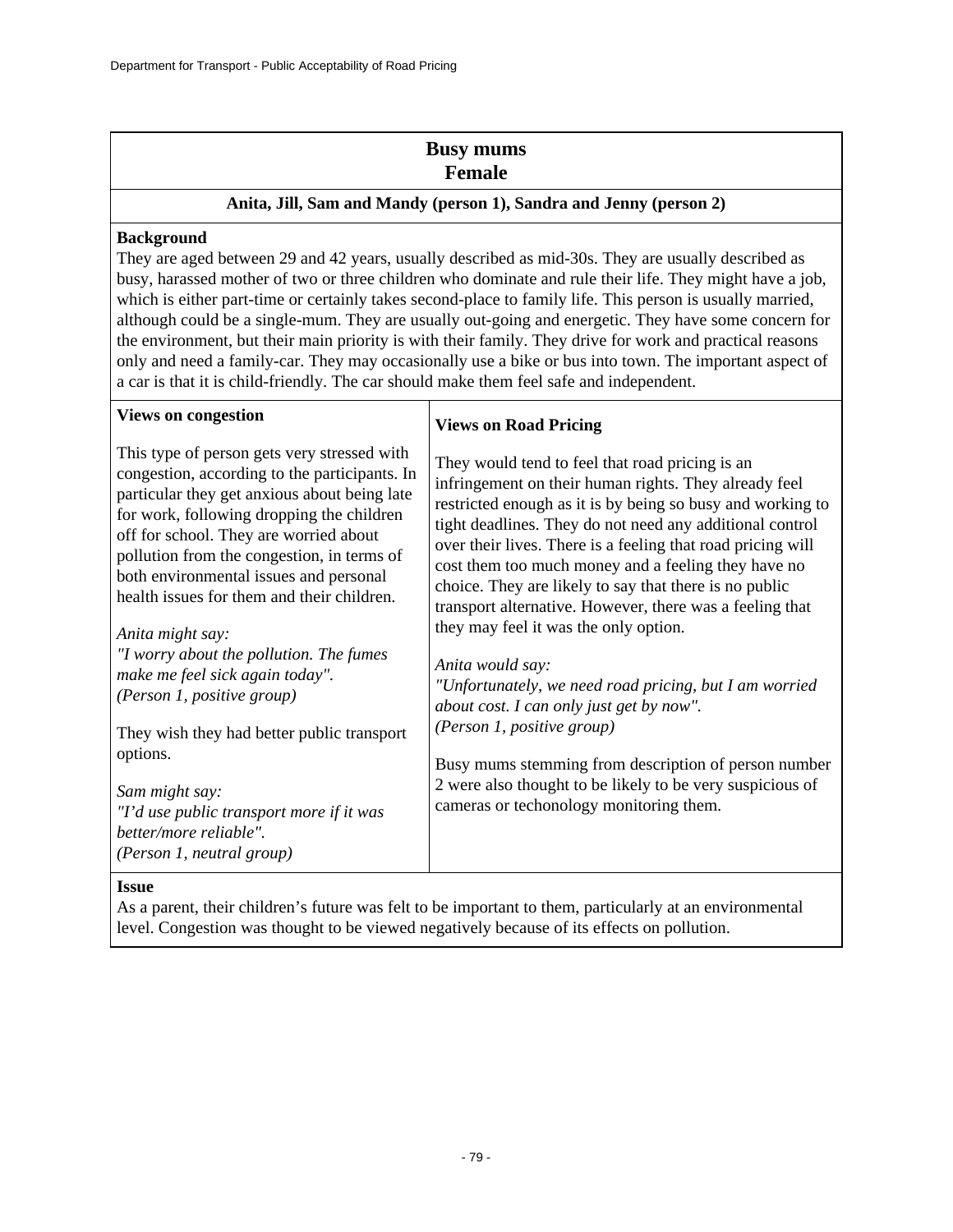# **Busy mums Female**

### **Anita, Jill, Sam and Mandy (person 1), Sandra and Jenny (person 2)**

### **Background**

They are aged between 29 and 42 years, usually described as mid-30s. They are usually described as busy, harassed mother of two or three children who dominate and rule their life. They might have a job, which is either part-time or certainly takes second-place to family life. This person is usually married, although could be a single-mum. They are usually out-going and energetic. They have some concern for the environment, but their main priority is with their family. They drive for work and practical reasons only and need a family-car. They may occasionally use a bike or bus into town. The important aspect of a car is that it is child-friendly. The car should make them feel safe and independent.

Τ

| <b>Views on congestion</b>                                                                                                                                                                                                                                                                                                                                                                    | <b>Views on Road Pricing</b>                                                                                                                                                                                                                                                                                                                                                                                                                                                                                                                                                                                                                                                                                                                                                                                                                    |
|-----------------------------------------------------------------------------------------------------------------------------------------------------------------------------------------------------------------------------------------------------------------------------------------------------------------------------------------------------------------------------------------------|-------------------------------------------------------------------------------------------------------------------------------------------------------------------------------------------------------------------------------------------------------------------------------------------------------------------------------------------------------------------------------------------------------------------------------------------------------------------------------------------------------------------------------------------------------------------------------------------------------------------------------------------------------------------------------------------------------------------------------------------------------------------------------------------------------------------------------------------------|
| This type of person gets very stressed with<br>congestion, according to the participants. In<br>particular they get anxious about being late<br>for work, following dropping the children<br>off for school. They are worried about<br>pollution from the congestion, in terms of<br>both environmental issues and personal<br>health issues for them and their children.<br>Anita might say: | They would tend to feel that road pricing is an<br>infringement on their human rights. They already feel<br>restricted enough as it is by being so busy and working to<br>tight deadlines. They do not need any additional control<br>over their lives. There is a feeling that road pricing will<br>cost them too much money and a feeling they have no<br>choice. They are likely to say that there is no public<br>transport alternative. However, there was a feeling that<br>they may feel it was the only option.<br>Anita would say:<br>"Unfortunately, we need road pricing, but I am worried<br>about cost. I can only just get by now".<br>(Person 1, positive group)<br>Busy mums stemming from description of person number<br>2 were also thought to be likely to be very suspicious of<br>cameras or techonology monitoring them. |
| "I worry about the pollution. The fumes<br>make me feel sick again today".<br>(Person 1, positive group)                                                                                                                                                                                                                                                                                      |                                                                                                                                                                                                                                                                                                                                                                                                                                                                                                                                                                                                                                                                                                                                                                                                                                                 |
| They wish they had better public transport<br>options.<br>Sam might say:<br>"I'd use public transport more if it was<br>better/more reliable".<br>(Person 1, neutral group)                                                                                                                                                                                                                   |                                                                                                                                                                                                                                                                                                                                                                                                                                                                                                                                                                                                                                                                                                                                                                                                                                                 |

#### **Issue**

As a parent, their children's future was felt to be important to them, particularly at an environmental level. Congestion was thought to be viewed negatively because of its effects on pollution.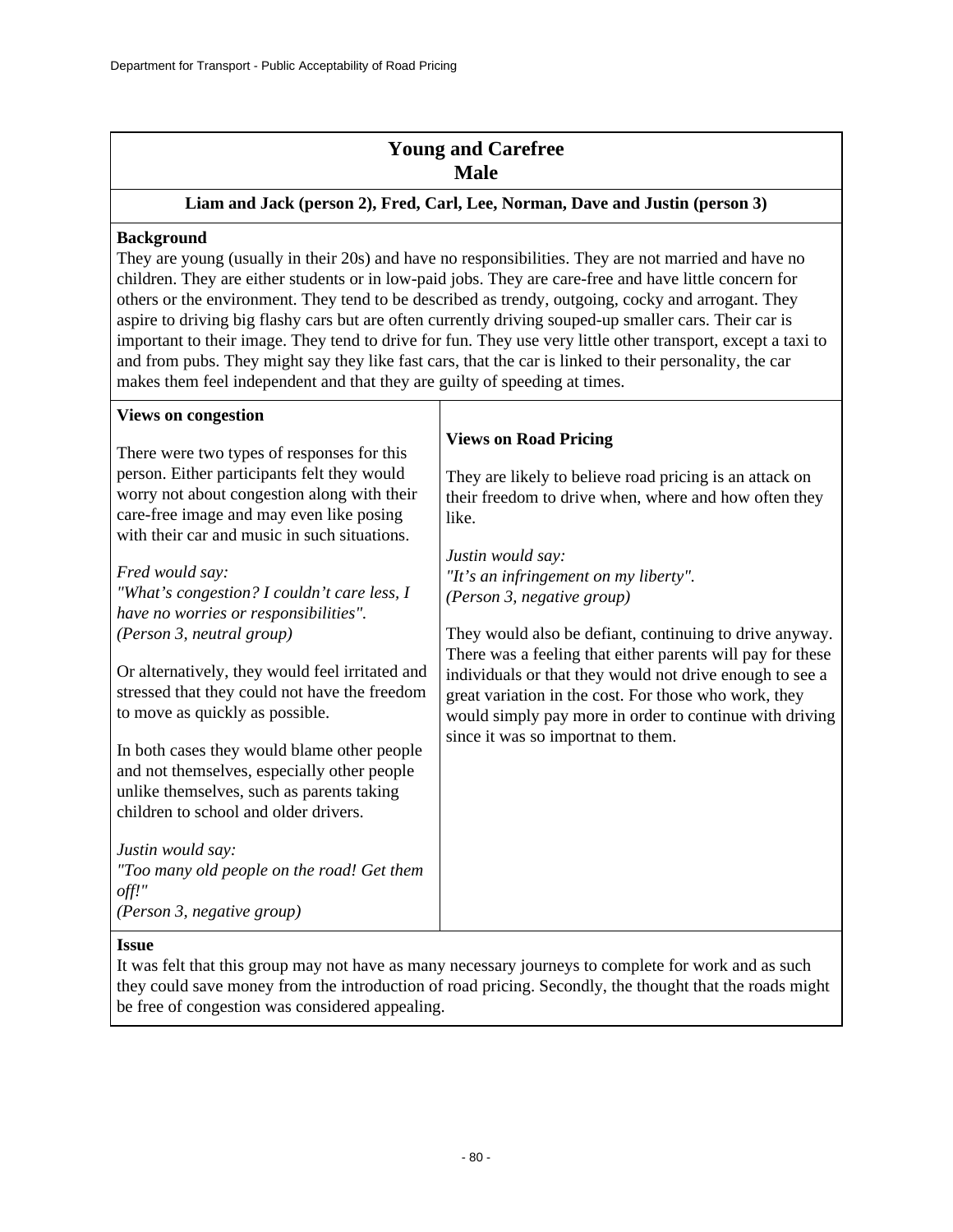# **Young and Carefree Male**

### **Liam and Jack (person 2), Fred, Carl, Lee, Norman, Dave and Justin (person 3)**

### **Background**

They are young (usually in their 20s) and have no responsibilities. They are not married and have no children. They are either students or in low-paid jobs. They are care-free and have little concern for others or the environment. They tend to be described as trendy, outgoing, cocky and arrogant. They aspire to driving big flashy cars but are often currently driving souped-up smaller cars. Their car is important to their image. They tend to drive for fun. They use very little other transport, except a taxi to and from pubs. They might say they like fast cars, that the car is linked to their personality, the car makes them feel independent and that they are guilty of speeding at times.

| <b>Views on congestion</b>                                                                                                          |                                                                                                                                                                                                                                                                                  |
|-------------------------------------------------------------------------------------------------------------------------------------|----------------------------------------------------------------------------------------------------------------------------------------------------------------------------------------------------------------------------------------------------------------------------------|
| There were two types of responses for this                                                                                          | <b>Views on Road Pricing</b>                                                                                                                                                                                                                                                     |
| person. Either participants felt they would                                                                                         | They are likely to believe road pricing is an attack on                                                                                                                                                                                                                          |
| worry not about congestion along with their                                                                                         | their freedom to drive when, where and how often they                                                                                                                                                                                                                            |
| care-free image and may even like posing                                                                                            | like.                                                                                                                                                                                                                                                                            |
| with their car and music in such situations.                                                                                        |                                                                                                                                                                                                                                                                                  |
|                                                                                                                                     | Justin would say:                                                                                                                                                                                                                                                                |
| Fred would say:                                                                                                                     | "It's an infringement on my liberty".                                                                                                                                                                                                                                            |
| "What's congestion? I couldn't care less, I                                                                                         | (Person 3, negative group)                                                                                                                                                                                                                                                       |
| have no worries or responsibilities".                                                                                               |                                                                                                                                                                                                                                                                                  |
| (Person 3, neutral group)                                                                                                           | They would also be defiant, continuing to drive anyway.                                                                                                                                                                                                                          |
| Or alternatively, they would feel irritated and<br>stressed that they could not have the freedom<br>to move as quickly as possible. | There was a feeling that either parents will pay for these<br>individuals or that they would not drive enough to see a<br>great variation in the cost. For those who work, they<br>would simply pay more in order to continue with driving<br>since it was so importnat to them. |
| In both cases they would blame other people                                                                                         |                                                                                                                                                                                                                                                                                  |
| and not themselves, especially other people                                                                                         |                                                                                                                                                                                                                                                                                  |
| unlike themselves, such as parents taking                                                                                           |                                                                                                                                                                                                                                                                                  |
| children to school and older drivers.                                                                                               |                                                                                                                                                                                                                                                                                  |
| Justin would say:                                                                                                                   |                                                                                                                                                                                                                                                                                  |
| "Too many old people on the road! Get them                                                                                          |                                                                                                                                                                                                                                                                                  |
| $off$ !"                                                                                                                            |                                                                                                                                                                                                                                                                                  |
| (Person 3, negative group)                                                                                                          |                                                                                                                                                                                                                                                                                  |
|                                                                                                                                     |                                                                                                                                                                                                                                                                                  |

### **Issue**

It was felt that this group may not have as many necessary journeys to complete for work and as such they could save money from the introduction of road pricing. Secondly, the thought that the roads might be free of congestion was considered appealing.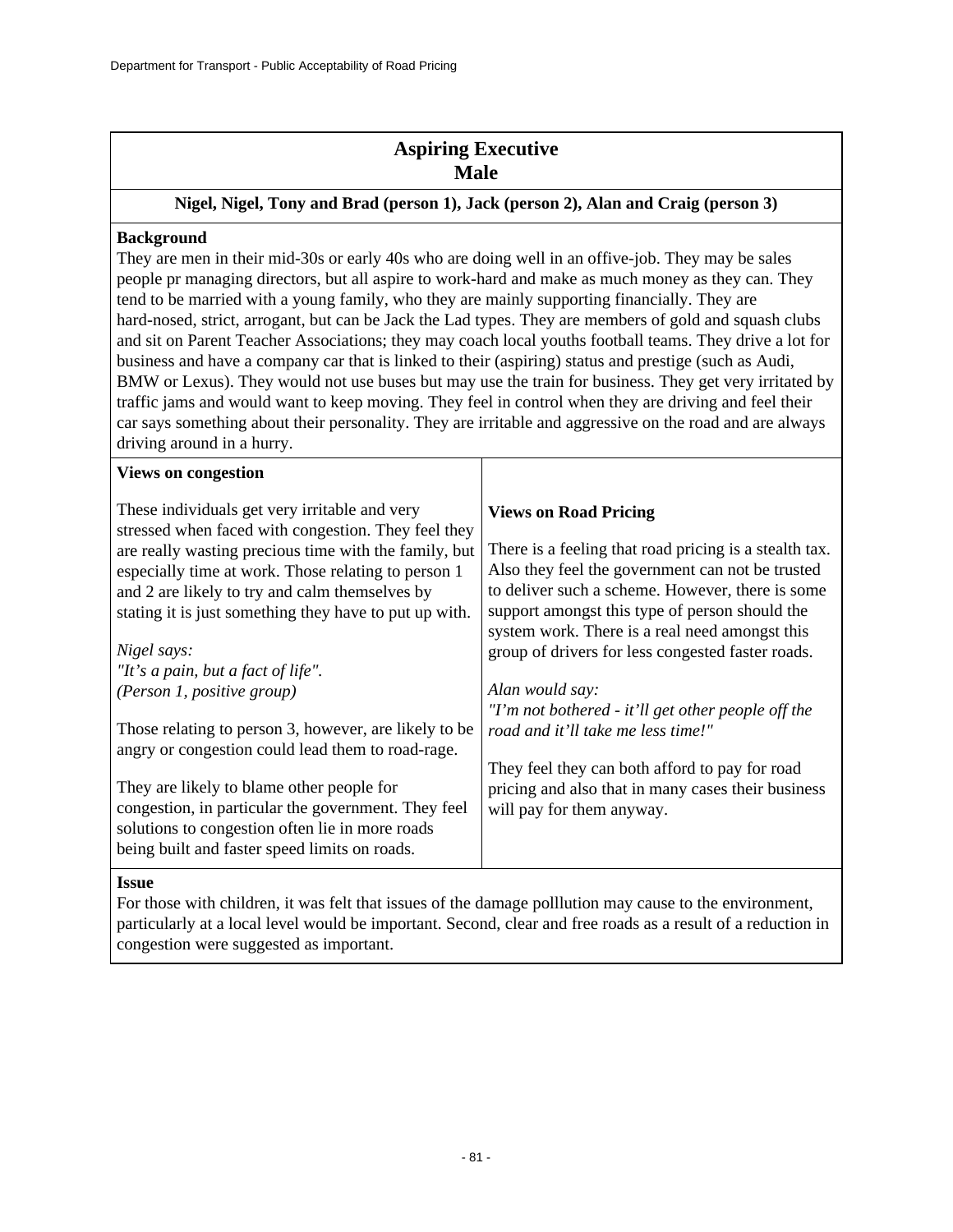# **Aspiring Executive Male**

### **Nigel, Nigel, Tony and Brad (person 1), Jack (person 2), Alan and Craig (person 3)**

#### **Background**

They are men in their mid-30s or early 40s who are doing well in an offive-job. They may be sales people pr managing directors, but all aspire to work-hard and make as much money as they can. They tend to be married with a young family, who they are mainly supporting financially. They are hard-nosed, strict, arrogant, but can be Jack the Lad types. They are members of gold and squash clubs and sit on Parent Teacher Associations; they may coach local youths football teams. They drive a lot for business and have a company car that is linked to their (aspiring) status and prestige (such as Audi, BMW or Lexus). They would not use buses but may use the train for business. They get very irritated by traffic jams and would want to keep moving. They feel in control when they are driving and feel their car says something about their personality. They are irritable and aggressive on the road and are always driving around in a hurry.

| These individuals get very irritable and very<br><b>Views on Road Pricing</b><br>stressed when faced with congestion. They feel they<br>There is a feeling that road pricing is a stealth tax.<br>are really wasting precious time with the family, but<br>Also they feel the government can not be trusted<br>especially time at work. Those relating to person 1<br>to deliver such a scheme. However, there is some<br>and 2 are likely to try and calm themselves by<br>support amongst this type of person should the<br>stating it is just something they have to put up with.<br>system work. There is a real need amongst this<br>Nigel says:<br>group of drivers for less congested faster roads.<br>"It's a pain, but a fact of life".<br>Alan would say:<br>(Person 1, positive group)<br>"I'm not bothered - it'll get other people off the<br>Those relating to person 3, however, are likely to be<br>road and it'll take me less time!"<br>angry or congestion could lead them to road-rage.<br>They feel they can both afford to pay for road<br>They are likely to blame other people for<br>pricing and also that in many cases their business<br>congestion, in particular the government. They feel<br>will pay for them anyway.<br>solutions to congestion often lie in more roads<br>being built and faster speed limits on roads. | <b>Views on congestion</b> |  |
|----------------------------------------------------------------------------------------------------------------------------------------------------------------------------------------------------------------------------------------------------------------------------------------------------------------------------------------------------------------------------------------------------------------------------------------------------------------------------------------------------------------------------------------------------------------------------------------------------------------------------------------------------------------------------------------------------------------------------------------------------------------------------------------------------------------------------------------------------------------------------------------------------------------------------------------------------------------------------------------------------------------------------------------------------------------------------------------------------------------------------------------------------------------------------------------------------------------------------------------------------------------------------------------------------------------------------------------------------------|----------------------------|--|
|                                                                                                                                                                                                                                                                                                                                                                                                                                                                                                                                                                                                                                                                                                                                                                                                                                                                                                                                                                                                                                                                                                                                                                                                                                                                                                                                                          |                            |  |
|                                                                                                                                                                                                                                                                                                                                                                                                                                                                                                                                                                                                                                                                                                                                                                                                                                                                                                                                                                                                                                                                                                                                                                                                                                                                                                                                                          |                            |  |
|                                                                                                                                                                                                                                                                                                                                                                                                                                                                                                                                                                                                                                                                                                                                                                                                                                                                                                                                                                                                                                                                                                                                                                                                                                                                                                                                                          |                            |  |
|                                                                                                                                                                                                                                                                                                                                                                                                                                                                                                                                                                                                                                                                                                                                                                                                                                                                                                                                                                                                                                                                                                                                                                                                                                                                                                                                                          |                            |  |
|                                                                                                                                                                                                                                                                                                                                                                                                                                                                                                                                                                                                                                                                                                                                                                                                                                                                                                                                                                                                                                                                                                                                                                                                                                                                                                                                                          |                            |  |
|                                                                                                                                                                                                                                                                                                                                                                                                                                                                                                                                                                                                                                                                                                                                                                                                                                                                                                                                                                                                                                                                                                                                                                                                                                                                                                                                                          |                            |  |
|                                                                                                                                                                                                                                                                                                                                                                                                                                                                                                                                                                                                                                                                                                                                                                                                                                                                                                                                                                                                                                                                                                                                                                                                                                                                                                                                                          |                            |  |
|                                                                                                                                                                                                                                                                                                                                                                                                                                                                                                                                                                                                                                                                                                                                                                                                                                                                                                                                                                                                                                                                                                                                                                                                                                                                                                                                                          |                            |  |
|                                                                                                                                                                                                                                                                                                                                                                                                                                                                                                                                                                                                                                                                                                                                                                                                                                                                                                                                                                                                                                                                                                                                                                                                                                                                                                                                                          |                            |  |
|                                                                                                                                                                                                                                                                                                                                                                                                                                                                                                                                                                                                                                                                                                                                                                                                                                                                                                                                                                                                                                                                                                                                                                                                                                                                                                                                                          |                            |  |
|                                                                                                                                                                                                                                                                                                                                                                                                                                                                                                                                                                                                                                                                                                                                                                                                                                                                                                                                                                                                                                                                                                                                                                                                                                                                                                                                                          |                            |  |
|                                                                                                                                                                                                                                                                                                                                                                                                                                                                                                                                                                                                                                                                                                                                                                                                                                                                                                                                                                                                                                                                                                                                                                                                                                                                                                                                                          |                            |  |
|                                                                                                                                                                                                                                                                                                                                                                                                                                                                                                                                                                                                                                                                                                                                                                                                                                                                                                                                                                                                                                                                                                                                                                                                                                                                                                                                                          |                            |  |
|                                                                                                                                                                                                                                                                                                                                                                                                                                                                                                                                                                                                                                                                                                                                                                                                                                                                                                                                                                                                                                                                                                                                                                                                                                                                                                                                                          |                            |  |
|                                                                                                                                                                                                                                                                                                                                                                                                                                                                                                                                                                                                                                                                                                                                                                                                                                                                                                                                                                                                                                                                                                                                                                                                                                                                                                                                                          |                            |  |
|                                                                                                                                                                                                                                                                                                                                                                                                                                                                                                                                                                                                                                                                                                                                                                                                                                                                                                                                                                                                                                                                                                                                                                                                                                                                                                                                                          |                            |  |

#### **Issue**

For those with children, it was felt that issues of the damage polllution may cause to the environment, particularly at a local level would be important. Second, clear and free roads as a result of a reduction in congestion were suggested as important.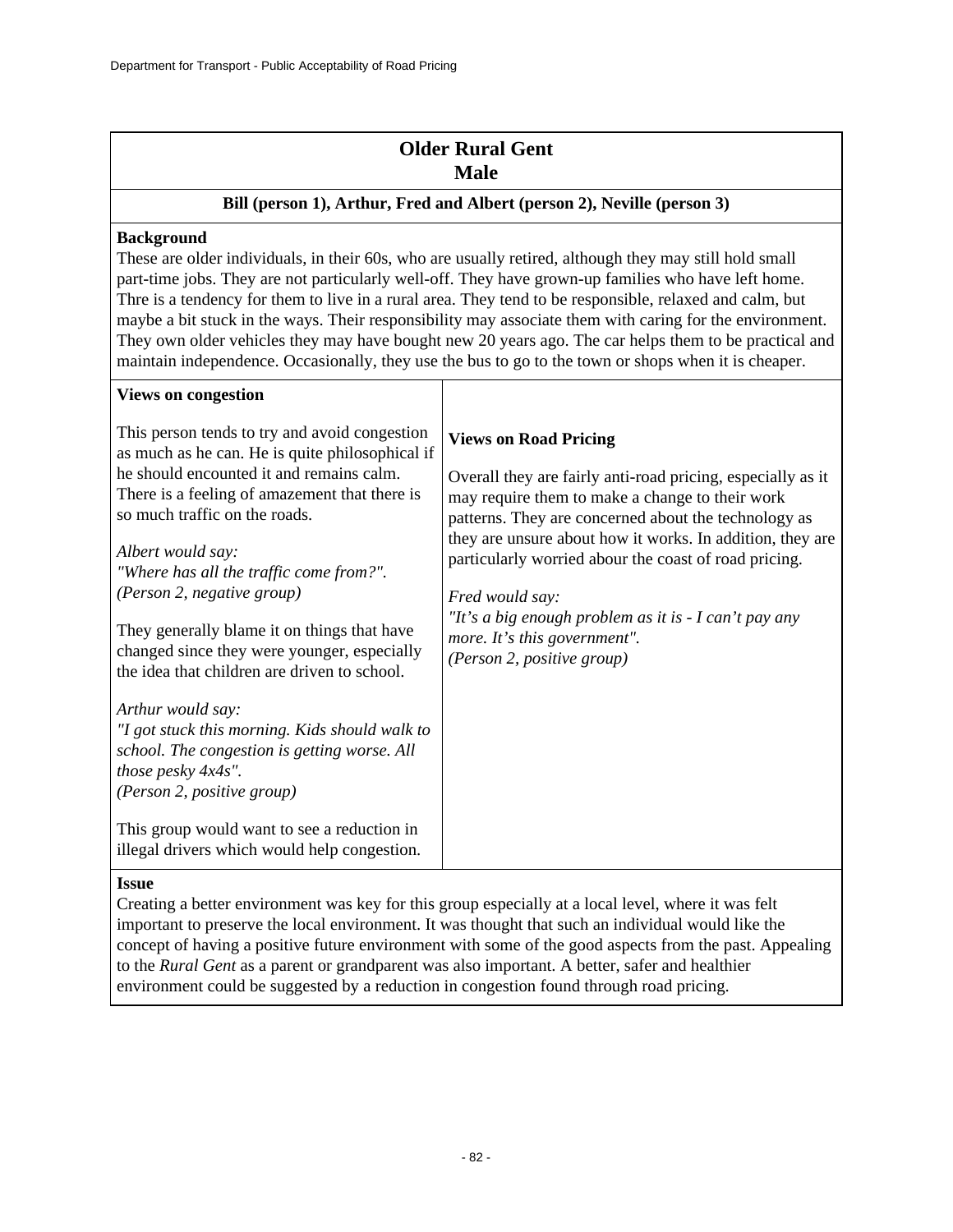# **Older Rural Gent Male**

### **Bill (person 1), Arthur, Fred and Albert (person 2), Neville (person 3)**

### **Background**

**Views on congestion**

These are older individuals, in their 60s, who are usually retired, although they may still hold small part-time jobs. They are not particularly well-off. They have grown-up families who have left home. Thre is a tendency for them to live in a rural area. They tend to be responsible, relaxed and calm, but maybe a bit stuck in the ways. Their responsibility may associate them with caring for the environment. They own older vehicles they may have bought new 20 years ago. The car helps them to be practical and maintain independence. Occasionally, they use the bus to go to the town or shops when it is cheaper.

| This person tends to try and avoid congestion<br>as much as he can. He is quite philosophical if<br>he should encounted it and remains calm.<br>There is a feeling of amazement that there is<br>so much traffic on the roads.           | <b>Views on Road Pricing</b><br>Overall they are fairly anti-road pricing, especially as it<br>may require them to make a change to their work<br>patterns. They are concerned about the technology as<br>they are unsure about how it works. In addition, they are<br>particularly worried abour the coast of road pricing.<br>Fred would say:<br>"It's a big enough problem as it is $-I$ can't pay any<br>more. It's this government".<br>(Person 2, positive group) |
|------------------------------------------------------------------------------------------------------------------------------------------------------------------------------------------------------------------------------------------|-------------------------------------------------------------------------------------------------------------------------------------------------------------------------------------------------------------------------------------------------------------------------------------------------------------------------------------------------------------------------------------------------------------------------------------------------------------------------|
| Albert would say:<br>"Where has all the traffic come from?".<br>(Person 2, negative group)<br>They generally blame it on things that have<br>changed since they were younger, especially<br>the idea that children are driven to school. |                                                                                                                                                                                                                                                                                                                                                                                                                                                                         |
| Arthur would say:<br>"I got stuck this morning. Kids should walk to<br>school. The congestion is getting worse. All<br>those pesky 4x4s".<br>(Person 2, positive group)                                                                  |                                                                                                                                                                                                                                                                                                                                                                                                                                                                         |
| This group would want to see a reduction in<br>illegal drivers which would help congestion.                                                                                                                                              |                                                                                                                                                                                                                                                                                                                                                                                                                                                                         |

### **Issue**

Creating a better environment was key for this group especially at a local level, where it was felt important to preserve the local environment. It was thought that such an individual would like the concept of having a positive future environment with some of the good aspects from the past. Appealing to the *Rural Gent* as a parent or grandparent was also important. A better, safer and healthier environment could be suggested by a reduction in congestion found through road pricing.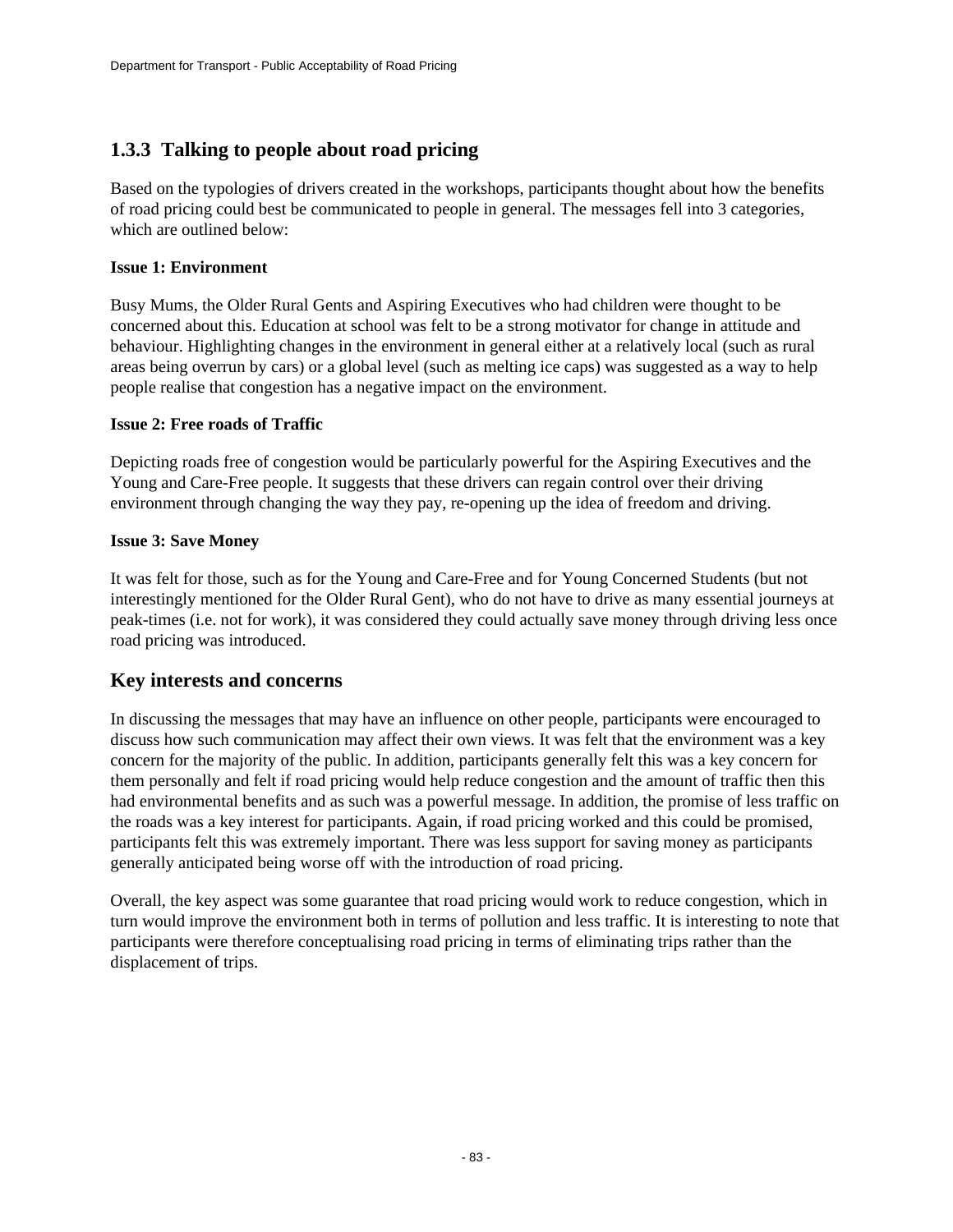# **1.3.3 Talking to people about road pricing**

Based on the typologies of drivers created in the workshops, participants thought about how the benefits of road pricing could best be communicated to people in general. The messages fell into 3 categories, which are outlined below:

### **Issue 1: Environment**

Busy Mums, the Older Rural Gents and Aspiring Executives who had children were thought to be concerned about this. Education at school was felt to be a strong motivator for change in attitude and behaviour. Highlighting changes in the environment in general either at a relatively local (such as rural areas being overrun by cars) or a global level (such as melting ice caps) was suggested as a way to help people realise that congestion has a negative impact on the environment.

### **Issue 2: Free roads of Traffic**

Depicting roads free of congestion would be particularly powerful for the Aspiring Executives and the Young and Care-Free people. It suggests that these drivers can regain control over their driving environment through changing the way they pay, re-opening up the idea of freedom and driving.

### **Issue 3: Save Money**

It was felt for those, such as for the Young and Care-Free and for Young Concerned Students (but not interestingly mentioned for the Older Rural Gent), who do not have to drive as many essential journeys at peak-times (i.e. not for work), it was considered they could actually save money through driving less once road pricing was introduced.

## **Key interests and concerns**

In discussing the messages that may have an influence on other people, participants were encouraged to discuss how such communication may affect their own views. It was felt that the environment was a key concern for the majority of the public. In addition, participants generally felt this was a key concern for them personally and felt if road pricing would help reduce congestion and the amount of traffic then this had environmental benefits and as such was a powerful message. In addition, the promise of less traffic on the roads was a key interest for participants. Again, if road pricing worked and this could be promised, participants felt this was extremely important. There was less support for saving money as participants generally anticipated being worse off with the introduction of road pricing.

Overall, the key aspect was some guarantee that road pricing would work to reduce congestion, which in turn would improve the environment both in terms of pollution and less traffic. It is interesting to note that participants were therefore conceptualising road pricing in terms of eliminating trips rather than the displacement of trips.